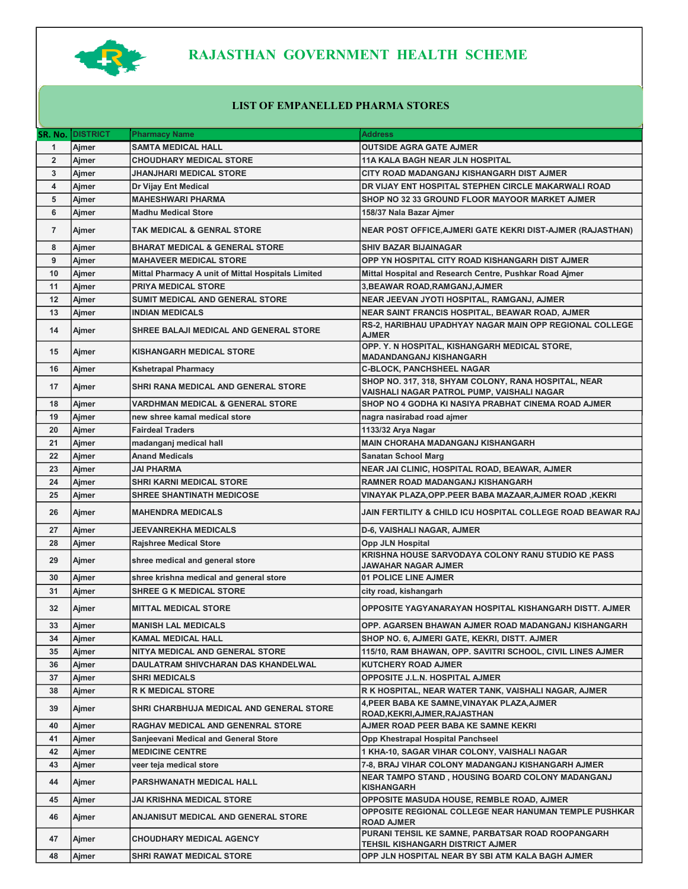

## RAJASTHAN GOVERNMENT HEALTH SCHEME

## LIST OF EMPANELLED PHARMA STORES

| SR. No.                 | <b>DISTRICT</b> | <b>Pharmacy Name</b>                               | <b>Address</b>                                                                                     |
|-------------------------|-----------------|----------------------------------------------------|----------------------------------------------------------------------------------------------------|
| 1                       | Ajmer           | <b>SAMTA MEDICAL HALL</b>                          | <b>OUTSIDE AGRA GATE AJMER</b>                                                                     |
| $\mathbf 2$             | Ajmer           | <b>CHOUDHARY MEDICAL STORE</b>                     | <b>11A KALA BAGH NEAR JLN HOSPITAL</b>                                                             |
| 3                       | Ajmer           | JHANJHARI MEDICAL STORE                            | CITY ROAD MADANGANJ KISHANGARH DIST AJMER                                                          |
| $\overline{\mathbf{4}}$ | Ajmer           | Dr Vijay Ent Medical                               | DR VIJAY ENT HOSPITAL STEPHEN CIRCLE MAKARWALI ROAD                                                |
| 5                       | Ajmer           | <b>MAHESHWARI PHARMA</b>                           | SHOP NO 32 33 GROUND FLOOR MAYOOR MARKET AJMER                                                     |
| 6                       | Ajmer           | <b>Madhu Medical Store</b>                         | 158/37 Nala Bazar Ajmer                                                                            |
| $\overline{7}$          | Ajmer           | <b>TAK MEDICAL &amp; GENRAL STORE</b>              | <b>NEAR POST OFFICE, AJMERI GATE KEKRI DIST-AJMER (RAJASTHAN)</b>                                  |
| 8                       | Ajmer           | <b>BHARAT MEDICAL &amp; GENERAL STORE</b>          | <b>SHIV BAZAR BIJAINAGAR</b>                                                                       |
| 9                       | Ajmer           | <b>MAHAVEER MEDICAL STORE</b>                      | OPP YN HOSPITAL CITY ROAD KISHANGARH DIST AJMER                                                    |
| 10                      | Ajmer           | Mittal Pharmacy A unit of Mittal Hospitals Limited | Mittal Hospital and Research Centre, Pushkar Road Ajmer                                            |
| 11                      | Ajmer           | <b>PRIYA MEDICAL STORE</b>                         | 3, BEAWAR ROAD, RAMGANJ, AJMER                                                                     |
| 12                      | Ajmer           | SUMIT MEDICAL AND GENERAL STORE                    | NEAR JEEVAN JYOTI HOSPITAL, RAMGANJ, AJMER                                                         |
| 13                      | Ajmer           | <b>INDIAN MEDICALS</b>                             | NEAR SAINT FRANCIS HOSPITAL, BEAWAR ROAD, AJMER                                                    |
| 14                      | Ajmer           | SHREE BALAJI MEDICAL AND GENERAL STORE             | RS-2, HARIBHAU UPADHYAY NAGAR MAIN OPP REGIONAL COLLEGE<br><b>AJMER</b>                            |
| 15                      | Ajmer           | <b>KISHANGARH MEDICAL STORE</b>                    | OPP. Y. N HOSPITAL, KISHANGARH MEDICAL STORE,<br><b>MADANDANGANJ KISHANGARH</b>                    |
| 16                      | Ajmer           | <b>Kshetrapal Pharmacy</b>                         | <b>C-BLOCK, PANCHSHEEL NAGAR</b>                                                                   |
| 17                      | Ajmer           | SHRI RANA MEDICAL AND GENERAL STORE                | SHOP NO. 317, 318, SHYAM COLONY, RANA HOSPITAL, NEAR<br>VAISHALI NAGAR PATROL PUMP, VAISHALI NAGAR |
| 18                      | Ajmer           | <b>VARDHMAN MEDICAL &amp; GENERAL STORE</b>        | SHOP NO 4 GODHA KI NASIYA PRABHAT CINEMA ROAD AJMER                                                |
| 19                      | Ajmer           | new shree kamal medical store                      | nagra nasirabad road ajmer                                                                         |
| 20                      | Ajmer           | <b>Fairdeal Traders</b>                            | 1133/32 Arya Nagar                                                                                 |
| 21                      | Ajmer           | madanganj medical hall                             | <b>MAIN CHORAHA MADANGANJ KISHANGARH</b>                                                           |
| 22                      | Ajmer           | <b>Anand Medicals</b>                              | <b>Sanatan School Marg</b>                                                                         |
| 23                      | Ajmer           | JAI PHARMA                                         | NEAR JAI CLINIC, HOSPITAL ROAD, BEAWAR, AJMER                                                      |
| 24                      | Ajmer           | <b>SHRI KARNI MEDICAL STORE</b>                    | RAMNER ROAD MADANGANJ KISHANGARH                                                                   |
| 25                      | Ajmer           | <b>SHREE SHANTINATH MEDICOSE</b>                   | VINAYAK PLAZA,OPP.PEER BABA MAZAAR,AJMER ROAD ,KEKRI                                               |
| 26                      | Ajmer           | <b>MAHENDRA MEDICALS</b>                           | JAIN FERTILITY & CHILD ICU HOSPITAL COLLEGE ROAD BEAWAR RAJ                                        |
| 27                      | Ajmer           | <b>JEEVANREKHA MEDICALS</b>                        | <b>D-6, VAISHALI NAGAR, AJMER</b>                                                                  |
| 28                      | Ajmer           | <b>Rajshree Medical Store</b>                      | Opp JLN Hospital                                                                                   |
| 29                      | Ajmer           | shree medical and general store                    | KRISHNA HOUSE SARVODAYA COLONY RANU STUDIO KE PASS<br>JAWAHAR NAGAR AJMER                          |
| 30                      | Ajmer           | shree krishna medical and general store            | 01 POLICE LINE AJMER                                                                               |
| 31                      | Ajmer           | <b>SHREE G K MEDICAL STORE</b>                     | city road, kishangarh                                                                              |
| 32                      | Ajmer           | <b>MITTAL MEDICAL STORE</b>                        | OPPOSITE YAGYANARAYAN HOSPITAL KISHANGARH DISTT. AJMER                                             |
| 33                      | Ajmer           | <b>MANISH LAL MEDICALS</b>                         | OPP. AGARSEN BHAWAN AJMER ROAD MADANGANJ KISHANGARH                                                |
| 34                      | Ajmer           | <b>KAMAL MEDICAL HALL</b>                          | SHOP NO. 6, AJMERI GATE, KEKRI, DISTT. AJMER                                                       |
| 35                      | Ajmer           | NITYA MEDICAL AND GENERAL STORE                    | 115/10, RAM BHAWAN, OPP. SAVITRI SCHOOL, CIVIL LINES AJMER                                         |
| 36                      | Ajmer           | DAULATRAM SHIVCHARAN DAS KHANDELWAL                | <b>KUTCHERY ROAD AJMER</b>                                                                         |
| 37                      | Aimer           | <b>SHRI MEDICALS</b>                               | <b>OPPOSITE J.L.N. HOSPITAL AJMER</b>                                                              |
| 38                      | Ajmer           | <b>R K MEDICAL STORE</b>                           | R K HOSPITAL, NEAR WATER TANK, VAISHALI NAGAR, AJMER                                               |
| 39                      | Ajmer           | SHRI CHARBHUJA MEDICAL AND GENERAL STORE           | 4, PEER BABA KE SAMNE, VINAYAK PLAZA, AJMER<br>ROAD, KEKRI, AJMER, RAJASTHAN                       |
| 40                      | Ajmer           | RAGHAV MEDICAL AND GENENRAL STORE                  | AJMER ROAD PEER BABA KE SAMNE KEKRI                                                                |
| 41                      | Ajmer           | Sanjeevani Medical and General Store               | Opp Khestrapal Hospital Panchseel                                                                  |
| 42                      | Ajmer           | <b>MEDICINE CENTRE</b>                             | 1 KHA-10, SAGAR VIHAR COLONY, VAISHALI NAGAR                                                       |
| 43                      | Ajmer           | veer teja medical store                            | 7-8, BRAJ VIHAR COLONY MADANGANJ KISHANGARH AJMER                                                  |
| 44                      | Ajmer           | PARSHWANATH MEDICAL HALL                           | NEAR TAMPO STAND, HOUSING BOARD COLONY MADANGANJ<br><b>KISHANGARH</b>                              |
| 45                      | Ajmer           | JAI KRISHNA MEDICAL STORE                          | <b>OPPOSITE MASUDA HOUSE, REMBLE ROAD, AJMER</b>                                                   |
| 46                      | Ajmer           | ANJANISUT MEDICAL AND GENERAL STORE                | OPPOSITE REGIONAL COLLEGE NEAR HANUMAN TEMPLE PUSHKAR<br><b>ROAD AJMER</b>                         |
| 47                      | Ajmer           | <b>CHOUDHARY MEDICAL AGENCY</b>                    | PURANI TEHSIL KE SAMNE, PARBATSAR ROAD ROOPANGARH<br>TEHSIL KISHANGARH DISTRICT AJMER              |
| 48                      | Ajmer           | <b>SHRI RAWAT MEDICAL STORE</b>                    | OPP JLN HOSPITAL NEAR BY SBI ATM KALA BAGH AJMER                                                   |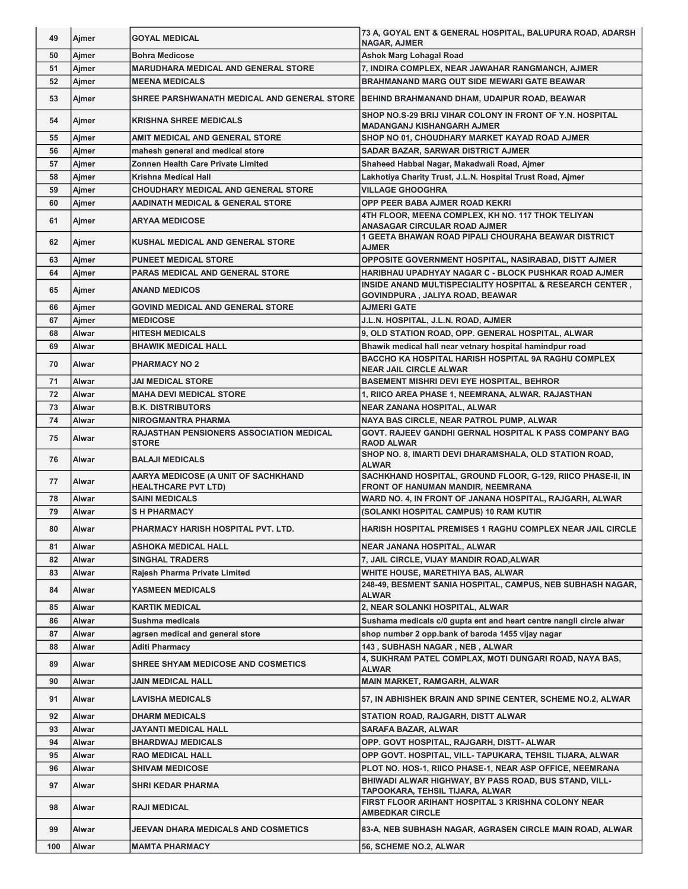| 49  | Ajmer        | <b>GOYAL MEDICAL</b>                                              | 73 A, GOYAL ENT & GENERAL HOSPITAL, BALUPURA ROAD, ADARSH                                        |
|-----|--------------|-------------------------------------------------------------------|--------------------------------------------------------------------------------------------------|
| 50  | Aimer        | <b>Bohra Medicose</b>                                             | <b>NAGAR, AJMER</b>                                                                              |
|     |              |                                                                   | Ashok Marg Lohagal Road                                                                          |
| 51  | Aimer        | <b>MARUDHARA MEDICAL AND GENERAL STORE</b>                        | 7, INDIRA COMPLEX, NEAR JAWAHAR RANGMANCH, AJMER                                                 |
| 52  | Ajmer        | <b>MEENA MEDICALS</b>                                             | <b>BRAHMANAND MARG OUT SIDE MEWARI GATE BEAWAR</b>                                               |
| 53  | Ajmer        |                                                                   | SHREE PARSHWANATH MEDICAL AND GENERAL STORE   BEHIND BRAHMANAND DHAM, UDAIPUR ROAD, BEAWAR       |
| 54  | Ajmer        | <b>KRISHNA SHREE MEDICALS</b>                                     | SHOP NO.S-29 BRIJ VIHAR COLONY IN FRONT OF Y.N. HOSPITAL<br><b>MADANGANJ KISHANGARH AJMER</b>    |
| 55  | Ajmer        | AMIT MEDICAL AND GENERAL STORE                                    | SHOP NO 01, CHOUDHARY MARKET KAYAD ROAD AJMER                                                    |
| 56  | Ajmer        | mahesh general and medical store                                  | SADAR BAZAR, SARWAR DISTRICT AJMER                                                               |
| 57  | Ajmer        | Zonnen Health Care Private Limited                                | Shaheed Habbal Nagar, Makadwali Road, Ajmer                                                      |
| 58  | Ajmer        | Krishna Medical Hall                                              | Lakhotiya Charity Trust, J.L.N. Hospital Trust Road, Ajmer                                       |
| 59  | Ajmer        | <b>CHOUDHARY MEDICAL AND GENERAL STORE</b>                        | <b>VILLAGE GHOOGHRA</b>                                                                          |
| 60  | Ajmer        | AADINATH MEDICAL & GENERAL STORE                                  | OPP PEER BABA AJMER ROAD KEKRI                                                                   |
| 61  | Aimer        | <b>ARYAA MEDICOSE</b>                                             | 4TH FLOOR, MEENA COMPLEX, KH NO. 117 THOK TELIYAN<br>ANASAGAR CIRCULAR ROAD AJMER                |
| 62  | Ajmer        | KUSHAL MEDICAL AND GENERAL STORE                                  | 1 GEETA BHAWAN ROAD PIPALI CHOURAHA BEAWAR DISTRICT<br><b>AJMER</b>                              |
| 63  | Ajmer        | <b>PUNEET MEDICAL STORE</b>                                       | OPPOSITE GOVERNMENT HOSPITAL, NASIRABAD, DISTT AJMER                                             |
| 64  | Ajmer        | <b>PARAS MEDICAL AND GENERAL STORE</b>                            | HARIBHAU UPADHYAY NAGAR C - BLOCK PUSHKAR ROAD AJMER                                             |
| 65  | Ajmer        | <b>ANAND MEDICOS</b>                                              | INSIDE ANAND MULTISPECIALITY HOSPITAL & RESEARCH CENTER,                                         |
|     |              |                                                                   | GOVINDPURA, JALIYA ROAD, BEAWAR                                                                  |
| 66  | Ajmer        | <b>GOVIND MEDICAL AND GENERAL STORE</b>                           | <b>AJMERI GATE</b>                                                                               |
| 67  | Ajmer        | <b>MEDICOSE</b>                                                   | J.L.N. HOSPITAL, J.L.N. ROAD, AJMER                                                              |
| 68  | Alwar        | <b>HITESH MEDICALS</b>                                            | 9, OLD STATION ROAD, OPP. GENERAL HOSPITAL, ALWAR                                                |
| 69  | Alwar        | <b>BHAWIK MEDICAL HALL</b>                                        | Bhawik medical hall near vetnary hospital hamindpur road                                         |
| 70  | <b>Alwar</b> | <b>PHARMACY NO 2</b>                                              | <b>BACCHO KA HOSPITAL HARISH HOSPITAL 9A RAGHU COMPLEX</b><br><b>NEAR JAIL CIRCLE ALWAR</b>      |
| 71  | Alwar        | <b>JAI MEDICAL STORE</b>                                          | <b>BASEMENT MISHRI DEVI EYE HOSPITAL, BEHROR</b>                                                 |
| 72  | Alwar        | <b>MAHA DEVI MEDICAL STORE</b>                                    | 1, RIICO AREA PHASE 1, NEEMRANA, ALWAR, RAJASTHAN                                                |
| 73  | Alwar        | <b>B.K. DISTRIBUTORS</b>                                          | NEAR ZANANA HOSPITAL, ALWAR                                                                      |
| 74  | Alwar        | <b>NIROGMANTRA PHARMA</b>                                         | NAYA BAS CIRCLE, NEAR PATROL PUMP, ALWAR                                                         |
| 75  | <b>Alwar</b> | <b>RAJASTHAN PENSIONERS ASSOCIATION MEDICAL</b>                   | GOVT. RAJEEV GANDHI GERNAL HOSPITAL K PASS COMPANY BAG                                           |
| 76  | <b>Alwar</b> | <b>STORE</b><br><b>BALAJI MEDICALS</b>                            | <b>RAOD ALWAR</b><br>SHOP NO. 8, IMARTI DEVI DHARAMSHALA, OLD STATION ROAD,                      |
|     |              |                                                                   | <b>ALWAR</b>                                                                                     |
| 77  | Alwar        | AARYA MEDICOSE (A UNIT OF SACHKHAND<br><b>HEALTHCARE PVT LTD)</b> | SACHKHAND HOSPITAL, GROUND FLOOR, G-129, RIICO PHASE-II, IN<br>FRONT OF HANUMAN MANDIR, NEEMRANA |
| 78  | Alwar        | <b>SAINI MEDICALS</b>                                             | WARD NO. 4, IN FRONT OF JANANA HOSPITAL, RAJGARH, ALWAR                                          |
| 79  | Alwar        | <b>SH PHARMACY</b>                                                | (SOLANKI HOSPITAL CAMPUS) 10 RAM KUTIR                                                           |
| 80  | Alwar        | PHARMACY HARISH HOSPITAL PVT. LTD.                                | HARISH HOSPITAL PREMISES 1 RAGHU COMPLEX NEAR JAIL CIRCLE                                        |
| 81  | Alwar        | <b>ASHOKA MEDICAL HALL</b>                                        | <b>NEAR JANANA HOSPITAL, ALWAR</b>                                                               |
| 82  | Alwar        | <b>SINGHAL TRADERS</b>                                            | 7, JAIL CIRCLE, VIJAY MANDIR ROAD,ALWAR                                                          |
| 83  | Alwar        | Rajesh Pharma Private Limited                                     | WHITE HOUSE, MARETHIYA BAS, ALWAR                                                                |
| 84  | Alwar        | <b>YASMEEN MEDICALS</b>                                           | 248-49, BESMENT SANIA HOSPITAL, CAMPUS, NEB SUBHASH NAGAR,<br><b>ALWAR</b>                       |
| 85  | Alwar        | <b>KARTIK MEDICAL</b>                                             | 2, NEAR SOLANKI HOSPITAL, ALWAR                                                                  |
| 86  | Alwar        | Sushma medicals                                                   | Sushama medicals c/0 qupta ent and heart centre nangli circle alwar                              |
| 87  | Alwar        | agrsen medical and general store                                  | shop number 2 opp.bank of baroda 1455 vijay nagar                                                |
| 88  | Alwar        | <b>Aditi Pharmacy</b>                                             | 143, SUBHASH NAGAR, NEB, ALWAR                                                                   |
| 89  | Alwar        | SHREE SHYAM MEDICOSE AND COSMETICS                                | 4, SUKHRAM PATEL COMPLAX, MOTI DUNGARI ROAD, NAYA BAS,                                           |
| 90  | Alwar        | <b>JAIN MEDICAL HALL</b>                                          | <b>ALWAR</b><br><b>MAIN MARKET, RAMGARH, ALWAR</b>                                               |
| 91  | Alwar        | <b>LAVISHA MEDICALS</b>                                           | 57, IN ABHISHEK BRAIN AND SPINE CENTER, SCHEME NO.2, ALWAR                                       |
| 92  | Alwar        | <b>DHARM MEDICALS</b>                                             | STATION ROAD, RAJGARH, DISTT ALWAR                                                               |
| 93  | Alwar        | JAYANTI MEDICAL HALL                                              | <b>SARAFA BAZAR, ALWAR</b>                                                                       |
| 94  | Alwar        | <b>BHARDWAJ MEDICALS</b>                                          | OPP. GOVT HOSPITAL, RAJGARH, DISTT- ALWAR                                                        |
| 95  | Alwar        | <b>RAO MEDICAL HALL</b>                                           | OPP GOVT. HOSPITAL, VILL- TAPUKARA, TEHSIL TIJARA, ALWAR                                         |
| 96  | Alwar        | <b>SHIVAM MEDICOSE</b>                                            | PLOT NO. HOS-1, RIICO PHASE-1, NEAR ASP OFFICE, NEEMRANA                                         |
| 97  | Alwar        | <b>SHRI KEDAR PHARMA</b>                                          | BHIWADI ALWAR HIGHWAY, BY PASS ROAD, BUS STAND, VILL-                                            |
| 98  | Alwar        | <b>RAJI MEDICAL</b>                                               | TAPOOKARA, TEHSIL TIJARA, ALWAR<br>FIRST FLOOR ARIHANT HOSPITAL 3 KRISHNA COLONY NEAR            |
| 99  | Alwar        | JEEVAN DHARA MEDICALS AND COSMETICS                               | <b>AMBEDKAR CIRCLE</b><br>83-A, NEB SUBHASH NAGAR, AGRASEN CIRCLE MAIN ROAD, ALWAR               |
| 100 | Alwar        | <b>MAMTA PHARMACY</b>                                             | 56, SCHEME NO.2, ALWAR                                                                           |
|     |              |                                                                   |                                                                                                  |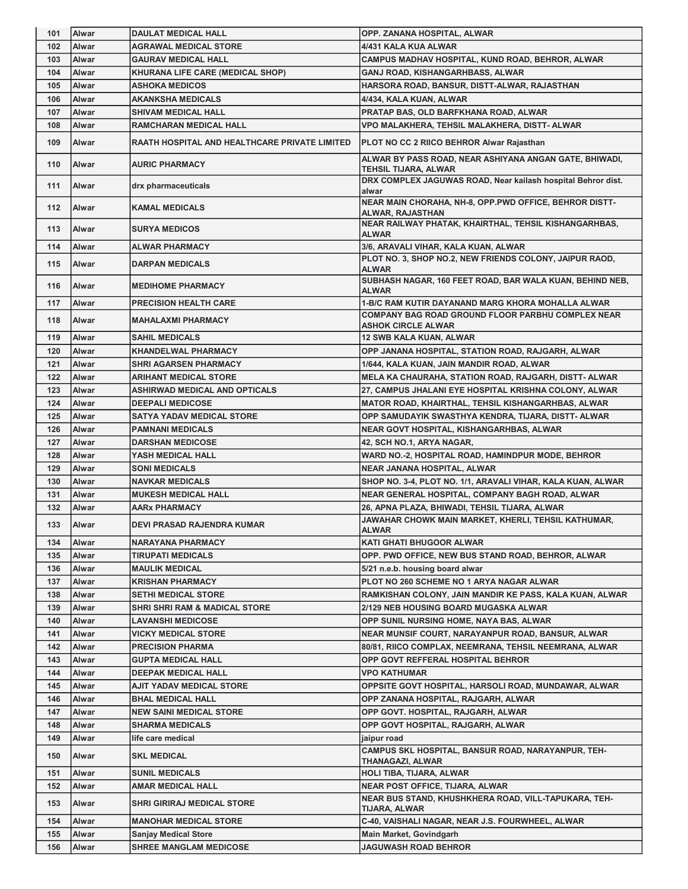| 101 | <b>IAIwar</b> | <b>DAULAT MEDICAL HALL</b>                    | OPP. ZANANA HOSPITAL, ALWAR                                                           |
|-----|---------------|-----------------------------------------------|---------------------------------------------------------------------------------------|
| 102 | <b>Alwar</b>  | <b>AGRAWAL MEDICAL STORE</b>                  | 4/431 KALA KUA ALWAR                                                                  |
| 103 | Alwar         | <b>GAURAV MEDICAL HALL</b>                    | CAMPUS MADHAV HOSPITAL, KUND ROAD, BEHROR, ALWAR                                      |
| 104 | Alwar         | KHURANA LIFE CARE (MEDICAL SHOP)              | GANJ ROAD, KISHANGARHBASS, ALWAR                                                      |
| 105 | Alwar         | <b>ASHOKA MEDICOS</b>                         | HARSORA ROAD, BANSUR, DISTT-ALWAR, RAJASTHAN                                          |
| 106 | <b>Alwar</b>  | <b>AKANKSHA MEDICALS</b>                      | 4/434, KALA KUAN, ALWAR                                                               |
| 107 | Alwar         | <b>SHIVAM MEDICAL HALL</b>                    | PRATAP BAS, OLD BARFKHANA ROAD, ALWAR                                                 |
| 108 | Alwar         | <b>RAMCHARAN MEDICAL HALL</b>                 | VPO MALAKHERA, TEHSIL MALAKHERA, DISTT- ALWAR                                         |
| 109 | Alwar         | RAATH HOSPITAL AND HEALTHCARE PRIVATE LIMITED | PLOT NO CC 2 RIICO BEHROR Alwar Rajasthan                                             |
| 110 | <b>Alwar</b>  | <b>AURIC PHARMACY</b>                         | ALWAR BY PASS ROAD, NEAR ASHIYANA ANGAN GATE, BHIWADI,<br>TEHSIL TIJARA, ALWAR        |
| 111 | Alwar         | drx pharmaceuticals                           | DRX COMPLEX JAGUWAS ROAD, Near kailash hospital Behror dist.<br>alwar                 |
| 112 | <b>Alwar</b>  | <b>KAMAL MEDICALS</b>                         | NEAR MAIN CHORAHA, NH-8, OPP.PWD OFFICE, BEHROR DISTT-<br>ALWAR, RAJASTHAN            |
| 113 | <b>Alwar</b>  | <b>SURYA MEDICOS</b>                          | NEAR RAILWAY PHATAK, KHAIRTHAL, TEHSIL KISHANGARHBAS,<br><b>ALWAR</b>                 |
| 114 | Alwar         | <b>ALWAR PHARMACY</b>                         | 3/6, ARAVALI VIHAR, KALA KUAN, ALWAR                                                  |
| 115 | Alwar         | <b>DARPAN MEDICALS</b>                        | PLOT NO. 3, SHOP NO.2, NEW FRIENDS COLONY, JAIPUR RAOD,<br><b>ALWAR</b>               |
| 116 | Alwar         | <b>MEDIHOME PHARMACY</b>                      | SUBHASH NAGAR, 160 FEET ROAD, BAR WALA KUAN, BEHIND NEB,<br><b>ALWAR</b>              |
| 117 | Alwar         | <b>PRECISION HEALTH CARE</b>                  | 1-B/C RAM KUTIR DAYANAND MARG KHORA MOHALLA ALWAR                                     |
| 118 | <b>Alwar</b>  | <b>MAHALAXMI PHARMACY</b>                     | <b>COMPANY BAG ROAD GROUND FLOOR PARBHU COMPLEX NEAR</b><br><b>ASHOK CIRCLE ALWAR</b> |
| 119 | Alwar         | <b>SAHIL MEDICALS</b>                         | <b>12 SWB KALA KUAN, ALWAR</b>                                                        |
| 120 | Alwar         | <b>KHANDELWAL PHARMACY</b>                    | OPP JANANA HOSPITAL, STATION ROAD, RAJGARH, ALWAR                                     |
| 121 | Alwar         | <b>SHRI AGARSEN PHARMACY</b>                  | 1/644, KALA KUAN, JAIN MANDIR ROAD, ALWAR                                             |
| 122 | Alwar         | <b>ARIHANT MEDICAL STORE</b>                  | MELA KA CHAURAHA, STATION ROAD, RAJGARH, DISTT- ALWAR                                 |
| 123 | Alwar         | ASHIRWAD MEDICAL AND OPTICALS                 | 27, CAMPUS JHALANI EYE HOSPITAL KRISHNA COLONY, ALWAR                                 |
| 124 | Alwar         | <b>DEEPALI MEDICOSE</b>                       | <b>MATOR ROAD, KHAIRTHAL, TEHSIL KISHANGARHBAS, ALWAR</b>                             |
| 125 | <b>Alwar</b>  | SATYA YADAV MEDICAL STORE                     | OPP SAMUDAYIK SWASTHYA KENDRA, TIJARA, DISTT- ALWAR                                   |
| 126 | Alwar         | <b>PAMNANI MEDICALS</b>                       | NEAR GOVT HOSPITAL, KISHANGARHBAS, ALWAR                                              |
| 127 | <b>Alwar</b>  | <b>DARSHAN MEDICOSE</b>                       | 42, SCH NO.1, ARYA NAGAR,                                                             |
| 128 | Alwar         | YASH MEDICAL HALL                             | WARD NO.-2, HOSPITAL ROAD, HAMINDPUR MODE, BEHROR                                     |
| 129 | Alwar         | <b>SONI MEDICALS</b>                          | NEAR JANANA HOSPITAL, ALWAR                                                           |
| 130 | Alwar         | <b>NAVKAR MEDICALS</b>                        | SHOP NO. 3-4, PLOT NO. 1/1, ARAVALI VIHAR, KALA KUAN, ALWAR                           |
| 131 | <b>Alwar</b>  | <b>MUKESH MEDICAL HALL</b>                    | NEAR GENERAL HOSPITAL, COMPANY BAGH ROAD, ALWAR                                       |
| 132 | Alwar         | AARx PHARMACY                                 | 26, APNA PLAZA, BHIWADI, TEHSIL TIJARA, ALWAR                                         |
| 133 | Alwar         | DEVI PRASAD RAJENDRA KUMAR                    | JAWAHAR CHOWK MAIN MARKET, KHERLI, TEHSIL KATHUMAR,<br><b>ALWAR</b>                   |
| 134 | Alwar         | <b>NARAYANA PHARMACY</b>                      | <b>KATI GHATI BHUGOOR ALWAR</b>                                                       |
| 135 | Alwar         | <b>TIRUPATI MEDICALS</b>                      | OPP. PWD OFFICE, NEW BUS STAND ROAD, BEHROR, ALWAR                                    |
| 136 | Alwar         | <b>MAULIK MEDICAL</b>                         | 5/21 n.e.b. housing board alwar                                                       |
| 137 | Alwar         | KRISHAN PHARMACY                              | PLOT NO 260 SCHEME NO 1 ARYA NAGAR ALWAR                                              |
| 138 | Alwar         | <b>SETHI MEDICAL STORE</b>                    | RAMKISHAN COLONY, JAIN MANDIR KE PASS, KALA KUAN, ALWAR                               |
| 139 | Alwar         | SHRI SHRI RAM & MADICAL STORE                 | 2/129 NEB HOUSING BOARD MUGASKA ALWAR                                                 |
| 140 | Alwar         | <b>LAVANSHI MEDICOSE</b>                      | OPP SUNIL NURSING HOME, NAYA BAS, ALWAR                                               |
| 141 | Alwar         | VICKY MEDICAL STORE                           | NEAR MUNSIF COURT, NARAYANPUR ROAD, BANSUR, ALWAR                                     |
| 142 | Alwar         | <b>PRECISION PHARMA</b>                       | 80/81, RIICO COMPLAX, NEEMRANA, TEHSIL NEEMRANA, ALWAR                                |
| 143 | Alwar         | <b>GUPTA MEDICAL HALL</b>                     | OPP GOVT REFFERAL HOSPITAL BEHROR                                                     |
| 144 | <b>Alwar</b>  | <b>DEEPAK MEDICAL HALL</b>                    | <b>VPO KATHUMAR</b>                                                                   |
| 145 | Alwar         | AJIT YADAV MEDICAL STORE                      | OPPSITE GOVT HOSPITAL, HARSOLI ROAD, MUNDAWAR, ALWAR                                  |
| 146 | Alwar         | <b>BHAL MEDICAL HALL</b>                      | OPP ZANANA HOSPITAL, RAJGARH, ALWAR                                                   |
| 147 | Alwar         | <b>NEW SAINI MEDICAL STORE</b>                | OPP GOVT. HOSPITAL, RAJGARH, ALWAR                                                    |
| 148 | Alwar         | <b>SHARMA MEDICALS</b>                        | OPP GOVT HOSPITAL, RAJGARH, ALWAR                                                     |
| 149 | Alwar         | life care medical                             | jaipur road                                                                           |
| 150 | Alwar         | <b>SKL MEDICAL</b>                            | CAMPUS SKL HOSPITAL, BANSUR ROAD, NARAYANPUR, TEH-<br>THANAGAZI, ALWAR                |
| 151 | Alwar         | <b>SUNIL MEDICALS</b>                         | HOLI TIBA, TIJARA, ALWAR                                                              |
| 152 | Alwar         | AMAR MEDICAL HALL                             | <b>NEAR POST OFFICE, TIJARA, ALWAR</b>                                                |
| 153 | Alwar         | SHRI GIRIRAJ MEDICAL STORE                    | NEAR BUS STAND, KHUSHKHERA ROAD, VILL-TAPUKARA, TEH-<br>TIJARA, ALWAR                 |
| 154 | Alwar         | <b>MANOHAR MEDICAL STORE</b>                  | C-40, VAISHALI NAGAR, NEAR J.S. FOURWHEEL, ALWAR                                      |
| 155 | Alwar         | Sanjay Medical Store                          | <b>Main Market, Govindgarh</b>                                                        |
| 156 | Alwar         | <b>SHREE MANGLAM MEDICOSE</b>                 | <b>JAGUWASH ROAD BEHROR</b>                                                           |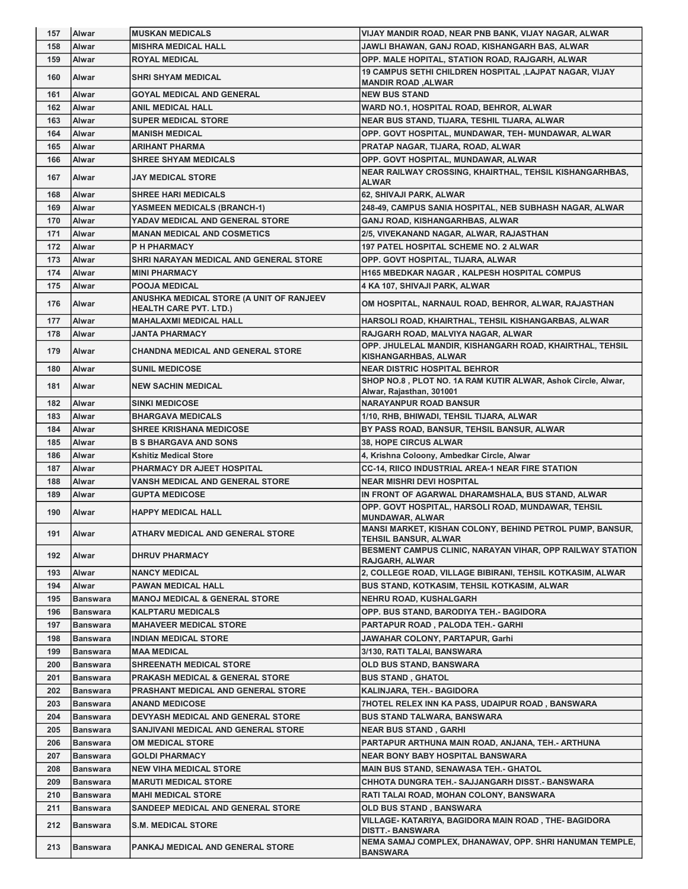| 157        | Alwar                              | <b>MUSKAN MEDICALS</b>                                                    | VIJAY MANDIR ROAD, NEAR PNB BANK, VIJAY NAGAR, ALWAR                                    |
|------------|------------------------------------|---------------------------------------------------------------------------|-----------------------------------------------------------------------------------------|
| 158        | <b>Alwar</b>                       | <b>MISHRA MEDICAL HALL</b>                                                | JAWLI BHAWAN, GANJ ROAD, KISHANGARH BAS, ALWAR                                          |
| 159        | <b>Alwar</b>                       | <b>ROYAL MEDICAL</b>                                                      | OPP. MALE HOPITAL, STATION ROAD, RAJGARH, ALWAR                                         |
| 160        | Alwar                              | <b>SHRI SHYAM MEDICAL</b>                                                 | 19 CAMPUS SETHI CHILDREN HOSPITAL , LAJPAT NAGAR, VIJAY<br><b>MANDIR ROAD, ALWAR</b>    |
| 161        | Alwar                              | <b>GOYAL MEDICAL AND GENERAL</b>                                          | <b>NEW BUS STAND</b>                                                                    |
| 162        | Alwar                              | <b>ANIL MEDICAL HALL</b>                                                  | WARD NO.1, HOSPITAL ROAD, BEHROR, ALWAR                                                 |
| 163        | Alwar                              | <b>SUPER MEDICAL STORE</b>                                                | NEAR BUS STAND, TIJARA, TESHIL TIJARA, ALWAR                                            |
| 164        | Alwar                              | <b>MANISH MEDICAL</b>                                                     | OPP. GOVT HOSPITAL, MUNDAWAR, TEH- MUNDAWAR, ALWAR                                      |
| 165        | Alwar                              | <b>ARIHANT PHARMA</b>                                                     | PRATAP NAGAR, TIJARA, ROAD, ALWAR                                                       |
| 166        | Alwar                              | <b>SHREE SHYAM MEDICALS</b>                                               | OPP. GOVT HOSPITAL, MUNDAWAR, ALWAR                                                     |
| 167        | Alwar                              | <b>JAY MEDICAL STORE</b>                                                  | NEAR RAILWAY CROSSING, KHAIRTHAL, TEHSIL KISHANGARHBAS,<br><b>ALWAR</b>                 |
| 168        | Alwar                              | <b>SHREE HARI MEDICALS</b>                                                | 62, SHIVAJI PARK, ALWAR                                                                 |
| 169        | Alwar                              | <b>YASMEEN MEDICALS (BRANCH-1)</b>                                        | 248-49, CAMPUS SANIA HOSPITAL, NEB SUBHASH NAGAR, ALWAR                                 |
| 170        | Alwar                              | YADAV MEDICAL AND GENERAL STORE                                           | GANJ ROAD, KISHANGARHBAS, ALWAR                                                         |
| 171        | Alwar                              | <b>MANAN MEDICAL AND COSMETICS</b>                                        | 2/5, VIVEKANAND NAGAR, ALWAR, RAJASTHAN                                                 |
| 172        | Alwar                              | P H PHARMACY                                                              | <b>197 PATEL HOSPITAL SCHEME NO. 2 ALWAR</b>                                            |
| 173        | Alwar                              | SHRI NARAYAN MEDICAL AND GENERAL STORE                                    | OPP. GOVT HOSPITAL, TIJARA, ALWAR                                                       |
| 174        | Alwar                              | <b>MINI PHARMACY</b>                                                      | H165 MBEDKAR NAGAR, KALPESH HOSPITAL COMPUS                                             |
| 175        | Alwar                              | <b>POOJA MEDICAL</b>                                                      | 4 KA 107, SHIVAJI PARK, ALWAR                                                           |
| 176        | <b>Alwar</b>                       | ANUSHKA MEDICAL STORE (A UNIT OF RANJEEV<br><b>HEALTH CARE PVT. LTD.)</b> | OM HOSPITAL, NARNAUL ROAD, BEHROR, ALWAR, RAJASTHAN                                     |
| 177        | Alwar                              | <b>MAHALAXMI MEDICAL HALL</b>                                             | HARSOLI ROAD, KHAIRTHAL, TEHSIL KISHANGARBAS, ALWAR                                     |
| 178        | Alwar                              | <b>JANTA PHARMACY</b>                                                     | RAJGARH ROAD, MALVIYA NAGAR, ALWAR                                                      |
| 179        | Alwar                              | <b>CHANDNA MEDICAL AND GENERAL STORE</b>                                  | OPP. JHULELAL MANDIR, KISHANGARH ROAD, KHAIRTHAL, TEHSIL<br><b>KISHANGARHBAS, ALWAR</b> |
| 180        | Alwar                              | <b>SUNIL MEDICOSE</b>                                                     | <b>NEAR DISTRIC HOSPITAL BEHROR</b>                                                     |
| 181        | Alwar                              | <b>NEW SACHIN MEDICAL</b>                                                 | SHOP NO.8, PLOT NO. 1A RAM KUTIR ALWAR, Ashok Circle, Alwar,                            |
|            |                                    |                                                                           | Alwar, Rajasthan, 301001                                                                |
| 182        | Alwar                              | <b>SINKI MEDICOSE</b>                                                     | <b>NARAYANPUR ROAD BANSUR</b>                                                           |
| 183        | Alwar                              | <b>BHARGAVA MEDICALS</b>                                                  | 1/10, RHB, BHIWADI, TEHSIL TIJARA, ALWAR                                                |
| 184        | Alwar                              | <b>SHREE KRISHANA MEDICOSE</b>                                            | BY PASS ROAD, BANSUR, TEHSIL BANSUR, ALWAR                                              |
|            |                                    |                                                                           |                                                                                         |
| 185        | <b>Alwar</b>                       | <b>B S BHARGAVA AND SONS</b>                                              | <b>38, HOPE CIRCUS ALWAR</b>                                                            |
| 186        | Alwar                              | <b>Kshitiz Medical Store</b>                                              | 4, Krishna Coloony, Ambedkar Circle, Alwar                                              |
| 187        | Alwar                              | PHARMACY DR AJEET HOSPITAL                                                | <b>CC-14, RIICO INDUSTRIAL AREA-1 NEAR FIRE STATION</b>                                 |
| 188        | Alwar                              | <b>VANSH MEDICAL AND GENERAL STORE</b>                                    | <b>NEAR MISHRI DEVI HOSPITAL</b>                                                        |
| 189        | Alwar                              | <b>GUPTA MEDICOSE</b>                                                     | IN FRONT OF AGARWAL DHARAMSHALA, BUS STAND, ALWAR                                       |
| 190        | Alwar                              | <b>HAPPY MEDICAL HALL</b>                                                 | OPP. GOVT HOSPITAL, HARSOLI ROAD, MUNDAWAR, TEHSIL<br>MUNDAWAR. ALWAR                   |
| 191        | <b>Alwar</b>                       | ATHARV MEDICAL AND GENERAL STORE                                          | MANSI MARKET, KISHAN COLONY, BEHIND PETROL PUMP, BANSUR,<br><b>TEHSIL BANSUR, ALWAR</b> |
| 192        | Alwar                              | <b>DHRUV PHARMACY</b>                                                     | BESMENT CAMPUS CLINIC, NARAYAN VIHAR, OPP RAILWAY STATION<br>RAJGARH, ALWAR             |
| 193        | <b>Alwar</b>                       | <b>NANCY MEDICAL</b>                                                      | 2, COLLEGE ROAD, VILLAGE BIBIRANI, TEHSIL KOTKASIM, ALWAR                               |
| 194        | <b>Alwar</b>                       | <b>PAWAN MEDICAL HALL</b>                                                 | BUS STAND, KOTKASIM, TEHSIL KOTKASIM, ALWAR                                             |
| 195        | <b>Banswara</b>                    | <b>MANOJ MEDICAL &amp; GENERAL STORE</b>                                  | NEHRU ROAD, KUSHALGARH                                                                  |
| 196        | <b>Banswara</b>                    | <b>KALPTARU MEDICALS</b>                                                  | OPP. BUS STAND, BARODIYA TEH. - BAGIDORA                                                |
| 197        | <b>Banswara</b>                    | <b>MAHAVEER MEDICAL STORE</b>                                             | PARTAPUR ROAD, PALODA TEH.- GARHI                                                       |
| 198        | <b>Banswara</b>                    | <b>INDIAN MEDICAL STORE</b>                                               | <b>JAWAHAR COLONY, PARTAPUR, Garhi</b>                                                  |
| 199        | <b>Banswara</b>                    | <b>MAA MEDICAL</b>                                                        | 3/130, RATI TALAI, BANSWARA                                                             |
| 200        | <b>Banswara</b>                    | <b>SHREENATH MEDICAL STORE</b>                                            | OLD BUS STAND, BANSWARA                                                                 |
| 201        | <b>Banswara</b>                    | <b>PRAKASH MEDICAL &amp; GENERAL STORE</b>                                | <b>BUS STAND, GHATOL</b>                                                                |
| 202        | <b>Banswara</b>                    | <b>PRASHANT MEDICAL AND GENERAL STORE</b>                                 | KALINJARA, TEH.- BAGIDORA                                                               |
| 203        | <b>Banswara</b>                    | <b>ANAND MEDICOSE</b>                                                     | 7HOTEL RELEX INN KA PASS, UDAIPUR ROAD, BANSWARA                                        |
| 204        | <b>Banswara</b>                    | DEVYASH MEDICAL AND GENERAL STORE                                         | <b>BUS STAND TALWARA, BANSWARA</b>                                                      |
| 205        | <b>Banswara</b>                    | SANJIVANI MEDICAL AND GENERAL STORE                                       | <b>NEAR BUS STAND, GARHI</b>                                                            |
| 206        | <b>Banswara</b>                    | OM MEDICAL STORE                                                          | PARTAPUR ARTHUNA MAIN ROAD, ANJANA, TEH.- ARTHUNA                                       |
| 207        | <b>Banswara</b>                    | <b>GOLDI PHARMACY</b>                                                     | <b>NEAR BONY BABY HOSPITAL BANSWARA</b>                                                 |
| 208        | <b>Banswara</b>                    | <b>NEW VIHA MEDICAL STORE</b>                                             | <b>MAIN BUS STAND, SENAWASA TEH.- GHATOL</b>                                            |
| 209        | <b>Banswara</b>                    | <b>MARUTI MEDICAL STORE</b>                                               | CHHOTA DUNGRA TEH.- SAJJANGARH DISST.- BANSWARA                                         |
| 210        | <b>Banswara</b>                    | <b>MAHI MEDICAL STORE</b>                                                 | RATI TALAI ROAD, MOHAN COLONY, BANSWARA                                                 |
| 211        | <b>Banswara</b>                    | SANDEEP MEDICAL AND GENERAL STORE                                         | OLD BUS STAND, BANSWARA                                                                 |
|            |                                    |                                                                           | VILLAGE- KATARIYA, BAGIDORA MAIN ROAD, THE- BAGIDORA                                    |
| 212<br>213 | <b>Banswara</b><br><b>Banswara</b> | <b>S.M. MEDICAL STORE</b><br>PANKAJ MEDICAL AND GENERAL STORE             | <b>DISTT.- BANSWARA</b><br>NEMA SAMAJ COMPLEX, DHANAWAV, OPP. SHRI HANUMAN TEMPLE,      |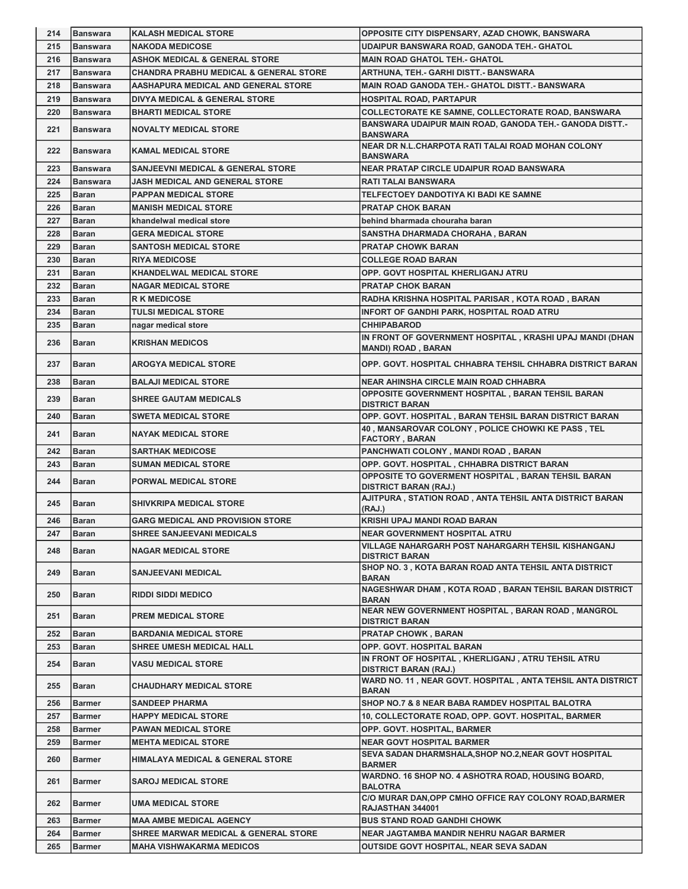| 214 | Banswara        | KALASH MEDICAL STORE                              | OPPOSITE CITY DISPENSARY, AZAD CHOWK, BANSWARA                                        |
|-----|-----------------|---------------------------------------------------|---------------------------------------------------------------------------------------|
| 215 | <b>Banswara</b> | <b>NAKODA MEDICOSE</b>                            | UDAIPUR BANSWARA ROAD, GANODA TEH.- GHATOL                                            |
| 216 | l Banswara      | <b>ASHOK MEDICAL &amp; GENERAL STORE</b>          | <b>MAIN ROAD GHATOL TEH.- GHATOL</b>                                                  |
| 217 | l Banswara      | <b>CHANDRA PRABHU MEDICAL &amp; GENERAL STORE</b> | ARTHUNA, TEH.- GARHI DISTT.- BANSWARA                                                 |
| 218 | <b>Banswara</b> | AASHAPURA MEDICAL AND GENERAL STORE               | MAIN ROAD GANODA TEH.- GHATOL DISTT.- BANSWARA                                        |
| 219 | <b>Banswara</b> | <b>DIVYA MEDICAL &amp; GENERAL STORE</b>          | HOSPITAL ROAD, PARTAPUR                                                               |
| 220 | <b>Banswara</b> | <b>BHARTI MEDICAL STORE</b>                       | COLLECTORATE KE SAMNE, COLLECTORATE ROAD, BANSWARA                                    |
| 221 | Banswara        | <b>NOVALTY MEDICAL STORE</b>                      | BANSWARA UDAIPUR MAIN ROAD, GANODA TEH.- GANODA DISTT.-<br><b>BANSWARA</b>            |
| 222 | <b>Banswara</b> | <b>KAMAL MEDICAL STORE</b>                        | NEAR DR N.L.CHARPOTA RATI TALAI ROAD MOHAN COLONY<br><b>BANSWARA</b>                  |
| 223 | <b>Banswara</b> | <b>SANJEEVNI MEDICAL &amp; GENERAL STORE</b>      | NEAR PRATAP CIRCLE UDAIPUR ROAD BANSWARA                                              |
| 224 | <b>Banswara</b> | <b>JASH MEDICAL AND GENERAL STORE</b>             | <b>RATI TALAI BANSWARA</b>                                                            |
| 225 | <b>Baran</b>    | <b>PAPPAN MEDICAL STORE</b>                       | TELFECTOEY DANDOTIYA KI BADI KE SAMNE                                                 |
| 226 | <b>Baran</b>    | <b>MANISH MEDICAL STORE</b>                       | <b>PRATAP CHOK BARAN</b>                                                              |
| 227 | Baran           | khandelwal medical store                          | behind bharmada chouraha baran                                                        |
| 228 | <b>Baran</b>    | <b>GERA MEDICAL STORE</b>                         | SANSTHA DHARMADA CHORAHA, BARAN                                                       |
| 229 | <b>Baran</b>    | <b>SANTOSH MEDICAL STORE</b>                      | <b>PRATAP CHOWK BARAN</b>                                                             |
| 230 | <b>Baran</b>    | <b>RIYA MEDICOSE</b>                              | <b>COLLEGE ROAD BARAN</b>                                                             |
| 231 | Baran           | <b>KHANDELWAL MEDICAL STORE</b>                   | OPP. GOVT HOSPITAL KHERLIGANJ ATRU                                                    |
| 232 | <b>Baran</b>    | <b>NAGAR MEDICAL STORE</b>                        | <b>PRATAP CHOK BARAN</b>                                                              |
| 233 | Baran           | <b>R K MEDICOSE</b>                               | RADHA KRISHNA HOSPITAL PARISAR, KOTA ROAD, BARAN                                      |
| 234 | <b>Baran</b>    | <b>TULSI MEDICAL STORE</b>                        | INFORT OF GANDHI PARK, HOSPITAL ROAD ATRU                                             |
| 235 | Baran           | nagar medical store                               | <b>CHHIPABAROD</b>                                                                    |
| 236 | Baran           | <b>KRISHAN MEDICOS</b>                            | IN FRONT OF GOVERNMENT HOSPITAL, KRASHI UPAJ MANDI (DHAN<br><b>MANDI) ROAD, BARAN</b> |
| 237 | Baran           | <b>AROGYA MEDICAL STORE</b>                       | OPP. GOVT. HOSPITAL CHHABRA TEHSIL CHHABRA DISTRICT BARAN                             |
| 238 | <b>Baran</b>    | <b>BALAJI MEDICAL STORE</b>                       | <b>NEAR AHINSHA CIRCLE MAIN ROAD CHHABRA</b>                                          |
| 239 | Baran           | <b>SHREE GAUTAM MEDICALS</b>                      | OPPOSITE GOVERNMENT HOSPITAL, BARAN TEHSIL BARAN<br><b>DISTRICT BARAN</b>             |
| 240 | <b>Baran</b>    | <b>SWETA MEDICAL STORE</b>                        | OPP. GOVT. HOSPITAL, BARAN TEHSIL BARAN DISTRICT BARAN                                |
| 241 | <b>Baran</b>    | <b>NAYAK MEDICAL STORE</b>                        | 40, MANSAROVAR COLONY, POLICE CHOWKI KE PASS, TEL<br><b>FACTORY, BARAN</b>            |
|     |                 |                                                   |                                                                                       |
| 242 | <b>Baran</b>    | <b>SARTHAK MEDICOSE</b>                           | PANCHWATI COLONY, MANDI ROAD, BARAN                                                   |
| 243 | <b>Baran</b>    | <b>SUMAN MEDICAL STORE</b>                        | OPP. GOVT. HOSPITAL, CHHABRA DISTRICT BARAN                                           |
| 244 | Baran           | <b>PORWAL MEDICAL STORE</b>                       | OPPOSITE TO GOVERMENT HOSPITAL, BARAN TEHSIL BARAN<br><b>DISTRICT BARAN (RAJ.)</b>    |
| 245 | Baran           | <b>SHIVKRIPA MEDICAL STORE</b>                    | AJITPURA, STATION ROAD, ANTA TEHSIL ANTA DISTRICT BARAN<br>(RAJ.)                     |
| 246 | Baran           | <b>GARG MEDICAL AND PROVISION STORE</b>           | KRISHI UPAJ MANDI ROAD BARAN                                                          |
| 247 | Baran           | SHREE SANJEEVANI MEDICALS                         | <b>NEAR GOVERNMENT HOSPITAL ATRU</b>                                                  |
| 248 | <b>Baran</b>    | <b>NAGAR MEDICAL STORE</b>                        | <b>VILLAGE NAHARGARH POST NAHARGARH TEHSIL KISHANGANJ</b><br><b>DISTRICT BARAN</b>    |
| 249 | <b>Baran</b>    | <b>SANJEEVANI MEDICAL</b>                         | SHOP NO. 3, KOTA BARAN ROAD ANTA TEHSIL ANTA DISTRICT<br><b>BARAN</b>                 |
| 250 | Baran           | <b>RIDDI SIDDI MEDICO</b>                         | NAGESHWAR DHAM, KOTA ROAD, BARAN TEHSIL BARAN DISTRICT<br><b>BARAN</b>                |
| 251 | <b>Baran</b>    | <b>PREM MEDICAL STORE</b>                         | NEAR NEW GOVERNMENT HOSPITAL, BARAN ROAD, MANGROL<br><b>DISTRICT BARAN</b>            |
| 252 | Baran           | <b>BARDANIA MEDICAL STORE</b>                     | <b>PRATAP CHOWK, BARAN</b>                                                            |
| 253 | <b>Baran</b>    | <b>SHREE UMESH MEDICAL HALL</b>                   | OPP. GOVT. HOSPITAL BARAN                                                             |
| 254 | Baran           | <b>VASU MEDICAL STORE</b>                         | IN FRONT OF HOSPITAL, KHERLIGANJ, ATRU TEHSIL ATRU<br><b>DISTRICT BARAN (RAJ.)</b>    |
| 255 | Baran           | <b>CHAUDHARY MEDICAL STORE</b>                    | WARD NO. 11, NEAR GOVT. HOSPITAL, ANTA TEHSIL ANTA DISTRICT<br><b>BARAN</b>           |
| 256 | <b>Barmer</b>   | <b>SANDEEP PHARMA</b>                             | SHOP NO.7 & 8 NEAR BABA RAMDEV HOSPITAL BALOTRA                                       |
| 257 | <b>Barmer</b>   | <b>HAPPY MEDICAL STORE</b>                        | 10, COLLECTORATE ROAD, OPP. GOVT. HOSPITAL, BARMER                                    |
| 258 | <b>Barmer</b>   | <b>PAWAN MEDICAL STORE</b>                        | OPP. GOVT. HOSPITAL, BARMER                                                           |
| 259 | <b>Barmer</b>   | <b>MEHTA MEDICAL STORE</b>                        | <b>NEAR GOVT HOSPITAL BARMER</b>                                                      |
| 260 | <b>Barmer</b>   | <b>HIMALAYA MEDICAL &amp; GENERAL STORE</b>       | SEVA SADAN DHARMSHALA, SHOP NO.2, NEAR GOVT HOSPITAL<br><b>BARMER</b>                 |
| 261 | Barmer          | <b>SAROJ MEDICAL STORE</b>                        | WARDNO. 16 SHOP NO. 4 ASHOTRA ROAD, HOUSING BOARD,<br><b>BALOTRA</b>                  |
| 262 | Barmer          | <b>UMA MEDICAL STORE</b>                          | C/O MURAR DAN, OPP CMHO OFFICE RAY COLONY ROAD, BARMER<br>RAJASTHAN 344001            |
| 263 | <b>Barmer</b>   | <b>MAA AMBE MEDICAL AGENCY</b>                    | <b>BUS STAND ROAD GANDHI CHOWK</b>                                                    |
| 264 | <b>Barmer</b>   | <b>SHREE MARWAR MEDICAL &amp; GENERAL STORE</b>   | <b>NEAR JAGTAMBA MANDIR NEHRU NAGAR BARMER</b>                                        |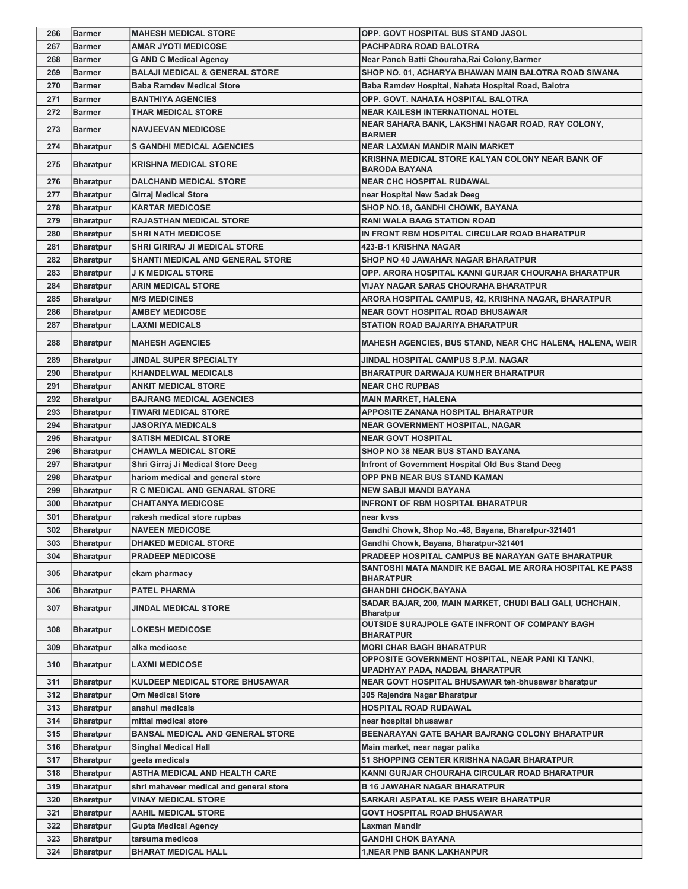| 266        | <b>Barmer</b>                        | <b>MAHESH MEDICAL STORE</b>               | OPP. GOVT HOSPITAL BUS STAND JASOL                                                                            |
|------------|--------------------------------------|-------------------------------------------|---------------------------------------------------------------------------------------------------------------|
| 267        | <b>Barmer</b>                        | <b>AMAR JYOTI MEDICOSE</b>                | PACHPADRA ROAD BALOTRA                                                                                        |
| 268        | <b>Barmer</b>                        | <b>G AND C Medical Agency</b>             | Near Panch Batti Chouraha, Rai Colony, Barmer                                                                 |
| 269        | <b>Barmer</b>                        | <b>BALAJI MEDICAL &amp; GENERAL STORE</b> | SHOP NO. 01, ACHARYA BHAWAN MAIN BALOTRA ROAD SIWANA                                                          |
| 270        | <b>Barmer</b>                        | <b>Baba Ramdev Medical Store</b>          | Baba Ramdev Hospital, Nahata Hospital Road, Balotra                                                           |
| 271        | <b>Barmer</b>                        | <b>BANTHIYA AGENCIES</b>                  | OPP. GOVT. NAHATA HOSPITAL BALOTRA                                                                            |
| 272        | <b>Barmer</b>                        | <b>THAR MEDICAL STORE</b>                 | <b>NEAR KAILESH INTERNATIONAL HOTEL</b>                                                                       |
| 273        | Barmer                               | <b>NAVJEEVAN MEDICOSE</b>                 | NEAR SAHARA BANK, LAKSHMI NAGAR ROAD, RAY COLONY,<br><b>BARMER</b>                                            |
| 274        | <b>Bharatpur</b>                     | <b>S GANDHI MEDICAL AGENCIES</b>          | <b>NEAR LAXMAN MANDIR MAIN MARKET</b>                                                                         |
| 275        | <b>Bharatpur</b>                     | <b>KRISHNA MEDICAL STORE</b>              | KRISHNA MEDICAL STORE KALYAN COLONY NEAR BANK OF<br><b>BARODA BAYANA</b>                                      |
| 276        | <b>Bharatpur</b>                     | <b>DALCHAND MEDICAL STORE</b>             | <b>NEAR CHC HOSPITAL RUDAWAL</b>                                                                              |
| 277        | <b>Bharatpur</b>                     | Girraj Medical Store                      | near Hospital New Sadak Deeg                                                                                  |
| 278        | <b>Bharatpur</b>                     | <b>KARTAR MEDICOSE</b>                    | SHOP NO.18, GANDHI CHOWK, BAYANA                                                                              |
| 279        | <b>Bharatpur</b>                     | <b>RAJASTHAN MEDICAL STORE</b>            | <b>RANI WALA BAAG STATION ROAD</b>                                                                            |
| 280        | <b>Bharatpur</b>                     | <b>SHRI NATH MEDICOSE</b>                 | IN FRONT RBM HOSPITAL CIRCULAR ROAD BHARATPUR                                                                 |
| 281        | <b>Bharatpur</b>                     | <b>SHRI GIRIRAJ JI MEDICAL STORE</b>      | 423-B-1 KRISHNA NAGAR                                                                                         |
| 282        | <b>Bharatpur</b>                     | <b>SHANTI MEDICAL AND GENERAL STORE</b>   | SHOP NO 40 JAWAHAR NAGAR BHARATPUR                                                                            |
| 283        | <b>Bharatpur</b>                     | <b>J K MEDICAL STORE</b>                  | OPP. ARORA HOSPITAL KANNI GURJAR CHOURAHA BHARATPUR                                                           |
| 284        | <b>Bharatpur</b>                     | <b>ARIN MEDICAL STORE</b>                 | VIJAY NAGAR SARAS CHOURAHA BHARATPUR                                                                          |
| 285        | <b>Bharatpur</b>                     | <b>M/S MEDICINES</b>                      | ARORA HOSPITAL CAMPUS, 42, KRISHNA NAGAR, BHARATPUR                                                           |
| 286        | <b>Bharatpur</b>                     | <b>AMBEY MEDICOSE</b>                     | <b>NEAR GOVT HOSPITAL ROAD BHUSAWAR</b>                                                                       |
| 287        | <b>Bharatpur</b>                     | <b>LAXMI MEDICALS</b>                     | <b>STATION ROAD BAJARIYA BHARATPUR</b>                                                                        |
| 288        | <b>Bharatpur</b>                     | <b>MAHESH AGENCIES</b>                    | <b>MAHESH AGENCIES, BUS STAND, NEAR CHC HALENA, HALENA, WEIR</b>                                              |
| 289        | <b>Bharatpur</b>                     | <b>JINDAL SUPER SPECIALTY</b>             | JINDAL HOSPITAL CAMPUS S.P.M. NAGAR                                                                           |
| 290        | <b>Bharatpur</b>                     | <b>KHANDELWAL MEDICALS</b>                | <b>BHARATPUR DARWAJA KUMHER BHARATPUR</b>                                                                     |
| 291        | <b>Bharatpur</b>                     | ANKIT MEDICAL STORE                       | <b>NEAR CHC RUPBAS</b>                                                                                        |
| 292        | <b>Bharatpur</b>                     | <b>BAJRANG MEDICAL AGENCIES</b>           | <b>MAIN MARKET, HALENA</b>                                                                                    |
| 293        | <b>Bharatpur</b>                     | <b>TIWARI MEDICAL STORE</b>               | APPOSITE ZANANA HOSPITAL BHARATPUR                                                                            |
| 294        | <b>Bharatpur</b>                     | <b>JASORIYA MEDICALS</b>                  | <b>NEAR GOVERNMENT HOSPITAL, NAGAR</b>                                                                        |
| 295        | <b>Bharatpur</b>                     | <b>SATISH MEDICAL STORE</b>               | <b>NEAR GOVT HOSPITAL</b>                                                                                     |
| 296        | <b>Bharatpur</b>                     | <b>CHAWLA MEDICAL STORE</b>               | SHOP NO 38 NEAR BUS STAND BAYANA                                                                              |
| 297        | <b>Bharatpur</b>                     | Shri Girraj Ji Medical Store Deeg         | Infront of Government Hospital Old Bus Stand Deeg                                                             |
| 298        | <b>Bharatpur</b>                     | hariom medical and general store          | OPP PNB NEAR BUS STAND KAMAN                                                                                  |
| 299        | <b>Bharatpur</b>                     | R C MEDICAL AND GENARAL STORE             | <b>NEW SABJI MANDI BAYANA</b>                                                                                 |
| 300        | <b>Bharatpur</b>                     | <b>CHAITANYA MEDICOSE</b>                 | <b>INFRONT OF RBM HOSPITAL BHARATPUR</b>                                                                      |
| 301        | <b>Bharatpur</b>                     | rakesh medical store rupbas               | near kvss                                                                                                     |
| 302        | <b>Bharatpur</b>                     | <b>NAVEEN MEDICOSE</b>                    | Gandhi Chowk, Shop No.-48, Bayana, Bharatpur-321401                                                           |
| 303        | <b>Bharatpur</b>                     | <b>DHAKED MEDICAL STORE</b>               | Gandhi Chowk, Bayana, Bharatpur-321401                                                                        |
| 304<br>305 | <b>Bharatpur</b><br><b>Bharatpur</b> | <b>PRADEEP MEDICOSE</b><br>ekam pharmacy  | PRADEEP HOSPITAL CAMPUS BE NARAYAN GATE BHARATPUR<br>SANTOSHI MATA MANDIR KE BAGAL ME ARORA HOSPITAL KE PASS  |
|            |                                      | <b>PATEL PHARMA</b>                       | <b>BHARATPUR</b>                                                                                              |
| 306<br>307 | <b>Bharatpur</b><br><b>Bharatpur</b> | <b>JINDAL MEDICAL STORE</b>               | <b>GHANDHI CHOCK, BAYANA</b><br>SADAR BAJAR, 200, MAIN MARKET, CHUDI BALI GALI, UCHCHAIN,<br><b>Bharatpur</b> |
| 308        | <b>Bharatpur</b>                     | <b>LOKESH MEDICOSE</b>                    | OUTSIDE SURAJPOLE GATE INFRONT OF COMPANY BAGH<br><b>BHARATPUR</b>                                            |
| 309        | <b>Bharatpur</b>                     | alka medicose                             | <b>MORI CHAR BAGH BHARATPUR</b>                                                                               |
| 310        | <b>Bharatpur</b>                     | <b>LAXMI MEDICOSE</b>                     | OPPOSITE GOVERNMENT HOSPITAL, NEAR PANI KI TANKI,<br>UPADHYAY PADA, NADBAI, BHARATPUR                         |
| 311        | <b>Bharatpur</b>                     | KULDEEP MEDICAL STORE BHUSAWAR            | NEAR GOVT HOSPITAL BHUSAWAR teh-bhusawar bharatpur                                                            |
| 312        | <b>Bharatpur</b>                     | Om Medical Store                          | 305 Rajendra Nagar Bharatpur                                                                                  |
| 313        | <b>Bharatpur</b>                     | anshul medicals                           | HOSPITAL ROAD RUDAWAL                                                                                         |
| 314        | <b>Bharatpur</b>                     | mittal medical store                      | near hospital bhusawar                                                                                        |
| 315        | <b>Bharatpur</b>                     | <b>BANSAL MEDICAL AND GENERAL STORE</b>   | BEENARAYAN GATE BAHAR BAJRANG COLONY BHARATPUR                                                                |
| 316        | <b>Bharatpur</b>                     | <b>Singhal Medical Hall</b>               | Main market, near nagar palika                                                                                |
| 317        | <b>Bharatpur</b>                     | geeta medicals                            | 51 SHOPPING CENTER KRISHNA NAGAR BHARATPUR                                                                    |
| 318        | <b>Bharatpur</b>                     | <b>ASTHA MEDICAL AND HEALTH CARE</b>      | KANNI GURJAR CHOURAHA CIRCULAR ROAD BHARATPUR                                                                 |
|            |                                      |                                           | <b>B 16 JAWAHAR NAGAR BHARATPUR</b>                                                                           |
| 319        | <b>Bharatpur</b>                     | shri mahaveer medical and general store   |                                                                                                               |
| 320        | <b>Bharatpur</b>                     | <b>VINAY MEDICAL STORE</b>                | SARKARI ASPATAL KE PASS WEIR BHARATPUR                                                                        |
| 321        | <b>Bharatpur</b>                     | AAHIL MEDICAL STORE                       | GOVT HOSPITAL ROAD BHUSAWAR                                                                                   |
| 322        | <b>Bharatpur</b>                     | Gupta Medical Agency                      | Laxman Mandir                                                                                                 |
| 323        | <b>Bharatpur</b>                     | tarsuma medicos                           | <b>GANDHI CHOK BAYANA</b>                                                                                     |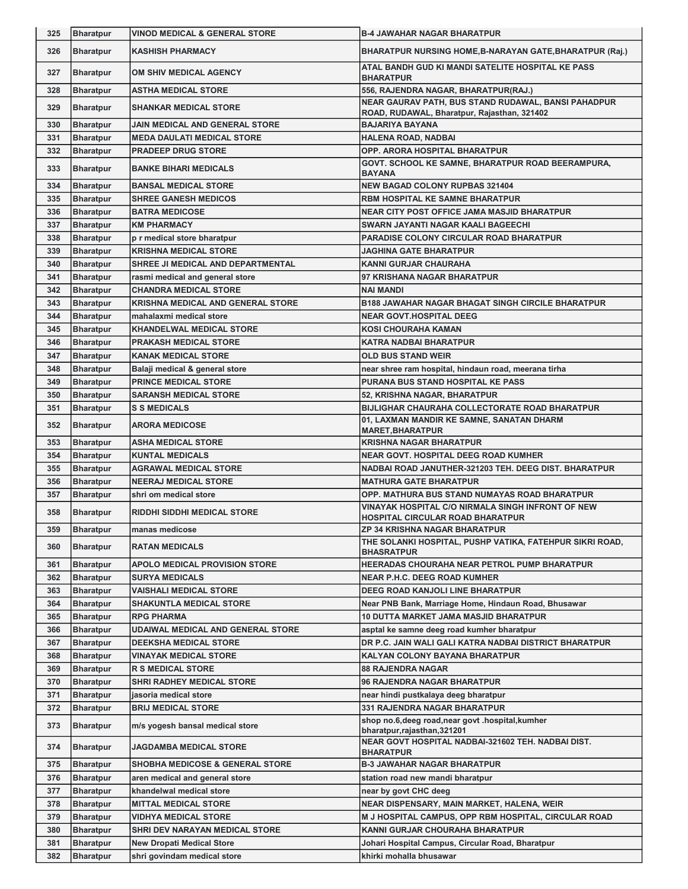| 325 | <b>Bharatpur</b> | <b>VINOD MEDICAL &amp; GENERAL STORE</b>   | <b>B-4 JAWAHAR NAGAR BHARATPUR</b>                                                                 |
|-----|------------------|--------------------------------------------|----------------------------------------------------------------------------------------------------|
| 326 | <b>Bharatpur</b> | <b>KASHISH PHARMACY</b>                    | <b>BHARATPUR NURSING HOME, B-NARAYAN GATE, BHARATPUR (Raj.)</b>                                    |
| 327 | <b>Bharatpur</b> | OM SHIV MEDICAL AGENCY                     | ATAL BANDH GUD KI MANDI SATELITE HOSPITAL KE PASS<br><b>BHARATPUR</b>                              |
| 328 | <b>Bharatpur</b> | <b>ASTHA MEDICAL STORE</b>                 | 556, RAJENDRA NAGAR, BHARATPUR(RAJ.)                                                               |
| 329 | <b>Bharatpur</b> | <b>SHANKAR MEDICAL STORE</b>               | NEAR GAURAV PATH, BUS STAND RUDAWAL, BANSI PAHADPUR<br>ROAD, RUDAWAL, Bharatpur, Rajasthan, 321402 |
| 330 | <b>Bharatpur</b> | <b>JAIN MEDICAL AND GENERAL STORE</b>      | <b>BAJARIYA BAYANA</b>                                                                             |
| 331 | <b>Bharatpur</b> | <b>MEDA DAULATI MEDICAL STORE</b>          | <b>HALENA ROAD, NADBAI</b>                                                                         |
| 332 | <b>Bharatpur</b> | <b>PRADEEP DRUG STORE</b>                  | <b>OPP. ARORA HOSPITAL BHARATPUR</b>                                                               |
| 333 | <b>Bharatpur</b> | <b>BANKE BIHARI MEDICALS</b>               | GOVT. SCHOOL KE SAMNE, BHARATPUR ROAD BEERAMPURA,<br><b>BAYANA</b>                                 |
| 334 | <b>Bharatpur</b> | <b>BANSAL MEDICAL STORE</b>                | <b>NEW BAGAD COLONY RUPBAS 321404</b>                                                              |
| 335 | <b>Bharatpur</b> | <b>SHREE GANESH MEDICOS</b>                | <b>RBM HOSPITAL KE SAMNE BHARATPUR</b>                                                             |
| 336 | <b>Bharatpur</b> | <b>BATRA MEDICOSE</b>                      | <b>NEAR CITY POST OFFICE JAMA MASJID BHARATPUR</b>                                                 |
| 337 | <b>Bharatpur</b> | <b>KM PHARMACY</b>                         | SWARN JAYANTI NAGAR KAALI BAGEECHI                                                                 |
| 338 | <b>Bharatpur</b> | p r medical store bharatpur                | <b>PARADISE COLONY CIRCULAR ROAD BHARATPUR</b>                                                     |
| 339 | <b>Bharatpur</b> | <b>KRISHNA MEDICAL STORE</b>               | JAGHINA GATE BHARATPUR                                                                             |
| 340 | <b>Bharatpur</b> | SHREE JI MEDICAL AND DEPARTMENTAL          | KANNI GURJAR CHAURAHA                                                                              |
| 341 | <b>Bharatpur</b> | rasmi medical and general store            | 97 KRISHANA NAGAR BHARATPUR                                                                        |
| 342 | <b>Bharatpur</b> | <b>CHANDRA MEDICAL STORE</b>               | <b>NAI MANDI</b>                                                                                   |
| 343 | <b>Bharatpur</b> | <b>KRISHNA MEDICAL AND GENERAL STORE</b>   | <b>B188 JAWAHAR NAGAR BHAGAT SINGH CIRCILE BHARATPUR</b>                                           |
| 344 | <b>Bharatpur</b> | mahalaxmi medical store                    | <b>NEAR GOVT.HOSPITAL DEEG</b>                                                                     |
| 345 | <b>Bharatpur</b> | <b>KHANDELWAL MEDICAL STORE</b>            | KOSI CHOURAHA KAMAN                                                                                |
| 346 | <b>Bharatpur</b> | <b>PRAKASH MEDICAL STORE</b>               | <b>KATRA NADBAI BHARATPUR</b>                                                                      |
| 347 | <b>Bharatpur</b> | <b>KANAK MEDICAL STORE</b>                 | <b>OLD BUS STAND WEIR</b>                                                                          |
| 348 | <b>Bharatpur</b> | Balaji medical & general store             | near shree ram hospital, hindaun road, meerana tirha                                               |
| 349 | <b>Bharatpur</b> | <b>PRINCE MEDICAL STORE</b>                | PURANA BUS STAND HOSPITAL KE PASS                                                                  |
| 350 | <b>Bharatpur</b> | <b>SARANSH MEDICAL STORE</b>               | 52, KRISHNA NAGAR, BHARATPUR                                                                       |
| 351 | <b>Bharatpur</b> | <b>S S MEDICALS</b>                        | <b>BIJLIGHAR CHAURAHA COLLECTORATE ROAD BHARATPUR</b>                                              |
| 352 | <b>Bharatpur</b> | <b>ARORA MEDICOSE</b>                      | 01, LAXMAN MANDIR KE SAMNE, SANATAN DHARM<br><b>MARET, BHARATPUR</b>                               |
| 353 | <b>Bharatpur</b> | <b>ASHA MEDICAL STORE</b>                  | <b>KRISHNA NAGAR BHARATPUR</b>                                                                     |
| 354 | <b>Bharatpur</b> | <b>KUNTAL MEDICALS</b>                     | NEAR GOVT. HOSPITAL DEEG ROAD KUMHER                                                               |
| 355 | <b>Bharatpur</b> | <b>AGRAWAL MEDICAL STORE</b>               | NADBAI ROAD JANUTHER-321203 TEH. DEEG DIST. BHARATPUR                                              |
| 356 | <b>Bharatpur</b> | <b>NEERAJ MEDICAL STORE</b>                | <b>MATHURA GATE BHARATPUR</b>                                                                      |
| 357 | <b>Bharatpur</b> | shri om medical store                      | OPP. MATHURA BUS STAND NUMAYAS ROAD BHARATPUR                                                      |
| 358 | <b>Bharatpur</b> | <b>RIDDHI SIDDHI MEDICAL STORE</b>         | VINAYAK HOSPITAL C/O NIRMALA SINGH INFRONT OF NEW<br><b>HOSPITAL CIRCULAR ROAD BHARATPUR</b>       |
| 359 | Bharatpur        | manas medicose                             | <b>ZP 34 KRISHNA NAGAR BHARATPUR</b>                                                               |
| 360 | <b>Bharatpur</b> | <b>RATAN MEDICALS</b>                      | THE SOLANKI HOSPITAL, PUSHP VATIKA, FATEHPUR SIKRI ROAD,<br><b>BHASRATPUR</b>                      |
| 361 | <b>Bharatpur</b> | <b>APOLO MEDICAL PROVISION STORE</b>       | HEERADAS CHOURAHA NEAR PETROL PUMP BHARATPUR                                                       |
| 362 | <b>Bharatpur</b> | <b>SURYA MEDICALS</b>                      | <b>NEAR P.H.C. DEEG ROAD KUMHER</b>                                                                |
| 363 | <b>Bharatpur</b> | <b>VAISHALI MEDICAL STORE</b>              | DEEG ROAD KANJOLI LINE BHARATPUR                                                                   |
| 364 | <b>Bharatpur</b> | <b>SHAKUNTLA MEDICAL STORE</b>             | Near PNB Bank, Marriage Home, Hindaun Road, Bhusawar                                               |
| 365 | <b>Bharatpur</b> | <b>RPG PHARMA</b>                          | <b>10 DUTTA MARKET JAMA MASJID BHARATPUR</b>                                                       |
| 366 | <b>Bharatpur</b> | <b>UDAIWAL MEDICAL AND GENERAL STORE</b>   | asptal ke samne deeg road kumher bharatpur                                                         |
| 367 | <b>Bharatpur</b> | <b>DEEKSHA MEDICAL STORE</b>               | DR P.C. JAIN WALI GALI KATRA NADBAI DISTRICT BHARATPUR                                             |
| 368 | <b>Bharatpur</b> | VINAYAK MEDICAL STORE                      | KALYAN COLONY BAYANA BHARATPUR                                                                     |
| 369 | <b>Bharatpur</b> | <b>R S MEDICAL STORE</b>                   | <b>88 RAJENDRA NAGAR</b>                                                                           |
| 370 | <b>Bharatpur</b> | <b>SHRI RADHEY MEDICAL STORE</b>           | 96 RAJENDRA NAGAR BHARATPUR                                                                        |
| 371 | <b>Bharatpur</b> | jasoria medical store                      | near hindi pustkalaya deeg bharatpur                                                               |
| 372 | <b>Bharatpur</b> | <b>BRIJ MEDICAL STORE</b>                  | <b>331 RAJENDRA NAGAR BHARATPUR</b>                                                                |
| 373 | <b>Bharatpur</b> | m/s yogesh bansal medical store            | shop no.6, deeg road, near govt .hospital, kumher<br>bharatpur, rajasthan, 321201                  |
| 374 | <b>Bharatpur</b> | <b>JAGDAMBA MEDICAL STORE</b>              | NEAR GOVT HOSPITAL NADBAI-321602 TEH. NADBAI DIST.<br><b>BHARATPUR</b>                             |
| 375 | <b>Bharatpur</b> | <b>SHOBHA MEDICOSE &amp; GENERAL STORE</b> | <b>B-3 JAWAHAR NAGAR BHARATPUR</b>                                                                 |
| 376 | <b>Bharatpur</b> | aren medical and general store             | station road new mandi bharatpur                                                                   |
| 377 | <b>Bharatpur</b> | khandelwal medical store                   | near by govt CHC deeg                                                                              |
| 378 | <b>Bharatpur</b> | <b>MITTAL MEDICAL STORE</b>                | NEAR DISPENSARY, MAIN MARKET, HALENA, WEIR                                                         |
| 379 | <b>Bharatpur</b> | <b>VIDHYA MEDICAL STORE</b>                | M J HOSPITAL CAMPUS, OPP RBM HOSPITAL, CIRCULAR ROAD                                               |
| 380 | <b>Bharatpur</b> | SHRI DEV NARAYAN MEDICAL STORE             | KANNI GURJAR CHOURAHA BHARATPUR                                                                    |
| 381 | <b>Bharatpur</b> | <b>New Dropati Medical Store</b>           | Johari Hospital Campus, Circular Road, Bharatpur                                                   |
| 382 | <b>Bharatpur</b> | shri govindam medical store                | khirki mohalla bhusawar                                                                            |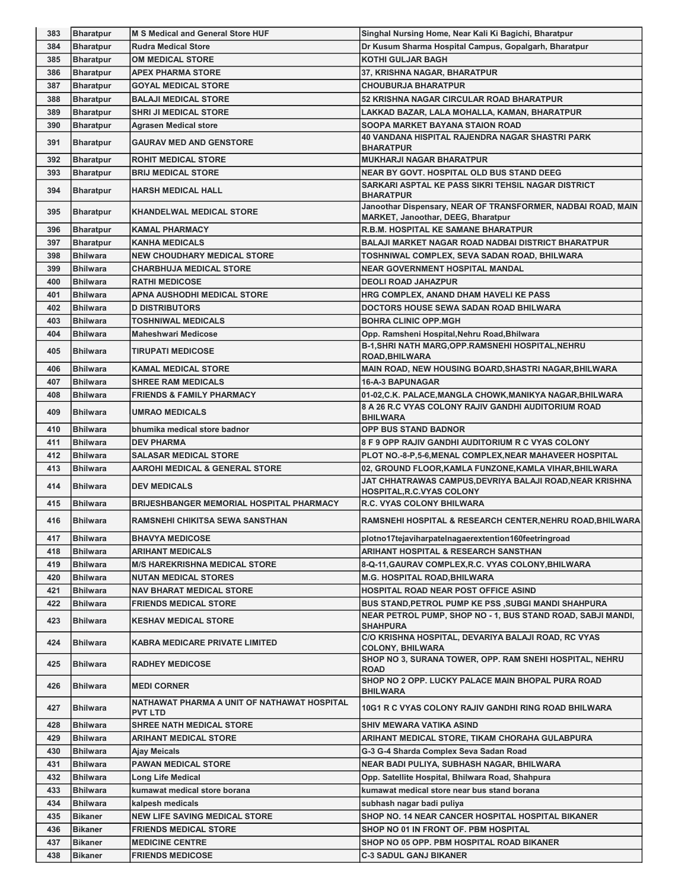| 383        | <b>Bharatpur</b>                   | <b>M S Medical and General Store HUF</b>                      | Singhal Nursing Home, Near Kali Ki Bagichi, Bharatpur                                                                     |
|------------|------------------------------------|---------------------------------------------------------------|---------------------------------------------------------------------------------------------------------------------------|
| 384        | <b>Bharatpur</b>                   | <b>Rudra Medical Store</b>                                    | Dr Kusum Sharma Hospital Campus, Gopalgarh, Bharatpur                                                                     |
| 385        | <b>Bharatpur</b>                   | <b>OM MEDICAL STORE</b>                                       | <b>KOTHI GULJAR BAGH</b>                                                                                                  |
| 386        | <b>Bharatpur</b>                   | <b>APEX PHARMA STORE</b>                                      | 37, KRISHNA NAGAR, BHARATPUR                                                                                              |
| 387        | <b>Bharatpur</b>                   | <b>GOYAL MEDICAL STORE</b>                                    | <b>CHOUBURJA BHARATPUR</b>                                                                                                |
| 388        | <b>Bharatpur</b>                   | <b>BALAJI MEDICAL STORE</b>                                   | 52 KRISHNA NAGAR CIRCULAR ROAD BHARATPUR                                                                                  |
| 389        | <b>Bharatpur</b>                   | <b>SHRI JI MEDICAL STORE</b>                                  | LAKKAD BAZAR, LALA MOHALLA, KAMAN, BHARATPUR                                                                              |
| 390        | <b>Bharatpur</b>                   | <b>Agrasen Medical store</b>                                  | SOOPA MARKET BAYANA STAION ROAD                                                                                           |
| 391        | <b>Bharatpur</b>                   | <b>GAURAV MED AND GENSTORE</b>                                | 40 VANDANA HISPITAL RAJENDRA NAGAR SHASTRI PARK<br><b>BHARATPUR</b>                                                       |
| 392        | <b>Bharatpur</b>                   | <b>ROHIT MEDICAL STORE</b>                                    | <b>MUKHARJI NAGAR BHARATPUR</b>                                                                                           |
| 393        | <b>Bharatpur</b>                   | <b>BRIJ MEDICAL STORE</b>                                     | <b>NEAR BY GOVT. HOSPITAL OLD BUS STAND DEEG</b>                                                                          |
| 394        | <b>Bharatpur</b>                   | <b>HARSH MEDICAL HALL</b>                                     | SARKARI ASPTAL KE PASS SIKRI TEHSIL NAGAR DISTRICT<br><b>BHARATPUR</b>                                                    |
| 395        | <b>Bharatpur</b>                   | <b>KHANDELWAL MEDICAL STORE</b>                               | Janoothar Dispensary, NEAR OF TRANSFORMER, NADBAI ROAD, MAIN<br><b>MARKET, Janoothar, DEEG, Bharatpur</b>                 |
| 396        | <b>Bharatpur</b>                   | <b>KAMAL PHARMACY</b>                                         | R.B.M. HOSPITAL KE SAMANE BHARATPUR                                                                                       |
| 397        | <b>Bharatpur</b>                   | <b>KANHA MEDICALS</b>                                         | <b>BALAJI MARKET NAGAR ROAD NADBAI DISTRICT BHARATPUR</b>                                                                 |
| 398        | <b>Bhilwara</b>                    | <b>NEW CHOUDHARY MEDICAL STORE</b>                            | TOSHNIWAL COMPLEX, SEVA SADAN ROAD, BHILWARA                                                                              |
| 399        | <b>Bhilwara</b>                    | <b>CHARBHUJA MEDICAL STORE</b>                                | <b>NEAR GOVERNMENT HOSPITAL MANDAL</b>                                                                                    |
| 400        | <b>Bhilwara</b>                    | <b>RATHI MEDICOSE</b>                                         | <b>DEOLI ROAD JAHAZPUR</b>                                                                                                |
| 401        | <b>Bhilwara</b>                    | APNA AUSHODHI MEDICAL STORE                                   | HRG COMPLEX, ANAND DHAM HAVELI KE PASS                                                                                    |
| 402        | <b>Bhilwara</b>                    | <b>D DISTRIBUTORS</b>                                         | DOCTORS HOUSE SEWA SADAN ROAD BHILWARA                                                                                    |
| 403        | <b>Bhilwara</b>                    | <b>TOSHNIWAL MEDICALS</b>                                     | <b>BOHRA CLINIC OPP.MGH</b>                                                                                               |
| 404        | <b>Bhilwara</b>                    | <b>Maheshwari Medicose</b>                                    | Opp. Ramsheni Hospital, Nehru Road, Bhilwara                                                                              |
| 405        | <b>Bhilwara</b>                    | <b>TIRUPATI MEDICOSE</b>                                      | B-1, SHRI NATH MARG, OPP. RAMSNEHI HOSPITAL, NEHRU<br><b>ROAD, BHILWARA</b>                                               |
| 406        | <b>Bhilwara</b>                    | <b>KAMAL MEDICAL STORE</b>                                    | MAIN ROAD, NEW HOUSING BOARD, SHASTRI NAGAR, BHILWARA                                                                     |
| 407        | <b>Bhilwara</b>                    | <b>SHREE RAM MEDICALS</b>                                     | <b>16-A-3 BAPUNAGAR</b>                                                                                                   |
| 408        | <b>Bhilwara</b>                    | <b>FRIENDS &amp; FAMILY PHARMACY</b>                          | 01-02, C.K. PALACE, MANGLA CHOWK, MANIKYA NAGAR, BHILWARA                                                                 |
| 409        | <b>Bhilwara</b>                    | UMRAO MEDICALS                                                | 8 A 26 R.C VYAS COLONY RAJIV GANDHI AUDITORIUM ROAD<br><b>BHILWARA</b>                                                    |
| 410        | <b>Bhilwara</b>                    | bhumika medical store badnor                                  | <b>OPP BUS STAND BADNOR</b>                                                                                               |
| 411        | <b>Bhilwara</b>                    | <b>DEV PHARMA</b>                                             | <b>8 F 9 OPP RAJIV GANDHI AUDITORIUM R C VYAS COLONY</b>                                                                  |
| 412        | <b>Bhilwara</b>                    | <b>SALASAR MEDICAL STORE</b>                                  | PLOT NO.-8-P,5-6, MENAL COMPLEX, NEAR MAHAVEER HOSPITAL                                                                   |
| 413        | <b>Bhilwara</b>                    | <b>AAROHI MEDICAL &amp; GENERAL STORE</b>                     | 02, GROUND FLOOR, KAMLA FUNZONE, KAMLA VIHAR, BHILWARA                                                                    |
| 414        | <b>Bhilwara</b>                    | <b>DEV MEDICALS</b>                                           | JAT CHHATRAWAS CAMPUS, DEVRIYA BALAJI ROAD, NEAR KRISHNA<br><b>HOSPITAL, R.C. VYAS COLONY</b>                             |
|            |                                    |                                                               |                                                                                                                           |
| 415        | <b>Bhilwara</b>                    | <b>BRIJESHBANGER MEMORIAL HOSPITAL PHARMACY</b>               | <b>R.C. VYAS COLONY BHILWARA</b>                                                                                          |
| 416        | <b>Bhilwara</b>                    | <b>RAMSNEHI CHIKITSA SEWA SANSTHAN</b>                        |                                                                                                                           |
| 417        | <b>Bhilwara</b>                    | <b>BHAVYA MEDICOSE</b>                                        |                                                                                                                           |
| 418        | <b>Bhilwara</b>                    |                                                               | plotno17tejaviharpatelnagaerextention160feetringroad                                                                      |
|            | <b>Bhilwara</b>                    | <b>ARIHANT MEDICALS</b>                                       | RAMSNEHI HOSPITAL & RESEARCH CENTER, NEHRU ROAD, BHILWARA<br>ARIHANT HOSPITAL & RESEARCH SANSTHAN                         |
| 419        |                                    | <b>M/S HAREKRISHNA MEDICAL STORE</b>                          | 8-Q-11,GAURAV COMPLEX,R.C. VYAS COLONY,BHILWARA                                                                           |
| 420        | <b>Bhilwara</b>                    | <b>NUTAN MEDICAL STORES</b>                                   | <b>M.G. HOSPITAL ROAD, BHILWARA</b>                                                                                       |
| 421        | <b>Bhilwara</b>                    | <b>NAV BHARAT MEDICAL STORE</b>                               | HOSPITAL ROAD NEAR POST OFFICE ASIND                                                                                      |
| 422<br>423 | <b>Bhilwara</b><br><b>Bhilwara</b> | <b>FRIENDS MEDICAL STORE</b><br><b>KESHAV MEDICAL STORE</b>   | <b>BUS STAND, PETROL PUMP KE PSS, SUBGI MANDI SHAHPURA</b><br>NEAR PETROL PUMP, SHOP NO - 1, BUS STAND ROAD, SABJI MANDI, |
| 424        | <b>Bhilwara</b>                    | KABRA MEDICARE PRIVATE LIMITED                                | <b>SHAHPURA</b><br>C/O KRISHNA HOSPITAL, DEVARIYA BALAJI ROAD, RC VYAS                                                    |
| 425        | <b>Bhilwara</b>                    | <b>RADHEY MEDICOSE</b>                                        | <b>COLONY, BHILWARA</b><br>SHOP NO 3, SURANA TOWER, OPP. RAM SNEHI HOSPITAL, NEHRU<br><b>ROAD</b>                         |
| 426        | <b>Bhilwara</b>                    | <b>MEDI CORNER</b>                                            | SHOP NO 2 OPP. LUCKY PALACE MAIN BHOPAL PURA ROAD<br><b>BHILWARA</b>                                                      |
| 427        | <b>Bhilwara</b>                    | NATHAWAT PHARMA A UNIT OF NATHAWAT HOSPITAL<br><b>PVT LTD</b> | 10G1 R C VYAS COLONY RAJIV GANDHI RING ROAD BHILWARA                                                                      |
| 428        | <b>Bhilwara</b>                    | <b>SHREE NATH MEDICAL STORE</b>                               | SHIV MEWARA VATIKA ASIND                                                                                                  |
| 429        | <b>Bhilwara</b>                    | ARIHANT MEDICAL STORE                                         | ARIHANT MEDICAL STORE, TIKAM CHORAHA GULABPURA                                                                            |
| 430        | <b>Bhilwara</b>                    | <b>Ajay Meicals</b>                                           | G-3 G-4 Sharda Complex Seva Sadan Road                                                                                    |
| 431        | <b>Bhilwara</b>                    | <b>PAWAN MEDICAL STORE</b>                                    | NEAR BADI PULIYA, SUBHASH NAGAR, BHILWARA                                                                                 |
| 432        | <b>Bhilwara</b>                    | Long Life Medical                                             | Opp. Satellite Hospital, Bhilwara Road, Shahpura                                                                          |
| 433        | <b>Bhilwara</b>                    | kumawat medical store borana                                  | kumawat medical store near bus stand borana                                                                               |
| 434        | <b>Bhilwara</b>                    | kalpesh medicals                                              | subhash nagar badi puliya                                                                                                 |
| 435        | <b>Bikaner</b>                     | <b>NEW LIFE SAVING MEDICAL STORE</b>                          | SHOP NO. 14 NEAR CANCER HOSPITAL HOSPITAL BIKANER                                                                         |
| 436        | <b>Bikaner</b>                     | <b>FRIENDS MEDICAL STORE</b>                                  | SHOP NO 01 IN FRONT OF. PBM HOSPITAL                                                                                      |
| 437        | <b>Bikaner</b>                     | <b>MEDICINE CENTRE</b>                                        | SHOP NO 05 OPP. PBM HOSPITAL ROAD BIKANER                                                                                 |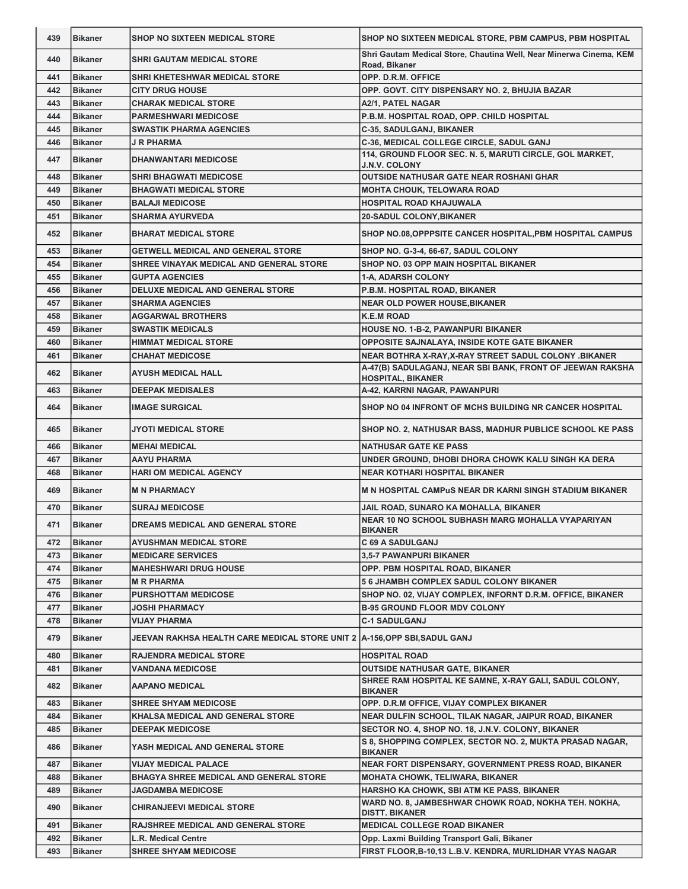| 439 | <b>Bikaner</b> | <b>SHOP NO SIXTEEN MEDICAL STORE</b>                                     | SHOP NO SIXTEEN MEDICAL STORE, PBM CAMPUS, PBM HOSPITAL                             |
|-----|----------------|--------------------------------------------------------------------------|-------------------------------------------------------------------------------------|
| 440 | <b>Bikaner</b> | <b>SHRI GAUTAM MEDICAL STORE</b>                                         | Shri Gautam Medical Store, Chautina Well, Near Minerwa Cinema, KEM<br>Road, Bikaner |
| 441 | <b>Bikaner</b> | SHRI KHETESHWAR MEDICAL STORE                                            | OPP. D.R.M. OFFICE                                                                  |
| 442 | <b>Bikaner</b> | <b>CITY DRUG HOUSE</b>                                                   | OPP. GOVT. CITY DISPENSARY NO. 2, BHUJIA BAZAR                                      |
| 443 | <b>Bikaner</b> | <b>CHARAK MEDICAL STORE</b>                                              | A2/1, PATEL NAGAR                                                                   |
| 444 | <b>Bikaner</b> | <b>PARMESHWARI MEDICOSE</b>                                              | P.B.M. HOSPITAL ROAD, OPP. CHILD HOSPITAL                                           |
| 445 | <b>Bikaner</b> | <b>SWASTIK PHARMA AGENCIES</b>                                           | C-35, SADULGANJ, BIKANER                                                            |
| 446 | <b>Bikaner</b> | J R PHARMA                                                               | C-36, MEDICAL COLLEGE CIRCLE, SADUL GANJ                                            |
| 447 | <b>Bikaner</b> | <b>DHANWANTARI MEDICOSE</b>                                              | 114, GROUND FLOOR SEC. N. 5, MARUTI CIRCLE, GOL MARKET,                             |
|     |                |                                                                          | <b>J.N.V. COLONY</b>                                                                |
| 448 | <b>Bikaner</b> | <b>SHRI BHAGWATI MEDICOSE</b>                                            | <b>OUTSIDE NATHUSAR GATE NEAR ROSHANI GHAR</b>                                      |
| 449 | <b>Bikaner</b> | <b>BHAGWATI MEDICAL STORE</b>                                            | <b>MOHTA CHOUK, TELOWARA ROAD</b>                                                   |
| 450 | <b>Bikaner</b> | <b>BALAJI MEDICOSE</b>                                                   | HOSPITAL ROAD KHAJUWALA                                                             |
| 451 | <b>Bikaner</b> | <b>SHARMA AYURVEDA</b>                                                   | <b>20-SADUL COLONY, BIKANER</b>                                                     |
| 452 | <b>Bikaner</b> | <b>BHARAT MEDICAL STORE</b>                                              | SHOP NO.08, OPPPSITE CANCER HOSPITAL, PBM HOSPITAL CAMPUS                           |
| 453 | <b>Bikaner</b> | <b>GETWELL MEDICAL AND GENERAL STORE</b>                                 | SHOP NO. G-3-4, 66-67, SADUL COLONY                                                 |
| 454 | <b>Bikaner</b> | SHREE VINAYAK MEDICAL AND GENERAL STORE                                  | SHOP NO. 03 OPP MAIN HOSPITAL BIKANER                                               |
| 455 | <b>Bikaner</b> | <b>GUPTA AGENCIES</b>                                                    | <b>1-A. ADARSH COLONY</b>                                                           |
| 456 | <b>Bikaner</b> | DELUXE MEDICAL AND GENERAL STORE                                         | P.B.M. HOSPITAL ROAD, BIKANER                                                       |
| 457 | <b>Bikaner</b> | <b>SHARMA AGENCIES</b>                                                   | <b>NEAR OLD POWER HOUSE, BIKANER</b>                                                |
| 458 | <b>Bikaner</b> | <b>AGGARWAL BROTHERS</b>                                                 | <b>K.E.M ROAD</b>                                                                   |
| 459 | <b>Bikaner</b> | <b>SWASTIK MEDICALS</b>                                                  | <b>HOUSE NO. 1-B-2, PAWANPURI BIKANER</b>                                           |
| 460 | <b>Bikaner</b> | <b>HIMMAT MEDICAL STORE</b>                                              | OPPOSITE SAJNALAYA, INSIDE KOTE GATE BIKANER                                        |
| 461 | <b>Bikaner</b> | <b>CHAHAT MEDICOSE</b>                                                   | NEAR BOTHRA X-RAY, X-RAY STREET SADUL COLONY .BIKANER                               |
|     |                |                                                                          | A-47(B) SADULAGANJ, NEAR SBI BANK, FRONT OF JEEWAN RAKSHA                           |
| 462 | <b>Bikaner</b> | <b>AYUSH MEDICAL HALL</b>                                                | HOSPITAL, BIKANER                                                                   |
| 463 | <b>Bikaner</b> | <b>DEEPAK MEDISALES</b>                                                  | A-42, KARRNI NAGAR, PAWANPURI                                                       |
| 464 | <b>Bikaner</b> | <b>IMAGE SURGICAL</b>                                                    | SHOP NO 04 INFRONT OF MCHS BUILDING NR CANCER HOSPITAL                              |
| 465 | <b>Bikaner</b> | JYOTI MEDICAL STORE                                                      | SHOP NO. 2, NATHUSAR BASS, MADHUR PUBLICE SCHOOL KE PASS                            |
| 466 | <b>Bikaner</b> | <b>MEHAI MEDICAL</b>                                                     | <b>NATHUSAR GATE KE PASS</b>                                                        |
| 467 | <b>Bikaner</b> | <b>AAYU PHARMA</b>                                                       | UNDER GROUND, DHOBI DHORA CHOWK KALU SINGH KA DERA                                  |
| 468 | <b>Bikaner</b> | <b>HARI OM MEDICAL AGENCY</b>                                            | NEAR KOTHARI HOSPITAL BIKANER                                                       |
| 469 | <b>Bikaner</b> | <b>M N PHARMACY</b>                                                      | <b>M N HOSPITAL CAMPUS NEAR DR KARNI SINGH STADIUM BIKANER</b>                      |
| 470 | <b>Bikaner</b> | <b>SURAJ MEDICOSE</b>                                                    | JAIL ROAD, SUNARO KA MOHALLA, BIKANER                                               |
| 471 | <b>Bikaner</b> | <b>DREAMS MEDICAL AND GENERAL STORE</b>                                  | <b>NEAR 10 NO SCHOOL SUBHASH MARG MOHALLA VYAPARIYAN</b><br><b>BIKANER</b>          |
| 472 | <b>Bikaner</b> | <b>AYUSHMAN MEDICAL STORE</b>                                            | C 69 A SADULGANJ                                                                    |
| 473 | <b>Bikaner</b> | <b>MEDICARE SERVICES</b>                                                 | 3,5-7 PAWANPURI BIKANER                                                             |
| 474 | <b>Bikaner</b> | <b>MAHESHWARI DRUG HOUSE</b>                                             | OPP. PBM HOSPITAL ROAD, BIKANER                                                     |
| 475 | <b>Bikaner</b> | <b>M R PHARMA</b>                                                        | <b>5 6 JHAMBH COMPLEX SADUL COLONY BIKANER</b>                                      |
| 476 |                | <b>PURSHOTTAM MEDICOSE</b>                                               | SHOP NO. 02, VIJAY COMPLEX, INFORNT D.R.M. OFFICE, BIKANER                          |
|     | <b>Bikaner</b> |                                                                          |                                                                                     |
| 477 | <b>Bikaner</b> | JOSHI PHARMACY                                                           | <b>B-95 GROUND FLOOR MDV COLONY</b>                                                 |
| 478 | <b>Bikaner</b> | <b>VIJAY PHARMA</b>                                                      | <b>C-1 SADULGANJ</b>                                                                |
| 479 | <b>Bikaner</b> | JEEVAN RAKHSA HEALTH CARE MEDICAL STORE UNIT 2  A-156,OPP SBI,SADUL GANJ |                                                                                     |
| 480 | <b>Bikaner</b> | <b>RAJENDRA MEDICAL STORE</b>                                            | <b>HOSPITAL ROAD</b>                                                                |
| 481 | <b>Bikaner</b> | VANDANA MEDICOSE                                                         | <b>OUTSIDE NATHUSAR GATE, BIKANER</b>                                               |
| 482 | <b>Bikaner</b> | <b>AAPANO MEDICAL</b>                                                    | SHREE RAM HOSPITAL KE SAMNE, X-RAY GALI, SADUL COLONY,<br><b>BIKANER</b>            |
| 483 | <b>Bikaner</b> | <b>SHREE SHYAM MEDICOSE</b>                                              | OPP. D.R.M OFFICE, VIJAY COMPLEX BIKANER                                            |
| 484 | <b>Bikaner</b> | KHALSA MEDICAL AND GENERAL STORE                                         | NEAR DULFIN SCHOOL, TILAK NAGAR, JAIPUR ROAD, BIKANER                               |
| 485 | <b>Bikaner</b> | <b>DEEPAK MEDICOSE</b>                                                   | SECTOR NO. 4, SHOP NO. 18, J.N.V. COLONY, BIKANER                                   |
| 486 | <b>Bikaner</b> | YASH MEDICAL AND GENERAL STORE                                           | S 8, SHOPPING COMPLEX, SECTOR NO. 2, MUKTA PRASAD NAGAR,<br><b>BIKANER</b>          |
| 487 | <b>Bikaner</b> | VIJAY MEDICAL PALACE                                                     | NEAR FORT DISPENSARY, GOVERNMENT PRESS ROAD, BIKANER                                |
| 488 | <b>Bikaner</b> | <b>BHAGYA SHREE MEDICAL AND GENERAL STORE</b>                            | <b>MOHATA CHOWK, TELIWARA, BIKANER</b>                                              |
| 489 | <b>Bikaner</b> | JAGDAMBA MEDICOSE                                                        | HARSHO KA CHOWK, SBI ATM KE PASS, BIKANER                                           |
| 490 | <b>Bikaner</b> | <b>CHIRANJEEVI MEDICAL STORE</b>                                         | WARD NO. 8, JAMBESHWAR CHOWK ROAD, NOKHA TEH. NOKHA,                                |
| 491 | <b>Bikaner</b> | RAJSHREE MEDICAL AND GENERAL STORE                                       | <b>DISTT. BIKANER</b><br><b>MEDICAL COLLEGE ROAD BIKANER</b>                        |
| 492 | <b>Bikaner</b> | L.R. Medical Centre                                                      | Opp. Laxmi Building Transport Gali, Bikaner                                         |
| 493 | <b>Bikaner</b> | <b>SHREE SHYAM MEDICOSE</b>                                              | FIRST FLOOR, B-10, 13 L.B.V. KENDRA, MURLIDHAR VYAS NAGAR                           |
|     |                |                                                                          |                                                                                     |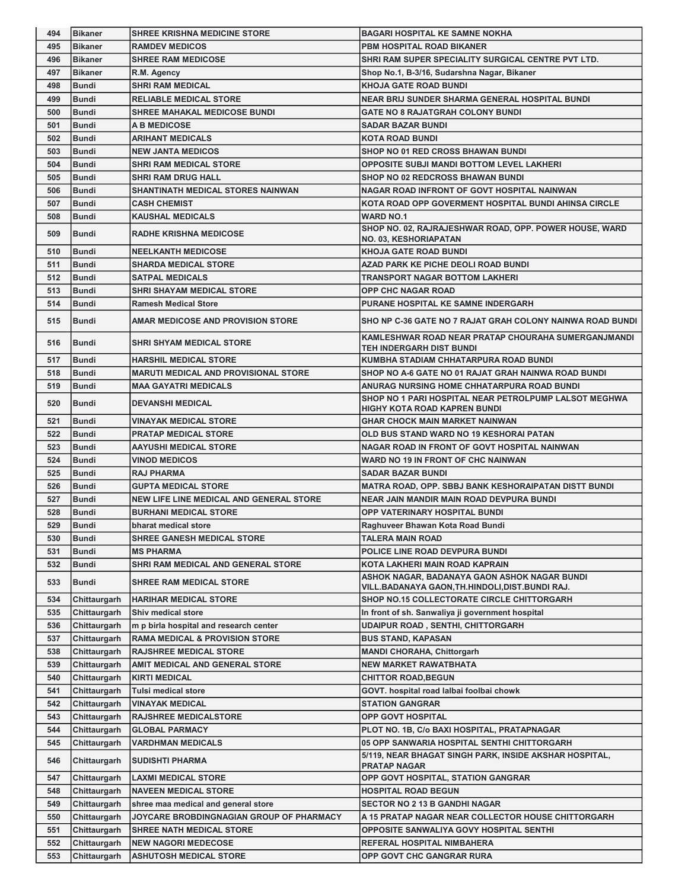| 494        | <b>Bikaner</b>               | <b>SHREE KRISHNA MEDICINE STORE</b>                           | <b>BAGARI HOSPITAL KE SAMNE NOKHA</b>                                                                 |
|------------|------------------------------|---------------------------------------------------------------|-------------------------------------------------------------------------------------------------------|
| 495        | <b>Bikaner</b>               | <b>RAMDEV MEDICOS</b>                                         | PBM HOSPITAL ROAD BIKANER                                                                             |
| 496        | <b>Bikaner</b>               | <b>SHREE RAM MEDICOSE</b>                                     | SHRI RAM SUPER SPECIALITY SURGICAL CENTRE PVT LTD.                                                    |
| 497        | <b>Bikaner</b>               | R.M. Agency                                                   | Shop No.1, B-3/16, Sudarshna Nagar, Bikaner                                                           |
| 498        | <b>Bundi</b>                 | <b>SHRI RAM MEDICAL</b>                                       | <b>KHOJA GATE ROAD BUNDI</b>                                                                          |
| 499        | <b>Bundi</b>                 | <b>RELIABLE MEDICAL STORE</b>                                 | NEAR BRIJ SUNDER SHARMA GENERAL HOSPITAL BUNDI                                                        |
| 500        | Bundi                        | <b>SHREE MAHAKAL MEDICOSE BUNDI</b>                           | <b>GATE NO 8 RAJATGRAH COLONY BUNDI</b>                                                               |
| 501        | Bundi                        | <b>A B MEDICOSE</b>                                           | <b>SADAR BAZAR BUNDI</b>                                                                              |
| 502        | <b>Bundi</b>                 | <b>ARIHANT MEDICALS</b>                                       | <b>KOTA ROAD BUNDI</b>                                                                                |
| 503        | <b>Bundi</b>                 | <b>NEW JANTA MEDICOS</b>                                      | <b>SHOP NO 01 RED CROSS BHAWAN BUNDI</b>                                                              |
| 504        | <b>Bundi</b>                 | <b>SHRI RAM MEDICAL STORE</b>                                 | <b>OPPOSITE SUBJI MANDI BOTTOM LEVEL LAKHERI</b>                                                      |
| 505        | <b>Bundi</b>                 | SHRI RAM DRUG HALL                                            | <b>SHOP NO 02 REDCROSS BHAWAN BUNDI</b>                                                               |
| 506        | <b>Bundi</b>                 | SHANTINATH MEDICAL STORES NAINWAN                             | NAGAR ROAD INFRONT OF GOVT HOSPITAL NAINWAN                                                           |
| 507        | <b>Bundi</b>                 | <b>CASH CHEMIST</b>                                           | KOTA ROAD OPP GOVERMENT HOSPITAL BUNDI AHINSA CIRCLE                                                  |
| 508        | <b>Bundi</b>                 | <b>KAUSHAL MEDICALS</b>                                       | <b>WARD NO.1</b>                                                                                      |
|            |                              |                                                               | SHOP NO. 02, RAJRAJESHWAR ROAD, OPP. POWER HOUSE, WARD                                                |
| 509        | <b>Bundi</b>                 | <b>RADHE KRISHNA MEDICOSE</b>                                 | <b>NO. 03, KESHORIAPATAN</b>                                                                          |
| 510        | <b>Bundi</b>                 | <b>NEELKANTH MEDICOSE</b>                                     | <b>KHOJA GATE ROAD BUNDI</b>                                                                          |
| 511        | Bundi                        | <b>SHARDA MEDICAL STORE</b>                                   | AZAD PARK KE PICHE DEOLI ROAD BUNDI                                                                   |
| 512        | <b>Bundi</b>                 | <b>SATPAL MEDICALS</b>                                        | <b>TRANSPORT NAGAR BOTTOM LAKHERI</b>                                                                 |
| 513        | <b>Bundi</b>                 | <b>SHRI SHAYAM MEDICAL STORE</b>                              | <b>OPP CHC NAGAR ROAD</b>                                                                             |
| 514        | <b>Bundi</b>                 | <b>Ramesh Medical Store</b>                                   | PURANE HOSPITAL KE SAMNE INDERGARH                                                                    |
| 515        | <b>Bundi</b>                 | AMAR MEDICOSE AND PROVISION STORE                             | SHO NP C-36 GATE NO 7 RAJAT GRAH COLONY NAINWA ROAD BUNDI                                             |
|            |                              |                                                               | KAMLESHWAR ROAD NEAR PRATAP CHOURAHA SUMERGANJMANDI                                                   |
| 516        | Bundi                        | <b>SHRI SHYAM MEDICAL STORE</b>                               | <b>TEH INDERGARH DIST BUNDI</b>                                                                       |
| 517        | <b>Bundi</b>                 | <b>HARSHIL MEDICAL STORE</b>                                  | KUMBHA STADIAM CHHATARPURA ROAD BUNDI                                                                 |
| 518        | Bundi                        | <b>MARUTI MEDICAL AND PROVISIONAL STORE</b>                   | SHOP NO A-6 GATE NO 01 RAJAT GRAH NAINWA ROAD BUNDI                                                   |
| 519        | Bundi                        | <b>MAA GAYATRI MEDICALS</b>                                   | ANURAG NURSING HOME CHHATARPURA ROAD BUNDI                                                            |
| 520        | Bundi                        | <b>DEVANSHI MEDICAL</b>                                       | SHOP NO 1 PARI HOSPITAL NEAR PETROLPUMP LALSOT MEGHWA<br><b>HIGHY KOTA ROAD KAPREN BUNDI</b>          |
| 521        | <b>Bundi</b>                 | VINAYAK MEDICAL STORE                                         | <b>GHAR CHOCK MAIN MARKET NAINWAN</b>                                                                 |
| 522        | <b>Bundi</b>                 | <b>PRATAP MEDICAL STORE</b>                                   | OLD BUS STAND WARD NO 19 KESHORAI PATAN                                                               |
| 523        | <b>Bundi</b>                 | AAYUSHI MEDICAL STORE                                         | NAGAR ROAD IN FRONT OF GOVT HOSPITAL NAINWAN                                                          |
| 524        | <b>Bundi</b>                 | <b>VINOD MEDICOS</b>                                          | WARD NO 19 IN FRONT OF CHC NAINWAN                                                                    |
| 525        | <b>Bundi</b>                 | <b>RAJ PHARMA</b>                                             | <b>SADAR BAZAR BUNDI</b>                                                                              |
| 526        | <b>Bundi</b>                 | <b>GUPTA MEDICAL STORE</b>                                    | <b>MATRA ROAD, OPP. SBBJ BANK KESHORAIPATAN DISTT BUNDI</b>                                           |
|            |                              | <b>NEW LIFE LINE MEDICAL AND GENERAL STORE</b>                | <b>NEAR JAIN MANDIR MAIN ROAD DEVPURA BUNDI</b>                                                       |
| 527        | <b>Bundi</b>                 |                                                               |                                                                                                       |
| 528        | Bundi                        | <b>BURHANI MEDICAL STORE</b>                                  | OPP VATERINARY HOSPITAL BUNDI                                                                         |
| 529        | Bundi                        | bharat medical store                                          | Raghuveer Bhawan Kota Road Bundi                                                                      |
| 530        | <b>Bundi</b>                 | SHREE GANESH MEDICAL STORE                                    | <b>TALERA MAIN ROAD</b>                                                                               |
| 531        | <b>Bundi</b>                 | <b>MS PHARMA</b>                                              | POLICE LINE ROAD DEVPURA BUNDI                                                                        |
| 532        | <b>Bundi</b>                 | SHRI RAM MEDICAL AND GENERAL STORE                            | KOTA LAKHERI MAIN ROAD KAPRAIN                                                                        |
| 533        | <b>Bundi</b>                 | SHREE RAM MEDICAL STORE                                       | ASHOK NAGAR, BADANAYA GAON ASHOK NAGAR BUNDI                                                          |
|            |                              |                                                               | VILL.BADANAYA GAON,TH.HINDOLI,DIST.BUNDI RAJ.                                                         |
| 534        | Chittaurgarh                 | <b>HARIHAR MEDICAL STORE</b>                                  | SHOP NO.15 COLLECTORATE CIRCLE CHITTORGARH                                                            |
| 535        | Chittaurgarh                 | Shiv medical store                                            | In front of sh. Sanwaliya ji government hospital                                                      |
| 536        | Chittaurgarh                 | m p birla hospital and research center                        | UDAIPUR ROAD, SENTHI, CHITTORGARH                                                                     |
| 537        | Chittaurgarh                 | <b>RAMA MEDICAL &amp; PROVISION STORE</b>                     | <b>BUS STAND, KAPASAN</b>                                                                             |
| 538        | Chittaurgarh                 | <b>RAJSHREE MEDICAL STORE</b>                                 | <b>MANDI CHORAHA, Chittorgarh</b>                                                                     |
| 539        | Chittaurgarh                 | AMIT MEDICAL AND GENERAL STORE                                | <b>NEW MARKET RAWATBHATA</b>                                                                          |
| 540        | Chittaurgarh                 | <b>KIRTI MEDICAL</b>                                          | <b>CHITTOR ROAD,BEGUN</b>                                                                             |
| 541        | Chittaurgarh                 | Tulsi medical store                                           | GOVT. hospital road lalbai foolbai chowk                                                              |
| 542        | Chittaurgarh                 | <b>VINAYAK MEDICAL</b>                                        | <b>STATION GANGRAR</b>                                                                                |
| 543        | Chittaurgarh                 | <b>RAJSHREE MEDICALSTORE</b>                                  | <b>OPP GOVT HOSPITAL</b>                                                                              |
| 544        | Chittaurgarh                 | <b>GLOBAL PARMACY</b>                                         | PLOT NO. 1B, C/o BAXI HOSPITAL, PRATAPNAGAR                                                           |
| 545<br>546 | Chittaurgarh<br>Chittaurgarh | <b>VARDHMAN MEDICALS</b><br><b>SUDISHTI PHARMA</b>            | 05 OPP SANWARIA HOSPITAL SENTHI CHITTORGARH<br>5/119, NEAR BHAGAT SINGH PARK, INSIDE AKSHAR HOSPITAL, |
|            |                              |                                                               | <b>PRATAP NAGAR</b>                                                                                   |
| 547        | Chittaurgarh                 | <b>LAXMI MEDICAL STORE</b>                                    | OPP GOVT HOSPITAL, STATION GANGRAR                                                                    |
| 548        | Chittaurgarh                 | <b>NAVEEN MEDICAL STORE</b>                                   | <b>HOSPITAL ROAD BEGUN</b>                                                                            |
| 549<br>550 | Chittaurgarh                 | shree maa medical and general store                           | <b>SECTOR NO 2 13 B GANDHI NAGAR</b>                                                                  |
| 551        | Chittaurgarh                 | JOYCARE BROBDINGNAGIAN GROUP OF PHARMACY                      | A 15 PRATAP NAGAR NEAR COLLECTOR HOUSE CHITTORGARH                                                    |
| 552        | Chittaurgarh<br>Chittaurgarh | <b>SHREE NATH MEDICAL STORE</b><br><b>NEW NAGORI MEDECOSE</b> | OPPOSITE SANWALIYA GOVY HOSPITAL SENTHI<br>REFERAL HOSPITAL NIMBAHERA                                 |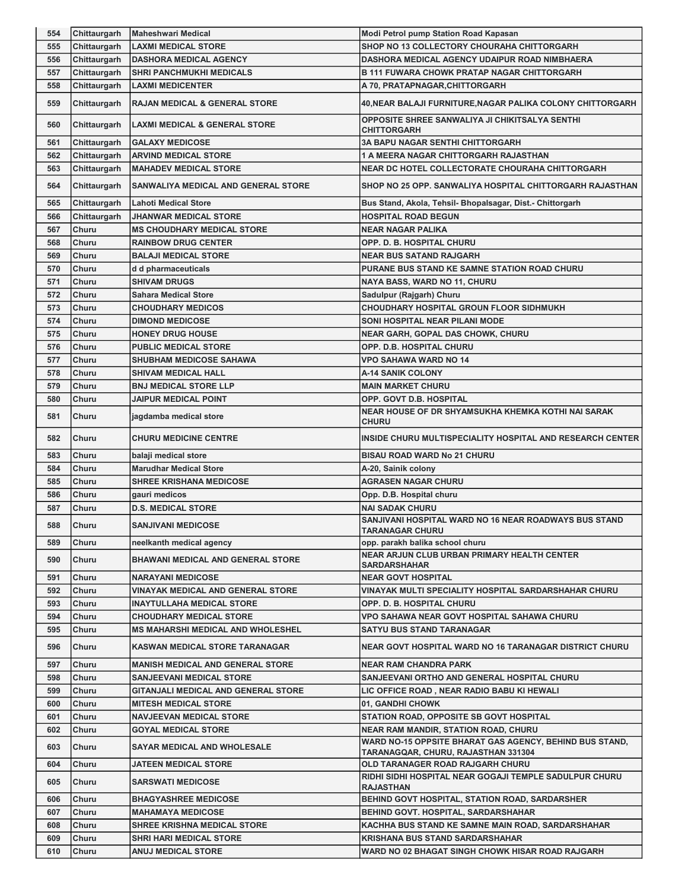| 554 | Chittaurgarh | <b>Maheshwari Medical</b>                  | <b>Modi Petrol pump Station Road Kapasan</b>                                                   |
|-----|--------------|--------------------------------------------|------------------------------------------------------------------------------------------------|
| 555 | Chittaurgarh | <b>LAXMI MEDICAL STORE</b>                 | SHOP NO 13 COLLECTORY CHOURAHA CHITTORGARH                                                     |
| 556 | Chittaurgarh | <b>DASHORA MEDICAL AGENCY</b>              | DASHORA MEDICAL AGENCY UDAIPUR ROAD NIMBHAERA                                                  |
| 557 | Chittaurgarh | <b>SHRI PANCHMUKHI MEDICALS</b>            | <b>B 111 FUWARA CHOWK PRATAP NAGAR CHITTORGARH</b>                                             |
| 558 | Chittaurgarh | <b>LAXMI MEDICENTER</b>                    | A 70, PRATAPNAGAR, CHITTORGARH                                                                 |
| 559 | Chittaurgarh | <b>RAJAN MEDICAL &amp; GENERAL STORE</b>   | 40, NEAR BALAJI FURNITURE, NAGAR PALIKA COLONY CHITTORGARH                                     |
| 560 | Chittaurgarh | <b>LAXMI MEDICAL &amp; GENERAL STORE</b>   | OPPOSITE SHREE SANWALIYA JI CHIKITSALYA SENTHI<br><b>CHITTORGARH</b>                           |
| 561 | Chittaurgarh | <b>GALAXY MEDICOSE</b>                     | <b>3A BAPU NAGAR SENTHI CHITTORGARH</b>                                                        |
| 562 | Chittaurgarh | <b>ARVIND MEDICAL STORE</b>                | <b>1 A MEERA NAGAR CHITTORGARH RAJASTHAN</b>                                                   |
| 563 | Chittaurgarh | <b>MAHADEV MEDICAL STORE</b>               | NEAR DC HOTEL COLLECTORATE CHOURAHA CHITTORGARH                                                |
| 564 | Chittaurgarh | <b>SANWALIYA MEDICAL AND GENERAL STORE</b> | SHOP NO 25 OPP. SANWALIYA HOSPITAL CHITTORGARH RAJASTHAN                                       |
| 565 | Chittaurgarh | <b>Lahoti Medical Store</b>                | Bus Stand, Akola, Tehsil- Bhopalsagar, Dist.- Chittorgarh                                      |
| 566 | Chittaurgarh | <b>JHANWAR MEDICAL STORE</b>               | <b>HOSPITAL ROAD BEGUN</b>                                                                     |
| 567 | Churu        | <b>MS CHOUDHARY MEDICAL STORE</b>          | <b>NEAR NAGAR PALIKA</b>                                                                       |
| 568 | Churu        | <b>RAINBOW DRUG CENTER</b>                 | OPP. D. B. HOSPITAL CHURU                                                                      |
| 569 | Churu        | <b>BALAJI MEDICAL STORE</b>                | <b>NEAR BUS SATAND RAJGARH</b>                                                                 |
| 570 | Churu        | d d pharmaceuticals                        | PURANE BUS STAND KE SAMNE STATION ROAD CHURU                                                   |
| 571 | Churu        | <b>SHIVAM DRUGS</b>                        | NAYA BASS, WARD NO 11, CHURU                                                                   |
| 572 | Churu        | <b>Sahara Medical Store</b>                | Sadulpur (Rajgarh) Churu                                                                       |
| 573 | Churu        | <b>CHOUDHARY MEDICOS</b>                   | CHOUDHARY HOSPITAL GROUN FLOOR SIDHMUKH                                                        |
| 574 | Churu        | <b>DIMOND MEDICOSE</b>                     | SONI HOSPITAL NEAR PILANI MODE                                                                 |
| 575 | Churu        | <b>HONEY DRUG HOUSE</b>                    | <b>NEAR GARH, GOPAL DAS CHOWK, CHURU</b>                                                       |
| 576 | Churu        | <b>PUBLIC MEDICAL STORE</b>                | OPP. D.B. HOSPITAL CHURU                                                                       |
| 577 | Churu        | <b>SHUBHAM MEDICOSE SAHAWA</b>             | <b>VPO SAHAWA WARD NO 14</b>                                                                   |
| 578 | Churu        | SHIVAM MEDICAL HALL                        | <b>A-14 SANIK COLONY</b>                                                                       |
| 579 | Churu        | <b>BNJ MEDICAL STORE LLP</b>               | <b>MAIN MARKET CHURU</b>                                                                       |
| 580 | Churu        | JAIPUR MEDICAL POINT                       | OPP. GOVT D.B. HOSPITAL                                                                        |
| 581 | Churu        | jagdamba medical store                     | NEAR HOUSE OF DR SHYAMSUKHA KHEMKA KOTHI NAI SARAK<br><b>CHURU</b>                             |
| 582 | Churu        | <b>CHURU MEDICINE CENTRE</b>               | INSIDE CHURU MULTISPECIALITY HOSPITAL AND RESEARCH CENTER                                      |
| 583 | Churu        | balaji medical store                       | <b>BISAU ROAD WARD No 21 CHURU</b>                                                             |
| 584 | Churu        | <b>Marudhar Medical Store</b>              | A-20, Sainik colony                                                                            |
| 585 | Churu        | <b>SHREE KRISHANA MEDICOSE</b>             | <b>AGRASEN NAGAR CHURU</b>                                                                     |
| 586 | Churu        | gauri medicos                              | Opp. D.B. Hospital churu                                                                       |
| 587 | Churu        | <b>D.S. MEDICAL STORE</b>                  | <b>NAI SADAK CHURU</b>                                                                         |
| 588 | <b>Churu</b> | <b>SANJIVANI MEDICOSE</b>                  | SANJIVANI HOSPITAL WARD NO 16 NEAR ROADWAYS BUS STAND<br><b>TARANAGAR CHURU</b>                |
| 589 | Churu        | neelkanth medical agency                   | opp. parakh balika school churu                                                                |
| 590 | Churu        | <b>BHAWANI MEDICAL AND GENERAL STORE</b>   | NEAR ARJUN CLUB URBAN PRIMARY HEALTH CENTER<br><b>SARDARSHAHAR</b>                             |
| 591 | Churu        | <b>NARAYANI MEDICOSE</b>                   | <b>NEAR GOVT HOSPITAL</b>                                                                      |
| 592 | Churu        | VINAYAK MEDICAL AND GENERAL STORE          | VINAYAK MULTI SPECIALITY HOSPITAL SARDARSHAHAR CHURU                                           |
| 593 | Churu        | INAYTULLAHA MEDICAL STORE                  | OPP. D. B. HOSPITAL CHURU                                                                      |
| 594 | Churu        | <b>CHOUDHARY MEDICAL STORE</b>             | VPO SAHAWA NEAR GOVT HOSPITAL SAHAWA CHURU                                                     |
| 595 | Churu        | <b>MS MAHARSHI MEDICAL AND WHOLESHEL</b>   | <b>SATYU BUS STAND TARANAGAR</b>                                                               |
| 596 | <b>Churu</b> | <b>KASWAN MEDICAL STORE TARANAGAR</b>      | NEAR GOVT HOSPITAL WARD NO 16 TARANAGAR DISTRICT CHURU                                         |
| 597 | Churu        | <b>MANISH MEDICAL AND GENERAL STORE</b>    | <b>NEAR RAM CHANDRA PARK</b>                                                                   |
| 598 | Churu        | <b>SANJEEVANI MEDICAL STORE</b>            | SANJEEVANI ORTHO AND GENERAL HOSPITAL CHURU                                                    |
| 599 | Churu        | GITANJALI MEDICAL AND GENERAL STORE        | LIC OFFICE ROAD , NEAR RADIO BABU KI HEWALI                                                    |
| 600 | Churu        | <b>MITESH MEDICAL STORE</b>                | 01, GANDHI CHOWK                                                                               |
| 601 | Churu        | <b>NAVJEEVAN MEDICAL STORE</b>             | STATION ROAD, OPPOSITE SB GOVT HOSPITAL                                                        |
| 602 | Churu        | GOYAL MEDICAL STORE                        | <b>NEAR RAM MANDIR, STATION ROAD, CHURU</b>                                                    |
| 603 | Churu        | <b>SAYAR MEDICAL AND WHOLESALE</b>         | WARD NO-15 OPPSITE BHARAT GAS AGENCY, BEHIND BUS STAND,<br>TARANAGQAR, CHURU, RAJASTHAN 331304 |
| 604 | Churu        | JATEEN MEDICAL STORE                       | OLD TARANAGER ROAD RAJGARH CHURU                                                               |
| 605 | Churu        | <b>SARSWATI MEDICOSE</b>                   | RIDHI SIDHI HOSPITAL NEAR GOGAJI TEMPLE SADULPUR CHURU<br><b>RAJASTHAN</b>                     |
| 606 | Churu        | <b>BHAGYASHREE MEDICOSE</b>                | BEHIND GOVT HOSPITAL, STATION ROAD, SARDARSHER                                                 |
| 607 | Churu        | <b>MAHAMAYA MEDICOSE</b>                   | <b>BEHIND GOVT. HOSPITAL, SARDARSHAHAR</b>                                                     |
| 608 | Churu        | <b>SHREE KRISHNA MEDICAL STORE</b>         | KACHHA BUS STAND KE SAMNE MAIN ROAD, SARDARSHAHAR                                              |
| 609 | Churu        | <b>SHRI HARI MEDICAL STORE</b>             | <b>KRISHANA BUS STAND SARDARSHAHAR</b>                                                         |
| 610 | Churu        | <b>ANUJ MEDICAL STORE</b>                  | WARD NO 02 BHAGAT SINGH CHOWK HISAR ROAD RAJGARH                                               |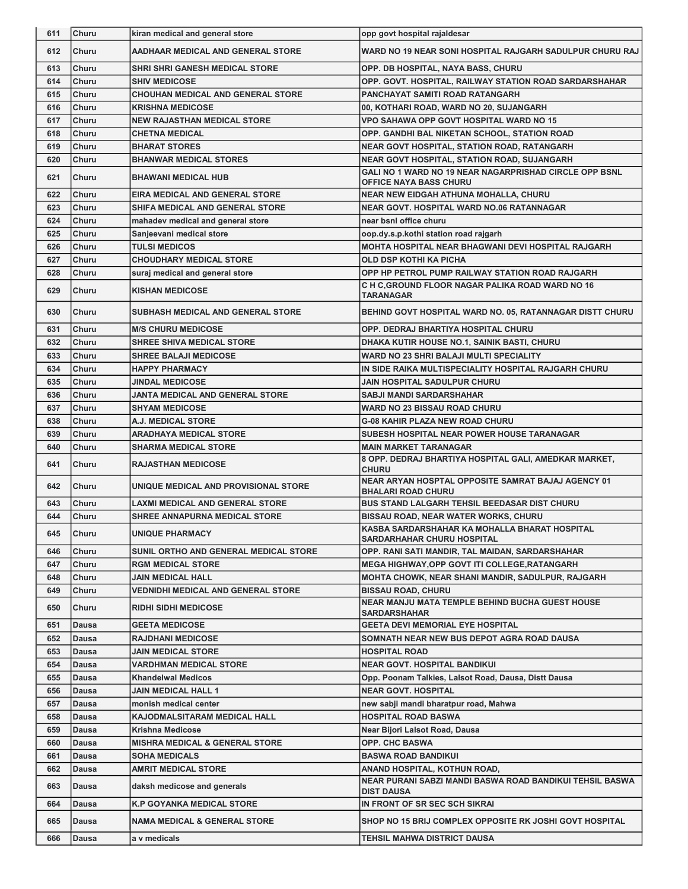| 611 | <b>Churu</b> | kiran medical and general store           | opp govt hospital rajaldesar                                                            |
|-----|--------------|-------------------------------------------|-----------------------------------------------------------------------------------------|
| 612 | Churu        | AADHAAR MEDICAL AND GENERAL STORE         | WARD NO 19 NEAR SONI HOSPITAL RAJGARH SADULPUR CHURU RAJ                                |
| 613 | Churu        | <b>SHRI SHRI GANESH MEDICAL STORE</b>     | OPP. DB HOSPITAL, NAYA BASS, CHURU                                                      |
| 614 | Churu        | <b>SHIV MEDICOSE</b>                      | OPP. GOVT. HOSPITAL, RAILWAY STATION ROAD SARDARSHAHAR                                  |
| 615 | Churu        | <b>CHOUHAN MEDICAL AND GENERAL STORE</b>  | PANCHAYAT SAMITI ROAD RATANGARH                                                         |
| 616 | Churu        | <b>KRISHNA MEDICOSE</b>                   | 00, KOTHARI ROAD, WARD NO 20, SUJANGARH                                                 |
| 617 | Churu        | <b>NEW RAJASTHAN MEDICAL STORE</b>        | <b>VPO SAHAWA OPP GOVT HOSPITAL WARD NO 15</b>                                          |
| 618 | Churu        | <b>CHETNA MEDICAL</b>                     | OPP. GANDHI BAL NIKETAN SCHOOL, STATION ROAD                                            |
| 619 | Churu        | <b>BHARAT STORES</b>                      | <b>NEAR GOVT HOSPITAL, STATION ROAD, RATANGARH</b>                                      |
| 620 | Churu        | <b>BHANWAR MEDICAL STORES</b>             | <b>NEAR GOVT HOSPITAL, STATION ROAD, SUJANGARH</b>                                      |
| 621 | Churu        | <b>BHAWANI MEDICAL HUB</b>                | GALI NO 1 WARD NO 19 NEAR NAGARPRISHAD CIRCLE OPP BSNL<br><b>OFFICE NAYA BASS CHURU</b> |
| 622 | Churu        | EIRA MEDICAL AND GENERAL STORE            | <b>NEAR NEW EIDGAH ATHUNA MOHALLA, CHURU</b>                                            |
| 623 | Churu        | SHIFA MEDICAL AND GENERAL STORE           | NEAR GOVT. HOSPITAL WARD NO.06 RATANNAGAR                                               |
| 624 | Churu        | mahadev medical and general store         | near bsnl office churu                                                                  |
| 625 | Churu        | Sanjeevani medical store                  | oop.dy.s.p.kothi station road rajgarh                                                   |
| 626 | Churu        | <b>TULSI MEDICOS</b>                      | MOHTA HOSPITAL NEAR BHAGWANI DEVI HOSPITAL RAJGARH                                      |
| 627 | Churu        | <b>CHOUDHARY MEDICAL STORE</b>            | <b>OLD DSP KOTHI KA PICHA</b>                                                           |
| 628 | Churu        | suraj medical and general store           | OPP HP PETROL PUMP RAILWAY STATION ROAD RAJGARH                                         |
| 629 | Churu        | <b>KISHAN MEDICOSE</b>                    | C H C, GROUND FLOOR NAGAR PALIKA ROAD WARD NO 16<br>TARANAGAR                           |
| 630 | Churu        | SUBHASH MEDICAL AND GENERAL STORE         | BEHIND GOVT HOSPITAL WARD NO. 05, RATANNAGAR DISTT CHURU                                |
| 631 | Churu        | <b>M/S CHURU MEDICOSE</b>                 | OPP. DEDRAJ BHARTIYA HOSPITAL CHURU                                                     |
| 632 | Churu        | SHREE SHIVA MEDICAL STORE                 | DHAKA KUTIR HOUSE NO.1, SAINIK BASTI, CHURU                                             |
| 633 | Churu        | <b>SHREE BALAJI MEDICOSE</b>              | WARD NO 23 SHRI BALAJI MULTI SPECIALITY                                                 |
| 634 | Churu        | <b>HAPPY PHARMACY</b>                     | IN SIDE RAIKA MULTISPECIALITY HOSPITAL RAJGARH CHURU                                    |
| 635 | Churu        | <b>JINDAL MEDICOSE</b>                    | JAIN HOSPITAL SADULPUR CHURU                                                            |
| 636 | Churu        | JANTA MEDICAL AND GENERAL STORE           | <b>SABJI MANDI SARDARSHAHAR</b>                                                         |
| 637 | Churu        | <b>SHYAM MEDICOSE</b>                     | <b>WARD NO 23 BISSAU ROAD CHURU</b>                                                     |
| 638 | Churu        | A.J. MEDICAL STORE                        | <b>G-08 KAHIR PLAZA NEW ROAD CHURU</b>                                                  |
| 639 | Churu        | ARADHAYA MEDICAL STORE                    | SUBESH HOSPITAL NEAR POWER HOUSE TARANAGAR                                              |
|     |              |                                           |                                                                                         |
| 640 | Churu        | SHARMA MEDICAL STORE                      | <b>MAIN MARKET TARANAGAR</b>                                                            |
| 641 | Churu        | <b>RAJASTHAN MEDICOSE</b>                 | 8 OPP. DEDRAJ BHARTIYA HOSPITAL GALI, AMEDKAR MARKET,<br><b>CHURU</b>                   |
| 642 | Churu        | UNIQUE MEDICAL AND PROVISIONAL STORE      | NEAR ARYAN HOSPTAL OPPOSITE SAMRAT BAJAJ AGENCY 01<br><b>BHALARI ROAD CHURU</b>         |
| 643 | Churu        | <b>LAXMI MEDICAL AND GENERAL STORE</b>    | BUS STAND LALGARH TEHSIL BEEDASAR DIST CHURU                                            |
| 644 | Churu        | <b>SHREE ANNAPURNA MEDICAL STORE</b>      | <b>BISSAU ROAD, NEAR WATER WORKS, CHURU</b>                                             |
| 645 | Churu        | UNIQUE PHARMACY                           | KASBA SARDARSHAHAR KA MOHALLA BHARAT HOSPITAL<br><b>SARDARHAHAR CHURU HOSPITAL</b>      |
| 646 | Churu        | SUNIL ORTHO AND GENERAL MEDICAL STORE     | OPP. RANI SATI MANDIR, TAL MAIDAN, SARDARSHAHAR                                         |
| 647 | Churu        | <b>RGM MEDICAL STORE</b>                  | MEGA HIGHWAY, OPP GOVT ITI COLLEGE, RATANGARH                                           |
| 648 | Churu        | <b>JAIN MEDICAL HALL</b>                  | <b>MOHTA CHOWK, NEAR SHANI MANDIR, SADULPUR, RAJGARH</b>                                |
| 649 | Churu        | VEDNIDHI MEDICAL AND GENERAL STORE        | <b>BISSAU ROAD, CHURU</b>                                                               |
| 650 | Churu        | <b>RIDHI SIDHI MEDICOSE</b>               | <b>NEAR MANJU MATA TEMPLE BEHIND BUCHA GUEST HOUSE</b><br><b>SARDARSHAHAR</b>           |
| 651 | <b>Dausa</b> | <b>GEETA MEDICOSE</b>                     | <b>GEETA DEVI MEMORIAL EYE HOSPITAL</b>                                                 |
| 652 | Dausa        | <b>RAJDHANI MEDICOSE</b>                  | SOMNATH NEAR NEW BUS DEPOT AGRA ROAD DAUSA                                              |
| 653 | Dausa        | <b>JAIN MEDICAL STORE</b>                 | <b>HOSPITAL ROAD</b>                                                                    |
| 654 | <b>Dausa</b> | VARDHMAN MEDICAL STORE                    | <b>NEAR GOVT. HOSPITAL BANDIKUI</b>                                                     |
| 655 | Dausa        | <b>Khandelwal Medicos</b>                 | Opp. Poonam Talkies, Lalsot Road, Dausa, Distt Dausa                                    |
| 656 | <b>Dausa</b> | <b>JAIN MEDICAL HALL 1</b>                | <b>NEAR GOVT. HOSPITAL</b>                                                              |
| 657 | <b>Dausa</b> | monish medical center                     | new sabji mandi bharatpur road, Mahwa                                                   |
| 658 | <b>Dausa</b> | KAJODMALSITARAM MEDICAL HALL              | <b>HOSPITAL ROAD BASWA</b>                                                              |
| 659 | Dausa        | Krishna Medicose                          | Near Bijori Lalsot Road, Dausa                                                          |
| 660 | <b>Dausa</b> | <b>MISHRA MEDICAL &amp; GENERAL STORE</b> | <b>OPP. CHC BASWA</b>                                                                   |
| 661 | Dausa        | <b>SOHA MEDICALS</b>                      | <b>BASWA ROAD BANDIKUI</b>                                                              |
| 662 | Dausa        | AMRIT MEDICAL STORE                       | ANAND HOSPITAL, KOTHUN ROAD,                                                            |
| 663 | Dausa        | daksh medicose and generals               | NEAR PURANI SABZI MANDI BASWA ROAD BANDIKUI TEHSIL BASWA<br><b>DIST DAUSA</b>           |
| 664 | <b>Dausa</b> | K.P GOYANKA MEDICAL STORE                 | IN FRONT OF SR SEC SCH SIKRAI                                                           |
| 665 | Dausa        | <b>NAMA MEDICAL &amp; GENERAL STORE</b>   | SHOP NO 15 BRIJ COMPLEX OPPOSITE RK JOSHI GOVT HOSPITAL                                 |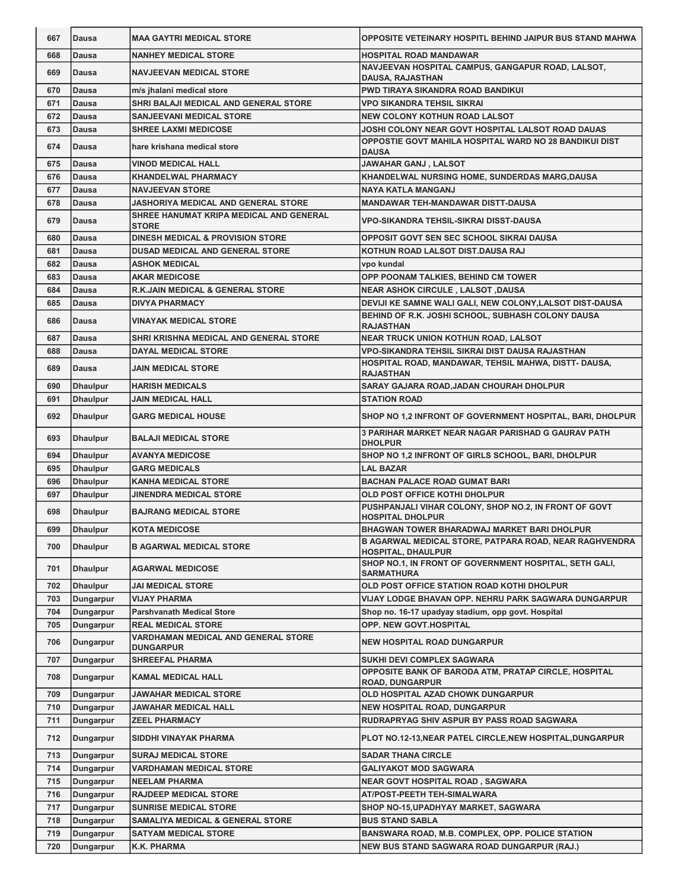| 667 | <b>Dausa</b>    | <b>MAA GAYTRI MEDICAL STORE</b>                         | <b>OPPOSITE VETEINARY HOSPITL BEHIND JAIPUR BUS STAND MAHWA</b>                     |
|-----|-----------------|---------------------------------------------------------|-------------------------------------------------------------------------------------|
| 668 | Dausa           | <b>NANHEY MEDICAL STORE</b>                             | <b>HOSPITAL ROAD MANDAWAR</b>                                                       |
| 669 | <b>Dausa</b>    | <b>NAVJEEVAN MEDICAL STORE</b>                          | NAVJEEVAN HOSPITAL CAMPUS, GANGAPUR ROAD, LALSOT,<br><b>DAUSA, RAJASTHAN</b>        |
| 670 | Dausa           | m/s jhalani medical store                               | PWD TIRAYA SIKANDRA ROAD BANDIKUI                                                   |
| 671 | Dausa           | SHRI BALAJI MEDICAL AND GENERAL STORE                   | <b>VPO SIKANDRA TEHSIL SIKRAI</b>                                                   |
| 672 | <b>Dausa</b>    | <b>SANJEEVANI MEDICAL STORE</b>                         | <b>NEW COLONY KOTHUN ROAD LALSOT</b>                                                |
| 673 | <b>Dausa</b>    | <b>SHREE LAXMI MEDICOSE</b>                             | JOSHI COLONY NEAR GOVT HOSPITAL LALSOT ROAD DAUAS                                   |
| 674 | Dausa           | hare krishana medical store                             | <b>OPPOSTIE GOVT MAHILA HOSPITAL WARD NO 28 BANDIKUI DIST</b><br>DAUSA              |
| 675 | <b>Dausa</b>    | <b>VINOD MEDICAL HALL</b>                               | JAWAHAR GANJ , LALSOT                                                               |
| 676 | Dausa           | <b>KHANDELWAL PHARMACY</b>                              | KHANDELWAL NURSING HOME, SUNDERDAS MARG, DAUSA                                      |
| 677 | Dausa           | <b>NAVJEEVAN STORE</b>                                  | <b>NAYA KATLA MANGANJ</b>                                                           |
| 678 | Dausa           | JASHORIYA MEDICAL AND GENERAL STORE                     | MANDAWAR TEH-MANDAWAR DISTT-DAUSA                                                   |
| 679 | <b>Dausa</b>    | SHREE HANUMAT KRIPA MEDICAL AND GENERAL<br><b>STORE</b> | VPO-SIKANDRA TEHSIL-SIKRAI DISST-DAUSA                                              |
| 680 | <b>Dausa</b>    | <b>DINESH MEDICAL &amp; PROVISION STORE</b>             | OPPOSIT GOVT SEN SEC SCHOOL SIKRAI DAUSA                                            |
| 681 | <b>Dausa</b>    | <b>DUSAD MEDICAL AND GENERAL STORE</b>                  | KOTHUN ROAD LALSOT DIST.DAUSA RAJ                                                   |
| 682 | <b>Dausa</b>    | <b>ASHOK MEDICAL</b>                                    | vpo kundal                                                                          |
| 683 | Dausa           | <b>AKAR MEDICOSE</b>                                    | OPP POONAM TALKIES, BEHIND CM TOWER                                                 |
| 684 | <b>Dausa</b>    | <b>R.K.JAIN MEDICAL &amp; GENERAL STORE</b>             | <b>NEAR ASHOK CIRCULE, LALSOT, DAUSA</b>                                            |
| 685 | <b>Dausa</b>    | <b>DIVYA PHARMACY</b>                                   | DEVIJI KE SAMNE WALI GALI. NEW COLONY.LALSOT DIST-DAUSA                             |
| 686 | <b>Dausa</b>    | VINAYAK MEDICAL STORE                                   | BEHIND OF R.K. JOSHI SCHOOL, SUBHASH COLONY DAUSA<br><b>RAJASTHAN</b>               |
| 687 | Dausa           | SHRI KRISHNA MEDICAL AND GENERAL STORE                  | NEAR TRUCK UNION KOTHUN ROAD, LALSOT                                                |
| 688 | Dausa           | <b>DAYAL MEDICAL STORE</b>                              | VPO-SIKANDRA TEHSIL SIKRAI DIST DAUSA RAJASTHAN                                     |
| 689 | <b>Dausa</b>    | JAIN MEDICAL STORE                                      | HOSPITAL ROAD, MANDAWAR, TEHSIL MAHWA, DISTT- DAUSA,<br><b>RAJASTHAN</b>            |
| 690 | <b>Dhaulpur</b> | <b>HARISH MEDICALS</b>                                  | SARAY GAJARA ROAD, JADAN CHOURAH DHOLPUR                                            |
| 691 | <b>Dhaulpur</b> | <b>JAIN MEDICAL HALL</b>                                | <b>STATION ROAD</b>                                                                 |
| 692 | <b>Dhaulpur</b> | <b>GARG MEDICAL HOUSE</b>                               | SHOP NO 1,2 INFRONT OF GOVERNMENT HOSPITAL, BARI, DHOLPUR                           |
| 693 | <b>Dhaulpur</b> | <b>BALAJI MEDICAL STORE</b>                             | 3 PARIHAR MARKET NEAR NAGAR PARISHAD G GAURAV PATH<br><b>DHOLPUR</b>                |
| 694 | <b>Dhaulpur</b> | <b>AVANYA MEDICOSE</b>                                  | SHOP NO 1,2 INFRONT OF GIRLS SCHOOL, BARI, DHOLPUR                                  |
| 695 | <b>Dhaulpur</b> | <b>GARG MEDICALS</b>                                    | <b>LAL BAZAR</b>                                                                    |
| 696 | <b>Dhaulpur</b> | <b>KANHA MEDICAL STORE</b>                              | <b>BACHAN PALACE ROAD GUMAT BARI</b>                                                |
| 697 | <b>Dhaulpur</b> | JINENDRA MEDICAL STORE                                  | OLD POST OFFICE KOTHI DHOLPUR                                                       |
| 698 | <b>Dhaulpur</b> | <b>BAJRANG MEDICAL STORE</b>                            | PUSHPANJALI VIHAR COLONY, SHOP NO.2, IN FRONT OF GOVT<br><b>HOSPITAL DHOLPUR</b>    |
| 699 | Dhaulpur        | <b>KOTA MEDICOSE</b>                                    | BHAGWAN TOWER BHARADWAJ MARKET BARI DHOLPUR                                         |
| 700 | <b>Dhaulpur</b> | <b>B AGARWAL MEDICAL STORE</b>                          | B AGARWAL MEDICAL STORE, PATPARA ROAD, NEAR RAGHVENDRA<br><b>HOSPITAL, DHAULPUR</b> |
| 701 | <b>Dhaulpur</b> | <b>AGARWAL MEDICOSE</b>                                 | SHOP NO.1, IN FRONT OF GOVERNMENT HOSPITAL, SETH GALI,<br><b>SARMATHURA</b>         |
| 702 | <b>Dhaulpur</b> | JAI MEDICAL STORE                                       | OLD POST OFFICE STATION ROAD KOTHI DHOLPUR                                          |
| 703 | Dungarpur       | <b>VIJAY PHARMA</b>                                     | VIJAY LODGE BHAVAN OPP. NEHRU PARK SAGWARA DUNGARPUR                                |
| 704 | Dungarpur       | <b>Parshvanath Medical Store</b>                        | Shop no. 16-17 upadyay stadium, opp govt. Hospital                                  |
| 705 | Dungarpur       | <b>REAL MEDICAL STORE</b>                               | OPP. NEW GOVT.HOSPITAL                                                              |
| 706 | Dungarpur       | VARDHAMAN MEDICAL AND GENERAL STORE<br><b>DUNGARPUR</b> | <b>NEW HOSPITAL ROAD DUNGARPUR</b>                                                  |
| 707 | Dungarpur       | <b>SHREEFAL PHARMA</b>                                  | SUKHI DEVI COMPLEX SAGWARA                                                          |
| 708 | Dungarpur       | <b>KAMAL MEDICAL HALL</b>                               | OPPOSITE BANK OF BARODA ATM, PRATAP CIRCLE, HOSPITAL<br><b>ROAD, DUNGARPUR</b>      |
| 709 | Dungarpur       | JAWAHAR MEDICAL STORE                                   | OLD HOSPITAL AZAD CHOWK DUNGARPUR                                                   |
| 710 | Dungarpur       | JAWAHAR MEDICAL HALL                                    | <b>NEW HOSPITAL ROAD, DUNGARPUR</b>                                                 |
| 711 | Dungarpur       | <b>ZEEL PHARMACY</b>                                    | RUDRAPRYAG SHIV ASPUR BY PASS ROAD SAGWARA                                          |
| 712 | Dungarpur       | SIDDHI VINAYAK PHARMA                                   | PLOT NO.12-13, NEAR PATEL CIRCLE, NEW HOSPITAL, DUNGARPUR                           |
| 713 | Dungarpur       | <b>SURAJ MEDICAL STORE</b>                              | <b>SADAR THANA CIRCLE</b>                                                           |
| 714 | Dungarpur       | VARDHAMAN MEDICAL STORE                                 | <b>GALIYAKOT MOD SAGWARA</b>                                                        |
| 715 | Dungarpur       | <b>NEELAM PHARMA</b>                                    | <b>NEAR GOVT HOSPITAL ROAD, SAGWARA</b>                                             |
| 716 | Dungarpur       | <b>RAJDEEP MEDICAL STORE</b>                            | AT/POST-PEETH TEH-SIMALWARA                                                         |
| 717 | Dungarpur       | <b>SUNRISE MEDICAL STORE</b>                            | SHOP NO-15, UPADHYAY MARKET, SAGWARA                                                |
| 718 | Dungarpur       | <b>SAMALIYA MEDICAL &amp; GENERAL STORE</b>             | <b>BUS STAND SABLA</b>                                                              |
| 719 | Dungarpur       | <b>SATYAM MEDICAL STORE</b>                             | BANSWARA ROAD, M.B. COMPLEX, OPP. POLICE STATION                                    |
| 720 | Dungarpur       | K.K. PHARMA                                             | NEW BUS STAND SAGWARA ROAD DUNGARPUR (RAJ.)                                         |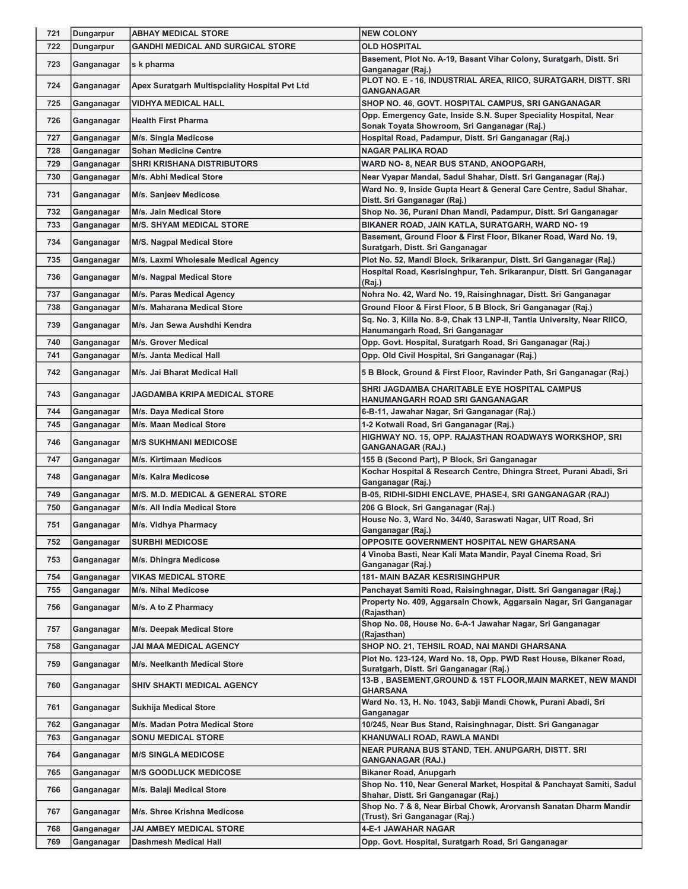| 721 | Dungarpur  | <b>ABHAY MEDICAL STORE</b>                     | <b>NEW COLONY</b>                                                                                                |
|-----|------------|------------------------------------------------|------------------------------------------------------------------------------------------------------------------|
| 722 | Dungarpur  | <b>GANDHI MEDICAL AND SURGICAL STORE</b>       | <b>OLD HOSPITAL</b>                                                                                              |
| 723 | Ganganagar | s k pharma                                     | Basement, Plot No. A-19, Basant Vihar Colony, Suratgarh, Distt. Sri                                              |
|     |            |                                                | Ganganagar (Raj.)<br>PLOT NO. E - 16, INDUSTRIAL AREA, RIICO, SURATGARH, DISTT. SRI                              |
| 724 | Ganganagar | Apex Suratgarh Multispciality Hospital Pvt Ltd | GANGANAGAR                                                                                                       |
| 725 | Ganganagar | <b>VIDHYA MEDICAL HALL</b>                     | SHOP NO. 46, GOVT. HOSPITAL CAMPUS, SRI GANGANAGAR                                                               |
| 726 | Ganganagar | <b>Health First Pharma</b>                     | Opp. Emergency Gate, Inside S.N. Super Speciality Hospital, Near<br>Sonak Toyata Showroom, Sri Ganganagar (Raj.) |
| 727 | Ganganagar | M/s. Singla Medicose                           | Hospital Road, Padampur, Distt. Sri Ganganagar (Raj.)                                                            |
| 728 | Ganganagar | <b>Sohan Medicine Centre</b>                   | <b>NAGAR PALIKA ROAD</b>                                                                                         |
| 729 | Ganganagar | <b>SHRI KRISHANA DISTRIBUTORS</b>              | WARD NO- 8, NEAR BUS STAND, ANOOPGARH,                                                                           |
| 730 | Ganganagar | M/s. Abhi Medical Store                        | Near Vyapar Mandal, Sadul Shahar, Distt. Sri Ganganagar (Raj.)                                                   |
| 731 | Ganganagar | M/s. Sanjeev Medicose                          | Ward No. 9, Inside Gupta Heart & General Care Centre, Sadul Shahar,<br>Distt. Sri Ganganagar (Raj.)              |
| 732 | Ganganagar | M/s. Jain Medical Store                        | Shop No. 36, Purani Dhan Mandi, Padampur, Distt. Sri Ganganagar                                                  |
| 733 | Ganganagar | <b>M/S. SHYAM MEDICAL STORE</b>                | BIKANER ROAD, JAIN KATLA, SURATGARH, WARD NO-19                                                                  |
| 734 | Ganganagar | <b>M/S. Nagpal Medical Store</b>               | Basement, Ground Floor & First Floor, Bikaner Road, Ward No. 19,<br>Suratgarh, Distt. Sri Ganganagar             |
| 735 | Ganganagar | M/s. Laxmi Wholesale Medical Agency            | Plot No. 52, Mandi Block, Srikaranpur, Distt. Sri Ganganagar (Raj.)                                              |
| 736 | Ganganagar | M/s. Nagpal Medical Store                      | Hospital Road, Kesrisinghpur, Teh. Srikaranpur, Distt. Sri Ganganagar<br>(Raj.)                                  |
| 737 | Ganganagar | M/s. Paras Medical Agency                      | Nohra No. 42, Ward No. 19, Raisinghnagar, Distt. Sri Ganganagar                                                  |
| 738 | Ganganagar | M/s. Maharana Medical Store                    | Ground Floor & First Floor, 5 B Block, Sri Ganganagar (Raj.)                                                     |
| 739 | Ganganagar | M/s. Jan Sewa Aushdhi Kendra                   | Sq. No. 3, Killa No. 8-9, Chak 13 LNP-II, Tantia University, Near RIICO,<br>Hanumangarh Road, Sri Ganganagar     |
| 740 | Ganganagar | M/s. Grover Medical                            | Opp. Govt. Hospital, Suratgarh Road, Sri Ganganagar (Raj.)                                                       |
| 741 | Ganganagar | M/s. Janta Medical Hall                        | Opp. Old Civil Hospital, Sri Ganganagar (Raj.)                                                                   |
| 742 | Ganganagar | M/s. Jai Bharat Medical Hall                   | 5 B Block, Ground & First Floor, Ravinder Path, Sri Ganganagar (Raj.)                                            |
| 743 | Ganganagar | <b>JAGDAMBA KRIPA MEDICAL STORE</b>            | SHRI JAGDAMBA CHARITABLE EYE HOSPITAL CAMPUS<br>HANUMANGARH ROAD SRI GANGANAGAR                                  |
| 744 | Ganganagar | M/s. Daya Medical Store                        | 6-B-11, Jawahar Nagar, Sri Ganganagar (Raj.)                                                                     |
| 745 | Ganganagar | M/s. Maan Medical Store                        | 1-2 Kotwali Road, Sri Ganganagar (Raj.)                                                                          |
| 746 | Ganganagar | <b>M/S SUKHMANI MEDICOSE</b>                   | HIGHWAY NO. 15, OPP. RAJASTHAN ROADWAYS WORKSHOP, SRI<br><b>GANGANAGAR (RAJ.)</b>                                |
| 747 | Ganganagar | <b>M/s. Kirtimaan Medicos</b>                  | 155 B (Second Part), P Block, Sri Ganganagar                                                                     |
| 748 | Ganganagar | M/s. Kalra Medicose                            | Kochar Hospital & Research Centre, Dhingra Street, Purani Abadi, Sri<br>Ganganagar (Raj.)                        |
| 749 | Ganganagar | <b>M/S. M.D. MEDICAL &amp; GENERAL STORE</b>   | B-05, RIDHI-SIDHI ENCLAVE, PHASE-I, SRI GANGANAGAR (RAJ)                                                         |
| 750 | Ganganagar | M/s. All India Medical Store                   | 206 G Block, Sri Ganganagar (Raj.)                                                                               |
| 751 | Ganganagar | M/s. Vidhya Pharmacy                           | House No. 3, Ward No. 34/40, Saraswati Nagar, UIT Road, Sri<br>Ganganagar (Raj.)                                 |
| 752 | Ganganagar | <b>SURBHI MEDICOSE</b>                         | OPPOSITE GOVERNMENT HOSPITAL NEW GHARSANA                                                                        |
| 753 | Ganganagar | M/s. Dhingra Medicose                          | 4 Vinoba Basti, Near Kali Mata Mandir, Payal Cinema Road, Sri<br>Ganganagar (Raj.)                               |
| 754 | Ganganagar | <b>VIKAS MEDICAL STORE</b>                     | <b>181- MAIN BAZAR KESRISINGHPUR</b>                                                                             |
| 755 | Ganganagar | M/s. Nihal Medicose                            | Panchayat Samiti Road, Raisinghnagar, Distt. Sri Ganganagar (Raj.)                                               |
| 756 | Ganganagar | M/s. A to Z Pharmacy                           | Property No. 409, Aggarsain Chowk, Aggarsain Nagar, Sri Ganganagar<br>(Rajasthan)                                |
| 757 | Ganganagar | M/s. Deepak Medical Store                      | Shop No. 08, House No. 6-A-1 Jawahar Nagar, Sri Ganganagar<br>(Rajasthan)                                        |
| 758 | Ganganagar | JAI MAA MEDICAL AGENCY                         | SHOP NO. 21, TEHSIL ROAD, NAI MANDI GHARSANA                                                                     |
| 759 | Ganganagar | M/s. Neelkanth Medical Store                   | Plot No. 123-124, Ward No. 18, Opp. PWD Rest House, Bikaner Road,<br>Suratgarh, Distt. Sri Ganganagar (Raj.)     |
| 760 | Ganganagar | <b>SHIV SHAKTI MEDICAL AGENCY</b>              | 13-B, BASEMENT, GROUND & 1ST FLOOR, MAIN MARKET, NEW MANDI<br><b>GHARSANA</b>                                    |
| 761 | Ganganagar | <b>Sukhija Medical Store</b>                   | Ward No. 13, H. No. 1043, Sabji Mandi Chowk, Purani Abadi, Sri<br>Ganganagar                                     |
| 762 | Ganganagar | M/s. Madan Potra Medical Store                 | 10/245, Near Bus Stand, Raisinghnagar, Distt. Sri Ganganagar                                                     |
| 763 | Ganganagar | <b>SONU MEDICAL STORE</b>                      | KHANUWALI ROAD, RAWLA MANDI                                                                                      |
| 764 | Ganganagar | <b>M/S SINGLA MEDICOSE</b>                     | NEAR PURANA BUS STAND, TEH. ANUPGARH, DISTT. SRI<br><b>GANGANAGAR (RAJ.)</b>                                     |
| 765 | Ganganagar | <b>M/S GOODLUCK MEDICOSE</b>                   | <b>Bikaner Road, Anupgarh</b>                                                                                    |
| 766 | Ganganagar | M/s. Balaji Medical Store                      | Shop No. 110, Near General Market, Hospital & Panchayat Samiti, Sadul<br>Shahar, Distt. Sri Ganganagar (Raj.)    |
| 767 | Ganganagar | M/s. Shree Krishna Medicose                    | Shop No. 7 & 8, Near Birbal Chowk, Arorvansh Sanatan Dharm Mandir<br>(Trust), Sri Ganganagar (Raj.)              |
| 768 | Ganganagar | <b>JAI AMBEY MEDICAL STORE</b>                 | <b>4-E-1 JAWAHAR NAGAR</b>                                                                                       |
| 769 | Ganganagar | <b>Dashmesh Medical Hall</b>                   | Opp. Govt. Hospital, Suratgarh Road, Sri Ganganagar                                                              |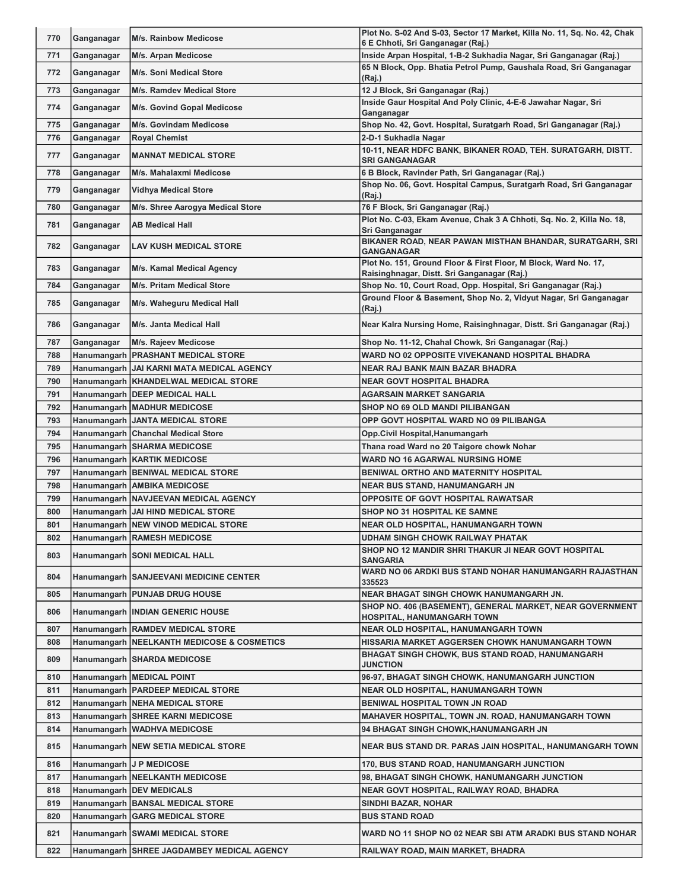| 770 | Ganganagar | <b>M/s. Rainbow Medicose</b>                                        | Plot No. S-02 And S-03, Sector 17 Market, Killa No. 11, Sq. No. 42, Chak                                |
|-----|------------|---------------------------------------------------------------------|---------------------------------------------------------------------------------------------------------|
| 771 | Ganganagar | M/s. Arpan Medicose                                                 | 6 E Chhoti, Sri Ganganagar (Raj.)<br>Inside Arpan Hospital, 1-B-2 Sukhadia Nagar, Sri Ganganagar (Raj.) |
| 772 |            | M/s. Soni Medical Store                                             | 65 N Block, Opp. Bhatia Petrol Pump, Gaushala Road, Sri Ganganagar                                      |
|     | Ganganagar |                                                                     | (Raj.)                                                                                                  |
| 773 | Ganganagar | <b>M/s. Ramdev Medical Store</b>                                    | 12 J Block, Sri Ganganagar (Raj.)<br>Inside Gaur Hospital And Poly Clinic, 4-E-6 Jawahar Nagar, Sri     |
| 774 | Ganganagar | M/s. Govind Gopal Medicose                                          | Ganganagar                                                                                              |
| 775 | Ganganagar | M/s. Govindam Medicose                                              | Shop No. 42, Govt. Hospital, Suratgarh Road, Sri Ganganagar (Raj.)                                      |
| 776 | Ganganagar | <b>Royal Chemist</b>                                                | 2-D-1 Sukhadia Nagar                                                                                    |
| 777 | Ganganagar | <b>MANNAT MEDICAL STORE</b>                                         | 10-11, NEAR HDFC BANK, BIKANER ROAD, TEH. SURATGARH, DISTT.<br><b>SRI GANGANAGAR</b>                    |
| 778 | Ganganagar | M/s. Mahalaxmi Medicose                                             | 6 B Block, Ravinder Path, Sri Ganganagar (Raj.)                                                         |
| 779 | Ganganagar | <b>Vidhya Medical Store</b>                                         | Shop No. 06, Govt. Hospital Campus, Suratgarh Road, Sri Ganganagar<br>(Raj.)                            |
| 780 | Ganganagar | M/s. Shree Aarogya Medical Store                                    | 76 F Block, Sri Ganganagar (Raj.)                                                                       |
| 781 | Ganganagar | <b>AB Medical Hall</b>                                              | Plot No. C-03, Ekam Avenue, Chak 3 A Chhoti, Sq. No. 2, Killa No. 18,                                   |
|     |            |                                                                     | Sri Ganganagar<br>BIKANER ROAD, NEAR PAWAN MISTHAN BHANDAR, SURATGARH, SRI                              |
| 782 | Ganganagar | <b>LAV KUSH MEDICAL STORE</b>                                       | GANGANAGAR<br>Plot No. 151, Ground Floor & First Floor, M Block, Ward No. 17,                           |
| 783 | Ganganagar | M/s. Kamal Medical Agency                                           | Raisinghnagar, Distt. Sri Ganganagar (Raj.)                                                             |
| 784 | Ganganagar | <b>M/s. Pritam Medical Store</b>                                    | Shop No. 10, Court Road, Opp. Hospital, Sri Ganganagar (Raj.)                                           |
| 785 | Ganganagar | M/s. Waheguru Medical Hall                                          | Ground Floor & Basement, Shop No. 2, Vidyut Nagar, Sri Ganganagar<br>(Raj.)                             |
| 786 | Ganganagar | M/s. Janta Medical Hall                                             | Near Kalra Nursing Home, Raisinghnagar, Distt. Sri Ganganagar (Raj.)                                    |
| 787 | Ganganagar | M/s. Rajeev Medicose                                                | Shop No. 11-12, Chahal Chowk, Sri Ganganagar (Raj.)                                                     |
| 788 |            | Hanumangarh   PRASHANT MEDICAL STORE                                | WARD NO 02 OPPOSITE VIVEKANAND HOSPITAL BHADRA                                                          |
| 789 |            | Hanumangarh JAI KARNI MATA MEDICAL AGENCY                           | <b>NEAR RAJ BANK MAIN BAZAR BHADRA</b>                                                                  |
| 790 |            | Hanumangarh   KHANDELWAL MEDICAL STORE                              | <b>NEAR GOVT HOSPITAL BHADRA</b>                                                                        |
| 791 |            | Hanumangarh DEEP MEDICAL HALL                                       | AGARSAIN MARKET SANGARIA                                                                                |
| 792 |            | Hanumangarh MADHUR MEDICOSE                                         | <b>SHOP NO 69 OLD MANDI PILIBANGAN</b>                                                                  |
| 793 |            | Hanumangarh JANTA MEDICAL STORE                                     | OPP GOVT HOSPITAL WARD NO 09 PILIBANGA                                                                  |
| 794 |            | Hanumangarh   Chanchal Medical Store                                | Opp.Civil Hospital, Hanumangarh                                                                         |
| 795 |            | <b>Hanumangarh SHARMA MEDICOSE</b>                                  | Thana road Ward no 20 Taigore chowk Nohar                                                               |
| 796 |            | Hanumangarh   KARTIK MEDICOSE                                       | WARD NO 16 AGARWAL NURSING HOME                                                                         |
| 797 |            | Hanumangarh   BENIWAL MEDICAL STORE                                 | BENIWAL ORTHO AND MATERNITY HOSPITAL                                                                    |
| 798 |            | Hanumangarh AMBIKA MEDICOSE                                         | NEAR BUS STAND, HANUMANGARH JN                                                                          |
| 799 |            | Hanumangarh NAVJEEVAN MEDICAL AGENCY                                | <b>OPPOSITE OF GOVT HOSPITAL RAWATSAR</b>                                                               |
| 800 |            | Hanumangarh JAI HIND MEDICAL STORE                                  | <b>SHOP NO 31 HOSPITAL KE SAMNE</b>                                                                     |
| 801 |            | Hanumangarh NEW VINOD MEDICAL STORE                                 | NEAR OLD HOSPITAL, HANUMANGARH TOWN                                                                     |
| 802 |            | <b>Hanumangarh RAMESH MEDICOSE</b>                                  | <b>UDHAM SINGH CHOWK RAILWAY PHATAK</b>                                                                 |
|     |            |                                                                     | SHOP NO 12 MANDIR SHRI THAKUR JI NEAR GOVT HOSPITAL                                                     |
| 803 |            | Hanumangarh SONI MEDICAL HALL                                       | <b>SANGARIA</b><br>WARD NO 06 ARDKI BUS STAND NOHAR HANUMANGARH RAJASTHAN                               |
| 804 |            | Hanumangarh SANJEEVANI MEDICINE CENTER                              | 335523                                                                                                  |
| 805 |            | Hanumangarh   PUNJAB DRUG HOUSE                                     | NEAR BHAGAT SINGH CHOWK HANUMANGARH JN.                                                                 |
| 806 |            | Hanumangarh   INDIAN GENERIC HOUSE                                  | SHOP NO. 406 (BASEMENT), GENERAL MARKET, NEAR GOVERNMENT<br><b>HOSPITAL, HANUMANGARH TOWN</b>           |
| 807 |            | Hanumangarh RAMDEV MEDICAL STORE                                    | NEAR OLD HOSPITAL, HANUMANGARH TOWN                                                                     |
| 808 |            | Hanumangarh  NEELKANTH MEDICOSE & COSMETICS                         | HISSARIA MARKET AGGERSEN CHOWK HANUMANGARH TOWN                                                         |
| 809 |            | Hanumangarh SHARDA MEDICOSE                                         | <b>BHAGAT SINGH CHOWK, BUS STAND ROAD, HANUMANGARH</b><br><b>JUNCTION</b>                               |
| 810 |            | <b>Hanumangarh   MEDICAL POINT</b>                                  | 96-97, BHAGAT SINGH CHOWK, HANUMANGARH JUNCTION                                                         |
| 811 |            | Hanumangarh   PARDEEP MEDICAL STORE                                 | <b>NEAR OLD HOSPITAL, HANUMANGARH TOWN</b>                                                              |
| 812 |            | Hanumangarh NEHA MEDICAL STORE                                      | BENIWAL HOSPITAL TOWN JN ROAD                                                                           |
| 813 |            | Hanumangarh SHREE KARNI MEDICOSE                                    | MAHAVER HOSPITAL, TOWN JN. ROAD, HANUMANGARH TOWN                                                       |
| 814 |            | Hanumangarh WADHVA MEDICOSE                                         | 94 BHAGAT SINGH CHOWK, HANUMANGARH JN                                                                   |
| 815 |            | Hanumangarh   NEW SETIA MEDICAL STORE                               | NEAR BUS STAND DR. PARAS JAIN HOSPITAL, HANUMANGARH TOWN                                                |
| 816 |            | Hanumangarh   J P MEDICOSE                                          | 170, BUS STAND ROAD, HANUMANGARH JUNCTION                                                               |
| 817 |            | Hanumangarh   NEELKANTH MEDICOSE                                    | 98, BHAGAT SINGH CHOWK, HANUMANGARH JUNCTION                                                            |
| 818 |            | <b>Hanumangarh   DEV MEDICALS</b>                                   | NEAR GOVT HOSPITAL, RAILWAY ROAD, BHADRA                                                                |
| 819 |            | Hanumangarh   BANSAL MEDICAL STORE                                  | SINDHI BAZAR, NOHAR                                                                                     |
|     |            |                                                                     |                                                                                                         |
| 820 |            |                                                                     | <b>BUS STAND ROAD</b>                                                                                   |
| 821 |            | Hanumangarh   GARG MEDICAL STORE<br>Hanumangarh SWAMI MEDICAL STORE | WARD NO 11 SHOP NO 02 NEAR SBI ATM ARADKI BUS STAND NOHAR                                               |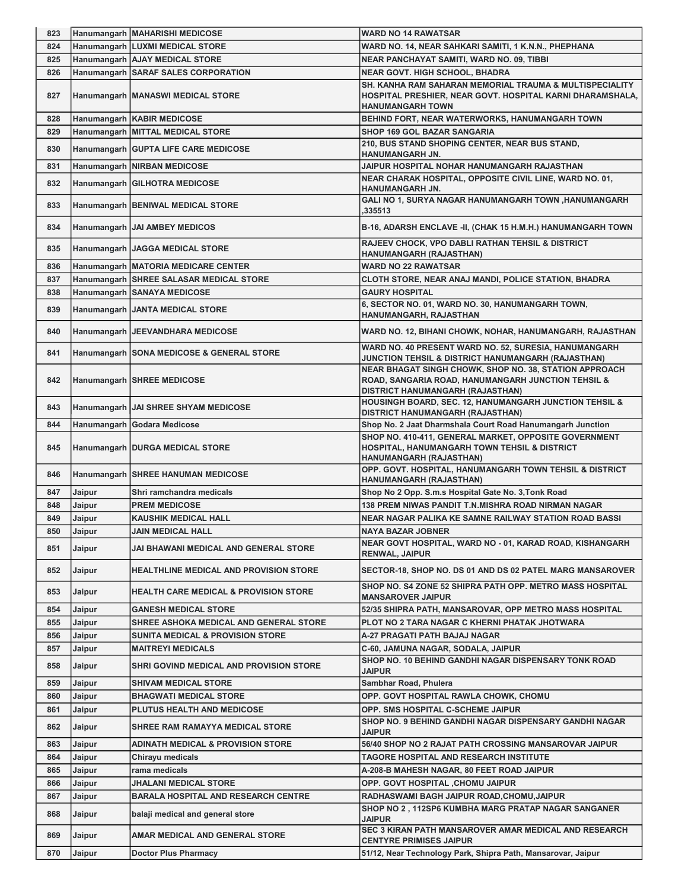| 823        |                  | Hanumangarh MAHARISHI MEDICOSE                                      | <b>WARD NO 14 RAWATSAR</b>                                                                                                                       |
|------------|------------------|---------------------------------------------------------------------|--------------------------------------------------------------------------------------------------------------------------------------------------|
| 824        |                  | Hanumangarh LUXMI MEDICAL STORE                                     | WARD NO. 14, NEAR SAHKARI SAMITI, 1 K.N.N., PHEPHANA                                                                                             |
| 825        |                  | Hanumangarh AJAY MEDICAL STORE                                      | NEAR PANCHAYAT SAMITI, WARD NO. 09, TIBBI                                                                                                        |
| 826        |                  | Hanumangarh SARAF SALES CORPORATION                                 | <b>NEAR GOVT. HIGH SCHOOL, BHADRA</b>                                                                                                            |
| 827        |                  | Hanumangarh   MANASWI MEDICAL STORE                                 | SH. KANHA RAM SAHARAN MEMORIAL TRAUMA & MULTISPECIALITY<br>HOSPITAL PRESHIER, NEAR GOVT. HOSPITAL KARNI DHARAMSHALA,<br><b>HANUMANGARH TOWN</b>  |
| 828        |                  | Hanumangarh   KABIR MEDICOSE                                        | BEHIND FORT, NEAR WATERWORKS, HANUMANGARH TOWN                                                                                                   |
| 829        |                  | Hanumangarh MITTAL MEDICAL STORE                                    | SHOP 169 GOL BAZAR SANGARIA                                                                                                                      |
| 830        |                  | Hanumangarh GUPTA LIFE CARE MEDICOSE                                | 210, BUS STAND SHOPING CENTER, NEAR BUS STAND,<br>HANUMANGARH JN.                                                                                |
| 831        |                  | Hanumangarh NIRBAN MEDICOSE                                         | JAIPUR HOSPITAL NOHAR HANUMANGARH RAJASTHAN                                                                                                      |
| 832        |                  | <b>Hanumangarh GILHOTRA MEDICOSE</b>                                | NEAR CHARAK HOSPITAL, OPPOSITE CIVIL LINE, WARD NO. 01,<br>HANUMANGARH JN.                                                                       |
| 833        |                  | Hanumangarh BENIWAL MEDICAL STORE                                   | <b>GALI NO 1, SURYA NAGAR HANUMANGARH TOWN ,HANUMANGARH</b><br>335513                                                                            |
| 834        |                  | Hanumangarh   JAI AMBEY MEDICOS                                     | B-16, ADARSH ENCLAVE -II, (CHAK 15 H.M.H.) HANUMANGARH TOWN                                                                                      |
| 835        |                  | Hanumangarh   JAGGA MEDICAL STORE                                   | RAJEEV CHOCK, VPO DABLI RATHAN TEHSIL & DISTRICT<br>HANUMANGARH (RAJASTHAN)                                                                      |
| 836        |                  | Hanumangarh   MATORIA MEDICARE CENTER                               | <b>WARD NO 22 RAWATSAR</b>                                                                                                                       |
| 837        |                  | Hanumangarh SHREE SALASAR MEDICAL STORE                             | CLOTH STORE, NEAR ANAJ MANDI, POLICE STATION, BHADRA                                                                                             |
| 838        |                  | Hanumangarh SANAYA MEDICOSE                                         | <b>GAURY HOSPITAL</b>                                                                                                                            |
| 839        |                  | Hanumangarh JANTA MEDICAL STORE                                     | 6, SECTOR NO. 01, WARD NO. 30, HANUMANGARH TOWN,<br>HANUMANGARH, RAJASTHAN                                                                       |
| 840        |                  | Hanumangarh   JEEVANDHARA MEDICOSE                                  | WARD NO. 12, BIHANI CHOWK, NOHAR, HANUMANGARH, RAJASTHAN                                                                                         |
| 841        |                  | Hanumangarh SONA MEDICOSE & GENERAL STORE                           | WARD NO. 40 PRESENT WARD NO. 52, SURESIA, HANUMANGARH<br>JUNCTION TEHSIL & DISTRICT HANUMANGARH (RAJASTHAN)                                      |
| 842        |                  | Hanumangarh SHREE MEDICOSE                                          | NEAR BHAGAT SINGH CHOWK, SHOP NO. 38, STATION APPROACH<br>ROAD, SANGARIA ROAD, HANUMANGARH JUNCTION TEHSIL &<br>DISTRICT HANUMANGARH (RAJASTHAN) |
| 843        |                  | Hanumangarh JJAI SHREE SHYAM MEDICOSE                               | HOUSINGH BOARD, SEC. 12, HANUMANGARH JUNCTION TEHSIL &<br>DISTRICT HANUMANGARH (RAJASTHAN)                                                       |
| 844        |                  | Hanumangarh Godara Medicose                                         | Shop No. 2 Jaat Dharmshala Court Road Hanumangarh Junction                                                                                       |
| 845        |                  | <b>Hanumangarh   DURGA MEDICAL STORE</b>                            | SHOP NO. 410-411, GENERAL MARKET, OPPOSITE GOVERNMENT<br>HOSPITAL, HANUMANGARH TOWN TEHSIL & DISTRICT<br>HANUMANGARH (RAJASTHAN)                 |
| 846        |                  | Hanumangarh SHREE HANUMAN MEDICOSE                                  | OPP. GOVT. HOSPITAL, HANUMANGARH TOWN TEHSIL & DISTRICT<br>HANUMANGARH (RAJASTHAN)                                                               |
| 847        | Jaipur           | Shri ramchandra medicals                                            | Shop No 2 Opp. S.m.s Hospital Gate No. 3, Tonk Road                                                                                              |
| 848        | Jaipur           | <b>PREM MEDICOSE</b>                                                | 138 PREM NIWAS PANDIT T.N.MISHRA ROAD NIRMAN NAGAR                                                                                               |
| 849        | Jaipur           | <b>KAUSHIK MEDICAL HALL</b>                                         | NEAR NAGAR PALIKA KE SAMNE RAILWAY STATION ROAD BASSI                                                                                            |
| 850        | Jaipur           | <b>JAIN MEDICAL HALL</b>                                            | <b>NAYA BAZAR JOBNER</b>                                                                                                                         |
| 851        | Jaipur           | JAI BHAWANI MEDICAL AND GENERAL STORE                               | NEAR GOVT HOSPITAL, WARD NO - 01, KARAD ROAD, KISHANGARH<br><b>RENWAL, JAIPUR</b>                                                                |
| 852        | Jaipur           | <b>HEALTHLINE MEDICAL AND PROVISION STORE</b>                       | SECTOR-18, SHOP NO. DS 01 AND DS 02 PATEL MARG MANSAROVER                                                                                        |
| 853        | Jaipur           | <b>HEALTH CARE MEDICAL &amp; PROVISION STORE</b>                    | SHOP NO. S4 ZONE 52 SHIPRA PATH OPP. METRO MASS HOSPITAL<br><b>MANSAROVER JAIPUR</b>                                                             |
| 854        | Jaipur           | <b>GANESH MEDICAL STORE</b>                                         | 52/35 SHIPRA PATH, MANSAROVAR, OPP METRO MASS HOSPITAL                                                                                           |
| 855        | Jaipur           | SHREE ASHOKA MEDICAL AND GENERAL STORE                              | PLOT NO 2 TARA NAGAR C KHERNI PHATAK JHOTWARA                                                                                                    |
| 856        | Jaipur           | SUNITA MEDICAL & PROVISION STORE                                    | A-27 PRAGATI PATH BAJAJ NAGAR                                                                                                                    |
| 857<br>858 | Jaipur<br>Jaipur | <b>MAITREYI MEDICALS</b><br>SHRI GOVIND MEDICAL AND PROVISION STORE | C-60, JAMUNA NAGAR, SODALA, JAIPUR<br>SHOP NO. 10 BEHIND GANDHI NAGAR DISPENSARY TONK ROAD                                                       |
| 859        | Jaipur           | SHIVAM MEDICAL STORE                                                | <b>JAIPUR</b><br>Sambhar Road, Phulera                                                                                                           |
| 860        | Jaipur           | BHAGWATI MEDICAL STORE                                              | OPP. GOVT HOSPITAL RAWLA CHOWK, CHOMU                                                                                                            |
| 861        | Jaipur           | PLUTUS HEALTH AND MEDICOSE                                          | OPP. SMS HOSPITAL C-SCHEME JAIPUR                                                                                                                |
| 862        | Jaipur           | SHREE RAM RAMAYYA MEDICAL STORE                                     | SHOP NO. 9 BEHIND GANDHI NAGAR DISPENSARY GANDHI NAGAR<br><b>JAIPUR</b>                                                                          |
| 863        | Jaipur           | <b>ADINATH MEDICAL &amp; PROVISION STORE</b>                        | 56/40 SHOP NO 2 RAJAT PATH CROSSING MANSAROVAR JAIPUR                                                                                            |
| 864        | Jaipur           | Chirayu medicals                                                    | TAGORE HOSPITAL AND RESEARCH INSTITUTE                                                                                                           |
| 865        | Jaipur           | rama medicals                                                       | A-208-B MAHESH NAGAR, 80 FEET ROAD JAIPUR                                                                                                        |
| 866        | Jaipur           | <b>JHALANI MEDICAL STORE</b>                                        | OPP. GOVT HOSPITAL , CHOMU JAIPUR                                                                                                                |
| 867        | Jaipur           | <b>BARALA HOSPITAL AND RESEARCH CENTRE</b>                          | RADHASWAMI BAGH JAIPUR ROAD, CHOMU, JAIPUR                                                                                                       |
| 868        | Jaipur           | balaji medical and general store                                    | SHOP NO 2, 112SP6 KUMBHA MARG PRATAP NAGAR SANGANER<br><b>JAIPUR</b>                                                                             |
| 869        | Jaipur           | AMAR MEDICAL AND GENERAL STORE                                      | <b>SEC 3 KIRAN PATH MANSAROVER AMAR MEDICAL AND RESEARCH</b><br><b>CENTYRE PRIMISES JAIPUR</b>                                                   |
| 870        | Jaipur           | <b>Doctor Plus Pharmacy</b>                                         | 51/12, Near Technology Park, Shipra Path, Mansarovar, Jaipur                                                                                     |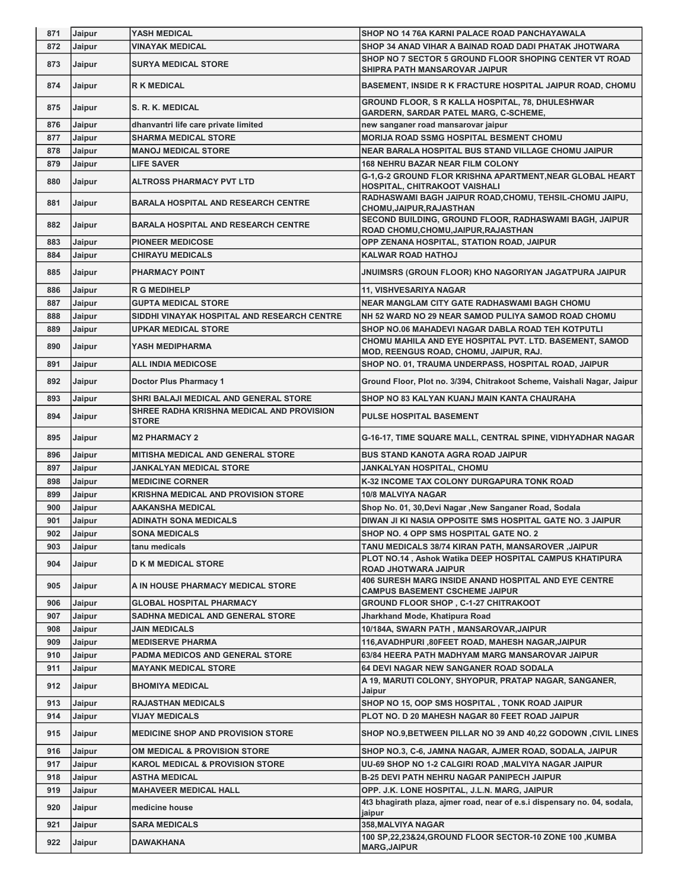| 871 | Jaipur | <b>YASH MEDICAL</b>                                       | SHOP NO 14 76A KARNI PALACE ROAD PANCHAYAWALA                                                            |
|-----|--------|-----------------------------------------------------------|----------------------------------------------------------------------------------------------------------|
| 872 | Jaipur | <b>VINAYAK MEDICAL</b>                                    | SHOP 34 ANAD VIHAR A BAINAD ROAD DADI PHATAK JHOTWARA                                                    |
| 873 | Jaipur | <b>SURYA MEDICAL STORE</b>                                | SHOP NO 7 SECTOR 5 GROUND FLOOR SHOPING CENTER VT ROAD<br>SHIPRA PATH MANSAROVAR JAIPUR                  |
| 874 | Jaipur | <b>R K MEDICAL</b>                                        | <b>BASEMENT, INSIDE R K FRACTURE HOSPITAL JAIPUR ROAD, CHOMU</b>                                         |
| 875 | Jaipur | S. R. K. MEDICAL                                          | <b>GROUND FLOOR, S R KALLA HOSPITAL, 78, DHULESHWAR</b><br><b>GARDERN, SARDAR PATEL MARG, C-SCHEME,</b>  |
| 876 | Jaipur | dhanvantri life care private limited                      | new sanganer road mansarovar jaipur                                                                      |
| 877 | Jaipur | <b>SHARMA MEDICAL STORE</b>                               | <b>MORIJA ROAD SSMG HOSPITAL BESMENT CHOMU</b>                                                           |
| 878 | Jaipur | <b>MANOJ MEDICAL STORE</b>                                | NEAR BARALA HOSPITAL BUS STAND VILLAGE CHOMU JAIPUR                                                      |
| 879 | Jaipur | <b>LIFE SAVER</b>                                         | <b>168 NEHRU BAZAR NEAR FILM COLONY</b>                                                                  |
| 880 | Jaipur | <b>ALTROSS PHARMACY PVT LTD</b>                           | G-1, G-2 GROUND FLOR KRISHNA APARTMENT, NEAR GLOBAL HEART<br>HOSPITAL, CHITRAKOOT VAISHALI               |
| 881 | Jaipur | <b>BARALA HOSPITAL AND RESEARCH CENTRE</b>                | RADHASWAMI BAGH JAIPUR ROAD, CHOMU, TEHSIL-CHOMU JAIPU,<br><b>CHOMU,JAIPUR,RAJASTHAN</b>                 |
| 882 | Jaipur | <b>BARALA HOSPITAL AND RESEARCH CENTRE</b>                | SECOND BUILDING, GROUND FLOOR, RADHASWAMI BAGH, JAIPUR<br>ROAD CHOMU,CHOMU,JAIPUR,RAJASTHAN              |
| 883 | Jaipur | <b>PIONEER MEDICOSE</b>                                   | OPP ZENANA HOSPITAL, STATION ROAD, JAIPUR                                                                |
| 884 | Jaipur | <b>CHIRAYU MEDICALS</b>                                   | <b>KALWAR ROAD HATHOJ</b>                                                                                |
| 885 | Jaipur | <b>PHARMACY POINT</b>                                     | JNUIMSRS (GROUN FLOOR) KHO NAGORIYAN JAGATPURA JAIPUR                                                    |
| 886 | Jaipur | <b>R G MEDIHELP</b>                                       | 11, VISHVESARIYA NAGAR                                                                                   |
| 887 | Jaipur | <b>GUPTA MEDICAL STORE</b>                                | <b>NEAR MANGLAM CITY GATE RADHASWAMI BAGH CHOMU</b>                                                      |
| 888 | Jaipur | SIDDHI VINAYAK HOSPITAL AND RESEARCH CENTRE               | NH 52 WARD NO 29 NEAR SAMOD PULIYA SAMOD ROAD CHOMU                                                      |
| 889 | Jaipur | <b>UPKAR MEDICAL STORE</b>                                | SHOP NO.06 MAHADEVI NAGAR DABLA ROAD TEH KOTPUTLI                                                        |
| 890 | Jaipur | YASH MEDIPHARMA                                           | CHOMU MAHILA AND EYE HOSPITAL PVT. LTD. BASEMENT, SAMOD<br><b>MOD, REENGUS ROAD, CHOMU, JAIPUR, RAJ.</b> |
| 891 | Jaipur | <b>ALL INDIA MEDICOSE</b>                                 | SHOP NO. 01, TRAUMA UNDERPASS, HOSPITAL ROAD, JAIPUR                                                     |
| 892 | Jaipur | Doctor Plus Pharmacy 1                                    | Ground Floor, Plot no. 3/394, Chitrakoot Scheme, Vaishali Nagar, Jaipur                                  |
| 893 | Jaipur | SHRI BALAJI MEDICAL AND GENERAL STORE                     | SHOP NO 83 KALYAN KUANJ MAIN KANTA CHAURAHA                                                              |
| 894 | Jaipur | SHREE RADHA KRISHNA MEDICAL AND PROVISION<br><b>STORE</b> | <b>PULSE HOSPITAL BASEMENT</b>                                                                           |
| 895 | Jaipur | <b>M2 PHARMACY 2</b>                                      | G-16-17, TIME SQUARE MALL, CENTRAL SPINE, VIDHYADHAR NAGAR                                               |
| 896 | Jaipur | <b>MITISHA MEDICAL AND GENERAL STORE</b>                  | <b>BUS STAND KANOTA AGRA ROAD JAIPUR</b>                                                                 |
| 897 | Jaipur | JANKALYAN MEDICAL STORE                                   | JANKALYAN HOSPITAL, CHOMU                                                                                |
| 898 | Jaipur | <b>MEDICINE CORNER</b>                                    | K-32 INCOME TAX COLONY DURGAPURA TONK ROAD                                                               |
| 899 | Jaipur | <b>KRISHNA MEDICAL AND PROVISION STORE</b>                | 10/8 MALVIYA NAGAR                                                                                       |
| 900 | Jaipur | <b>AAKANSHA MEDICAL</b>                                   | Shop No. 01, 30, Devi Nagar , New Sanganer Road, Sodala                                                  |
| 901 | Jaipur | <b>ADINATH SONA MEDICALS</b>                              | DIWAN JI KI NASIA OPPOSITE SMS HOSPITAL GATE NO. 3 JAIPUR                                                |
| 902 | Jaipur | <b>SONA MEDICALS</b>                                      | SHOP NO. 4 OPP SMS HOSPITAL GATE NO. 2                                                                   |
| 903 | Jaipur | tanu medicals                                             | TANU MEDICALS 38/74 KIRAN PATH, MANSAROVER ,JAIPUR                                                       |
| 904 | Jaipur | <b>D K M MEDICAL STORE</b>                                | PLOT NO.14, Ashok Watika DEEP HOSPITAL CAMPUS KHATIPURA<br><b>ROAD JHOTWARA JAIPUR</b>                   |
| 905 | Jaipur | A IN HOUSE PHARMACY MEDICAL STORE                         | 406 SURESH MARG INSIDE ANAND HOSPITAL AND EYE CENTRE<br><b>CAMPUS BASEMENT CSCHEME JAIPUR</b>            |
| 906 | Jaipur | <b>GLOBAL HOSPITAL PHARMACY</b>                           | <b>GROUND FLOOR SHOP, C-1-27 CHITRAKOOT</b>                                                              |
| 907 | Jaipur | SADHNA MEDICAL AND GENERAL STORE                          | Jharkhand Mode, Khatipura Road                                                                           |
| 908 | Jaipur | <b>JAIN MEDICALS</b>                                      | 10/184A, SWARN PATH, MANSAROVAR, JAIPUR                                                                  |
| 909 | Jaipur | <b>MEDISERVE PHARMA</b>                                   | 116, AVADHPURI, 80FEET ROAD, MAHESH NAGAR, JAIPUR                                                        |
| 910 | Jaipur | <b>PADMA MEDICOS AND GENERAL STORE</b>                    | 63/84 HEERA PATH MADHYAM MARG MANSAROVAR JAIPUR                                                          |
| 911 | Jaipur | <b>MAYANK MEDICAL STORE</b>                               | 64 DEVI NAGAR NEW SANGANER ROAD SODALA                                                                   |
| 912 | Jaipur | <b>BHOMIYA MEDICAL</b>                                    | A 19, MARUTI COLONY, SHYOPUR, PRATAP NAGAR, SANGANER,<br>Jaipur                                          |
| 913 | Jaipur | <b>RAJASTHAN MEDICALS</b>                                 | SHOP NO 15, OOP SMS HOSPITAL, TONK ROAD JAIPUR                                                           |
| 914 | Jaipur | <b>VIJAY MEDICALS</b>                                     | PLOT NO. D 20 MAHESH NAGAR 80 FEET ROAD JAIPUR                                                           |
| 915 | Jaipur | <b>MEDICINE SHOP AND PROVISION STORE</b>                  | SHOP NO.9, BETWEEN PILLAR NO 39 AND 40,22 GODOWN, CIVIL LINES                                            |
| 916 | Jaipur | OM MEDICAL & PROVISION STORE                              | SHOP NO.3, C-6, JAMNA NAGAR, AJMER ROAD, SODALA, JAIPUR                                                  |
| 917 | Jaipur | <b>KAROL MEDICAL &amp; PROVISION STORE</b>                | UU-69 SHOP NO 1-2 CALGIRI ROAD , MALVIYA NAGAR JAIPUR                                                    |
| 918 | Jaipur | <b>ASTHA MEDICAL</b>                                      | <b>B-25 DEVI PATH NEHRU NAGAR PANIPECH JAIPUR</b>                                                        |
| 919 | Jaipur | <b>MAHAVEER MEDICAL HALL</b>                              | OPP. J.K. LONE HOSPITAL, J.L.N. MARG, JAIPUR                                                             |
| 920 | Jaipur | medicine house                                            | 4t3 bhagirath plaza, ajmer road, near of e.s.i dispensary no. 04, sodala,<br>jaipur                      |
| 921 | Jaipur | <b>SARA MEDICALS</b>                                      | 358, MALVIYA NAGAR                                                                                       |
| 922 | Jaipur | <b>DAWAKHANA</b>                                          | 100 SP,22,23&24,GROUND FLOOR SECTOR-10 ZONE 100 ,KUMBA<br><b>MARG, JAIPUR</b>                            |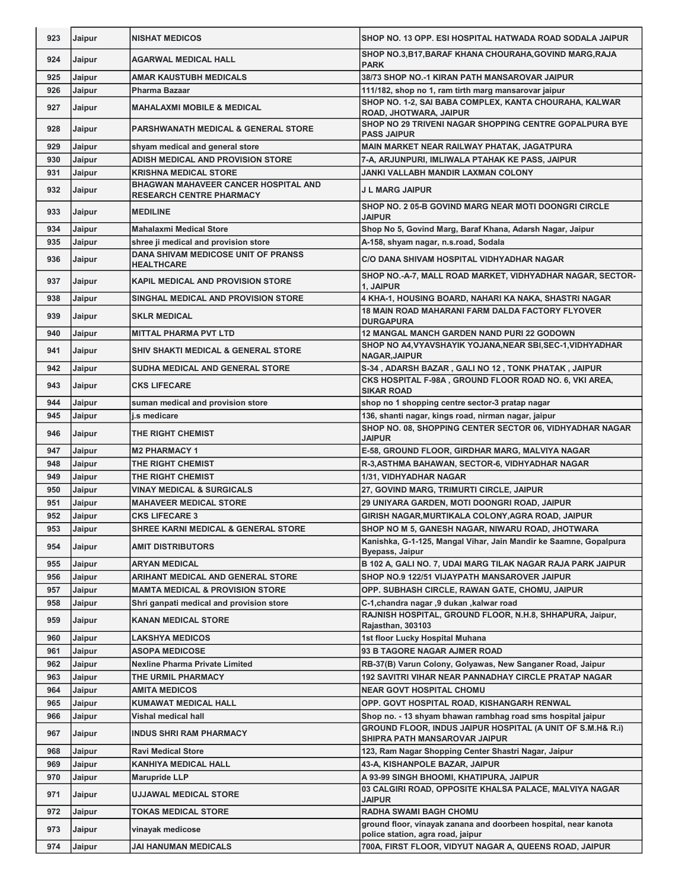| 923        | Jaipur           | <b>NISHAT MEDICOS</b>                                                          | SHOP NO. 13 OPP. ESI HOSPITAL HATWADA ROAD SODALA JAIPUR                                                              |
|------------|------------------|--------------------------------------------------------------------------------|-----------------------------------------------------------------------------------------------------------------------|
| 924        | Jaipur           | <b>AGARWAL MEDICAL HALL</b>                                                    | SHOP NO.3, B17, BARAF KHANA CHOURAHA, GOVIND MARG, RAJA<br><b>PARK</b>                                                |
| 925        | Jaipur           | <b>AMAR KAUSTUBH MEDICALS</b>                                                  | 38/73 SHOP NO.-1 KIRAN PATH MANSAROVAR JAIPUR                                                                         |
| 926        | Jaipur           | Pharma Bazaar                                                                  | 111/182, shop no 1, ram tirth marg mansarovar jaipur                                                                  |
| 927        | Jaipur           | <b>MAHALAXMI MOBILE &amp; MEDICAL</b>                                          | SHOP NO. 1-2, SAI BABA COMPLEX, KANTA CHOURAHA, KALWAR<br>ROAD, JHOTWARA, JAIPUR                                      |
| 928        | Jaipur           | <b>PARSHWANATH MEDICAL &amp; GENERAL STORE</b>                                 | SHOP NO 29 TRIVENI NAGAR SHOPPING CENTRE GOPALPURA BYE<br><b>PASS JAIPUR</b>                                          |
| 929        | Jaipur           | shyam medical and general store                                                | MAIN MARKET NEAR RAILWAY PHATAK, JAGATPURA                                                                            |
| 930        | Jaipur           | ADISH MEDICAL AND PROVISION STORE                                              | 7-A, ARJUNPURI, IMLIWALA PTAHAK KE PASS, JAIPUR                                                                       |
| 931        | Jaipur           | <b>KRISHNA MEDICAL STORE</b>                                                   | <b>JANKI VALLABH MANDIR LAXMAN COLONY</b>                                                                             |
| 932        | Jaipur           | <b>BHAGWAN MAHAVEER CANCER HOSPITAL AND</b><br><b>RESEARCH CENTRE PHARMACY</b> | <b>J L MARG JAIPUR</b>                                                                                                |
| 933        | Jaipur           | <b>MEDILINE</b>                                                                | SHOP NO. 2 05-B GOVIND MARG NEAR MOTI DOONGRI CIRCLE<br><b>JAIPUR</b>                                                 |
| 934        | Jaipur           | <b>Mahalaxmi Medical Store</b>                                                 | Shop No 5, Govind Marg, Baraf Khana, Adarsh Nagar, Jaipur                                                             |
| 935        | Jaipur           | shree ji medical and provision store                                           | A-158, shyam nagar, n.s.road, Sodala                                                                                  |
| 936        | Jaipur           | DANA SHIVAM MEDICOSE UNIT OF PRANSS<br><b>HEALTHCARE</b>                       | <b>C/O DANA SHIVAM HOSPITAL VIDHYADHAR NAGAR</b>                                                                      |
| 937        | Jaipur           | <b>KAPIL MEDICAL AND PROVISION STORE</b>                                       | SHOP NO.-A-7, MALL ROAD MARKET, VIDHYADHAR NAGAR, SECTOR-<br>1, JAIPUR                                                |
| 938        | Jaipur           | SINGHAL MEDICAL AND PROVISION STORE                                            | 4 KHA-1, HOUSING BOARD, NAHARI KA NAKA, SHASTRI NAGAR                                                                 |
| 939        | Jaipur           | <b>SKLR MEDICAL</b>                                                            | <b>18 MAIN ROAD MAHARANI FARM DALDA FACTORY FLYOVER</b><br><b>DURGAPURA</b>                                           |
| 940        | Jaipur           | <b>MITTAL PHARMA PVT LTD</b>                                                   | <b>12 MANGAL MANCH GARDEN NAND PURI 22 GODOWN</b>                                                                     |
| 941        | Jaipur           | SHIV SHAKTI MEDICAL & GENERAL STORE                                            | SHOP NO A4, VYAVSHAYIK YOJANA, NEAR SBI, SEC-1, VIDHYADHAR<br><b>NAGAR, JAIPUR</b>                                    |
| 942        | Jaipur           | <b>SUDHA MEDICAL AND GENERAL STORE</b>                                         | S-34, ADARSH BAZAR, GALI NO 12, TONK PHATAK, JAIPUR                                                                   |
| 943        | Jaipur           | <b>CKS LIFECARE</b>                                                            | CKS HOSPITAL F-98A, GROUND FLOOR ROAD NO. 6, VKI AREA,<br><b>SIKAR ROAD</b>                                           |
| 944        | Jaipur           | suman medical and provision store                                              | shop no 1 shopping centre sector-3 pratap nagar                                                                       |
| 945        | Jaipur           | i.s medicare                                                                   | 136, shanti nagar, kings road, nirman nagar, jaipur                                                                   |
| 946        | Jaipur           | THE RIGHT CHEMIST                                                              | SHOP NO. 08, SHOPPING CENTER SECTOR 06, VIDHYADHAR NAGAR<br><b>JAIPUR</b>                                             |
| 947        | Jaipur           | <b>M2 PHARMACY 1</b>                                                           | E-58, GROUND FLOOR, GIRDHAR MARG, MALVIYA NAGAR                                                                       |
| 948        | Jaipur           | THE RIGHT CHEMIST                                                              | R-3, ASTHMA BAHAWAN, SECTOR-6, VIDHYADHAR NAGAR                                                                       |
| 949        | Jaipur           | THE RIGHT CHEMIST                                                              | 1/31, VIDHYADHAR NAGAR                                                                                                |
| 950        | Jaipur           | <b>VINAY MEDICAL &amp; SURGICALS</b>                                           | 27, GOVIND MARG, TRIMURTI CIRCLE, JAIPUR                                                                              |
| 951        | Jaipur           | <b>MAHAVEER MEDICAL STORE</b>                                                  | 29 UNIYARA GARDEN, MOTI DOONGRI ROAD, JAIPUR                                                                          |
| 952        | Jaipur           | <b>CKS LIFECARE 3</b>                                                          | GIRISH NAGAR, MURTIKALA COLONY, AGRA ROAD, JAIPUR                                                                     |
| 953        | Jaipur           | <b>SHREE KARNI MEDICAL &amp; GENERAL STORE</b>                                 | SHOP NO M 5, GANESH NAGAR, NIWARU ROAD, JHOTWARA<br>Kanishka, G-1-125, Mangal Vihar, Jain Mandir ke Saamne, Gopalpura |
| 954        | Jaipur           | <b>AMIT DISTRIBUTORS</b>                                                       | Byepass, Jaipur                                                                                                       |
| 955        | Jaipur           | <b>ARYAN MEDICAL</b>                                                           | B 102 A, GALI NO. 7, UDAI MARG TILAK NAGAR RAJA PARK JAIPUR                                                           |
| 956        | Jaipur           | ARIHANT MEDICAL AND GENERAL STORE                                              | SHOP NO.9 122/51 VIJAYPATH MANSAROVER JAIPUR                                                                          |
| 957        | Jaipur           | <b>MAMTA MEDICAL &amp; PROVISION STORE</b>                                     | OPP. SUBHASH CIRCLE, RAWAN GATE, CHOMU, JAIPUR                                                                        |
| 958<br>959 | Jaipur<br>Jaipur | Shri ganpati medical and provision store<br><b>KANAN MEDICAL STORE</b>         | C-1,chandra nagar ,9 dukan ,kalwar road<br>RAJNISH HOSPITAL, GROUND FLOOR, N.H.8, SHHAPURA, Jaipur,                   |
| 960        | Jaipur           | <b>LAKSHYA MEDICOS</b>                                                         | Rajasthan, 303103<br>1st floor Lucky Hospital Muhana                                                                  |
| 961        | Jaipur           | ASOPA MEDICOSE                                                                 | 93 B TAGORE NAGAR AJMER ROAD                                                                                          |
| 962        | Jaipur           | <b>Nexline Pharma Private Limited</b>                                          | RB-37(B) Varun Colony, Golyawas, New Sanganer Road, Jaipur                                                            |
| 963        | Jaipur           | THE URMIL PHARMACY                                                             | <b>192 SAVITRI VIHAR NEAR PANNADHAY CIRCLE PRATAP NAGAR</b>                                                           |
| 964        | Jaipur           | <b>AMITA MEDICOS</b>                                                           | <b>NEAR GOVT HOSPITAL CHOMU</b>                                                                                       |
| 965        | Jaipur           | <b>KUMAWAT MEDICAL HALL</b>                                                    | OPP. GOVT HOSPITAL ROAD, KISHANGARH RENWAL                                                                            |
| 966        | Jaipur           | Vishal medical hall                                                            | Shop no. - 13 shyam bhawan rambhag road sms hospital jaipur                                                           |
| 967        | Jaipur           | <b>INDUS SHRI RAM PHARMACY</b>                                                 | GROUND FLOOR, INDUS JAIPUR HOSPITAL (A UNIT OF S.M.H& R.i)<br>SHIPRA PATH MANSAROVAR JAIPUR                           |
| 968        | Jaipur           | <b>Ravi Medical Store</b>                                                      | 123, Ram Nagar Shopping Center Shastri Nagar, Jaipur                                                                  |
| 969        | Jaipur           | <b>KANHIYA MEDICAL HALL</b>                                                    | 43-A, KISHANPOLE BAZAR, JAIPUR                                                                                        |
| 970        | Jaipur           | <b>Marupride LLP</b>                                                           | A 93-99 SINGH BHOOMI, KHATIPURA, JAIPUR                                                                               |
| 971        | Jaipur           | <b>UJJAWAL MEDICAL STORE</b>                                                   | 03 CALGIRI ROAD, OPPOSITE KHALSA PALACE, MALVIYA NAGAR<br><b>JAIPUR</b>                                               |
| 972        | Jaipur           | TOKAS MEDICAL STORE                                                            | <b>RADHA SWAMI BAGH CHOMU</b>                                                                                         |
| 973        | Jaipur           | vinayak medicose                                                               | ground floor, vinayak zanana and doorbeen hospital, near kanota<br>police station, agra road, jaipur                  |
| 974        | Jaipur           | JAI HANUMAN MEDICALS                                                           | 700A, FIRST FLOOR, VIDYUT NAGAR A, QUEENS ROAD, JAIPUR                                                                |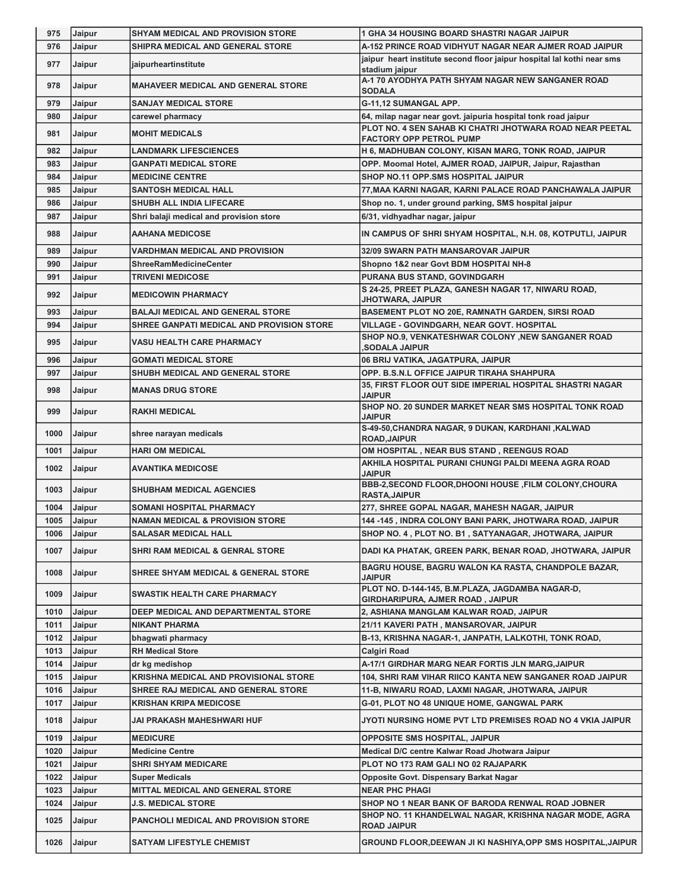| 975  | Jaipur        | SHYAM MEDICAL AND PROVISION STORE              | 1 GHA 34 HOUSING BOARD SHASTRI NAGAR JAIPUR                                          |
|------|---------------|------------------------------------------------|--------------------------------------------------------------------------------------|
| 976  | Jaipur        | SHIPRA MEDICAL AND GENERAL STORE               | A-152 PRINCE ROAD VIDHYUT NAGAR NEAR AJMER ROAD JAIPUR                               |
| 977  | Jaipur        | jaipurheartinstitute                           | jaipur heart institute second floor jaipur hospital lal kothi near sms               |
|      |               |                                                | stadium jaipur                                                                       |
| 978  | Jaipur        | <b>MAHAVEER MEDICAL AND GENERAL STORE</b>      | A-1 70 AYODHYA PATH SHYAM NAGAR NEW SANGANER ROAD<br><b>SODALA</b>                   |
| 979  | Jaipur        | <b>SANJAY MEDICAL STORE</b>                    | G-11,12 SUMANGAL APP.                                                                |
| 980  | Jaipur        | carewel pharmacy                               | 64, milap nagar near govt. jaipuria hospital tonk road jaipur                        |
|      |               |                                                | PLOT NO. 4 SEN SAHAB KI CHATRI JHOTWARA ROAD NEAR PEETAL                             |
| 981  | Jaipur        | <b>MOHIT MEDICALS</b>                          | <b>FACTORY OPP PETROL PUMP</b>                                                       |
| 982  | Jaipur        | <b>LANDMARK LIFESCIENCES</b>                   | H 6, MADHUBAN COLONY, KISAN MARG, TONK ROAD, JAIPUR                                  |
| 983  | Jaipur        | <b>GANPATI MEDICAL STORE</b>                   | OPP. Moomal Hotel, AJMER ROAD, JAIPUR, Jaipur, Rajasthan                             |
| 984  | Jaipur        | <b>MEDICINE CENTRE</b>                         | SHOP NO.11 OPP.SMS HOSPITAL JAIPUR                                                   |
| 985  | Jaipur        | <b>SANTOSH MEDICAL HALL</b>                    | 77, MAA KARNI NAGAR, KARNI PALACE ROAD PANCHAWALA JAIPUR                             |
| 986  | Jaipur        | SHUBH ALL INDIA LIFECARE                       | Shop no. 1, under ground parking, SMS hospital jaipur                                |
| 987  | Jaipur        | Shri balaji medical and provision store        | 6/31, vidhyadhar nagar, jaipur                                                       |
| 988  | Jaipur        | <b>AAHANA MEDICOSE</b>                         | IN CAMPUS OF SHRI SHYAM HOSPITAL, N.H. 08, KOTPUTLI, JAIPUR                          |
| 989  | Jaipur        | <b>VARDHMAN MEDICAL AND PROVISION</b>          | <b>32/09 SWARN PATH MANSAROVAR JAIPUR</b>                                            |
| 990  | Jaipur        | <b>ShreeRamMedicineCenter</b>                  | Shopno 1&2 near Govt BDM HOSPITAI NH-8                                               |
| 991  | Jaipur        | <b>TRIVENI MEDICOSE</b>                        | PURANA BUS STAND, GOVINDGARH                                                         |
| 992  | Jaipur        | <b>MEDICOWIN PHARMACY</b>                      | S 24-25, PREET PLAZA, GANESH NAGAR 17, NIWARU ROAD,<br><b>JHOTWARA, JAIPUR</b>       |
| 993  | Jaipur        | <b>BALAJI MEDICAL AND GENERAL STORE</b>        | BASEMENT PLOT NO 20E, RAMNATH GARDEN, SIRSI ROAD                                     |
| 994  | Jaipur        | SHREE GANPATI MEDICAL AND PROVISION STORE      | VILLAGE - GOVINDGARH, NEAR GOVT. HOSPITAL                                            |
| 995  | Jaipur        | <b>VASU HEALTH CARE PHARMACY</b>               | SHOP NO.9, VENKATESHWAR COLONY , NEW SANGANER ROAD                                   |
|      |               |                                                | ,SODALA JAIPUR                                                                       |
| 996  | Jaipur        | <b>GOMATI MEDICAL STORE</b>                    | 06 BRIJ VATIKA, JAGATPURA, JAIPUR                                                    |
| 997  | Jaipur        | <b>SHUBH MEDICAL AND GENERAL STORE</b>         | OPP. B.S.N.L OFFICE JAIPUR TIRAHA SHAHPURA                                           |
| 998  | Jaipur        | <b>MANAS DRUG STORE</b>                        | 35, FIRST FLOOR OUT SIDE IMPERIAL HOSPITAL SHASTRI NAGAR<br><b>JAIPUR</b>            |
| 999  | Jaipur        | <b>RAKHI MEDICAL</b>                           | SHOP NO. 20 SUNDER MARKET NEAR SMS HOSPITAL TONK ROAD<br><b>JAIPUR</b>               |
| 1000 | Jaipur        | shree narayan medicals                         | S-49-50, CHANDRA NAGAR, 9 DUKAN, KARDHANI, KALWAD<br><b>ROAD, JAIPUR</b>             |
| 1001 | Jaipur        | <b>HARI OM MEDICAL</b>                         | OM HOSPITAL, NEAR BUS STAND, REENGUS ROAD                                            |
| 1002 | Jaipur        | <b>AVANTIKA MEDICOSE</b>                       | AKHILA HOSPITAL PURANI CHUNGI PALDI MEENA AGRA ROAD<br><b>JAIPUR</b>                 |
| 1003 | Jaipur        | <b>SHUBHAM MEDICAL AGENCIES</b>                | BBB-2, SECOND FLOOR, DHOONI HOUSE, FILM COLONY, CHOURA<br><b>RASTA, JAIPUR</b>       |
| 1004 | Jaipur        | <b>SOMANI HOSPITAL PHARMACY</b>                | 277, SHREE GOPAL NAGAR, MAHESH NAGAR, JAIPUR                                         |
| 1005 | <b>Jaipur</b> | <b>NAMAN MEDICAL &amp; PROVISION STORE</b>     | 144 -145, INDRA COLONY BANI PARK, JHOTWARA ROAD, JAIPUR                              |
| 1006 | Jaipur        | <b>SALASAR MEDICAL HALL</b>                    | SHOP NO. 4, PLOT NO. B1, SATYANAGAR, JHOTWARA, JAIPUR                                |
| 1007 | Jaipur        | <b>SHRI RAM MEDICAL &amp; GENRAL STORE</b>     | DADI KA PHATAK, GREEN PARK, BENAR ROAD, JHOTWARA, JAIPUR                             |
| 1008 | Jaipur        | <b>SHREE SHYAM MEDICAL &amp; GENERAL STORE</b> | BAGRU HOUSE, BAGRU WALON KA RASTA, CHANDPOLE BAZAR,<br><b>JAIPUR</b>                 |
| 1009 | Jaipur        | SWASTIK HEALTH CARE PHARMACY                   | PLOT NO. D-144-145, B.M.PLAZA, JAGDAMBA NAGAR-D,<br>GIRDHARIPURA, AJMER ROAD, JAIPUR |
| 1010 | Jaipur        | DEEP MEDICAL AND DEPARTMENTAL STORE            | 2, ASHIANA MANGLAM KALWAR ROAD, JAIPUR                                               |
| 1011 | Jaipur        | <b>NIKANT PHARMA</b>                           | 21/11 KAVERI PATH, MANSAROVAR, JAIPUR                                                |
| 1012 | Jaipur        | bhagwati pharmacy                              | B-13, KRISHNA NAGAR-1, JANPATH, LALKOTHI, TONK ROAD,                                 |
| 1013 | Jaipur        | <b>RH Medical Store</b>                        | Calgiri Road                                                                         |
| 1014 | Jaipur        | dr kg medishop                                 | A-17/1 GIRDHAR MARG NEAR FORTIS JLN MARG,JAIPUR                                      |
| 1015 | Jaipur        | <b>KRISHNA MEDICAL AND PROVISIONAL STORE</b>   | 104, SHRI RAM VIHAR RIICO KANTA NEW SANGANER ROAD JAIPUR                             |
| 1016 | Jaipur        | SHREE RAJ MEDICAL AND GENERAL STORE            | 11-B, NIWARU ROAD, LAXMI NAGAR, JHOTWARA, JAIPUR                                     |
| 1017 | Jaipur        | KRISHAN KRIPA MEDICOSE                         | <b>G-01, PLOT NO 48 UNIQUE HOME, GANGWAL PARK</b>                                    |
| 1018 | Jaipur        | JAI PRAKASH MAHESHWARI HUF                     | JYOTI NURSING HOME PVT LTD PREMISES ROAD NO 4 VKIA JAIPUR                            |
| 1019 | Jaipur        | <b>MEDICURE</b>                                | <b>OPPOSITE SMS HOSPITAL, JAIPUR</b>                                                 |
| 1020 | Jaipur        | <b>Medicine Centre</b>                         | Medical D/C centre Kalwar Road Jhotwara Jaipur                                       |
| 1021 | Jaipur        | <b>SHRI SHYAM MEDICARE</b>                     | PLOT NO 173 RAM GALI NO 02 RAJAPARK                                                  |
| 1022 | Jaipur        | <b>Super Medicals</b>                          | Opposite Govt. Dispensary Barkat Nagar                                               |
| 1023 | Jaipur        | MITTAL MEDICAL AND GENERAL STORE               | <b>NEAR PHC PHAGI</b>                                                                |
| 1024 | Jaipur        | J.S. MEDICAL STORE                             | SHOP NO 1 NEAR BANK OF BARODA RENWAL ROAD JOBNER                                     |
| 1025 | Jaipur        | <b>PANCHOLI MEDICAL AND PROVISION STORE</b>    | SHOP NO. 11 KHANDELWAL NAGAR, KRISHNA NAGAR MODE, AGRA<br><b>ROAD JAIPUR</b>         |
| 1026 | Jaipur        | <b>SATYAM LIFESTYLE CHEMIST</b>                | GROUND FLOOR, DEEWAN JI KI NASHIYA, OPP SMS HOSPITAL, JAIPUR                         |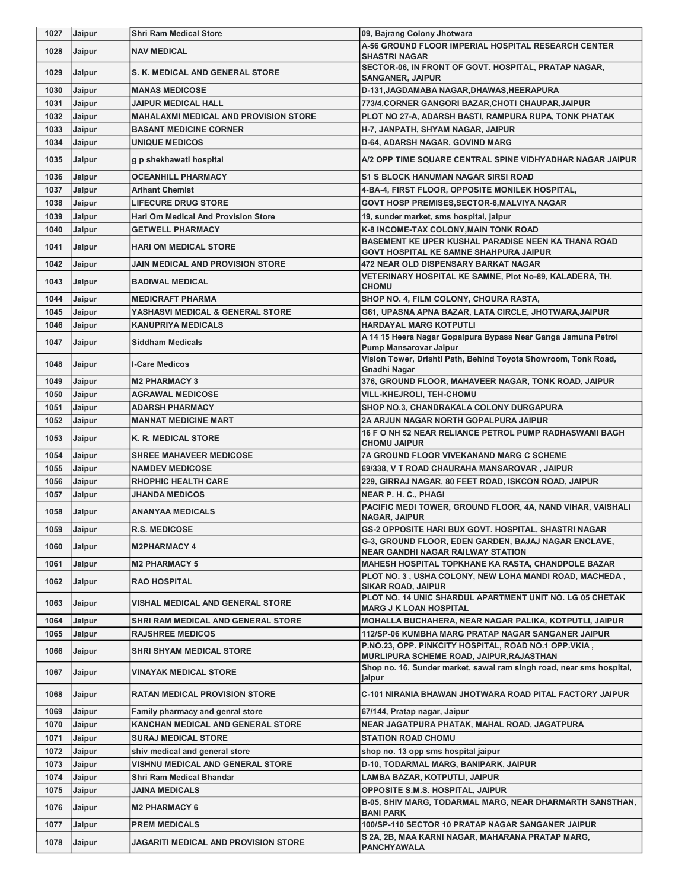| 1027 | Jaipur | <b>Shri Ram Medical Store</b>                | 09, Bajrang Colony Jhotwara                                                                                         |
|------|--------|----------------------------------------------|---------------------------------------------------------------------------------------------------------------------|
| 1028 | Jaipur | <b>NAV MEDICAL</b>                           | A-56 GROUND FLOOR IMPERIAL HOSPITAL RESEARCH CENTER<br><b>SHASTRI NAGAR</b>                                         |
| 1029 | Jaipur | <b>S. K. MEDICAL AND GENERAL STORE</b>       | SECTOR-06, IN FRONT OF GOVT. HOSPITAL, PRATAP NAGAR,<br><b>SANGANER, JAIPUR</b>                                     |
| 1030 | Jaipur | <b>MANAS MEDICOSE</b>                        | D-131, JAGDAMABA NAGAR, DHAWAS, HEERAPURA                                                                           |
| 1031 | Jaipur | <b>JAIPUR MEDICAL HALL</b>                   | 773/4, CORNER GANGORI BAZAR, CHOTI CHAUPAR, JAIPUR                                                                  |
| 1032 | Jaipur | <b>MAHALAXMI MEDICAL AND PROVISION STORE</b> | PLOT NO 27-A, ADARSH BASTI, RAMPURA RUPA, TONK PHATAK                                                               |
| 1033 | Jaipur | <b>BASANT MEDICINE CORNER</b>                | H-7, JANPATH, SHYAM NAGAR, JAIPUR                                                                                   |
| 1034 | Jaipur | <b>UNIQUE MEDICOS</b>                        | <b>D-64, ADARSH NAGAR, GOVIND MARG</b>                                                                              |
| 1035 | Jaipur | g p shekhawati hospital                      | A/2 OPP TIME SQUARE CENTRAL SPINE VIDHYADHAR NAGAR JAIPUR                                                           |
| 1036 | Jaipur | <b>OCEANHILL PHARMACY</b>                    | <b>S1 S BLOCK HANUMAN NAGAR SIRSI ROAD</b>                                                                          |
| 1037 | Jaipur | <b>Arihant Chemist</b>                       | 4-BA-4, FIRST FLOOR, OPPOSITE MONILEK HOSPITAL,                                                                     |
| 1038 | Jaipur | <b>LIFECURE DRUG STORE</b>                   | GOVT HOSP PREMISES, SECTOR-6, MALVIYA NAGAR                                                                         |
| 1039 | Jaipur | <b>Hari Om Medical And Provision Store</b>   | 19, sunder market, sms hospital, jaipur                                                                             |
| 1040 | Jaipur | <b>GETWELL PHARMACY</b>                      | K-8 INCOME-TAX COLONY, MAIN TONK ROAD                                                                               |
| 1041 | Jaipur | <b>HARI OM MEDICAL STORE</b>                 | <b>BASEMENT KE UPER KUSHAL PARADISE NEEN KA THANA ROAD</b><br><b>GOVT HOSPITAL KE SAMNE SHAHPURA JAIPUR</b>         |
| 1042 | Jaipur | <b>JAIN MEDICAL AND PROVISION STORE</b>      | <b>472 NEAR OLD DISPENSARY BARKAT NAGAR</b>                                                                         |
| 1043 | Jaipur | <b>BADIWAL MEDICAL</b>                       | VETERINARY HOSPITAL KE SAMNE, Plot No-89, KALADERA, TH.<br><b>CHOMU</b>                                             |
| 1044 | Jaipur | <b>MEDICRAFT PHARMA</b>                      | SHOP NO. 4, FILM COLONY, CHOURA RASTA,                                                                              |
| 1045 | Jaipur | <b>YASHASVI MEDICAL &amp; GENERAL STORE</b>  | G61, UPASNA APNA BAZAR, LATA CIRCLE, JHOTWARA, JAIPUR                                                               |
| 1046 | Jaipur | <b>KANUPRIYA MEDICALS</b>                    | <b>HARDAYAL MARG KOTPUTLI</b>                                                                                       |
| 1047 | Jaipur | <b>Siddham Medicals</b>                      | A 14 15 Heera Nagar Gopalpura Bypass Near Ganga Jamuna Petrol<br>Pump Mansarovar Jaipur                             |
| 1048 | Jaipur | <b>I-Care Medicos</b>                        | Vision Tower, Drishti Path, Behind Toyota Showroom, Tonk Road,<br><b>Gnadhi Nagar</b>                               |
| 1049 | Jaipur | <b>M2 PHARMACY 3</b>                         | 376, GROUND FLOOR, MAHAVEER NAGAR, TONK ROAD, JAIPUR                                                                |
| 1050 | Jaipur | <b>AGRAWAL MEDICOSE</b>                      | <b>VILL-KHEJROLI, TEH-CHOMU</b>                                                                                     |
| 1051 | Jaipur | <b>ADARSH PHARMACY</b>                       | SHOP NO.3, CHANDRAKALA COLONY DURGAPURA                                                                             |
| 1052 | Jaipur | <b>MANNAT MEDICINE MART</b>                  | 2A ARJUN NAGAR NORTH GOPALPURA JAIPUR                                                                               |
| 1053 | Jaipur | K. R. MEDICAL STORE                          | 16 F O NH 52 NEAR RELIANCE PETROL PUMP RADHASWAMI BAGH<br><b>CHOMU JAIPUR</b>                                       |
| 1054 | Jaipur | <b>SHREE MAHAVEER MEDICOSE</b>               | <b>7A GROUND FLOOR VIVEKANAND MARG C SCHEME</b>                                                                     |
| 1055 | Jaipur | <b>NAMDEV MEDICOSE</b>                       | 69/338, V T ROAD CHAURAHA MANSAROVAR, JAIPUR                                                                        |
| 1056 | Jaipur | <b>RHOPHIC HEALTH CARE</b>                   | 229, GIRRAJ NAGAR, 80 FEET ROAD, ISKCON ROAD, JAIPUR                                                                |
| 1057 | Jaipur | <b>JHANDA MEDICOS</b>                        | <b>NEAR P. H. C., PHAGI</b>                                                                                         |
| 1058 | Jaipur | <b>ANANYAA MEDICALS</b>                      | PACIFIC MEDI TOWER, GROUND FLOOR, 4A, NAND VIHAR, VAISHALI<br><b>NAGAR, JAIPUR</b>                                  |
| 1059 | Jaipur | <b>R.S. MEDICOSE</b>                         | <b>GS-2 OPPOSITE HARI BUX GOVT. HOSPITAL, SHASTRI NAGAR</b>                                                         |
| 1060 | Jaipur | <b>M2PHARMACY 4</b>                          | G-3, GROUND FLOOR, EDEN GARDEN, BAJAJ NAGAR ENCLAVE,                                                                |
|      |        |                                              | <b>NEAR GANDHI NAGAR RAILWAY STATION</b>                                                                            |
| 1061 | Jaipur | <b>M2 PHARMACY 5</b>                         | <b>MAHESH HOSPITAL TOPKHANE KA RASTA, CHANDPOLE BAZAR</b><br>PLOT NO. 3, USHA COLONY, NEW LOHA MANDI ROAD, MACHEDA, |
| 1062 | Jaipur | <b>RAO HOSPITAL</b>                          | <b>SIKAR ROAD, JAIPUR</b>                                                                                           |
| 1063 | Jaipur | VISHAL MEDICAL AND GENERAL STORE             | PLOT NO. 14 UNIC SHARDUL APARTMENT UNIT NO. LG 05 CHETAK<br><b>MARG J K LOAN HOSPITAL</b>                           |
| 1064 | Jaipur | SHRI RAM MEDICAL AND GENERAL STORE           | MOHALLA BUCHAHERA, NEAR NAGAR PALIKA, KOTPUTLI, JAIPUR                                                              |
| 1065 | Jaipur | <b>RAJSHREE MEDICOS</b>                      | 112/SP-06 KUMBHA MARG PRATAP NAGAR SANGANER JAIPUR                                                                  |
| 1066 | Jaipur | SHRI SHYAM MEDICAL STORE                     | P.NO.23, OPP. PINKCITY HOSPITAL, ROAD NO.1 OPP.VKIA,<br>MURLIPURA SCHEME ROAD, JAIPUR, RAJASTHAN                    |
| 1067 | Jaipur | <b>VINAYAK MEDICAL STORE</b>                 | Shop no. 16, Sunder market, sawai ram singh road, near sms hospital,<br>jaipur                                      |
| 1068 | Jaipur | <b>RATAN MEDICAL PROVISION STORE</b>         | C-101 NIRANIA BHAWAN JHOTWARA ROAD PITAL FACTORY JAIPUR                                                             |
| 1069 | Jaipur | Family pharmacy and genral store             | 67/144, Pratap nagar, Jaipur                                                                                        |
| 1070 | Jaipur | KANCHAN MEDICAL AND GENERAL STORE            | NEAR JAGATPURA PHATAK, MAHAL ROAD, JAGATPURA                                                                        |
| 1071 | Jaipur | <b>SURAJ MEDICAL STORE</b>                   | <b>STATION ROAD CHOMU</b>                                                                                           |
| 1072 | Jaipur | shiv medical and general store               | shop no. 13 opp sms hospital jaipur                                                                                 |
| 1073 | Jaipur | VISHNU MEDICAL AND GENERAL STORE             | D-10, TODARMAL MARG, BANIPARK, JAIPUR                                                                               |
| 1074 | Jaipur | Shri Ram Medical Bhandar                     | LAMBA BAZAR, KOTPUTLI, JAIPUR                                                                                       |
| 1075 | Jaipur | JAINA MEDICALS                               | <b>OPPOSITE S.M.S. HOSPITAL, JAIPUR</b>                                                                             |
| 1076 | Jaipur | <b>M2 PHARMACY 6</b>                         | B-05, SHIV MARG, TODARMAL MARG, NEAR DHARMARTH SANSTHAN,<br><b>BANI PARK</b>                                        |
| 1077 | Jaipur | <b>PREM MEDICALS</b>                         | 100/SP-110 SECTOR 10 PRATAP NAGAR SANGANER JAIPUR                                                                   |
| 1078 | Jaipur | <b>JAGARITI MEDICAL AND PROVISION STORE</b>  | S 2A, 2B, MAA KARNI NAGAR, MAHARANA PRATAP MARG,<br>PANCHYAWALA                                                     |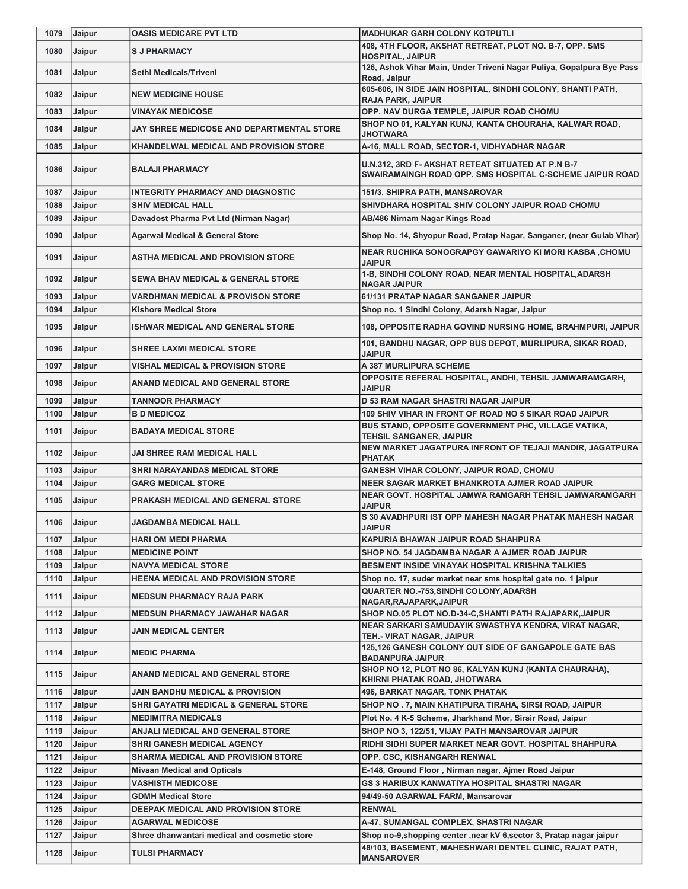| 1079 | Jaipur        | <b>OASIS MEDICARE PVT LTD</b>                 | <b>MADHUKAR GARH COLONY KOTPUTLI</b>                                                                          |
|------|---------------|-----------------------------------------------|---------------------------------------------------------------------------------------------------------------|
| 1080 | Jaipur        | <b>SJ PHARMACY</b>                            | 408, 4TH FLOOR, AKSHAT RETREAT, PLOT NO. B-7, OPP. SMS<br><b>HOSPITAL, JAIPUR</b>                             |
| 1081 | Jaipur        | Sethi Medicals/Triveni                        | 126, Ashok Vihar Main, Under Triveni Nagar Puliya, Gopalpura Bye Pass<br>Road, Jaipur                         |
| 1082 | Jaipur        | <b>NEW MEDICINE HOUSE</b>                     | 605-606, IN SIDE JAIN HOSPITAL, SINDHI COLONY, SHANTI PATH,<br><b>RAJA PARK, JAIPUR</b>                       |
| 1083 | Jaipur        | <b>VINAYAK MEDICOSE</b>                       | OPP. NAV DURGA TEMPLE, JAIPUR ROAD CHOMU                                                                      |
| 1084 | Jaipur        | JAY SHREE MEDICOSE AND DEPARTMENTAL STORE     | SHOP NO 01, KALYAN KUNJ, KANTA CHOURAHA, KALWAR ROAD,<br>JHOTWARA                                             |
| 1085 | Jaipur        | <b>KHANDELWAL MEDICAL AND PROVISION STORE</b> | A-16, MALL ROAD, SECTOR-1, VIDHYADHAR NAGAR                                                                   |
| 1086 | Jaipur        | <b>BALAJI PHARMACY</b>                        | U.N.312, 3RD F- AKSHAT RETEAT SITUATED AT P.N B-7<br>SWAIRAMAINGH ROAD OPP. SMS HOSPITAL C-SCHEME JAIPUR ROAD |
| 1087 | Jaipur        | <b>INTEGRITY PHARMACY AND DIAGNOSTIC</b>      | 151/3, SHIPRA PATH, MANSAROVAR                                                                                |
| 1088 | Jaipur        | <b>SHIV MEDICAL HALL</b>                      | SHIVDHARA HOSPITAL SHIV COLONY JAIPUR ROAD CHOMU                                                              |
| 1089 | Jaipur        | Davadost Pharma Pvt Ltd (Nirman Nagar)        | AB/486 Nirnam Nagar Kings Road                                                                                |
| 1090 | Jaipur        | <b>Agarwal Medical &amp; General Store</b>    | Shop No. 14, Shyopur Road, Pratap Nagar, Sanganer, (near Gulab Vihar)                                         |
| 1091 | Jaipur        | ASTHA MEDICAL AND PROVISION STORE             | NEAR RUCHIKA SONOGRAPGY GAWARIYO KI MORI KASBA ,CHOMU<br><b>JAIPUR</b>                                        |
| 1092 | Jaipur        | <b>SEWA BHAV MEDICAL &amp; GENERAL STORE</b>  | 1-B, SINDHI COLONY ROAD, NEAR MENTAL HOSPITAL, ADARSH<br><b>NAGAR JAIPUR</b>                                  |
| 1093 | Jaipur        | <b>VARDHMAN MEDICAL &amp; PROVISON STORE</b>  | 61/131 PRATAP NAGAR SANGANER JAIPUR                                                                           |
| 1094 | Jaipur        | <b>Kishore Medical Store</b>                  | Shop no. 1 Sindhi Colony, Adarsh Nagar, Jaipur                                                                |
| 1095 | Jaipur        | <b>ISHWAR MEDICAL AND GENERAL STORE</b>       | 108, OPPOSITE RADHA GOVIND NURSING HOME, BRAHMPURI, JAIPUR                                                    |
| 1096 | Jaipur        | <b>SHREE LAXMI MEDICAL STORE</b>              | 101, BANDHU NAGAR, OPP BUS DEPOT, MURLIPURA, SIKAR ROAD,<br><b>JAIPUR</b>                                     |
| 1097 | Jaipur        | <b>VISHAL MEDICAL &amp; PROVISION STORE</b>   | A 387 MURLIPURA SCHEME                                                                                        |
| 1098 | Jaipur        | ANAND MEDICAL AND GENERAL STORE               | OPPOSITE REFERAL HOSPITAL, ANDHI, TEHSIL JAMWARAMGARH,<br><b>JAIPUR</b>                                       |
| 1099 | Jaipur        | <b>TANNOOR PHARMACY</b>                       | D 53 RAM NAGAR SHASTRI NAGAR JAIPUR                                                                           |
| 1100 | Jaipur        | <b>B D MEDICOZ</b>                            | 109 SHIV VIHAR IN FRONT OF ROAD NO 5 SIKAR ROAD JAIPUR                                                        |
| 1101 | Jaipur        | <b>BADAYA MEDICAL STORE</b>                   | BUS STAND, OPPOSITE GOVERNMENT PHC, VILLAGE VATIKA,<br><b>TEHSIL SANGANER, JAIPUR</b>                         |
| 1102 | Jaipur        | JAI SHREE RAM MEDICAL HALL                    | NEW MARKET JAGATPURA INFRONT OF TEJAJI MANDIR, JAGATPURA<br><b>PHATAK</b>                                     |
| 1103 | Jaipur        | SHRI NARAYANDAS MEDICAL STORE                 | GANESH VIHAR COLONY, JAIPUR ROAD, CHOMU                                                                       |
| 1104 | Jaipur        | <b>GARG MEDICAL STORE</b>                     | NEER SAGAR MARKET BHANKROTA AJMER ROAD JAIPUR                                                                 |
| 1105 | Jaipur        | PRAKASH MEDICAL AND GENERAL STORE             | NEAR GOVT. HOSPITAL JAMWA RAMGARH TEHSIL JAMWARAMGARH<br><b>JAIPUR</b>                                        |
| 1106 | <b>Jaipur</b> | <b>JAGDAMBA MEDICAL HALL</b>                  | S 30 AVADHPURI IST OPP MAHESH NAGAR PHATAK MAHESH NAGAR<br><b>JAIPUR</b>                                      |
| 1107 | Jaipur        | <b>HARI OM MEDI PHARMA</b>                    | KAPURIA BHAWAN JAIPUR ROAD SHAHPURA                                                                           |
| 1108 | Jaipur        | <b>MEDICINE POINT</b>                         | SHOP NO. 54 JAGDAMBA NAGAR A AJMER ROAD JAIPUR                                                                |
| 1109 | Jaipur        | <b>NAVYA MEDICAL STORE</b>                    | BESMENT INSIDE VINAYAK HOSPITAL KRISHNA TALKIES                                                               |
| 1110 | Jaipur        | <b>HEENA MEDICAL AND PROVISION STORE</b>      | Shop no. 17, suder market near sms hospital gate no. 1 jaipur                                                 |
| 1111 | Jaipur        | <b>MEDSUN PHARMACY RAJA PARK</b>              | <b>QUARTER NO.-753, SINDHI COLONY, ADARSH</b><br>NAGAR, RAJAPARK, JAIPUR                                      |
| 1112 | Jaipur        | <b>MEDSUN PHARMACY JAWAHAR NAGAR</b>          | SHOP NO.05 PLOT NO.D-34-C, SHANTI PATH RAJAPARK, JAIPUR                                                       |
| 1113 | Jaipur        | JAIN MEDICAL CENTER                           | NEAR SARKARI SAMUDAYIK SWASTHYA KENDRA, VIRAT NAGAR,<br>TEH.- VIRAT NAGAR, JAIPUR                             |
| 1114 | Jaipur        | <b>MEDIC PHARMA</b>                           | 125,126 GANESH COLONY OUT SIDE OF GANGAPOLE GATE BAS<br><b>BADANPURA JAIPUR</b>                               |
| 1115 | Jaipur        | ANAND MEDICAL AND GENERAL STORE               | SHOP NO 12, PLOT NO 86, KALYAN KUNJ (KANTA CHAURAHA),<br>KHIRNI PHATAK ROAD, JHOTWARA                         |
| 1116 | Jaipur        | JAIN BANDHU MEDICAL & PROVISION               | 496, BARKAT NAGAR, TONK PHATAK                                                                                |
| 1117 | Jaipur        | SHRI GAYATRI MEDICAL & GENERAL STORE          | SHOP NO. 7, MAIN KHATIPURA TIRAHA, SIRSI ROAD, JAIPUR                                                         |
| 1118 | Jaipur        | <b>MEDIMITRA MEDICALS</b>                     | Plot No. 4 K-5 Scheme, Jharkhand Mor, Sirsir Road, Jaipur                                                     |
| 1119 | Jaipur        | ANJALI MEDICAL AND GENERAL STORE              | SHOP NO 3, 122/51, VIJAY PATH MANSAROVAR JAIPUR                                                               |
| 1120 | Jaipur        | SHRI GANESH MEDICAL AGENCY                    | RIDHI SIDHI SUPER MARKET NEAR GOVT. HOSPITAL SHAHPURA                                                         |
| 1121 | Jaipur        | SHARMA MEDICAL AND PROVISION STORE            | OPP. CSC, KISHANGARH RENWAL                                                                                   |
| 1122 | Jaipur        | <b>Mivaan Medical and Opticals</b>            | E-148, Ground Floor, Nirman nagar, Ajmer Road Jaipur                                                          |
| 1123 | Jaipur        | VASHISTH MEDICOSE                             | <b>GS 3 HARIBUX KANWATIYA HOSPITAL SHASTRI NAGAR</b>                                                          |
| 1124 | Jaipur        | <b>GDMH Medical Store</b>                     | 94/49-50 AGARWAL FARM, Mansarovar                                                                             |
| 1125 | Jaipur        | DEEPAK MEDICAL AND PROVISION STORE            | <b>RENWAL</b>                                                                                                 |
| 1126 | Jaipur        | <b>AGARWAL MEDICOSE</b>                       | A-47, SUMANGAL COMPLEX, SHASTRI NAGAR                                                                         |
| 1127 | Jaipur        | Shree dhanwantari medical and cosmetic store  | Shop no-9, shopping center , near kV 6, sector 3, Pratap nagar jaipur                                         |
| 1128 | Jaipur        | TULSI PHARMACY                                | 48/103, BASEMENT, MAHESHWARI DENTEL CLINIC, RAJAT PATH,<br><b>MANSAROVER</b>                                  |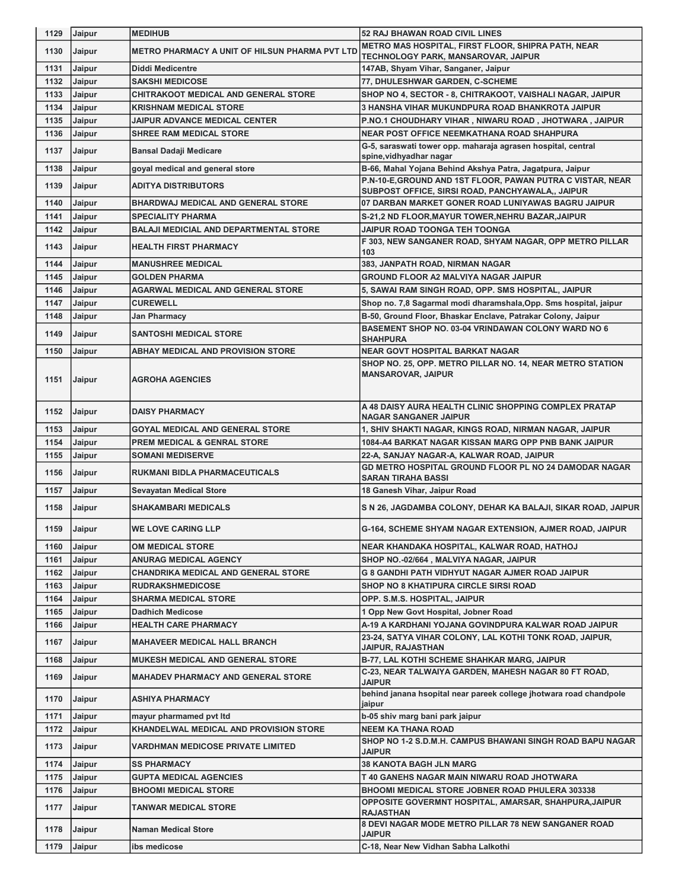| 1129 | Jaipur        | <b>MEDIHUB</b>                                 | <b>52 RAJ BHAWAN ROAD CIVIL LINES</b>                                                                                   |
|------|---------------|------------------------------------------------|-------------------------------------------------------------------------------------------------------------------------|
| 1130 | Jaipur        | METRO PHARMACY A UNIT OF HILSUN PHARMA PVT LTD | METRO MAS HOSPITAL, FIRST FLOOR, SHIPRA PATH, NEAR                                                                      |
| 1131 | <b>Jaipur</b> | <b>Diddi Medicentre</b>                        | TECHNOLOGY PARK, MANSAROVAR, JAIPUR<br>147AB, Shyam Vihar, Sanganer, Jaipur                                             |
| 1132 | Jaipur        | <b>SAKSHI MEDICOSE</b>                         | 77, DHULESHWAR GARDEN, C-SCHEME                                                                                         |
| 1133 | Jaipur        | <b>CHITRAKOOT MEDICAL AND GENERAL STORE</b>    | SHOP NO 4, SECTOR - 8, CHITRAKOOT, VAISHALI NAGAR, JAIPUR                                                               |
| 1134 | Jaipur        | <b>KRISHNAM MEDICAL STORE</b>                  | 3 HANSHA VIHAR MUKUNDPURA ROAD BHANKROTA JAIPUR                                                                         |
| 1135 | Jaipur        | <b>JAIPUR ADVANCE MEDICAL CENTER</b>           | P.NO.1 CHOUDHARY VIHAR, NIWARU ROAD, JHOTWARA, JAIPUR                                                                   |
| 1136 | Jaipur        | <b>SHREE RAM MEDICAL STORE</b>                 | <b>NEAR POST OFFICE NEEMKATHANA ROAD SHAHPURA</b>                                                                       |
| 1137 | Jaipur        | <b>Bansal Dadaji Medicare</b>                  | G-5, saraswati tower opp. maharaja agrasen hospital, central                                                            |
|      |               |                                                | spine, vidhyadhar nagar                                                                                                 |
| 1138 | Jaipur        | goyal medical and general store                | B-66, Mahal Yojana Behind Akshya Patra, Jagatpura, Jaipur<br>P.N-10-E, GROUND AND 1ST FLOOR, PAWAN PUTRA C VISTAR, NEAR |
| 1139 | Jaipur        | <b>ADITYA DISTRIBUTORS</b>                     | SUBPOST OFFICE, SIRSI ROAD, PANCHYAWALA,, JAIPUR                                                                        |
| 1140 | <b>Jaipur</b> | <b>BHARDWAJ MEDICAL AND GENERAL STORE</b>      | 07 DARBAN MARKET GONER ROAD LUNIYAWAS BAGRU JAIPUR                                                                      |
| 1141 | Jaipur        | <b>SPECIALITY PHARMA</b>                       | S-21,2 ND FLOOR, MAYUR TOWER, NEHRU BAZAR, JAIPUR                                                                       |
| 1142 | Jaipur        | <b>BALAJI MEDICIAL AND DEPARTMENTAL STORE</b>  | JAIPUR ROAD TOONGA TEH TOONGA                                                                                           |
| 1143 | Jaipur        | <b>HEALTH FIRST PHARMACY</b>                   | F 303, NEW SANGANER ROAD, SHYAM NAGAR, OPP METRO PILLAR<br>103                                                          |
| 1144 | <b>Jaipur</b> | <b>MANUSHREE MEDICAL</b>                       | 383, JANPATH ROAD, NIRMAN NAGAR                                                                                         |
| 1145 | <b>Jaipur</b> | <b>GOLDEN PHARMA</b>                           | <b>GROUND FLOOR A2 MALVIYA NAGAR JAIPUR</b>                                                                             |
| 1146 | Jaipur        | <b>AGARWAL MEDICAL AND GENERAL STORE</b>       | 5, SAWAI RAM SINGH ROAD, OPP. SMS HOSPITAL, JAIPUR                                                                      |
| 1147 | Jaipur        | <b>CUREWELL</b>                                | Shop no. 7,8 Sagarmal modi dharamshala, Opp. Sms hospital, jaipur                                                       |
| 1148 | Jaipur        | Jan Pharmacy                                   | B-50, Ground Floor, Bhaskar Enclave, Patrakar Colony, Jaipur                                                            |
| 1149 | Jaipur        | <b>SANTOSHI MEDICAL STORE</b>                  | BASEMENT SHOP NO. 03-04 VRINDAWAN COLONY WARD NO 6<br><b>SHAHPURA</b>                                                   |
| 1150 | Jaipur        | <b>ABHAY MEDICAL AND PROVISION STORE</b>       | <b>NEAR GOVT HOSPITAL BARKAT NAGAR</b>                                                                                  |
|      |               |                                                | SHOP NO. 25, OPP. METRO PILLAR NO. 14, NEAR METRO STATION                                                               |
| 1151 | Jaipur        | <b>AGROHA AGENCIES</b>                         | <b>MANSAROVAR, JAIPUR</b>                                                                                               |
| 1152 | <b>Jaipur</b> | <b>DAISY PHARMACY</b>                          | A 48 DAISY AURA HEALTH CLINIC SHOPPING COMPLEX PRATAP<br><b>NAGAR SANGANER JAIPUR</b>                                   |
| 1153 | Jaipur        | <b>GOYAL MEDICAL AND GENERAL STORE</b>         | 1, SHIV SHAKTI NAGAR, KINGS ROAD, NIRMAN NAGAR, JAIPUR                                                                  |
| 1154 | Jaipur        | <b>PREM MEDICAL &amp; GENRAL STORE</b>         | 1084-A4 BARKAT NAGAR KISSAN MARG OPP PNB BANK JAIPUR                                                                    |
| 1155 | Jaipur        | <b>SOMANI MEDISERVE</b>                        | 22-A, SANJAY NAGAR-A, KALWAR ROAD, JAIPUR                                                                               |
| 1156 | Jaipur        | <b>RUKMANI BIDLA PHARMACEUTICALS</b>           | <b>GD METRO HOSPITAL GROUND FLOOR PL NO 24 DAMODAR NAGAR</b><br><b>SARAN TIRAHA BASSI</b>                               |
| 1157 | Jaipur        | <b>Sevayatan Medical Store</b>                 | 18 Ganesh Vihar, Jaipur Road                                                                                            |
| 1158 | <b>Jaipur</b> | <b>SHAKAMBARI MEDICALS</b>                     | S N 26, JAGDAMBA COLONY, DEHAR KA BALAJI, SIKAR ROAD, JAIPUR                                                            |
|      | 1159 Jaipur   | <b>WE LOVE CARING LLP</b>                      | G-164, SCHEME SHYAM NAGAR EXTENSION, AJMER ROAD, JAIPUR                                                                 |
| 1160 | <b>Jaipur</b> | OM MEDICAL STORE                               | NEAR KHANDAKA HOSPITAL, KALWAR ROAD, HATHOJ                                                                             |
| 1161 | Jaipur        | <b>ANURAG MEDICAL AGENCY</b>                   | SHOP NO.-02/664, MALVIYA NAGAR, JAIPUR                                                                                  |
| 1162 | Jaipur        | <b>CHANDRIKA MEDICAL AND GENERAL STORE</b>     | <b>G 8 GANDHI PATH VIDHYUT NAGAR AJMER ROAD JAIPUR</b>                                                                  |
| 1163 | Jaipur        | <b>RUDRAKSHMEDICOSE</b>                        | <b>SHOP NO 8 KHATIPURA CIRCLE SIRSI ROAD</b>                                                                            |
| 1164 | Jaipur        | <b>SHARMA MEDICAL STORE</b>                    | OPP. S.M.S. HOSPITAL, JAIPUR                                                                                            |
| 1165 | Jaipur        | <b>Dadhich Medicose</b>                        | 1 Opp New Govt Hospital, Jobner Road                                                                                    |
| 1166 | Jaipur        | <b>HEALTH CARE PHARMACY</b>                    | A-19 A KARDHANI YOJANA GOVINDPURA KALWAR ROAD JAIPUR                                                                    |
| 1167 | Jaipur        | <b>MAHAVEER MEDICAL HALL BRANCH</b>            | 23-24, SATYA VIHAR COLONY, LAL KOTHI TONK ROAD, JAIPUR,<br>JAIPUR, RAJASTHAN                                            |
| 1168 | Jaipur        | <b>MUKESH MEDICAL AND GENERAL STORE</b>        | B-77, LAL KOTHI SCHEME SHAHKAR MARG, JAIPUR                                                                             |
| 1169 | Jaipur        | <b>MAHADEV PHARMACY AND GENERAL STORE</b>      | C-23, NEAR TALWAIYA GARDEN, MAHESH NAGAR 80 FT ROAD,<br><b>JAIPUR</b>                                                   |
| 1170 | Jaipur        | <b>ASHIYA PHARMACY</b>                         | behind janana hsopital near pareek college jhotwara road chandpole<br>jaipur                                            |
| 1171 | Jaipur        | mayur pharmamed pvt ltd                        | b-05 shiv marg bani park jaipur                                                                                         |
| 1172 | Jaipur        | KHANDELWAL MEDICAL AND PROVISION STORE         | <b>NEEM KA THANA ROAD</b>                                                                                               |
|      |               | VARDHMAN MEDICOSE PRIVATE LIMITED              | SHOP NO 1-2 S.D.M.H. CAMPUS BHAWANI SINGH ROAD BAPU NAGAR<br><b>JAIPUR</b>                                              |
| 1173 | <b>Jaipur</b> |                                                |                                                                                                                         |
| 1174 | Jaipur        | <b>SS PHARMACY</b>                             | <b>38 KANOTA BAGH JLN MARG</b>                                                                                          |
| 1175 | Jaipur        | GUPTA MEDICAL AGENCIES                         | T 40 GANEHS NAGAR MAIN NIWARU ROAD JHOTWARA                                                                             |
| 1176 | Jaipur        | BHOOMI MEDICAL STORE                           | <b>BHOOMI MEDICAL STORE JOBNER ROAD PHULERA 303338</b>                                                                  |
| 1177 | Jaipur        | TANWAR MEDICAL STORE                           | OPPOSITE GOVERMNT HOSPITAL, AMARSAR, SHAHPURA,JAIPUR<br><b>RAJASTHAN</b>                                                |
| 1178 | Jaipur        | <b>Naman Medical Store</b>                     | 8 DEVI NAGAR MODE METRO PILLAR 78 NEW SANGANER ROAD<br><b>JAIPUR</b>                                                    |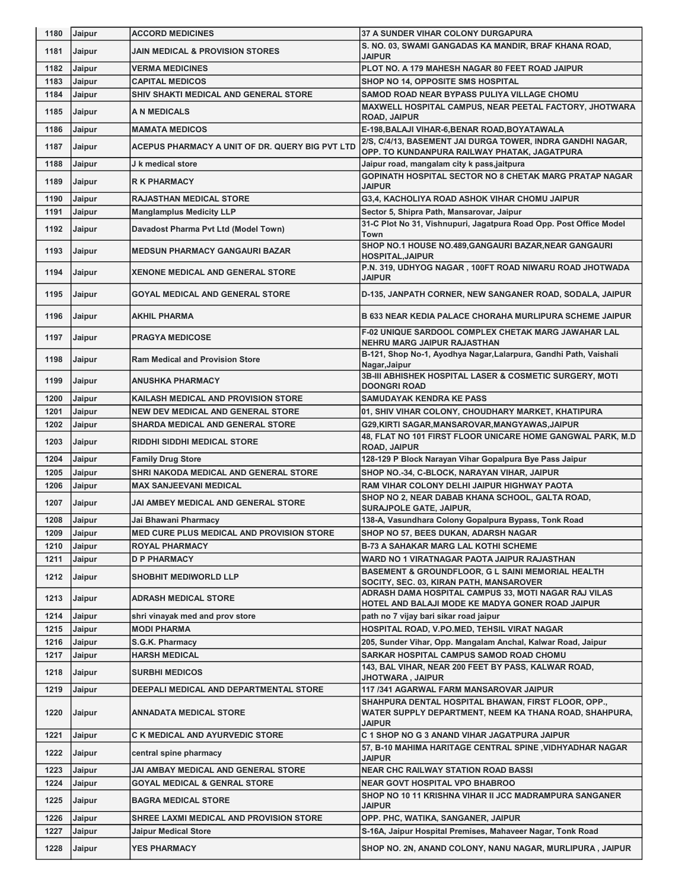| 1180 | Jaipur        | <b>ACCORD MEDICINES</b>                         | 37 A SUNDER VIHAR COLONY DURGAPURA                                                               |
|------|---------------|-------------------------------------------------|--------------------------------------------------------------------------------------------------|
| 1181 | Jaipur        | JAIN MEDICAL & PROVISION STORES                 | S. NO. 03, SWAMI GANGADAS KA MANDIR, BRAF KHANA ROAD,<br><b>JAIPUR</b>                           |
| 1182 | Jaipur        | <b>VERMA MEDICINES</b>                          | PLOT NO. A 179 MAHESH NAGAR 80 FEET ROAD JAIPUR                                                  |
| 1183 | Jaipur        | <b>CAPITAL MEDICOS</b>                          | SHOP NO 14, OPPOSITE SMS HOSPITAL                                                                |
| 1184 | Jaipur        | SHIV SHAKTI MEDICAL AND GENERAL STORE           | SAMOD ROAD NEAR BYPASS PULIYA VILLAGE CHOMU                                                      |
| 1185 | Jaipur        | A N MEDICALS                                    | MAXWELL HOSPITAL CAMPUS, NEAR PEETAL FACTORY, JHOTWARA<br><b>ROAD, JAIPUR</b>                    |
| 1186 | Jaipur        | <b>MAMATA MEDICOS</b>                           | E-198, BALAJI VIHAR-6, BENAR ROAD, BOYATAWALA                                                    |
| 1187 | Jaipur        | ACEPUS PHARMACY A UNIT OF DR. QUERY BIG PVT LTD | 2/S, C/4/13, BASEMENT JAI DURGA TOWER, INDRA GANDHI NAGAR,                                       |
| 1188 | Jaipur        | J k medical store                               | OPP. TO KUNDANPURA RAILWAY PHATAK, JAGATPURA<br>Jaipur road, mangalam city k pass,jaitpura       |
| 1189 | Jaipur        | <b>R K PHARMACY</b>                             | <b>GOPINATH HOSPITAL SECTOR NO 8 CHETAK MARG PRATAP NAGAR</b>                                    |
| 1190 | Jaipur        | <b>RAJASTHAN MEDICAL STORE</b>                  | <b>JAIPUR</b><br>G3,4, KACHOLIYA ROAD ASHOK VIHAR CHOMU JAIPUR                                   |
| 1191 | Jaipur        | <b>Manglamplus Medicity LLP</b>                 | Sector 5, Shipra Path, Mansarovar, Jaipur                                                        |
| 1192 | Jaipur        | Davadost Pharma Pvt Ltd (Model Town)            | 31-C Plot No 31, Vishnupuri, Jagatpura Road Opp. Post Office Model<br>Town                       |
| 1193 | <b>Jaipur</b> | <b>MEDSUN PHARMACY GANGAURI BAZAR</b>           | SHOP NO.1 HOUSE NO.489, GANGAURI BAZAR, NEAR GANGAURI<br><b>HOSPITAL, JAIPUR</b>                 |
| 1194 | Jaipur        | <b>XENONE MEDICAL AND GENERAL STORE</b>         | P.N. 319, UDHYOG NAGAR, 100FT ROAD NIWARU ROAD JHOTWADA<br><b>JAIPUR</b>                         |
| 1195 | Jaipur        | <b>GOYAL MEDICAL AND GENERAL STORE</b>          | D-135, JANPATH CORNER, NEW SANGANER ROAD, SODALA, JAIPUR                                         |
| 1196 | Jaipur        | <b>AKHIL PHARMA</b>                             | <b>B 633 NEAR KEDIA PALACE CHORAHA MURLIPURA SCHEME JAIPUR</b>                                   |
| 1197 | Jaipur        | <b>PRAGYA MEDICOSE</b>                          | F-02 UNIQUE SARDOOL COMPLEX CHETAK MARG JAWAHAR LAL                                              |
| 1198 | <b>Jaipur</b> | <b>Ram Medical and Provision Store</b>          | NEHRU MARG JAIPUR RAJASTHAN<br>B-121, Shop No-1, Ayodhya Nagar, Lalarpura, Gandhi Path, Vaishali |
| 1199 | Jaipur        | <b>ANUSHKA PHARMACY</b>                         | Nagar, Jaipur<br>3B-III ABHISHEK HOSPITAL LASER & COSMETIC SURGERY, MOTI                         |
| 1200 | Jaipur        | KAILASH MEDICAL AND PROVISION STORE             | <b>DOONGRI ROAD</b><br><b>SAMUDAYAK KENDRA KE PASS</b>                                           |
| 1201 | Jaipur        | <b>NEW DEV MEDICAL AND GENERAL STORE</b>        | 01, SHIV VIHAR COLONY, CHOUDHARY MARKET, KHATIPURA                                               |
| 1202 | Jaipur        | SHARDA MEDICAL AND GENERAL STORE                | G29, KIRTI SAGAR, MANSAROVAR, MANGYAWAS, JAIPUR                                                  |
| 1203 | Jaipur        | <b>RIDDHI SIDDHI MEDICAL STORE</b>              | 48, FLAT NO 101 FIRST FLOOR UNICARE HOME GANGWAL PARK, M.D<br><b>ROAD, JAIPUR</b>                |
| 1204 | Jaipur        | <b>Family Drug Store</b>                        | 128-129 P Block Narayan Vihar Gopalpura Bye Pass Jaipur                                          |
| 1205 | Jaipur        | SHRI NAKODA MEDICAL AND GENERAL STORE           | SHOP NO.-34, C-BLOCK, NARAYAN VIHAR, JAIPUR                                                      |
| 1206 | Jaipur        | <b>MAX SANJEEVANI MEDICAL</b>                   | RAM VIHAR COLONY DELHI JAIPUR HIGHWAY PAOTA                                                      |
| 1207 | Jaipur        | JAI AMBEY MEDICAL AND GENERAL STORE             | SHOP NO 2, NEAR DABAB KHANA SCHOOL, GALTA ROAD,<br><b>SURAJPOLE GATE, JAIPUR,</b>                |
| 1208 | <b>Jaipur</b> | Jai Bhawani Pharmacy                            | 138-A, Vasundhara Colony Gopalpura Bypass, Tonk Road                                             |
| 1209 | Jaipur        | MED CURE PLUS MEDICAL AND PROVISION STORE       | SHOP NO 57, BEES DUKAN, ADARSH NAGAR                                                             |
| 1210 | Jaipur        | <b>ROYAL PHARMACY</b>                           | <b>B-73 A SAHAKAR MARG LAL KOTHI SCHEME</b>                                                      |
| 1211 | Jaipur        | <b>D P PHARMACY</b>                             | WARD NO 1 VIRATNAGAR PAOTA JAIPUR RAJASTHAN                                                      |
| 1212 | Jaipur        | <b>SHOBHIT MEDIWORLD LLP</b>                    | BASEMENT & GROUNDFLOOR, G L SAINI MEMORIAL HEALTH<br>SOCITY, SEC. 03, KIRAN PATH, MANSAROVER     |
| 1213 | Jaipur        | ADRASH MEDICAL STORE                            | ADRASH DAMA HOSPITAL CAMPUS 33, MOTI NAGAR RAJ VILAS                                             |
|      |               |                                                 | HOTEL AND BALAJI MODE KE MADYA GONER ROAD JAIPUR                                                 |
| 1214 | Jaipur        | shri vinayak med and prov store                 | path no 7 vijay bari sikar road jaipur                                                           |
| 1215 | Jaipur        | <b>MODI PHARMA</b>                              | HOSPITAL ROAD, V.PO.MED, TEHSIL VIRAT NAGAR                                                      |
| 1216 | Jaipur        | S.G.K. Pharmacy                                 | 205, Sunder Vihar, Opp. Mangalam Anchal, Kalwar Road, Jaipur                                     |
| 1217 | Jaipur        | <b>HARSH MEDICAL</b>                            | SARKAR HOSPITAL CAMPUS SAMOD ROAD CHOMU<br>143, BAL VIHAR, NEAR 200 FEET BY PASS, KALWAR ROAD,   |
| 1218 | Jaipur        | <b>SURBHI MEDICOS</b>                           | JHOTWARA, JAIPUR                                                                                 |
| 1219 | Jaipur        | DEEPALI MEDICAL AND DEPARTMENTAL STORE          | 117 /341 AGARWAL FARM MANSAROVAR JAIPUR<br>SHAHPURA DENTAL HOSPITAL BHAWAN, FIRST FLOOR, OPP.,   |
| 1220 |               |                                                 |                                                                                                  |
|      | Jaipur        | ANNADATA MEDICAL STORE                          | WATER SUPPLY DEPARTMENT, NEEM KA THANA ROAD, SHAHPURA,                                           |
| 1221 | Jaipur        | C K MEDICAL AND AYURVEDIC STORE                 | <b>JAIPUR</b><br>C 1 SHOP NO G 3 ANAND VIHAR JAGATPURA JAIPUR                                    |
| 1222 | Jaipur        | central spine pharmacy                          | 57, B-10 MAHIMA HARITAGE CENTRAL SPINE, VIDHYADHAR NAGAR<br><b>JAIPUR</b>                        |
| 1223 | Jaipur        | JAI AMBAY MEDICAL AND GENERAL STORE             | <b>NEAR CHC RAILWAY STATION ROAD BASSI</b>                                                       |
| 1224 | Jaipur        | GOYAL MEDICAL & GENRAL STORE                    | <b>NEAR GOVT HOSPITAL VPO BHABROO</b>                                                            |
| 1225 | Jaipur        | <b>BAGRA MEDICAL STORE</b>                      | SHOP NO 10 11 KRISHNA VIHAR II JCC MADRAMPURA SANGANER<br><b>JAIPUR</b>                          |
| 1226 | Jaipur        | SHREE LAXMI MEDICAL AND PROVISION STORE         | OPP. PHC, WATIKA, SANGANER, JAIPUR                                                               |
| 1227 | Jaipur        | Jaipur Medical Store                            | S-16A, Jaipur Hospital Premises, Mahaveer Nagar, Tonk Road                                       |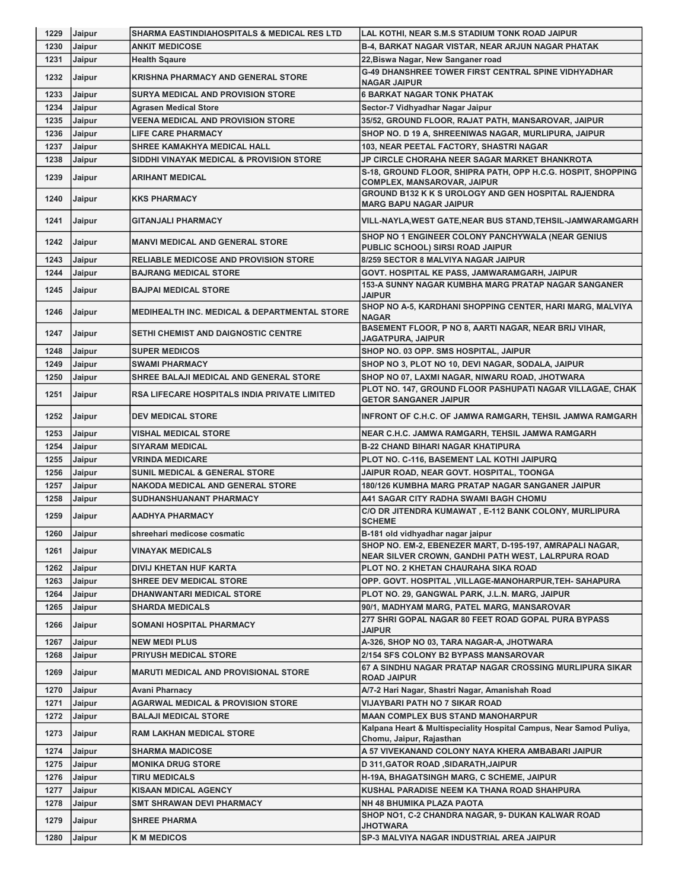| 1229 | Jaipur        | SHARMA EASTINDIAHOSPITALS & MEDICAL RES LTD             | LAL KOTHI, NEAR S.M.S STADIUM TONK ROAD JAIPUR                                                                 |
|------|---------------|---------------------------------------------------------|----------------------------------------------------------------------------------------------------------------|
| 1230 | Jaipur        | <b>ANKIT MEDICOSE</b>                                   | <b>B-4, BARKAT NAGAR VISTAR, NEAR ARJUN NAGAR PHATAK</b>                                                       |
| 1231 | Jaipur        | <b>Health Sqaure</b>                                    | 22, Biswa Nagar, New Sanganer road                                                                             |
| 1232 | Jaipur        | <b>KRISHNA PHARMACY AND GENERAL STORE</b>               | <b>G-49 DHANSHREE TOWER FIRST CENTRAL SPINE VIDHYADHAR</b>                                                     |
|      |               |                                                         | <b>NAGAR JAIPUR</b>                                                                                            |
| 1233 | Jaipur        | <b>SURYA MEDICAL AND PROVISION STORE</b>                | <b>6 BARKAT NAGAR TONK PHATAK</b>                                                                              |
| 1234 | Jaipur        | <b>Agrasen Medical Store</b>                            | Sector-7 Vidhyadhar Nagar Jaipur                                                                               |
| 1235 | Jaipur        | <b>VEENA MEDICAL AND PROVISION STORE</b>                | 35/52, GROUND FLOOR, RAJAT PATH, MANSAROVAR, JAIPUR                                                            |
| 1236 | Jaipur        | <b>LIFE CARE PHARMACY</b>                               | SHOP NO. D 19 A, SHREENIWAS NAGAR, MURLIPURA, JAIPUR                                                           |
| 1237 | Jaipur        | <b>SHREE KAMAKHYA MEDICAL HALL</b>                      | 103, NEAR PEETAL FACTORY, SHASTRI NAGAR                                                                        |
| 1238 | Jaipur        | SIDDHI VINAYAK MEDICAL & PROVISION STORE                | <b>JP CIRCLE CHORAHA NEER SAGAR MARKET BHANKROTA</b>                                                           |
| 1239 | Jaipur        | ARIHANT MEDICAL                                         | S-18, GROUND FLOOR, SHIPRA PATH, OPP H.C.G. HOSPIT, SHOPPING<br>COMPLEX, MANSAROVAR, JAIPUR                    |
| 1240 | Jaipur        | <b>KKS PHARMACY</b>                                     | GROUND B132 K K S UROLOGY AND GEN HOSPITAL RAJENDRA<br><b>MARG BAPU NAGAR JAIPUR</b>                           |
| 1241 | Jaipur        | <b>GITANJALI PHARMACY</b>                               | VILL-NAYLA, WEST GATE, NEAR BUS STAND, TEHSIL-JAMWARAMGARH                                                     |
| 1242 | <b>Jaipur</b> | <b>MANVI MEDICAL AND GENERAL STORE</b>                  | SHOP NO 1 ENGINEER COLONY PANCHYWALA (NEAR GENIUS<br>PUBLIC SCHOOL) SIRSI ROAD JAIPUR                          |
| 1243 | Jaipur        | <b>RELIABLE MEDICOSE AND PROVISION STORE</b>            | 8/259 SECTOR 8 MALVIYA NAGAR JAIPUR                                                                            |
| 1244 | Jaipur        | <b>BAJRANG MEDICAL STORE</b>                            | GOVT. HOSPITAL KE PASS, JAMWARAMGARH, JAIPUR                                                                   |
| 1245 | Jaipur        | <b>BAJPAI MEDICAL STORE</b>                             | 153-A SUNNY NAGAR KUMBHA MARG PRATAP NAGAR SANGANER<br><b>JAIPUR</b>                                           |
| 1246 | Jaipur        | <b>MEDIHEALTH INC. MEDICAL &amp; DEPARTMENTAL STORE</b> | SHOP NO A-5, KARDHANI SHOPPING CENTER, HARI MARG, MALVIYA<br><b>NAGAR</b>                                      |
| 1247 | Jaipur        | <b>SETHI CHEMIST AND DAIGNOSTIC CENTRE</b>              | BASEMENT FLOOR, P NO 8, AARTI NAGAR, NEAR BRIJ VIHAR,<br>JAGATPURA, JAIPUR                                     |
| 1248 | Jaipur        | <b>SUPER MEDICOS</b>                                    | SHOP NO. 03 OPP. SMS HOSPITAL, JAIPUR                                                                          |
| 1249 | Jaipur        | <b>SWAMI PHARMACY</b>                                   | SHOP NO 3, PLOT NO 10, DEVI NAGAR, SODALA, JAIPUR                                                              |
| 1250 | Jaipur        | SHREE BALAJI MEDICAL AND GENERAL STORE                  | SHOP NO 07, LAXMI NAGAR, NIWARU ROAD, JHOTWARA                                                                 |
| 1251 | Jaipur        | <b>RSA LIFECARE HOSPITALS INDIA PRIVATE LIMITED</b>     | PLOT NO. 147, GROUND FLOOR PASHUPATI NAGAR VILLAGAE, CHAK<br><b>GETOR SANGANER JAIPUR</b>                      |
| 1252 | Jaipur        | <b>DEV MEDICAL STORE</b>                                | INFRONT OF C.H.C. OF JAMWA RAMGARH, TEHSIL JAMWA RAMGARH                                                       |
| 1253 | Jaipur        | <b>VISHAL MEDICAL STORE</b>                             | NEAR C.H.C. JAMWA RAMGARH, TEHSIL JAMWA RAMGARH                                                                |
| 1254 | Jaipur        | <b>SIYARAM MEDICAL</b>                                  | <b>B-22 CHAND BIHARI NAGAR KHATIPURA</b>                                                                       |
| 1255 | Jaipur        | <b>VRINDA MEDICARE</b>                                  | PLOT NO. C-116, BASEMENT LAL KOTHI JAIPURQ                                                                     |
| 1256 | Jaipur        | <b>SUNIL MEDICAL &amp; GENERAL STORE</b>                | JAIPUR ROAD, NEAR GOVT. HOSPITAL, TOONGA                                                                       |
| 1257 | Jaipur        | <b>NAKODA MEDICAL AND GENERAL STORE</b>                 | 180/126 KUMBHA MARG PRATAP NAGAR SANGANER JAIPUR                                                               |
| 1258 | Jaipur        | SUDHANSHUANANT PHARMACY                                 | A41 SAGAR CITY RADHA SWAMI BAGH CHOMU                                                                          |
| 1259 | Jaipur        | <b>AADHYA PHARMACY</b>                                  | C/O DR JITENDRA KUMAWAT, E-112 BANK COLONY, MURLIPURA<br><b>SCHEME</b>                                         |
| 1260 | Jaipur        | shreehari medicose cosmatic                             | B-181 old vidhyadhar nagar jaipur                                                                              |
| 1261 | Jaipur        | <b>VINAYAK MEDICALS</b>                                 | SHOP NO. EM-2, EBENEZER MART, D-195-197, AMRAPALI NAGAR,<br>NEAR SILVER CROWN, GANDHI PATH WEST, LALRPURA ROAD |
| 1262 | Jaipur        | DIVIJ KHETAN HUF KARTA                                  | PLOT NO. 2 KHETAN CHAURAHA SIKA ROAD                                                                           |
| 1263 | Jaipur        | <b>SHREE DEV MEDICAL STORE</b>                          | OPP. GOVT. HOSPITAL , VILLAGE-MANOHARPUR, TEH- SAHAPURA                                                        |
| 1264 | Jaipur        | DHANWANTARI MEDICAL STORE                               | PLOT NO. 29, GANGWAL PARK, J.L.N. MARG, JAIPUR                                                                 |
| 1265 | Jaipur        | SHARDA MEDICALS                                         | 90/1, MADHYAM MARG, PATEL MARG, MANSAROVAR                                                                     |
| 1266 | Jaipur        | <b>SOMANI HOSPITAL PHARMACY</b>                         | 277 SHRI GOPAL NAGAR 80 FEET ROAD GOPAL PURA BYPASS<br><b>JAIPUR</b>                                           |
| 1267 | Jaipur        | <b>NEW MEDI PLUS</b>                                    | A-326, SHOP NO 03, TARA NAGAR-A, JHOTWARA                                                                      |
| 1268 | Jaipur        | <b>PRIYUSH MEDICAL STORE</b>                            | 2/154 SFS COLONY B2 BYPASS MANSAROVAR                                                                          |
| 1269 | Jaipur        | <b>MARUTI MEDICAL AND PROVISIONAL STORE</b>             | 67 A SINDHU NAGAR PRATAP NAGAR CROSSING MURLIPURA SIKAR<br><b>ROAD JAIPUR</b>                                  |
| 1270 | Jaipur        | Avani Pharnacy                                          | A/7-2 Hari Nagar, Shastri Nagar, Amanishah Road                                                                |
| 1271 | Jaipur        | <b>AGARWAL MEDICAL &amp; PROVISION STORE</b>            | VIJAYBARI PATH NO 7 SIKAR ROAD                                                                                 |
| 1272 | Jaipur        | BALAJI MEDICAL STORE                                    | <b>MAAN COMPLEX BUS STAND MANOHARPUR</b>                                                                       |
| 1273 | Jaipur        | <b>RAM LAKHAN MEDICAL STORE</b>                         | Kalpana Heart & Multispeciality Hospital Campus, Near Samod Puliya,<br>Chomu, Jaipur, Rajasthan                |
| 1274 | Jaipur        | <b>SHARMA MADICOSE</b>                                  | A 57 VIVEKANAND COLONY NAYA KHERA AMBABARI JAIPUR                                                              |
| 1275 | Jaipur        | <b>MONIKA DRUG STORE</b>                                | D 311, GATOR ROAD, SIDARATH, JAIPUR                                                                            |
| 1276 | Jaipur        | TIRU MEDICALS                                           | <b>H-19A, BHAGATSINGH MARG, C SCHEME, JAIPUR</b>                                                               |
| 1277 | Jaipur        | KISAAN MDICAL AGENCY                                    | KUSHAL PARADISE NEEM KA THANA ROAD SHAHPURA                                                                    |
| 1278 | Jaipur        | SMT SHRAWAN DEVI PHARMACY                               | NH 48 BHUMIKA PLAZA PAOTA                                                                                      |
| 1279 | Jaipur        | <b>SHREE PHARMA</b>                                     | SHOP NO1, C-2 CHANDRA NAGAR, 9- DUKAN KALWAR ROAD<br><b>JHOTWARA</b>                                           |
| 1280 | Jaipur        | <b>K M MEDICOS</b>                                      | SP-3 MALVIYA NAGAR INDUSTRIAL AREA JAIPUR                                                                      |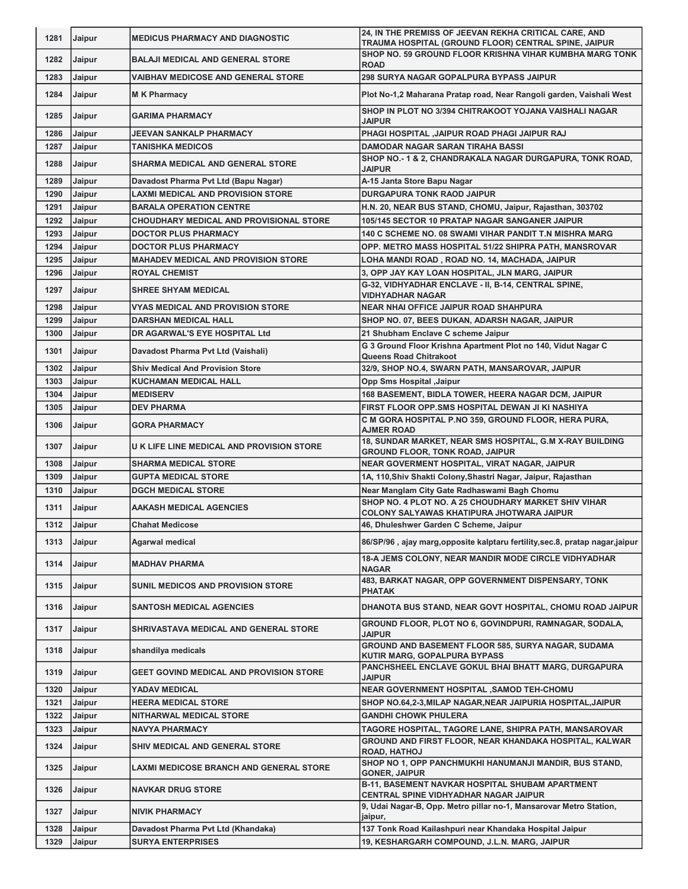| 1281 | Jaipur        | <b>MEDICUS PHARMACY AND DIAGNOSTIC</b>     | 24, IN THE PREMISS OF JEEVAN REKHA CRITICAL CARE, AND                                                  |
|------|---------------|--------------------------------------------|--------------------------------------------------------------------------------------------------------|
|      |               |                                            | TRAUMA HOSPITAL (GROUND FLOOR) CENTRAL SPINE, JAIPUR                                                   |
| 1282 | Jaipur        | <b>BALAJI MEDICAL AND GENERAL STORE</b>    | SHOP NO. 59 GROUND FLOOR KRISHNA VIHAR KUMBHA MARG TONK                                                |
| 1283 |               |                                            | <b>ROAD</b><br><b>298 SURYA NAGAR GOPALPURA BYPASS JAIPUR</b>                                          |
|      | Jaipur        | <b>VAIBHAV MEDICOSE AND GENERAL STORE</b>  |                                                                                                        |
| 1284 | Jaipur        | <b>MK Pharmacy</b>                         | Plot No-1,2 Maharana Pratap road, Near Rangoli garden, Vaishali West                                   |
| 1285 | Jaipur        | GARIMA PHARMACY                            | SHOP IN PLOT NO 3/394 CHITRAKOOT YOJANA VAISHALI NAGAR<br><b>JAIPUR</b>                                |
| 1286 | Jaipur        | JEEVAN SANKALP PHARMACY                    | PHAGI HOSPITAL , JAIPUR ROAD PHAGI JAIPUR RAJ                                                          |
| 1287 | Jaipur        | <b>TANISHKA MEDICOS</b>                    | DAMODAR NAGAR SARAN TIRAHA BASSI                                                                       |
| 1288 | Jaipur        | SHARMA MEDICAL AND GENERAL STORE           | SHOP NO.-1 & 2, CHANDRAKALA NAGAR DURGAPURA, TONK ROAD,<br>JAIPUR                                      |
| 1289 | Jaipur        | Davadost Pharma Pvt Ltd (Bapu Nagar)       | A-15 Janta Store Bapu Nagar                                                                            |
| 1290 | Jaipur        | LAXMI MEDICAL AND PROVISION STORE          | <b>DURGAPURA TONK RAOD JAIPUR</b>                                                                      |
| 1291 | Jaipur        | <b>BARALA OPERATION CENTRE</b>             | H.N. 20, NEAR BUS STAND, CHOMU, Jaipur, Rajasthan, 303702                                              |
| 1292 | Jaipur        | CHOUDHARY MEDICAL AND PROVISIONAL STORE    | 105/145 SECTOR 10 PRATAP NAGAR SANGANER JAIPUR                                                         |
| 1293 | Jaipur        | <b>DOCTOR PLUS PHARMACY</b>                | 140 C SCHEME NO. 08 SWAMI VIHAR PANDIT T.N MISHRA MARG                                                 |
| 1294 | Jaipur        | <b>DOCTOR PLUS PHARMACY</b>                | OPP. METRO MASS HOSPITAL 51/22 SHIPRA PATH, MANSROVAR                                                  |
| 1295 | Jaipur        | <b>MAHADEV MEDICAL AND PROVISION STORE</b> | LOHA MANDI ROAD , ROAD NO. 14, MACHADA, JAIPUR                                                         |
| 1296 | Jaipur        | <b>ROYAL CHEMIST</b>                       | 3, OPP JAY KAY LOAN HOSPITAL, JLN MARG, JAIPUR                                                         |
|      |               |                                            | G-32, VIDHYADHAR ENCLAVE - II, B-14, CENTRAL SPINE,                                                    |
| 1297 | Jaipur        | <b>SHREE SHYAM MEDICAL</b>                 | <b>VIDHYADHAR NAGAR</b>                                                                                |
| 1298 | Jaipur        | <b>VYAS MEDICAL AND PROVISION STORE</b>    | <b>NEAR NHAI OFFICE JAIPUR ROAD SHAHPURA</b>                                                           |
| 1299 | Jaipur        | <b>DARSHAN MEDICAL HALL</b>                | SHOP NO. 07, BEES DUKAN, ADARSH NAGAR, JAIPUR                                                          |
| 1300 | Jaipur        | DR AGARWAL'S EYE HOSPITAL Ltd              | 21 Shubham Enclave C scheme Jaipur                                                                     |
|      |               |                                            | G 3 Ground Floor Krishna Apartment Plot no 140, Vidut Nagar C                                          |
| 1301 | Jaipur        | Davadost Pharma Pvt Ltd (Vaishali)         | <b>Queens Road Chitrakoot</b>                                                                          |
| 1302 | Jaipur        | <b>Shiv Medical And Provision Store</b>    | 32/9, SHOP NO.4, SWARN PATH, MANSAROVAR, JAIPUR                                                        |
| 1303 | Jaipur        | <b>KUCHAMAN MEDICAL HALL</b>               | <b>Opp Sms Hospital , Jaipur</b>                                                                       |
| 1304 | Jaipur        | <b>MEDISERV</b>                            | 168 BASEMENT, BIDLA TOWER, HEERA NAGAR DCM, JAIPUR                                                     |
| 1305 | Jaipur        | <b>DEV PHARMA</b>                          | FIRST FLOOR OPP.SMS HOSPITAL DEWAN JI KI NASHIYA                                                       |
| 1306 | Jaipur        | <b>GORA PHARMACY</b>                       | C M GORA HOSPITAL P.NO 359, GROUND FLOOR, HERA PURA,<br><b>AJMER ROAD</b>                              |
| 1307 | Jaipur        | U K LIFE LINE MEDICAL AND PROVISION STORE  | 18, SUNDAR MARKET, NEAR SMS HOSPITAL, G.M X-RAY BUILDING<br><b>GROUND FLOOR, TONK ROAD, JAIPUR</b>     |
| 1308 | Jaipur        | <b>SHARMA MEDICAL STORE</b>                | NEAR GOVERMENT HOSPITAL, VIRAT NAGAR, JAIPUR                                                           |
| 1309 | Jaipur        | <b>GUPTA MEDICAL STORE</b>                 | 1A, 110, Shiv Shakti Colony, Shastri Nagar, Jaipur, Rajasthan                                          |
| 1310 | Jaipur        | <b>DGCH MEDICAL STORE</b>                  | Near Manglam City Gate Radhaswami Bagh Chomu                                                           |
|      |               |                                            | SHOP NO. 4 PLOT NO. A 25 CHOUDHARY MARKET SHIV VIHAR                                                   |
| 1311 | Jaipur        | <b>AAKASH MEDICAL AGENCIES</b>             | COLONY SALYAWAS KHATIPURA JHOTWARA JAIPUR                                                              |
| 1312 | <b>Jaipur</b> | <b>Chahat Medicose</b>                     | 46, Dhuleshwer Garden C Scheme, Jaipur                                                                 |
| 1313 | Jaipur        | Agarwal medical                            | 86/SP/96, ajay marg, opposite kalptaru fertility, sec.8, pratap nagar, jaipur                          |
| 1314 | Jaipur        | <b>MADHAV PHARMA</b>                       | 18-A JEMS COLONY, NEAR MANDIR MODE CIRCLE VIDHYADHAR<br><b>NAGAR</b>                                   |
| 1315 | Jaipur        | <b>SUNIL MEDICOS AND PROVISION STORE</b>   | 483, BARKAT NAGAR, OPP GOVERNMENT DISPENSARY, TONK<br><b>PHATAK</b>                                    |
| 1316 | Jaipur        | <b>SANTOSH MEDICAL AGENCIES</b>            | DHANOTA BUS STAND, NEAR GOVT HOSPITAL, CHOMU ROAD JAIPUR                                               |
| 1317 | Jaipur        | SHRIVASTAVA MEDICAL AND GENERAL STORE      | GROUND FLOOR, PLOT NO 6, GOVINDPURI, RAMNAGAR, SODALA,<br><b>JAIPUR</b>                                |
| 1318 | Jaipur        | shandilya medicals                         | GROUND AND BASEMENT FLOOR 585, SURYA NAGAR, SUDAMA<br>KUTIR MARG, GOPALPURA BYPASS                     |
| 1319 | Jaipur        | GEET GOVIND MEDICAL AND PROVISION STORE    | PANCHSHEEL ENCLAVE GOKUL BHAI BHATT MARG, DURGAPURA<br><b>JAIPUR</b>                                   |
| 1320 | Jaipur        | YADAV MEDICAL                              | <b>NEAR GOVERNMENT HOSPITAL ,SAMOD TEH-CHOMU</b>                                                       |
| 1321 | Jaipur        | <b>HEERA MEDICAL STORE</b>                 | SHOP NO.64,2-3, MILAP NAGAR, NEAR JAIPURIA HOSPITAL, JAIPUR                                            |
| 1322 | Jaipur        | NITHARWAL MEDICAL STORE                    | <b>GANDHI CHOWK PHULERA</b>                                                                            |
| 1323 | Jaipur        | NAVYA PHARMACY                             | TAGORE HOSPITAL, TAGORE LANE, SHIPRA PATH, MANSAROVAR                                                  |
| 1324 | Jaipur        | SHIV MEDICAL AND GENERAL STORE             | GROUND AND FIRST FLOOR, NEAR KHANDAKA HOSPITAL, KALWAR<br><b>ROAD, HATHOJ</b>                          |
| 1325 | Jaipur        | LAXMI MEDICOSE BRANCH AND GENERAL STORE    | SHOP NO 1, OPP PANCHMUKHI HANUMANJI MANDIR, BUS STAND,<br><b>GONER, JAIPUR</b>                         |
| 1326 | Jaipur        | <b>NAVKAR DRUG STORE</b>                   | <b>B-11, BASEMENT NAVKAR HOSPITAL SHUBAM APARTMENT</b><br><b>CENTRAL SPINE VIDHYADHAR NAGAR JAIPUR</b> |
| 1327 | Jaipur        | <b>NIVIK PHARMACY</b>                      | 9, Udai Nagar-B, Opp. Metro pillar no-1, Mansarovar Metro Station,<br>jaipur,                          |
| 1328 | Jaipur        | Davadost Pharma Pvt Ltd (Khandaka)         | 137 Tonk Road Kailashpuri near Khandaka Hospital Jaipur                                                |
| 1329 | Jaipur        | <b>SURYA ENTERPRISES</b>                   | 19, KESHARGARH COMPOUND, J.L.N. MARG, JAIPUR                                                           |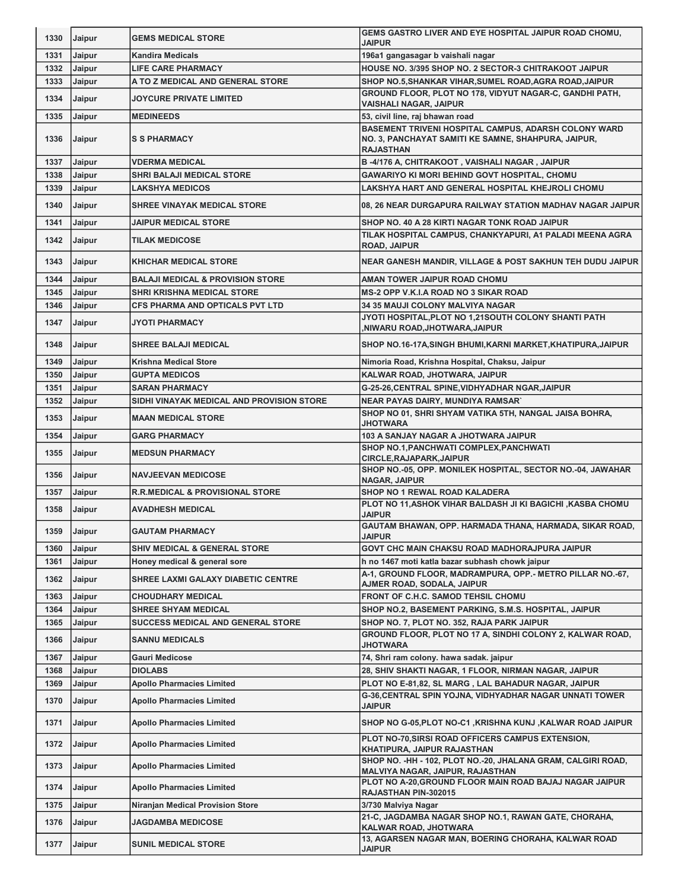| 1330         | <b>Jaipur</b>    | <b>GEMS MEDICAL STORE</b>                             | GEMS GASTRO LIVER AND EYE HOSPITAL JAIPUR ROAD CHOMU,<br><b>JAIPUR</b>                                                          |
|--------------|------------------|-------------------------------------------------------|---------------------------------------------------------------------------------------------------------------------------------|
| 1331         | Jaipur           | <b>Kandira Medicals</b>                               | 196a1 gangasagar b vaishali nagar                                                                                               |
| 1332         | Jaipur           | <b>LIFE CARE PHARMACY</b>                             | HOUSE NO. 3/395 SHOP NO. 2 SECTOR-3 CHITRAKOOT JAIPUR                                                                           |
| 1333         | Jaipur           | A TO Z MEDICAL AND GENERAL STORE                      | SHOP NO.5, SHANKAR VIHAR, SUMEL ROAD, AGRA ROAD, JAIPUR                                                                         |
| 1334         | Jaipur           | <b>JOYCURE PRIVATE LIMITED</b>                        | GROUND FLOOR, PLOT NO 178, VIDYUT NAGAR-C, GANDHI PATH,<br><b>VAISHALI NAGAR, JAIPUR</b>                                        |
| 1335         | Jaipur           | <b>MEDINEEDS</b>                                      | 53, civil line, raj bhawan road                                                                                                 |
| 1336         | Jaipur           | <b>S S PHARMACY</b>                                   | BASEMENT TRIVENI HOSPITAL CAMPUS, ADARSH COLONY WARD<br>NO. 3, PANCHAYAT SAMITI KE SAMNE, SHAHPURA, JAIPUR,<br><b>RAJASTHAN</b> |
| 1337         | Jaipur           | <b>VDERMA MEDICAL</b>                                 | B-4/176 A, CHITRAKOOT, VAISHALI NAGAR, JAIPUR                                                                                   |
| 1338         | Jaipur           | SHRI BALAJI MEDICAL STORE                             | <b>GAWARIYO KI MORI BEHIND GOVT HOSPITAL, CHOMU</b>                                                                             |
| 1339         | Jaipur           | <b>LAKSHYA MEDICOS</b>                                | LAKSHYA HART AND GENERAL HOSPITAL KHEJROLI CHOMU                                                                                |
| 1340         | Jaipur           | <b>SHREE VINAYAK MEDICAL STORE</b>                    | 08, 26 NEAR DURGAPURA RAILWAY STATION MADHAV NAGAR JAIPUR                                                                       |
| 1341         | Jaipur           | <b>JAIPUR MEDICAL STORE</b>                           | SHOP NO. 40 A 28 KIRTI NAGAR TONK ROAD JAIPUR                                                                                   |
| 1342         |                  | <b>TILAK MEDICOSE</b>                                 | TILAK HOSPITAL CAMPUS, CHANKYAPURI, A1 PALADI MEENA AGRA                                                                        |
|              | <b>Jaipur</b>    |                                                       | <b>ROAD, JAIPUR</b>                                                                                                             |
| 1343         | <b>Jaipur</b>    | <b>KHICHAR MEDICAL STORE</b>                          | NEAR GANESH MANDIR, VILLAGE & POST SAKHUN TEH DUDU JAIPUR                                                                       |
| 1344         | Jaipur           | <b>BALAJI MEDICAL &amp; PROVISION STORE</b>           | AMAN TOWER JAIPUR ROAD CHOMU                                                                                                    |
| 1345         | Jaipur           | SHRI KRISHNA MEDICAL STORE                            | <b>MS-2 OPP V.K.I.A ROAD NO 3 SIKAR ROAD</b>                                                                                    |
| 1346         | Jaipur           | CFS PHARMA AND OPTICALS PVT LTD                       | <b>34 35 MAUJI COLONY MALVIYA NAGAR</b>                                                                                         |
| 1347         | Jaipur           | <b>JYOTI PHARMACY</b>                                 | JYOTI HOSPITAL,PLOT NO 1,21SOUTH COLONY SHANTI PATH<br>NIWARU ROAD,JHOTWARA,JAIPUR,                                             |
| 1348         | <b>Jaipur</b>    | <b>SHREE BALAJI MEDICAL</b>                           | SHOP NO.16-17A, SINGH BHUMI, KARNI MARKET, KHATIPURA, JAIPUR                                                                    |
| 1349         | Jaipur           | <b>Krishna Medical Store</b>                          | Nimoria Road, Krishna Hospital, Chaksu, Jaipur                                                                                  |
| 1350         | Jaipur           | <b>GUPTA MEDICOS</b>                                  | KALWAR ROAD, JHOTWARA, JAIPUR                                                                                                   |
| 1351         | Jaipur           | <b>SARAN PHARMACY</b>                                 | G-25-26, CENTRAL SPINE, VIDHYADHAR NGAR, JAIPUR                                                                                 |
| 1352         | Jaipur           | SIDHI VINAYAK MEDICAL AND PROVISION STORE             | <b>NEAR PAYAS DAIRY, MUNDIYA RAMSAR'</b>                                                                                        |
| 1353         | Jaipur           | <b>MAAN MEDICAL STORE</b>                             | SHOP NO 01, SHRI SHYAM VATIKA 5TH, NANGAL JAISA BOHRA,<br><b>JHOTWARA</b>                                                       |
| 1354         | Jaipur           | <b>GARG PHARMACY</b>                                  | 103 A SANJAY NAGAR A JHOTWARA JAIPUR                                                                                            |
| 1355         | Jaipur           | <b>MEDSUN PHARMACY</b>                                | SHOP NO.1, PANCHWATI COMPLEX, PANCHWATI<br><b>CIRCLE, RAJAPARK, JAIPUR</b>                                                      |
|              |                  |                                                       |                                                                                                                                 |
| 1356         | Jaipur           | <b>NAVJEEVAN MEDICOSE</b>                             | SHOP NO.-05, OPP. MONILEK HOSPITAL, SECTOR NO.-04, JAWAHAR<br><b>NAGAR, JAIPUR</b>                                              |
| 1357         | <b>Jaipur</b>    | <b>R.R.MEDICAL &amp; PROVISIONAL STORE</b>            | SHOP NO 1 REWAL ROAD KALADERA                                                                                                   |
| 1358         | Jaipur           | <b>AVADHESH MEDICAL</b>                               | PLOT NO 11, ASHOK VIHAR BALDASH JI KI BAGICHI, KASBA CHOMU<br><b>JAIPUR</b>                                                     |
|              | 1359 Jaipur      | <b>GAUTAM PHARMACY</b>                                | GAUTAM BHAWAN, OPP. HARMADA THANA, HARMADA, SIKAR ROAD,<br><b>JAIPUR</b>                                                        |
| 1360         | Jaipur           | <b>SHIV MEDICAL &amp; GENERAL STORE</b>               | GOVT CHC MAIN CHAKSU ROAD MADHORAJPURA JAIPUR                                                                                   |
| 1361         | Jaipur           | Honey medical & general sore                          | h no 1467 moti katla bazar subhash chowk jaipur                                                                                 |
| 1362         | Jaipur           | <b>SHREE LAXMI GALAXY DIABETIC CENTRE</b>             | A-1, GROUND FLOOR, MADRAMPURA, OPP.- METRO PILLAR NO.-67,<br>AJMER ROAD, SODALA, JAIPUR                                         |
| 1363         | Jaipur           | CHOUDHARY MEDICAL                                     | FRONT OF C.H.C. SAMOD TEHSIL CHOMU                                                                                              |
| 1364         | Jaipur           | <b>SHREE SHYAM MEDICAL</b>                            | SHOP NO.2, BASEMENT PARKING, S.M.S. HOSPITAL, JAIPUR                                                                            |
| 1365         | Jaipur           | SUCCESS MEDICAL AND GENERAL STORE                     | SHOP NO. 7, PLOT NO. 352, RAJA PARK JAIPUR                                                                                      |
| 1366         | Jaipur           | <b>SANNU MEDICALS</b>                                 | GROUND FLOOR, PLOT NO 17 A, SINDHI COLONY 2, KALWAR ROAD,<br><b>JHOTWARA</b>                                                    |
| 1367         | Jaipur           | Gauri Medicose                                        | 74, Shri ram colony. hawa sadak. jaipur                                                                                         |
| 1368         | Jaipur           | <b>DIOLABS</b>                                        | 28, SHIV SHAKTI NAGAR, 1 FLOOR, NIRMAN NAGAR, JAIPUR                                                                            |
| 1369         | Jaipur           | <b>Apollo Pharmacies Limited</b>                      | PLOT NO E-81,82, SL MARG, LAL BAHADUR NAGAR, JAIPUR                                                                             |
| 1370         | Jaipur           | <b>Apollo Pharmacies Limited</b>                      | G-36, CENTRAL SPIN YOJNA, VIDHYADHAR NAGAR UNNATI TOWER<br><b>JAIPUR</b>                                                        |
| 1371         | Jaipur           | <b>Apollo Pharmacies Limited</b>                      | SHOP NO G-05, PLOT NO-C1, KRISHNA KUNJ, KALWAR ROAD JAIPUR                                                                      |
| 1372         | Jaipur           | <b>Apollo Pharmacies Limited</b>                      | PLOT NO-70, SIRSI ROAD OFFICERS CAMPUS EXTENSION,                                                                               |
| 1373         | Jaipur           | <b>Apollo Pharmacies Limited</b>                      | KHATIPURA, JAIPUR RAJASTHAN<br>SHOP NO. - HH - 102, PLOT NO.-20, JHALANA GRAM, CALGIRI ROAD,                                    |
| 1374         | Jaipur           | <b>Apollo Pharmacies Limited</b>                      | MALVIYA NAGAR, JAIPUR, RAJASTHAN<br>PLOT NO A-20, GROUND FLOOR MAIN ROAD BAJAJ NAGAR JAIPUR                                     |
|              |                  |                                                       | RAJASTHAN PIN-302015                                                                                                            |
| 1375<br>1376 | Jaipur<br>Jaipur | Niranjan Medical Provision Store<br>JAGDAMBA MEDICOSE | 3/730 Malviya Nagar<br>21-C, JAGDAMBA NAGAR SHOP NO.1, RAWAN GATE, CHORAHA,                                                     |
| 1377         | Jaipur           | <b>SUNIL MEDICAL STORE</b>                            | KALWAR ROAD, JHOTWARA<br>13, AGARSEN NAGAR MAN, BOERING CHORAHA, KALWAR ROAD                                                    |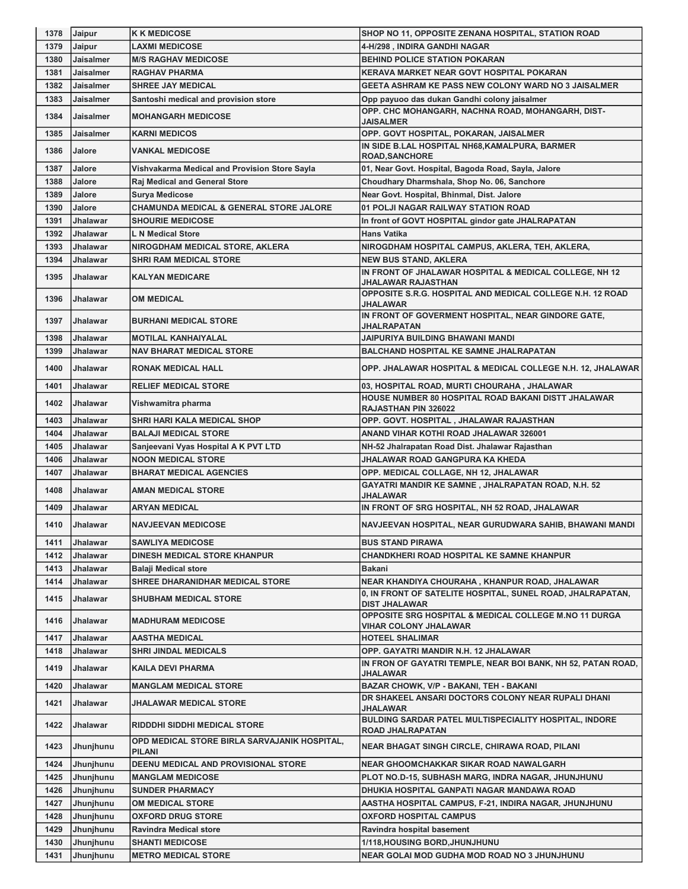| 1378         | <b>Jaipur</b>        | <b>K K MEDICOSE</b>                                           | SHOP NO 11, OPPOSITE ZENANA HOSPITAL, STATION ROAD                                                   |
|--------------|----------------------|---------------------------------------------------------------|------------------------------------------------------------------------------------------------------|
| 1379         | Jaipur               | <b>LAXMI MEDICOSE</b>                                         | 4-H/298, INDIRA GANDHI NAGAR                                                                         |
| 1380         | Jaisalmer            | <b>M/S RAGHAV MEDICOSE</b>                                    | <b>BEHIND POLICE STATION POKARAN</b>                                                                 |
| 1381         | Jaisalmer            | <b>RAGHAV PHARMA</b>                                          | KERAVA MARKET NEAR GOVT HOSPITAL POKARAN                                                             |
| 1382         | Jaisalmer            | <b>SHREE JAY MEDICAL</b>                                      | <b>GEETA ASHRAM KE PASS NEW COLONY WARD NO 3 JAISALMER</b>                                           |
| 1383         | Jaisalmer            | Santoshi medical and provision store                          | Opp payuoo das dukan Gandhi colony jaisalmer                                                         |
| 1384         | <b>Jaisalmer</b>     | <b>MOHANGARH MEDICOSE</b>                                     | OPP. CHC MOHANGARH, NACHNA ROAD, MOHANGARH, DIST-<br>JAISALMER                                       |
| 1385         | Jaisalmer            | <b>KARNI MEDICOS</b>                                          | OPP. GOVT HOSPITAL, POKARAN, JAISALMER                                                               |
| 1386         | Jalore               | <b>VANKAL MEDICOSE</b>                                        | IN SIDE B.LAL HOSPITAL NH68, KAMALPURA, BARMER                                                       |
|              |                      |                                                               | <b>ROAD, SANCHORE</b>                                                                                |
| 1387         | Jalore               | Vishvakarma Medical and Provision Store Sayla                 | 01, Near Govt. Hospital, Bagoda Road, Sayla, Jalore                                                  |
| 1388         | Jalore               | Raj Medical and General Store                                 | Choudhary Dharmshala, Shop No. 06, Sanchore                                                          |
| 1389         | Jalore               | Surya Medicose                                                | Near Govt. Hospital, Bhinmal, Dist. Jalore                                                           |
| 1390         | Jalore               | <b>CHAMUNDA MEDICAL &amp; GENERAL STORE JALORE</b>            | 01 POLJI NAGAR RAILWAY STATION ROAD                                                                  |
| 1391         | Jhalawar             | <b>SHOURIE MEDICOSE</b>                                       | In front of GOVT HOSPITAL gindor gate JHALRAPATAN                                                    |
| 1392         | Jhalawar             | <b>L N Medical Store</b>                                      | <b>Hans Vatika</b>                                                                                   |
| 1393         | Jhalawar             | NIROGDHAM MEDICAL STORE, AKLERA                               | NIROGDHAM HOSPITAL CAMPUS, AKLERA, TEH, AKLERA,                                                      |
| 1394         | Jhalawar             | <b>SHRI RAM MEDICAL STORE</b>                                 | <b>NEW BUS STAND, AKLERA</b>                                                                         |
| 1395         | Jhalawar             | <b>KALYAN MEDICARE</b>                                        | IN FRONT OF JHALAWAR HOSPITAL & MEDICAL COLLEGE, NH 12                                               |
|              |                      |                                                               | JHALAWAR RAJASTHAN                                                                                   |
| 1396         | Jhalawar             | OM MEDICAL                                                    | OPPOSITE S.R.G. HOSPITAL AND MEDICAL COLLEGE N.H. 12 ROAD<br><b>JHALAWAR</b>                         |
| 1397         | Jhalawar             | <b>BURHANI MEDICAL STORE</b>                                  | IN FRONT OF GOVERMENT HOSPITAL, NEAR GINDORE GATE,<br>JHALRAPATAN                                    |
| 1398         | Jhalawar             | <b>MOTILAL KANHAIYALAL</b>                                    | JAIPURIYA BUILDING BHAWANI MANDI                                                                     |
| 1399         | Jhalawar             | <b>NAV BHARAT MEDICAL STORE</b>                               | <b>BALCHAND HOSPITAL KE SAMNE JHALRAPATAN</b>                                                        |
| 1400         | Jhalawar             | <b>RONAK MEDICAL HALL</b>                                     | OPP. JHALAWAR HOSPITAL & MEDICAL COLLEGE N.H. 12, JHALAWAR                                           |
| 1401         | Jhalawar             | <b>RELIEF MEDICAL STORE</b>                                   | 03, HOSPITAL ROAD, MURTI CHOURAHA, JHALAWAR                                                          |
| 1402         | <b>Jhalawar</b>      | Vishwamitra pharma                                            | HOUSE NUMBER 80 HOSPITAL ROAD BAKANI DISTT JHALAWAR<br>RAJASTHAN PIN 326022                          |
| 1403         | Jhalawar             | SHRI HARI KALA MEDICAL SHOP                                   | OPP. GOVT. HOSPITAL , JHALAWAR RAJASTHAN                                                             |
| 1404         | Jhalawar             | BALAJI MEDICAL STORE                                          | ANAND VIHAR KOTHI ROAD JHALAWAR 326001                                                               |
| 1405         | Jhalawar             | Sanjeevani Vyas Hospital A K PVT LTD                          | NH-52 Jhalrapatan Road Dist. Jhalawar Rajasthan                                                      |
|              |                      |                                                               |                                                                                                      |
| 1406         | Jhalawar             |                                                               |                                                                                                      |
|              |                      | <b>NOON MEDICAL STORE</b>                                     | JHALAWAR ROAD GANGPURA KA KHEDA                                                                      |
| 1407<br>1408 | Jhalawar<br>Jhalawar | <b>BHARAT MEDICAL AGENCIES</b><br><b>AMAN MEDICAL STORE</b>   | OPP. MEDICAL COLLAGE, NH 12, JHALAWAR<br>GAYATRI MANDIR KE SAMNE, JHALRAPATAN ROAD, N.H. 52          |
| 1409         | Jhalawar             | <b>ARYAN MEDICAL</b>                                          | JHALAWAR<br>IN FRONT OF SRG HOSPITAL, NH 52 ROAD, JHALAWAR                                           |
| 1410         | <b>Jhalawar</b>      | <b>NAVJEEVAN MEDICOSE</b>                                     | NAVJEEVAN HOSPITAL, NEAR GURUDWARA SAHIB, BHAWANI MANDI                                              |
| 1411         | Jhalawar             | <b>SAWLIYA MEDICOSE</b>                                       | <b>BUS STAND PIRAWA</b>                                                                              |
| 1412         | Jhalawar             | <b>DINESH MEDICAL STORE KHANPUR</b>                           | <b>CHANDKHERI ROAD HOSPITAL KE SAMNE KHANPUR</b>                                                     |
| 1413         | Jhalawar             | <b>Balaji Medical store</b>                                   | Bakani                                                                                               |
| 1414         | Jhalawar             | <b>SHREE DHARANIDHAR MEDICAL STORE</b>                        | NEAR KHANDIYA CHOURAHA, KHANPUR ROAD, JHALAWAR                                                       |
| 1415         | Jhalawar             | <b>SHUBHAM MEDICAL STORE</b>                                  | 0, IN FRONT OF SATELITE HOSPITAL, SUNEL ROAD, JHALRAPATAN,                                           |
| 1416         | Jhalawar             | <b>MADHURAM MEDICOSE</b>                                      | <b>DIST JHALAWAR</b><br><b>OPPOSITE SRG HOSPITAL &amp; MEDICAL COLLEGE M.NO 11 DURGA</b>             |
|              |                      |                                                               | VIHAR COLONY JHALAWAR                                                                                |
| 1417         | Jhalawar             | AASTHA MEDICAL                                                | <b>HOTEEL SHALIMAR</b>                                                                               |
| 1418         | Jhalawar             | <b>SHRI JINDAL MEDICALS</b>                                   | OPP. GAYATRI MANDIR N.H. 12 JHALAWAR<br>IN FRON OF GAYATRI TEMPLE, NEAR BOI BANK, NH 52, PATAN ROAD, |
| 1419         | Jhalawar             | <b>KAILA DEVI PHARMA</b>                                      | JHALAWAR                                                                                             |
| 1420         | Jhalawar             | <b>MANGLAM MEDICAL STORE</b>                                  | BAZAR CHOWK, V/P - BAKANI, TEH - BAKANI                                                              |
| 1421         | Jhalawar             | JHALAWAR MEDICAL STORE                                        | DR SHAKEEL ANSARI DOCTORS COLONY NEAR RUPALI DHANI<br>JHALAWAR                                       |
| 1422         | Jhalawar             | <b>RIDDDHI SIDDHI MEDICAL STORE</b>                           | BULDING SARDAR PATEL MULTISPECIALITY HOSPITAL, INDORE<br><b>ROAD JHALRAPATAN</b>                     |
| 1423         | Jhunjhunu            | OPD MEDICAL STORE BIRLA SARVAJANIK HOSPITAL,<br><b>PILANI</b> | <b>NEAR BHAGAT SINGH CIRCLE, CHIRAWA ROAD, PILANI</b>                                                |
| 1424         | Jhunjhunu            | DEENU MEDICAL AND PROVISIONAL STORE                           | NEAR GHOOMCHAKKAR SIKAR ROAD NAWALGARH                                                               |
| 1425         | Jhunjhunu            | <b>MANGLAM MEDICOSE</b>                                       | PLOT NO.D-15, SUBHASH MARG, INDRA NAGAR, JHUNJHUNU                                                   |
| 1426         | Jhunjhunu            | <b>SUNDER PHARMACY</b>                                        | DHUKIA HOSPITAL GANPATI NAGAR MANDAWA ROAD                                                           |
| 1427         | Jhunjhunu            | <b>OM MEDICAL STORE</b>                                       | AASTHA HOSPITAL CAMPUS, F-21, INDIRA NAGAR, JHUNJHUNU                                                |
| 1428         | Jhunjhunu            | OXFORD DRUG STORE                                             | <b>OXFORD HOSPITAL CAMPUS</b>                                                                        |
| 1429         | Jhunjhunu            | <b>Ravindra Medical store</b>                                 | Ravindra hospital basement                                                                           |
| 1430         | Jhunjhunu            | <b>SHANTI MEDICOSE</b>                                        | 1/118, HOUSING BORD, JHUNJHUNU                                                                       |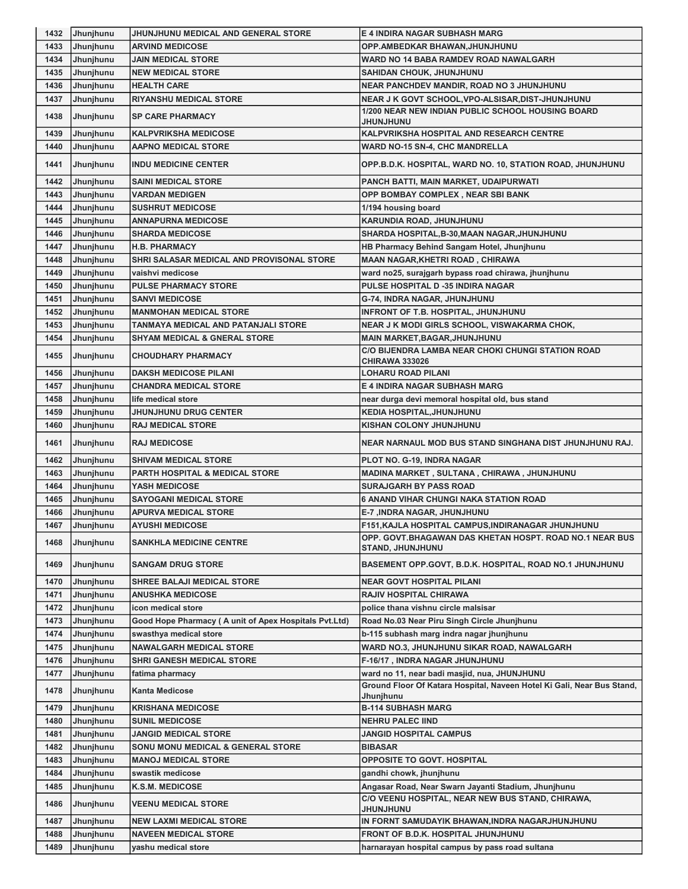| 1432 | Jhunjhunu | JHUNJHUNU MEDICAL AND GENERAL STORE                    | <b>E 4 INDIRA NAGAR SUBHASH MARG</b>                                                |
|------|-----------|--------------------------------------------------------|-------------------------------------------------------------------------------------|
| 1433 | Jhunjhunu | <b>ARVIND MEDICOSE</b>                                 | OPP.AMBEDKAR BHAWAN, JHUNJHUNU                                                      |
| 1434 | Jhunjhunu | <b>JAIN MEDICAL STORE</b>                              | WARD NO 14 BABA RAMDEV ROAD NAWALGARH                                               |
| 1435 | Jhunjhunu | <b>NEW MEDICAL STORE</b>                               | SAHIDAN CHOUK, JHUNJHUNU                                                            |
| 1436 | Jhunjhunu | <b>HEALTH CARE</b>                                     | <b>NEAR PANCHDEV MANDIR, ROAD NO 3 JHUNJHUNU</b>                                    |
| 1437 | Jhunjhunu | <b>RIYANSHU MEDICAL STORE</b>                          | NEAR J K GOVT SCHOOL, VPO-ALSISAR, DIST-JHUNJHUNU                                   |
| 1438 | Jhunjhunu | <b>SP CARE PHARMACY</b>                                | 1/200 NEAR NEW INDIAN PUBLIC SCHOOL HOUSING BOARD<br>JHUNJHUNU                      |
| 1439 | Jhunjhunu | <b>KALPVRIKSHA MEDICOSE</b>                            | KALPVRIKSHA HOSPITAL AND RESEARCH CENTRE                                            |
| 1440 | Jhunjhunu | <b>AAPNO MEDICAL STORE</b>                             | WARD NO-15 SN-4, CHC MANDRELLA                                                      |
| 1441 | Jhunjhunu | <b>INDU MEDICINE CENTER</b>                            | OPP.B.D.K. HOSPITAL, WARD NO. 10, STATION ROAD, JHUNJHUNU                           |
| 1442 | Jhunjhunu | <b>SAINI MEDICAL STORE</b>                             | PANCH BATTI, MAIN MARKET, UDAIPURWATI                                               |
| 1443 | Jhunjhunu | <b>VARDAN MEDIGEN</b>                                  | OPP BOMBAY COMPLEX, NEAR SBI BANK                                                   |
| 1444 | Jhunjhunu | <b>SUSHRUT MEDICOSE</b>                                | 1/194 housing board                                                                 |
| 1445 | Jhunjhunu | <b>ANNAPURNA MEDICOSE</b>                              | KARUNDIA ROAD, JHUNJHUNU                                                            |
| 1446 | Jhunjhunu | <b>SHARDA MEDICOSE</b>                                 | SHARDA HOSPITAL, B-30, MAAN NAGAR, JHUNJHUNU                                        |
| 1447 | Jhunjhunu | <b>H.B. PHARMACY</b>                                   | HB Pharmacy Behind Sangam Hotel, Jhunjhunu                                          |
| 1448 | Jhunjhunu | SHRI SALASAR MEDICAL AND PROVISONAL STORE              | <b>MAAN NAGAR, KHETRI ROAD, CHIRAWA</b>                                             |
| 1449 | Jhunjhunu | vaishvi medicose                                       | ward no25, surajgarh bypass road chirawa, jhunjhunu                                 |
| 1450 | Jhunjhunu | <b>PULSE PHARMACY STORE</b>                            | PULSE HOSPITAL D -35 INDIRA NAGAR                                                   |
| 1451 | Jhunjhunu | <b>SANVI MEDICOSE</b>                                  | G-74, INDRA NAGAR, JHUNJHUNU                                                        |
| 1452 | Jhunjhunu | <b>MANMOHAN MEDICAL STORE</b>                          | INFRONT OF T.B. HOSPITAL, JHUNJHUNU                                                 |
| 1453 | Jhunjhunu | TANMAYA MEDICAL AND PATANJALI STORE                    | NEAR J K MODI GIRLS SCHOOL, VISWAKARMA CHOK,                                        |
| 1454 | Jhunjhunu | <b>SHYAM MEDICAL &amp; GNERAL STORE</b>                | <b>MAIN MARKET, BAGAR, JHUNJHUNU</b>                                                |
|      |           |                                                        | C/O BIJENDRA LAMBA NEAR CHOKI CHUNGI STATION ROAD                                   |
| 1455 | Jhunjhunu | <b>CHOUDHARY PHARMACY</b>                              | <b>CHIRAWA 333026</b>                                                               |
| 1456 | Jhunjhunu | <b>DAKSH MEDICOSE PILANI</b>                           | <b>LOHARU ROAD PILANI</b>                                                           |
| 1457 | Jhunjhunu | <b>CHANDRA MEDICAL STORE</b>                           | E 4 INDIRA NAGAR SUBHASH MARG                                                       |
| 1458 | Jhunjhunu | life medical store                                     | near durga devi memoral hospital old, bus stand                                     |
| 1459 | Jhunjhunu | <b>JHUNJHUNU DRUG CENTER</b>                           | <b>KEDIA HOSPITAL, JHUNJHUNU</b>                                                    |
| 1460 | Jhunjhunu | <b>RAJ MEDICAL STORE</b>                               | KISHAN COLONY JHUNJHUNU                                                             |
| 1461 | Jhunjhunu | <b>RAJ MEDICOSE</b>                                    | NEAR NARNAUL MOD BUS STAND SINGHANA DIST JHUNJHUNU RAJ.                             |
| 1462 | Jhunjhunu | <b>SHIVAM MEDICAL STORE</b>                            | PLOT NO. G-19, INDRA NAGAR                                                          |
| 1463 | Jhunjhunu | PARTH HOSPITAL & MEDICAL STORE                         | MADINA MARKET, SULTANA, CHIRAWA, JHUNJHUNU                                          |
| 1464 | Jhunjhunu | <b>YASH MEDICOSE</b>                                   | <b>SURAJGARH BY PASS ROAD</b>                                                       |
| 1465 | Jhunjhunu | <b>SAYOGANI MEDICAL STORE</b>                          | <b>6 ANAND VIHAR CHUNGI NAKA STATION ROAD</b>                                       |
| 1466 | Jhunjhunu | <b>APURVA MEDICAL STORE</b>                            | E-7 ,INDRA NAGAR, JHUNJHUNU                                                         |
| 1467 | Jhunjhunu | <b>AYUSHI MEDICOSE</b>                                 | F151, KAJLA HOSPITAL CAMPUS, INDIRANAGAR JHUNJHUNU                                  |
| 1468 | Jhunjhunu | <b>SANKHLA MEDICINE CENTRE</b>                         | OPP. GOVT.BHAGAWAN DAS KHETAN HOSPT. ROAD NO.1 NEAR BUS<br><b>STAND, JHUNJHUNU</b>  |
| 1469 | Jhunjhunu | <b>SANGAM DRUG STORE</b>                               | BASEMENT OPP.GOVT, B.D.K. HOSPITAL, ROAD NO.1 JHUNJHUNU                             |
| 1470 | Jhunjhunu | <b>SHREE BALAJI MEDICAL STORE</b>                      | <b>NEAR GOVT HOSPITAL PILANI</b>                                                    |
| 1471 | Jhunjhunu | <b>ANUSHKA MEDICOSE</b>                                | <b>RAJIV HOSPITAL CHIRAWA</b>                                                       |
| 1472 | Jhunjhunu | icon medical store                                     | police thana vishnu circle malsisar                                                 |
| 1473 | Jhunjhunu | Good Hope Pharmacy ( A unit of Apex Hospitals Pvt.Ltd) | Road No.03 Near Piru Singh Circle Jhunjhunu                                         |
| 1474 | Jhunjhunu | swasthya medical store                                 | b-115 subhash marg indra nagar jhunjhunu                                            |
| 1475 | Jhunjhunu | <b>NAWALGARH MEDICAL STORE</b>                         | WARD NO.3, JHUNJHUNU SIKAR ROAD, NAWALGARH                                          |
| 1476 | Jhunjhunu | <b>SHRI GANESH MEDICAL STORE</b>                       | F-16/17, INDRA NAGAR JHUNJHUNU                                                      |
| 1477 | Jhunjhunu | fatima pharmacy                                        | ward no 11, near badi masjid, nua, JHUNJHUNU                                        |
| 1478 | Jhunjhunu | <b>Kanta Medicose</b>                                  | Ground Floor Of Katara Hospital, Naveen Hotel Ki Gali, Near Bus Stand,<br>Jhunjhunu |
| 1479 | Jhunjhunu | <b>KRISHANA MEDICOSE</b>                               | <b>B-114 SUBHASH MARG</b>                                                           |
| 1480 | Jhunjhunu | <b>SUNIL MEDICOSE</b>                                  | <b>NEHRU PALEC IIND</b>                                                             |
| 1481 | Jhunjhunu | <b>JANGID MEDICAL STORE</b>                            | <b>JANGID HOSPITAL CAMPUS</b>                                                       |
| 1482 | Jhunjhunu | <b>SONU MONU MEDICAL &amp; GENERAL STORE</b>           | <b>BIBASAR</b>                                                                      |
| 1483 | Jhunjhunu | <b>MANOJ MEDICAL STORE</b>                             | <b>OPPOSITE TO GOVT. HOSPITAL</b>                                                   |
| 1484 | Jhunjhunu | swastik medicose                                       | gandhi chowk, jhunjhunu                                                             |
| 1485 | Jhunjhunu | K.S.M. MEDICOSE                                        | Angasar Road, Near Swarn Jayanti Stadium, Jhunjhunu                                 |
| 1486 | Jhunjhunu | <b>VEENU MEDICAL STORE</b>                             | C/O VEENU HOSPITAL, NEAR NEW BUS STAND, CHIRAWA,<br><b>UNUHLNUHL</b>                |
| 1487 | Jhunjhunu | <b>NEW LAXMI MEDICAL STORE</b>                         | IN FORNT SAMUDAYIK BHAWAN,INDRA NAGARJHUNJHUNU                                      |
| 1488 | Jhunjhunu | <b>NAVEEN MEDICAL STORE</b>                            | FRONT OF B.D.K. HOSPITAL JHUNJHUNU                                                  |
| 1489 | Jhunjhunu | yashu medical store                                    | harnarayan hospital campus by pass road sultana                                     |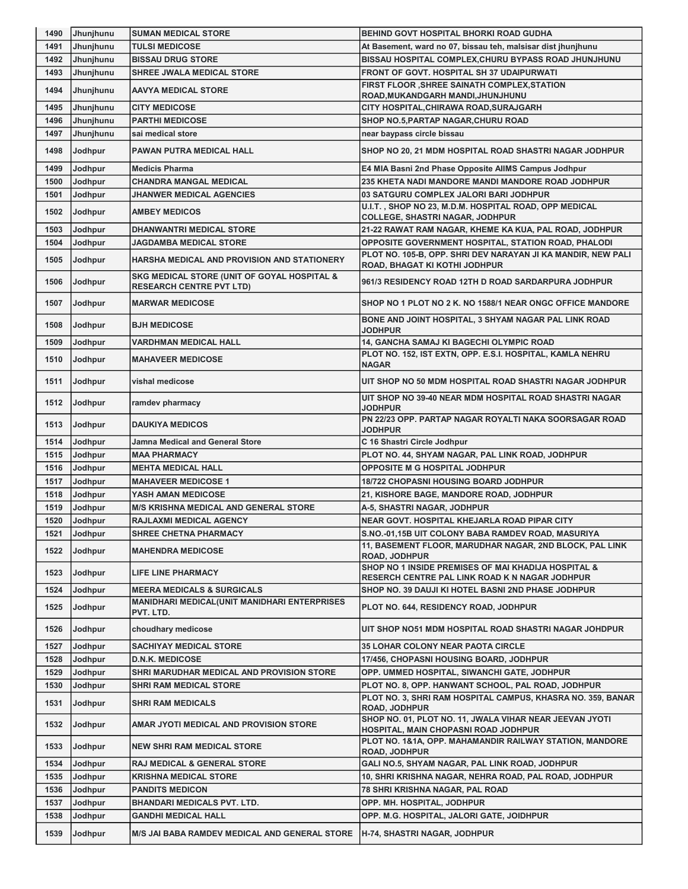| 1490 | Jhunjhunu | <b>SUMAN MEDICAL STORE</b>                                                     | BEHIND GOVT HOSPITAL BHORKI ROAD GUDHA                                                          |
|------|-----------|--------------------------------------------------------------------------------|-------------------------------------------------------------------------------------------------|
| 1491 | Jhunjhunu | <b>TULSI MEDICOSE</b>                                                          | At Basement, ward no 07, bissau teh, malsisar dist jhunjhunu                                    |
| 1492 | Jhunjhunu | <b>BISSAU DRUG STORE</b>                                                       | BISSAU HOSPITAL COMPLEX, CHURU BYPASS ROAD JHUNJHUNU                                            |
| 1493 | Jhunjhunu | SHREE JWALA MEDICAL STORE                                                      | FRONT OF GOVT. HOSPITAL SH 37 UDAIPURWATI                                                       |
| 1494 | Jhunjhunu | <b>AAVYA MEDICAL STORE</b>                                                     | FIRST FLOOR , SHREE SAINATH COMPLEX, STATION<br>ROAD, MUKANDGARH MANDI, JHUNJHUNU               |
| 1495 | Jhunjhunu | <b>CITY MEDICOSE</b>                                                           | CITY HOSPITAL, CHIRAWA ROAD, SURAJGARH                                                          |
| 1496 | Jhunjhunu | <b>PARTHI MEDICOSE</b>                                                         | SHOP NO.5, PARTAP NAGAR, CHURU ROAD                                                             |
| 1497 | Jhunjhunu | sai medical store                                                              | near baypass circle bissau                                                                      |
| 1498 | Jodhpur   | PAWAN PUTRA MEDICAL HALL                                                       | SHOP NO 20, 21 MDM HOSPITAL ROAD SHASTRI NAGAR JODHPUR                                          |
| 1499 | Jodhpur   | <b>Medicis Pharma</b>                                                          | E4 MIA Basni 2nd Phase Opposite AllMS Campus Jodhpur                                            |
| 1500 | Jodhpur   | <b>CHANDRA MANGAL MEDICAL</b>                                                  | 235 KHETA NADI MANDORE MANDI MANDORE ROAD JODHPUR                                               |
| 1501 | Jodhpur   | <b>JHANWER MEDICAL AGENCIES</b>                                                | 03 SATGURU COMPLEX JALORI BARI JODHPUR                                                          |
| 1502 | Jodhpur   | <b>AMBEY MEDICOS</b>                                                           | U.I.T., SHOP NO 23, M.D.M. HOSPITAL ROAD, OPP MEDICAL<br><b>COLLEGE, SHASTRI NAGAR, JODHPUR</b> |
| 1503 | Jodhpur   | <b>DHANWANTRI MEDICAL STORE</b>                                                | 21-22 RAWAT RAM NAGAR, KHEME KA KUA, PAL ROAD, JODHPUR                                          |
| 1504 | Jodhpur   | <b>JAGDAMBA MEDICAL STORE</b>                                                  | OPPOSITE GOVERNMENT HOSPITAL, STATION ROAD, PHALODI                                             |
| 1505 | Jodhpur   | HARSHA MEDICAL AND PROVISION AND STATIONERY                                    | PLOT NO. 105-B, OPP. SHRI DEV NARAYAN JI KA MANDIR, NEW PALI<br>ROAD, BHAGAT KI KOTHI JODHPUR   |
| 1506 | Jodhpur   | SKG MEDICAL STORE (UNIT OF GOYAL HOSPITAL &<br><b>RESEARCH CENTRE PVT LTD)</b> | 961/3 RESIDENCY ROAD 12TH D ROAD SARDARPURA JODHPUR                                             |
| 1507 | Jodhpur   | <b>MARWAR MEDICOSE</b>                                                         | SHOP NO 1 PLOT NO 2 K. NO 1588/1 NEAR ONGC OFFICE MANDORE                                       |
| 1508 | Jodhpur   | <b>BJH MEDICOSE</b>                                                            | BONE AND JOINT HOSPITAL, 3 SHYAM NAGAR PAL LINK ROAD                                            |
|      |           |                                                                                | <b>JODHPUR</b>                                                                                  |
| 1509 | Jodhpur   | <b>VARDHMAN MEDICAL HALL</b>                                                   | 14, GANCHA SAMAJ KI BAGECHI OLYMPIC ROAD                                                        |
| 1510 | Jodhpur   | <b>MAHAVEER MEDICOSE</b>                                                       | PLOT NO. 152, IST EXTN, OPP. E.S.I. HOSPITAL, KAMLA NEHRU<br><b>NAGAR</b>                       |
| 1511 | Jodhpur   | vishal medicose                                                                | UIT SHOP NO 50 MDM HOSPITAL ROAD SHASTRI NAGAR JODHPUR                                          |
| 1512 | Jodhpur   | ramdev pharmacy                                                                | UIT SHOP NO 39-40 NEAR MDM HOSPITAL ROAD SHASTRI NAGAR<br><b>JODHPUR</b>                        |
| 1513 | Jodhpur   | <b>DAUKIYA MEDICOS</b>                                                         | PN 22/23 OPP. PARTAP NAGAR ROYALTI NAKA SOORSAGAR ROAD<br><b>JODHPUR</b>                        |
|      |           |                                                                                |                                                                                                 |
| 1514 | Jodhpur   | Jamna Medical and General Store                                                | C 16 Shastri Circle Jodhpur                                                                     |
| 1515 | Jodhpur   | <b>MAA PHARMACY</b>                                                            | PLOT NO. 44, SHYAM NAGAR, PAL LINK ROAD, JODHPUR                                                |
| 1516 | Jodhpur   | <b>MEHTA MEDICAL HALL</b>                                                      | <b>OPPOSITE M G HOSPITAL JODHPUR</b>                                                            |
| 1517 | Jodhpur   | <b>MAHAVEER MEDICOSE 1</b>                                                     | <b>18/722 CHOPASNI HOUSING BOARD JODHPUR</b>                                                    |
| 1518 | Jodhpur   | YASH AMAN MEDICOSE                                                             | 21, KISHORE BAGE, MANDORE ROAD, JODHPUR                                                         |
| 1519 | Jodhpur   | <b>M/S KRISHNA MEDICAL AND GENERAL STORE</b>                                   | A-5, SHASTRI NAGAR, JODHPUR                                                                     |
| 1520 | Jodhpur   | RAJLAXMI MEDICAL AGENCY                                                        | NEAR GOVT. HOSPITAL KHEJARLA ROAD PIPAR CITY                                                    |
| 1521 | Jodhpur   | SHREE CHETNA PHARMACY                                                          | S.NO.-01,15B UIT COLONY BABA RAMDEV ROAD, MASURIYA                                              |
| 1522 | Jodhpur   | <b>MAHENDRA MEDICOSE</b>                                                       | 11, BASEMENT FLOOR, MARUDHAR NAGAR, 2ND BLOCK, PAL LINK<br><b>ROAD, JODHPUR</b>                 |
| 1523 | Jodhpur   | <b>LIFE LINE PHARMACY</b>                                                      | SHOP NO 1 INSIDE PREMISES OF MAI KHADIJA HOSPITAL &                                             |
|      |           |                                                                                | RESERCH CENTRE PAL LINK ROAD K N NAGAR JODHPUR                                                  |
| 1524 | Jodhpur   | <b>MEERA MEDICALS &amp; SURGICALS</b>                                          | SHOP NO. 39 DAUJI KI HOTEL BASNI 2ND PHASE JODHPUR                                              |
| 1525 | Jodhpur   | <b>MANIDHARI MEDICAL(UNIT MANIDHARI ENTERPRISES</b><br>PVT. LTD.               | PLOT NO. 644, RESIDENCY ROAD, JODHPUR                                                           |
| 1526 | Jodhpur   | choudhary medicose                                                             | UIT SHOP NO51 MDM HOSPITAL ROAD SHASTRI NAGAR JOHDPUR                                           |
| 1527 | Jodhpur   | <b>SACHIYAY MEDICAL STORE</b>                                                  | <b>35 LOHAR COLONY NEAR PAOTA CIRCLE</b>                                                        |
| 1528 | Jodhpur   | <b>D.N.K. MEDICOSE</b>                                                         | 17/456, CHOPASNI HOUSING BOARD, JODHPUR                                                         |
| 1529 | Jodhpur   | SHRI MARUDHAR MEDICAL AND PROVISION STORE                                      | OPP. UMMED HOSPITAL, SIWANCHI GATE, JODHPUR                                                     |
| 1530 | Jodhpur   | <b>SHRI RAM MEDICAL STORE</b>                                                  | PLOT NO. 8, OPP. HANWANT SCHOOL, PAL ROAD, JODHPUR                                              |
| 1531 | Jodhpur   | SHRI RAM MEDICALS                                                              | PLOT NO. 3, SHRI RAM HOSPITAL CAMPUS, KHASRA NO. 359, BANAR<br><b>ROAD, JODHPUR</b>             |
| 1532 | Jodhpur   | AMAR JYOTI MEDICAL AND PROVISION STORE                                         | SHOP NO. 01, PLOT NO. 11, JWALA VIHAR NEAR JEEVAN JYOTI<br>HOSPITAL, MAIN CHOPASNI ROAD JODHPUR |
| 1533 | Jodhpur   | <b>NEW SHRI RAM MEDICAL STORE</b>                                              | PLOT NO. 1&1A, OPP. MAHAMANDIR RAILWAY STATION, MANDORE<br><b>ROAD, JODHPUR</b>                 |
| 1534 | Jodhpur   | <b>RAJ MEDICAL &amp; GENERAL STORE</b>                                         | GALI NO.5, SHYAM NAGAR, PAL LINK ROAD, JODHPUR                                                  |
| 1535 | Jodhpur   | <b>KRISHNA MEDICAL STORE</b>                                                   | 10, SHRI KRISHNA NAGAR, NEHRA ROAD, PAL ROAD, JODHPUR                                           |
| 1536 | Jodhpur   | <b>PANDITS MEDICON</b>                                                         | 78 SHRI KRISHNA NAGAR, PAL ROAD                                                                 |
| 1537 | Jodhpur   | <b>BHANDARI MEDICALS PVT. LTD.</b>                                             | OPP. MH. HOSPITAL, JODHPUR                                                                      |
| 1538 | Jodhpur   | GANDHI MEDICAL HALL                                                            | OPP. M.G. HOSPITAL, JALORI GATE, JOIDHPUR                                                       |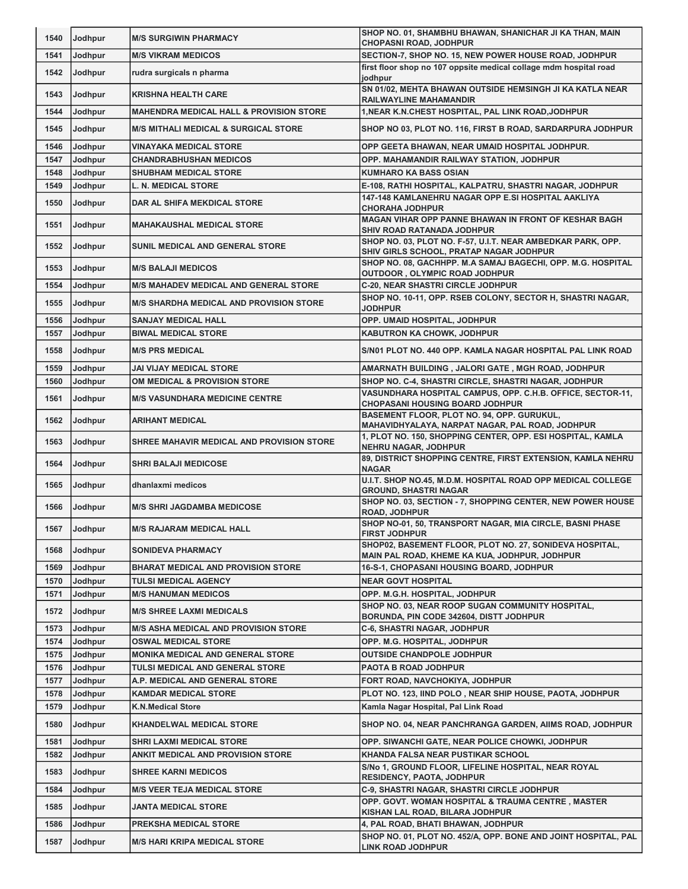| 1540         | Jodhpur | <b>M/S SURGIWIN PHARMACY</b>                                   | SHOP NO. 01, SHAMBHU BHAWAN, SHANICHAR JI KA THAN, MAIN<br><b>CHOPASNI ROAD, JODHPUR</b>                 |
|--------------|---------|----------------------------------------------------------------|----------------------------------------------------------------------------------------------------------|
| 1541         | Jodhpur | <b>M/S VIKRAM MEDICOS</b>                                      | SECTION-7, SHOP NO. 15, NEW POWER HOUSE ROAD, JODHPUR                                                    |
| 1542         | Jodhpur | rudra surgicals n pharma                                       | first floor shop no 107 oppsite medical collage mdm hospital road                                        |
| 1543         | Jodhpur | <b>KRISHNA HEALTH CARE</b>                                     | jodhpur<br>SN 01/02, MEHTA BHAWAN OUTSIDE HEMSINGH JI KA KATLA NEAR                                      |
| 1544         | Jodhpur | <b>MAHENDRA MEDICAL HALL &amp; PROVISION STORE</b>             | <b>RAILWAYLINE MAHAMANDIR</b><br>1, NEAR K.N.CHEST HOSPITAL, PAL LINK ROAD, JODHPUR                      |
|              |         |                                                                |                                                                                                          |
| 1545         | Jodhpur | <b>M/S MITHALI MEDICAL &amp; SURGICAL STORE</b>                | SHOP NO 03, PLOT NO. 116, FIRST B ROAD, SARDARPURA JODHPUR                                               |
| 1546<br>1547 | Jodhpur | <b>VINAYAKA MEDICAL STORE</b><br><b>CHANDRABHUSHAN MEDICOS</b> | OPP GEETA BHAWAN, NEAR UMAID HOSPITAL JODHPUR.                                                           |
| 1548         | Jodhpur |                                                                | OPP. MAHAMANDIR RAILWAY STATION, JODHPUR<br><b>KUMHARO KA BASS OSIAN</b>                                 |
|              | Jodhpur | <b>SHUBHAM MEDICAL STORE</b>                                   | E-108, RATHI HOSPITAL, KALPATRU, SHASTRI NAGAR, JODHPUR                                                  |
| 1549         | Jodhpur | <b>L. N. MEDICAL STORE</b>                                     | 147-148 KAMLANEHRU NAGAR OPP E.SI HOSPITAL AAKLIYA                                                       |
| 1550         | Jodhpur | DAR AL SHIFA MEKDICAL STORE                                    | <b>CHORAHA JODHPUR</b>                                                                                   |
| 1551         | Jodhpur | <b>MAHAKAUSHAL MEDICAL STORE</b>                               | MAGAN VIHAR OPP PANNE BHAWAN IN FRONT OF KESHAR BAGH<br>SHIV ROAD RATANADA JODHPUR                       |
| 1552         | Jodhpur | SUNIL MEDICAL AND GENERAL STORE                                | SHOP NO. 03, PLOT NO. F-57, U.I.T. NEAR AMBEDKAR PARK, OPP.<br>SHIV GIRLS SCHOOL, PRATAP NAGAR JODHPUR   |
| 1553         | Jodhpur | <b>M/S BALAJI MEDICOS</b>                                      | SHOP NO. 08, GACHHPP. M.A SAMAJ BAGECHI, OPP. M.G. HOSPITAL<br>OUTDOOR, OLYMPIC ROAD JODHPUR             |
| 1554         | Jodhpur | <b>M/S MAHADEV MEDICAL AND GENERAL STORE</b>                   | <b>C-20, NEAR SHASTRI CIRCLE JODHPUR</b>                                                                 |
| 1555         | Jodhpur | <b>M/S SHARDHA MEDICAL AND PROVISION STORE</b>                 | SHOP NO. 10-11, OPP. RSEB COLONY, SECTOR H, SHASTRI NAGAR,<br><b>JODHPUR</b>                             |
| 1556         | Jodhpur | <b>SANJAY MEDICAL HALL</b>                                     | OPP. UMAID HOSPITAL, JODHPUR                                                                             |
| 1557         | Jodhpur | <b>BIWAL MEDICAL STORE</b>                                     | <b>KABUTRON KA CHOWK, JODHPUR</b>                                                                        |
| 1558         | Jodhpur | <b>M/S PRS MEDICAL</b>                                         | S/N01 PLOT NO. 440 OPP. KAMLA NAGAR HOSPITAL PAL LINK ROAD                                               |
| 1559         | Jodhpur | <b>JAI VIJAY MEDICAL STORE</b>                                 | AMARNATH BUILDING, JALORI GATE, MGH ROAD, JODHPUR                                                        |
| 1560         | Jodhpur | OM MEDICAL & PROVISION STORE                                   | SHOP NO. C-4, SHASTRI CIRCLE, SHASTRI NAGAR, JODHPUR                                                     |
| 1561         | Jodhpur | <b>M/S VASUNDHARA MEDICINE CENTRE</b>                          | VASUNDHARA HOSPITAL CAMPUS, OPP. C.H.B. OFFICE, SECTOR-11,<br><b>CHOPASANI HOUSING BOARD JODHPUR</b>     |
| 1562         | Jodhpur | <b>ARIHANT MEDICAL</b>                                         | BASEMENT FLOOR, PLOT NO. 94, OPP. GURUKUL,<br>MAHAVIDHYALAYA, NARPAT NAGAR, PAL ROAD, JODHPUR            |
| 1563         | Jodhpur | SHREE MAHAVIR MEDICAL AND PROVISION STORE                      | 1, PLOT NO. 150, SHOPPING CENTER, OPP. ESI HOSPITAL, KAMLA<br><b>NEHRU NAGAR, JODHPUR</b>                |
| 1564         | Jodhpur | <b>SHRI BALAJI MEDICOSE</b>                                    | 89, DISTRICT SHOPPING CENTRE, FIRST EXTENSION, KAMLA NEHRU<br><b>NAGAR</b>                               |
| 1565         | Jodhpur | dhanlaxmi medicos                                              | U.I.T. SHOP NO.45, M.D.M. HOSPITAL ROAD OPP MEDICAL COLLEGE<br><b>GROUND, SHASTRI NAGAR</b>              |
| 1566         | Jodhpur | <b>M/S SHRI JAGDAMBA MEDICOSE</b>                              | SHOP NO. 03, SECTION - 7, SHOPPING CENTER, NEW POWER HOUSE<br><b>ROAD, JODHPUR</b>                       |
| 1567         | Jodhpur | <b>M/S RAJARAM MEDICAL HALL</b>                                | SHOP NO-01, 50, TRANSPORT NAGAR, MIA CIRCLE, BASNI PHASE<br><b>FIRST JODHPUR</b>                         |
| 1568         | Jodhpur | <b>SONIDEVA PHARMACY</b>                                       | SHOP02, BASEMENT FLOOR, PLOT NO. 27, SONIDEVA HOSPITAL,<br>MAIN PAL ROAD, KHEME KA KUA, JODHPUR, JODHPUR |
| 1569         | Jodhpur | <b>BHARAT MEDICAL AND PROVISION STORE</b>                      | <b>16-S-1, CHOPASANI HOUSING BOARD, JODHPUR</b>                                                          |
| 1570         | Jodhpur | <b>TULSI MEDICAL AGENCY</b>                                    | <b>NEAR GOVT HOSPITAL</b>                                                                                |
| 1571         | Jodhpur | <b>M/S HANUMAN MEDICOS</b>                                     | OPP. M.G.H. HOSPITAL, JODHPUR                                                                            |
| 1572         | Jodhpur | <b>M/S SHREE LAXMI MEDICALS</b>                                | SHOP NO. 03, NEAR ROOP SUGAN COMMUNITY HOSPITAL,<br>BORUNDA, PIN CODE 342604, DISTT JODHPUR              |
| 1573         | Jodhpur | <b>M/S ASHA MEDICAL AND PROVISION STORE</b>                    | <b>C-6, SHASTRI NAGAR, JODHPUR</b>                                                                       |
| 1574         | Jodhpur | <b>OSWAL MEDICAL STORE</b>                                     | OPP. M.G. HOSPITAL, JODHPUR                                                                              |
| 1575         | Jodhpur | <b>MONIKA MEDICAL AND GENERAL STORE</b>                        | <b>OUTSIDE CHANDPOLE JODHPUR</b>                                                                         |
| 1576         | Jodhpur | TULSI MEDICAL AND GENERAL STORE                                | PAOTA B ROAD JODHPUR                                                                                     |
| 1577         | Jodhpur | A.P. MEDICAL AND GENERAL STORE                                 | FORT ROAD, NAVCHOKIYA, JODHPUR                                                                           |
| 1578         | Jodhpur | <b>KAMDAR MEDICAL STORE</b>                                    | PLOT NO. 123, IIND POLO, NEAR SHIP HOUSE, PAOTA, JODHPUR                                                 |
| 1579         | Jodhpur | <b>K.N.Medical Store</b>                                       | Kamla Nagar Hospital, Pal Link Road                                                                      |
| 1580         | Jodhpur | <b>KHANDELWAL MEDICAL STORE</b>                                | SHOP NO. 04, NEAR PANCHRANGA GARDEN, AIIMS ROAD, JODHPUR                                                 |
| 1581         | Jodhpur | <b>SHRI LAXMI MEDICAL STORE</b>                                | OPP. SIWANCHI GATE, NEAR POLICE CHOWKI, JODHPUR                                                          |
| 1582         | Jodhpur | ANKIT MEDICAL AND PROVISION STORE                              | KHANDA FALSA NEAR PUSTIKAR SCHOOL                                                                        |
| 1583         | Jodhpur | <b>SHREE KARNI MEDICOS</b>                                     | S/No 1, GROUND FLOOR, LIFELINE HOSPITAL, NEAR ROYAL<br><b>RESIDENCY, PAOTA, JODHPUR</b>                  |
| 1584         | Jodhpur | <b>M/S VEER TEJA MEDICAL STORE</b>                             | <b>C-9, SHASTRI NAGAR, SHASTRI CIRCLE JODHPUR</b>                                                        |
| 1585         | Jodhpur | <b>JANTA MEDICAL STORE</b>                                     | OPP. GOVT. WOMAN HOSPITAL & TRAUMA CENTRE, MASTER<br>KISHAN LAL ROAD, BILARA JODHPUR                     |
| 1586         | Jodhpur | <b>PREKSHA MEDICAL STORE</b>                                   | 4, PAL ROAD, BHATI BHAWAN, JODHPUR                                                                       |
| 1587         | Jodhpur | <b>M/S HARI KRIPA MEDICAL STORE</b>                            | SHOP NO. 01, PLOT NO. 452/A, OPP. BONE AND JOINT HOSPITAL, PAL<br>LINK ROAD JODHPUR                      |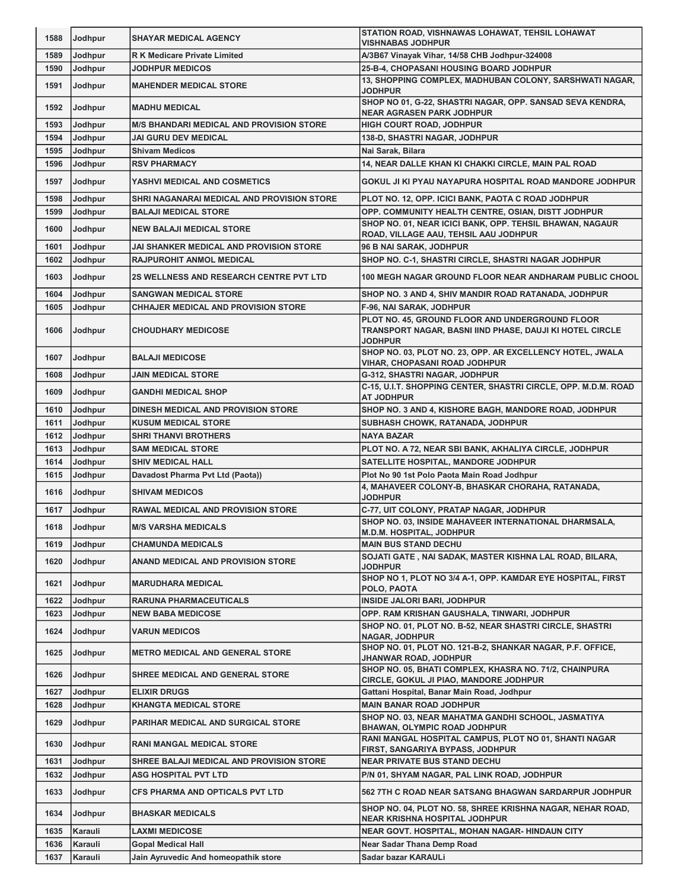| 1588 | Jodhpur        | <b>SHAYAR MEDICAL AGENCY</b>                    | STATION ROAD, VISHNAWAS LOHAWAT, TEHSIL LOHAWAT<br><b>VISHNABAS JODHPUR</b>                                                   |
|------|----------------|-------------------------------------------------|-------------------------------------------------------------------------------------------------------------------------------|
| 1589 | Jodhpur        | <b>RK Medicare Private Limited</b>              | A/3B67 Vinayak Vihar, 14/58 CHB Jodhpur-324008                                                                                |
| 1590 | Jodhpur        | <b>JODHPUR MEDICOS</b>                          | 25-B-4, CHOPASANI HOUSING BOARD JODHPUR                                                                                       |
| 1591 | Jodhpur        | <b>MAHENDER MEDICAL STORE</b>                   | 13, SHOPPING COMPLEX, MADHUBAN COLONY, SARSHWATI NAGAR,<br><b>JODHPUR</b>                                                     |
| 1592 | Jodhpur        | <b>MADHU MEDICAL</b>                            | SHOP NO 01, G-22, SHASTRI NAGAR, OPP. SANSAD SEVA KENDRA,<br><b>NEAR AGRASEN PARK JODHPUR</b>                                 |
| 1593 | Jodhpur        | <b>M/S BHANDARI MEDICAL AND PROVISION STORE</b> | <b>HIGH COURT ROAD, JODHPUR</b>                                                                                               |
| 1594 | Jodhpur        | <b>JAI GURU DEV MEDICAL</b>                     | 138-D, SHASTRI NAGAR, JODHPUR                                                                                                 |
| 1595 | Jodhpur        | <b>Shivam Medicos</b>                           | Nai Sarak, Bilara                                                                                                             |
| 1596 | Jodhpur        | <b>RSV PHARMACY</b>                             | 14, NEAR DALLE KHAN KI CHAKKI CIRCLE, MAIN PAL ROAD                                                                           |
| 1597 | Jodhpur        | YASHVI MEDICAL AND COSMETICS                    | GOKUL JI KI PYAU NAYAPURA HOSPITAL ROAD MANDORE JODHPUR                                                                       |
| 1598 | Jodhpur        | SHRI NAGANARAI MEDICAL AND PROVISION STORE      | PLOT NO. 12, OPP. ICICI BANK, PAOTA C ROAD JODHPUR                                                                            |
| 1599 | Jodhpur        | <b>BALAJI MEDICAL STORE</b>                     | OPP. COMMUNITY HEALTH CENTRE, OSIAN, DISTT JODHPUR                                                                            |
|      |                |                                                 | SHOP NO. 01, NEAR ICICI BANK, OPP. TEHSIL BHAWAN, NAGAUR                                                                      |
| 1600 | Jodhpur        | <b>NEW BALAJI MEDICAL STORE</b>                 | ROAD, VILLAGE AAU, TEHSIL AAU JODHPUR                                                                                         |
| 1601 | Jodhpur        | JAI SHANKER MEDICAL AND PROVISION STORE         | 96 B NAI SARAK, JODHPUR                                                                                                       |
| 1602 | Jodhpur        | <b>RAJPUROHIT ANMOL MEDICAL</b>                 | SHOP NO. C-1, SHASTRI CIRCLE, SHASTRI NAGAR JODHPUR                                                                           |
| 1603 | Jodhpur        | <b>2S WELLNESS AND RESEARCH CENTRE PVT LTD</b>  | 100 MEGH NAGAR GROUND FLOOR NEAR ANDHARAM PUBLIC CHOOL                                                                        |
|      |                |                                                 |                                                                                                                               |
| 1604 | Jodhpur        | <b>SANGWAN MEDICAL STORE</b>                    | SHOP NO. 3 AND 4, SHIV MANDIR ROAD RATANADA, JODHPUR                                                                          |
| 1605 | Jodhpur        | <b>CHHAJER MEDICAL AND PROVISION STORE</b>      | F-96, NAI SARAK, JODHPUR                                                                                                      |
| 1606 | Jodhpur        | <b>CHOUDHARY MEDICOSE</b>                       | PLOT NO. 45, GROUND FLOOR AND UNDERGROUND FLOOR<br>TRANSPORT NAGAR, BASNI IIND PHASE, DAUJI KI HOTEL CIRCLE<br><b>JODHPUR</b> |
| 1607 | Jodhpur        | <b>BALAJI MEDICOSE</b>                          | SHOP NO. 03, PLOT NO. 23, OPP. AR EXCELLENCY HOTEL, JWALA<br><b>VIHAR, CHOPASANI ROAD JODHPUR</b>                             |
| 1608 | Jodhpur        | <b>JAIN MEDICAL STORE</b>                       | G-312, SHASTRI NAGAR, JODHPUR                                                                                                 |
| 1609 | Jodhpur        | <b>GANDHI MEDICAL SHOP</b>                      | C-15, U.I.T. SHOPPING CENTER, SHASTRI CIRCLE, OPP. M.D.M. ROAD<br>AT JODHPUR                                                  |
| 1610 | Jodhpur        | DINESH MEDICAL AND PROVISION STORE              | SHOP NO. 3 AND 4, KISHORE BAGH, MANDORE ROAD, JODHPUR                                                                         |
| 1611 | Jodhpur        | <b>KUSUM MEDICAL STORE</b>                      | SUBHASH CHOWK, RATANADA, JODHPUR                                                                                              |
| 1612 | Jodhpur        | <b>SHRI THANVI BROTHERS</b>                     | <b>NAYA BAZAR</b>                                                                                                             |
| 1613 | Jodhpur        | <b>SAM MEDICAL STORE</b>                        | PLOT NO. A 72, NEAR SBI BANK, AKHALIYA CIRCLE, JODHPUR                                                                        |
| 1614 | Jodhpur        | <b>SHIV MEDICAL HALL</b>                        | SATELLITE HOSPITAL, MANDORE JODHPUR                                                                                           |
| 1615 | Jodhpur        | Davadost Pharma Pvt Ltd (Paota))                | Plot No 90 1st Polo Paota Main Road Jodhpur                                                                                   |
| 1616 | <b>Jodhpur</b> | <b>SHIVAM MEDICOS</b>                           | 4, MAHAVEER COLONY-B, BHASKAR CHORAHA, RATANADA,<br><b>JODHPUR</b>                                                            |
| 1617 | Jodhpur        | <b>RAWAL MEDICAL AND PROVISION STORE</b>        | C-77, UIT COLONY, PRATAP NAGAR, JODHPUR                                                                                       |
| 1618 | <b>Jodhpur</b> | <b>IM/S VARSHA MEDICALS</b>                     | SHOP NO. 03, INSIDE MAHAVEER INTERNATIONAL DHARMSALA,<br>M.D.M. HOSPITAL, JODHPUR                                             |
| 1619 | Jodhpur        | <b>CHAMUNDA MEDICALS</b>                        | <b>MAIN BUS STAND DECHU</b>                                                                                                   |
| 1620 | Jodhpur        | <b>ANAND MEDICAL AND PROVISION STORE</b>        | SOJATI GATE, NAI SADAK, MASTER KISHNA LAL ROAD, BILARA,<br><b>JODHPUR</b>                                                     |
| 1621 | Jodhpur        | <b>MARUDHARA MEDICAL</b>                        | SHOP NO 1, PLOT NO 3/4 A-1, OPP. KAMDAR EYE HOSPITAL, FIRST<br>POLO, PAOTA                                                    |
| 1622 | Jodhpur        | <b>RARUNA PHARMACEUTICALS</b>                   | INSIDE JALORI BARI, JODHPUR                                                                                                   |
| 1623 | Jodhpur        | <b>NEW BABA MEDICOSE</b>                        | OPP. RAM KRISHAN GAUSHALA, TINWARI, JODHPUR                                                                                   |
| 1624 | Jodhpur        | <b>VARUN MEDICOS</b>                            | SHOP NO. 01, PLOT NO. B-52, NEAR SHASTRI CIRCLE, SHASTRI                                                                      |
| 1625 | Jodhpur        | <b>METRO MEDICAL AND GENERAL STORE</b>          | <b>NAGAR, JODHPUR</b><br>SHOP NO. 01, PLOT NO. 121-B-2, SHANKAR NAGAR, P.F. OFFICE,<br>JHANWAR ROAD, JODHPUR                  |
| 1626 | Jodhpur        | <b>SHREE MEDICAL AND GENERAL STORE</b>          | SHOP NO. 05, BHATI COMPLEX, KHASRA NO. 71/2, CHAINPURA<br>CIRCLE, GOKUL JI PIAO, MANDORE JODHPUR                              |
| 1627 | Jodhpur        | <b>ELIXIR DRUGS</b>                             | Gattani Hospital, Banar Main Road, Jodhpur                                                                                    |
| 1628 | Jodhpur        | <b>KHANGTA MEDICAL STORE</b>                    | <b>MAIN BANAR ROAD JODHPUR</b>                                                                                                |
| 1629 | Jodhpur        | PARIHAR MEDICAL AND SURGICAL STORE              | SHOP NO. 03, NEAR MAHATMA GANDHI SCHOOL, JASMATIYA<br>BHAWAN, OLYMPIC ROAD JODHPUR                                            |
| 1630 | Jodhpur        | <b>RANI MANGAL MEDICAL STORE</b>                | RANI MANGAL HOSPITAL CAMPUS, PLOT NO 01, SHANTI NAGAR<br>FIRST, SANGARIYA BYPASS, JODHPUR                                     |
| 1631 | Jodhpur        | SHREE BALAJI MEDICAL AND PROVISION STORE        | <b>NEAR PRIVATE BUS STAND DECHU</b>                                                                                           |
| 1632 | Jodhpur        | <b>ASG HOSPITAL PVT LTD</b>                     | P/N 01, SHYAM NAGAR, PAL LINK ROAD, JODHPUR                                                                                   |
|      |                |                                                 |                                                                                                                               |
| 1633 | Jodhpur        | <b>CFS PHARMA AND OPTICALS PVT LTD</b>          | 562 7TH C ROAD NEAR SATSANG BHAGWAN SARDARPUR JODHPUR<br>SHOP NO. 04, PLOT NO. 58, SHREE KRISHNA NAGAR, NEHAR ROAD,           |
| 1634 | Jodhpur        | <b>BHASKAR MEDICALS</b>                         | <b>NEAR KRISHNA HOSPITAL JODHPUR</b>                                                                                          |
| 1635 | Karauli        | <b>LAXMI MEDICOSE</b>                           | NEAR GOVT. HOSPITAL, MOHAN NAGAR-HINDAUN CITY                                                                                 |
| 1636 | Karauli        | <b>Gopal Medical Hall</b>                       | Near Sadar Thana Demp Road                                                                                                    |
| 1637 | Karauli        | Jain Ayruvedic And homeopathik store            | Sadar bazar KARAULi                                                                                                           |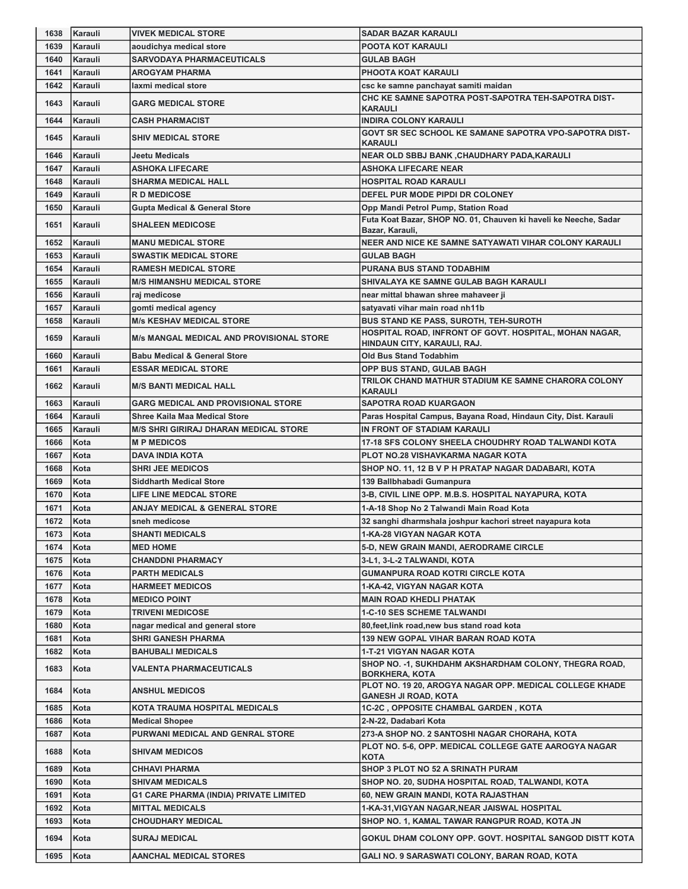| 1638         | Karauli      | <b>VIVEK MEDICAL STORE</b>                                   | <b>SADAR BAZAR KARAULI</b>                                                                 |
|--------------|--------------|--------------------------------------------------------------|--------------------------------------------------------------------------------------------|
| 1639         | Karauli      | aoudichya medical store                                      | POOTA KOT KARAULI                                                                          |
| 1640         | Karauli      | <b>SARVODAYA PHARMACEUTICALS</b>                             | <b>GULAB BAGH</b>                                                                          |
| 1641         | Karauli      | <b>AROGYAM PHARMA</b>                                        | <b>PHOOTA KOAT KARAULI</b>                                                                 |
| 1642         | Karauli      | laxmi medical store                                          | csc ke samne panchayat samiti maidan                                                       |
| 1643         | Karauli      | <b>GARG MEDICAL STORE</b>                                    | CHC KE SAMNE SAPOTRA POST-SAPOTRA TEH-SAPOTRA DIST-                                        |
|              |              |                                                              | <b>KARAULI</b>                                                                             |
| 1644         | Karauli      | <b>CASH PHARMACIST</b>                                       | <b>INDIRA COLONY KARAULI</b>                                                               |
| 1645         | Karauli      | <b>SHIV MEDICAL STORE</b>                                    | GOVT SR SEC SCHOOL KE SAMANE SAPOTRA VPO-SAPOTRA DIST-<br><b>KARAULI</b>                   |
| 1646         | Karauli      | <b>Jeetu Medicals</b>                                        | NEAR OLD SBBJ BANK ,CHAUDHARY PADA,KARAULI                                                 |
| 1647         | Karauli      | <b>ASHOKA LIFECARE</b>                                       | <b>ASHOKA LIFECARE NEAR</b>                                                                |
| 1648         | Karauli      | <b>SHARMA MEDICAL HALL</b>                                   | <b>HOSPITAL ROAD KARAULI</b>                                                               |
| 1649         | Karauli      | <b>RD MEDICOSE</b>                                           | DEFEL PUR MODE PIPDI DR COLONEY                                                            |
| 1650         | Karauli      | <b>Gupta Medical &amp; General Store</b>                     | Opp Mandi Petrol Pump, Station Road                                                        |
|              |              |                                                              | Futa Koat Bazar, SHOP NO. 01, Chauven ki haveli ke Neeche, Sadar                           |
| 1651         | Karauli      | <b>SHALEEN MEDICOSE</b>                                      | Bazar, Karauli,                                                                            |
| 1652         | Karauli      | <b>MANU MEDICAL STORE</b>                                    | NEER AND NICE KE SAMNE SATYAWATI VIHAR COLONY KARAULI                                      |
| 1653         | Karauli      | <b>SWASTIK MEDICAL STORE</b>                                 | <b>GULAB BAGH</b>                                                                          |
| 1654         | Karauli      | <b>RAMESH MEDICAL STORE</b>                                  | PURANA BUS STAND TODABHIM                                                                  |
| 1655         | Karauli      | <b>M/S HIMANSHU MEDICAL STORE</b>                            | SHIVALAYA KE SAMNE GULAB BAGH KARAULI                                                      |
| 1656         | Karauli      | raj medicose                                                 | near mittal bhawan shree mahaveer ji                                                       |
| 1657         | Karauli      | gomti medical agency                                         | satyavati vihar main road nh11b                                                            |
| 1658         | Karauli      | <b>M/s KESHAV MEDICAL STORE</b>                              | <b>BUS STAND KE PASS, SUROTH, TEH-SUROTH</b>                                               |
| 1659         | Karauli      | <b>M/s MANGAL MEDICAL AND PROVISIONAL STORE</b>              | HOSPITAL ROAD, INFRONT OF GOVT. HOSPITAL, MOHAN NAGAR,<br>HINDAUN CITY, KARAULI, RAJ.      |
| 1660         | Karauli      | <b>Babu Medical &amp; General Store</b>                      | <b>Old Bus Stand Todabhim</b>                                                              |
| 1661         | Karauli      | <b>ESSAR MEDICAL STORE</b>                                   | OPP BUS STAND, GULAB BAGH                                                                  |
|              |              |                                                              | TRILOK CHAND MATHUR STADIUM KE SAMNE CHARORA COLONY                                        |
| 1662         | Karauli      | <b>M/S BANTI MEDICAL HALL</b>                                | KARAULI                                                                                    |
| 1663         | Karauli      | <b>GARG MEDICAL AND PROVISIONAL STORE</b>                    | <b>SAPOTRA ROAD KUARGAON</b>                                                               |
| 1664         | Karauli      | <b>Shree Kaila Maa Medical Store</b>                         | Paras Hospital Campus, Bayana Road, Hindaun City, Dist. Karauli                            |
| 1665         | Karauli      | <b>M/S SHRI GIRIRAJ DHARAN MEDICAL STORE</b>                 | IN FRONT OF STADIAM KARAULI                                                                |
| 1666         | Kota         | <b>MP MEDICOS</b>                                            | 17-18 SFS COLONY SHEELA CHOUDHRY ROAD TALWANDI KOTA                                        |
| 1667         | Kota         | <b>DAVA INDIA KOTA</b>                                       | <b>PLOT NO.28 VISHAVKARMA NAGAR KOTA</b>                                                   |
| 1668         | Kota         | <b>SHRI JEE MEDICOS</b>                                      | SHOP NO. 11, 12 B V P H PRATAP NAGAR DADABARI, KOTA                                        |
| 1669         | Kota         | <b>Siddharth Medical Store</b>                               | 139 Ballbhabadi Gumanpura                                                                  |
| 1670         | Kota         | <b>LIFE LINE MEDCAL STORE</b>                                | 3-B, CIVIL LINE OPP. M.B.S. HOSPITAL NAYAPURA, KOTA                                        |
| 1671         | Kota         | ANJAY MEDICAL & GENERAL STORE                                | 1-A-18 Shop No 2 Talwandi Main Road Kota                                                   |
| 1672         | Kota         | sneh medicose                                                | 32 sanghi dharmshala joshpur kachori street nayapura kota                                  |
| 1673         | Kota         | <b>SHANTI MEDICALS</b>                                       | 1-KA-28 VIGYAN NAGAR KOTA                                                                  |
| 1674         | Kota         | <b>MED HOME</b>                                              | 5-D, NEW GRAIN MANDI, AERODRAME CIRCLE                                                     |
| 1675         | Kota         | <b>CHANDDNI PHARMACY</b>                                     | 3-L1, 3-L-2 TALWANDI, KOTA                                                                 |
| 1676         | Kota         | <b>PARTH MEDICALS</b>                                        | <b>GUMANPURA ROAD KOTRI CIRCLE KOTA</b>                                                    |
| 1677         | Kota         | <b>HARMEET MEDICOS</b>                                       | 1-KA-42, VIGYAN NAGAR KOTA                                                                 |
| 1678         | Kota         | <b>MEDICO POINT</b>                                          | <b>MAIN ROAD KHEDLI PHATAK</b>                                                             |
| 1679         | Kota         | <b>TRIVENI MEDICOSE</b>                                      | 1-C-10 SES SCHEME TALWANDI                                                                 |
| 1680<br>1681 | Kota<br>Kota | nagar medical and general store<br><b>SHRI GANESH PHARMA</b> | 80, feet, link road, new bus stand road kota<br><b>139 NEW GOPAL VIHAR BARAN ROAD KOTA</b> |
| 1682         | Kota         | <b>BAHUBALI MEDICALS</b>                                     | 1-T-21 VIGYAN NAGAR KOTA                                                                   |
|              |              |                                                              | SHOP NO. - 1, SUKHDAHM AKSHARDHAM COLONY, THEGRA ROAD,                                     |
| 1683         | Kota         | VALENTA PHARMACEUTICALS                                      | <b>BORKHERA, KOTA</b>                                                                      |
| 1684         | Kota         | <b>ANSHUL MEDICOS</b>                                        | PLOT NO. 19 20, AROGYA NAGAR OPP. MEDICAL COLLEGE KHADE                                    |
|              |              |                                                              | <b>GANESH JI ROAD, KOTA</b>                                                                |
| 1685         | Kota         | KOTA TRAUMA HOSPITAL MEDICALS                                | <b>1C-2C, OPPOSITE CHAMBAL GARDEN, KOTA</b>                                                |
| 1686         | Kota         | <b>Medical Shopee</b>                                        | 2-N-22, Dadabari Kota                                                                      |
| 1687         | Kota         | PURWANI MEDICAL AND GENRAL STORE                             | 273-A SHOP NO. 2 SANTOSHI NAGAR CHORAHA, KOTA                                              |
| 1688         | Kota         | <b>SHIVAM MEDICOS</b>                                        | PLOT NO. 5-6, OPP. MEDICAL COLLEGE GATE AAROGYA NAGAR<br><b>KOTA</b>                       |
| 1689         | Kota         | <b>CHHAVI PHARMA</b>                                         | <b>SHOP 3 PLOT NO 52 A SRINATH PURAM</b>                                                   |
| 1690         | Kota         | <b>SHIVAM MEDICALS</b>                                       | SHOP NO. 20, SUDHA HOSPITAL ROAD, TALWANDI, KOTA                                           |
| 1691         | Kota         | <b>G1 CARE PHARMA (INDIA) PRIVATE LIMITED</b>                | 60, NEW GRAIN MANDI, KOTA RAJASTHAN                                                        |
| 1692         | Kota         | <b>MITTAL MEDICALS</b>                                       | 1-KA-31, VIGYAN NAGAR, NEAR JAISWAL HOSPITAL                                               |
| 1693         | Kota         | <b>CHOUDHARY MEDICAL</b>                                     | SHOP NO. 1, KAMAL TAWAR RANGPUR ROAD, KOTA JN                                              |
| 1694         | Kota         | <b>SURAJ MEDICAL</b>                                         | GOKUL DHAM COLONY OPP. GOVT. HOSPITAL SANGOD DISTT KOTA                                    |
|              |              |                                                              |                                                                                            |
|              | 1695   Kota  | <b>AANCHAL MEDICAL STORES</b>                                | GALI NO. 9 SARASWATI COLONY, BARAN ROAD, KOTA                                              |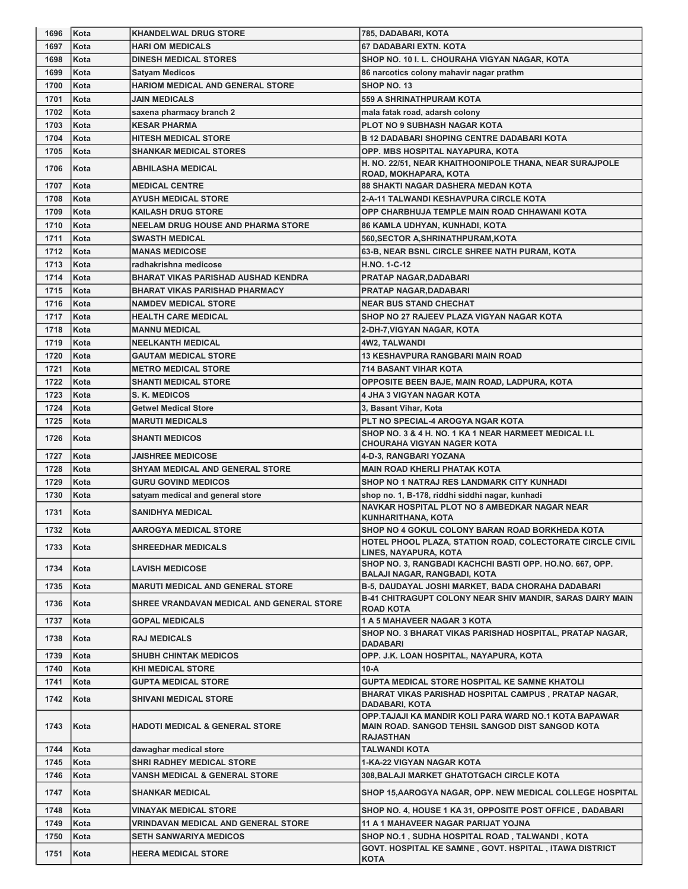| 1696 | Kota | <b>KHANDELWAL DRUG STORE</b>               | 785, DADABARI, KOTA                                                                                                                  |
|------|------|--------------------------------------------|--------------------------------------------------------------------------------------------------------------------------------------|
| 1697 | Kota | <b>HARI OM MEDICALS</b>                    | 67 DADABARI EXTN. KOTA                                                                                                               |
| 1698 | Kota | <b>DINESH MEDICAL STORES</b>               | SHOP NO. 10 I. L. CHOURAHA VIGYAN NAGAR, KOTA                                                                                        |
| 1699 | Kota | <b>Satyam Medicos</b>                      | 86 narcotics colony mahavir nagar prathm                                                                                             |
| 1700 | Kota | <b>HARIOM MEDICAL AND GENERAL STORE</b>    | SHOP NO. 13                                                                                                                          |
| 1701 | Kota | <b>JAIN MEDICALS</b>                       | 559 A SHRINATHPURAM KOTA                                                                                                             |
| 1702 | Kota | saxena pharmacy branch 2                   | mala fatak road, adarsh colony                                                                                                       |
| 1703 | Kota | <b>KESAR PHARMA</b>                        | PLOT NO 9 SUBHASH NAGAR KOTA                                                                                                         |
| 1704 | Kota | <b>HITESH MEDICAL STORE</b>                | <b>B 12 DADABARI SHOPING CENTRE DADABARI KOTA</b>                                                                                    |
| 1705 | Kota | <b>SHANKAR MEDICAL STORES</b>              | OPP. MBS HOSPITAL NAYAPURA, KOTA                                                                                                     |
| 1706 | Kota | <b>ABHILASHA MEDICAL</b>                   | H. NO. 22/51, NEAR KHAITHOONIPOLE THANA, NEAR SURAJPOLE                                                                              |
|      |      |                                            | ROAD, MOKHAPARA, KOTA                                                                                                                |
| 1707 | Kota | <b>MEDICAL CENTRE</b>                      | <b>88 SHAKTI NAGAR DASHERA MEDAN KOTA</b>                                                                                            |
| 1708 | Kota | <b>AYUSH MEDICAL STORE</b>                 | <b>2-A-11 TALWANDI KESHAVPURA CIRCLE KOTA</b>                                                                                        |
| 1709 | Kota | <b>KAILASH DRUG STORE</b>                  | OPP CHARBHUJA TEMPLE MAIN ROAD CHHAWANI KOTA                                                                                         |
| 1710 | Kota | <b>NEELAM DRUG HOUSE AND PHARMA STORE</b>  | 86 KAMLA UDHYAN, KUNHADI, KOTA                                                                                                       |
| 1711 | Kota | <b>SWASTH MEDICAL</b>                      | 560, SECTOR A, SHRINATHPURAM, KOTA                                                                                                   |
| 1712 | Kota | <b>MANAS MEDICOSE</b>                      | 63-B, NEAR BSNL CIRCLE SHREE NATH PURAM, KOTA                                                                                        |
| 1713 | Kota | radhakrishna medicose                      | H.NO. 1-C-12                                                                                                                         |
| 1714 | Kota | <b>BHARAT VIKAS PARISHAD AUSHAD KENDRA</b> | <b>PRATAP NAGAR, DADABARI</b>                                                                                                        |
| 1715 | Kota | <b>BHARAT VIKAS PARISHAD PHARMACY</b>      | <b>PRATAP NAGAR, DADABARI</b>                                                                                                        |
| 1716 | Kota | <b>NAMDEV MEDICAL STORE</b>                | <b>NEAR BUS STAND CHECHAT</b>                                                                                                        |
| 1717 | Kota | <b>HEALTH CARE MEDICAL</b>                 | SHOP NO 27 RAJEEV PLAZA VIGYAN NAGAR KOTA                                                                                            |
| 1718 | Kota | <b>MANNU MEDICAL</b>                       | 2-DH-7,VIGYAN NAGAR, KOTA                                                                                                            |
| 1719 | Kota | <b>NEELKANTH MEDICAL</b>                   | <b>4W2, TALWANDI</b>                                                                                                                 |
| 1720 | Kota | <b>GAUTAM MEDICAL STORE</b>                | <b>13 KESHAVPURA RANGBARI MAIN ROAD</b>                                                                                              |
| 1721 | Kota | <b>METRO MEDICAL STORE</b>                 | <b>714 BASANT VIHAR KOTA</b>                                                                                                         |
| 1722 | Kota | <b>SHANTI MEDICAL STORE</b>                | OPPOSITE BEEN BAJE, MAIN ROAD, LADPURA, KOTA                                                                                         |
| 1723 | Kota | S. K. MEDICOS                              | <b>4 JHA 3 VIGYAN NAGAR KOTA</b>                                                                                                     |
| 1724 | Kota | <b>Getwel Medical Store</b>                | 3, Basant Vihar, Kota                                                                                                                |
| 1725 | Kota | <b>MARUTI MEDICALS</b>                     | PLT NO SPECIAL-4 AROGYA NGAR KOTA<br>SHOP NO. 3 & 4 H. NO. 1 KA 1 NEAR HARMEET MEDICAL I.L                                           |
| 1726 | Kota | <b>SHANTI MEDICOS</b>                      | <b>CHOURAHA VIGYAN NAGER KOTA</b>                                                                                                    |
| 1727 | Kota | <b>JAISHREE MEDICOSE</b>                   | 4-D-3, RANGBARI YOZANA                                                                                                               |
| 1728 | Kota | SHYAM MEDICAL AND GENERAL STORE            | <b>MAIN ROAD KHERLI PHATAK KOTA</b>                                                                                                  |
| 1729 | Kota | <b>GURU GOVIND MEDICOS</b>                 | SHOP NO 1 NATRAJ RES LANDMARK CITY KUNHADI                                                                                           |
| 1730 | Kota | satyam medical and general store           | shop no. 1, B-178, riddhi siddhi nagar, kunhadi                                                                                      |
| 1731 | Kota | <b>SANIDHYA MEDICAL</b>                    | NAVKAR HOSPITAL PLOT NO 8 AMBEDKAR NAGAR NEAR<br>KUNHARITHANA, KOTA                                                                  |
| 1732 | Kota | <b>AAROGYA MEDICAL STORE</b>               | SHOP NO 4 GOKUL COLONY BARAN ROAD BORKHEDA KOTA                                                                                      |
| 1733 | Kota | <b>SHREEDHAR MEDICALS</b>                  | HOTEL PHOOL PLAZA, STATION ROAD, COLECTORATE CIRCLE CIVIL<br>LINES, NAYAPURA, KOTA                                                   |
| 1734 | Kota | <b>LAVISH MEDICOSE</b>                     | SHOP NO. 3, RANGBADI KACHCHI BASTI OPP. HO.NO. 667, OPP.                                                                             |
|      |      |                                            | <b>BALAJI NAGAR, RANGBADI, KOTA</b>                                                                                                  |
| 1735 | Kota | <b>MARUTI MEDICAL AND GENERAL STORE</b>    | B-5, DAUDAYAL JOSHI MARKET, BADA CHORAHA DADABARI<br><b>B-41 CHITRAGUPT COLONY NEAR SHIV MANDIR, SARAS DAIRY MAIN</b>                |
| 1736 | Kota | SHREE VRANDAVAN MEDICAL AND GENERAL STORE  | <b>ROAD KOTA</b>                                                                                                                     |
| 1737 | Kota | <b>GOPAL MEDICALS</b>                      | 1 A 5 MAHAVEER NAGAR 3 KOTA                                                                                                          |
| 1738 | Kota | <b>RAJ MEDICALS</b>                        | SHOP NO. 3 BHARAT VIKAS PARISHAD HOSPITAL, PRATAP NAGAR,<br><b>DADABARI</b>                                                          |
| 1739 | Kota | <b>SHUBH CHINTAK MEDICOS</b>               | OPP. J.K. LOAN HOSPITAL, NAYAPURA, KOTA                                                                                              |
| 1740 | Kota | <b>KHI MEDICAL STORE</b>                   | 10-A                                                                                                                                 |
| 1741 | Kota | GUPTA MEDICAL STORE                        | <b>GUPTA MEDICAL STORE HOSPITAL KE SAMNE KHATOLI</b>                                                                                 |
| 1742 | Kota | <b>SHIVANI MEDICAL STORE</b>               | BHARAT VIKAS PARISHAD HOSPITAL CAMPUS, PRATAP NAGAR,<br>DADABARI, KOTA                                                               |
| 1743 | Kota | <b>HADOTI MEDICAL &amp; GENERAL STORE</b>  | OPP.TAJAJI KA MANDIR KOLI PARA WARD NO.1 KOTA BAPAWAR<br><b>MAIN ROAD. SANGOD TEHSIL SANGOD DIST SANGOD KOTA</b><br><b>RAJASTHAN</b> |
| 1744 | Kota | dawaghar medical store                     | <b>TALWANDI KOTA</b>                                                                                                                 |
| 1745 | Kota | SHRI RADHEY MEDICAL STORE                  | <b>1-KA-22 VIGYAN NAGAR KOTA</b>                                                                                                     |
| 1746 | Kota | <b>VANSH MEDICAL &amp; GENERAL STORE</b>   | 308, BALAJI MARKET GHATOTGACH CIRCLE KOTA                                                                                            |
| 1747 | Kota | <b>SHANKAR MEDICAL</b>                     | SHOP 15, AAROGYA NAGAR, OPP. NEW MEDICAL COLLEGE HOSPITAL                                                                            |
| 1748 | Kota | VINAYAK MEDICAL STORE                      | SHOP NO. 4, HOUSE 1 KA 31, OPPOSITE POST OFFICE, DADABARI                                                                            |
| 1749 | Kota | VRINDAVAN MEDICAL AND GENERAL STORE        | 11 A 1 MAHAVEER NAGAR PARIJAT YOJNA                                                                                                  |
| 1750 | Kota | SETH SANWARIYA MEDICOS                     | SHOP NO.1, SUDHA HOSPITAL ROAD, TALWANDI, KOTA                                                                                       |
| 1751 | Kota | <b>HEERA MEDICAL STORE</b>                 | GOVT. HOSPITAL KE SAMNE, GOVT. HSPITAL, ITAWA DISTRICT                                                                               |
|      |      |                                            | <b>KOTA</b>                                                                                                                          |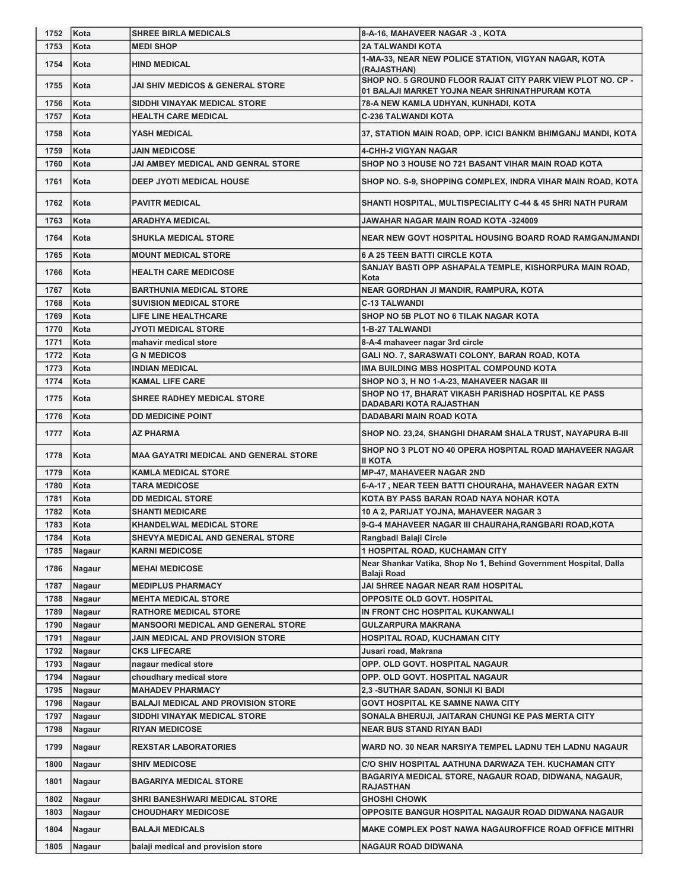| 1752         | Kota             | <b>SHREE BIRLA MEDICALS</b>                            | 8-A-16, MAHAVEER NAGAR -3, KOTA                                         |
|--------------|------------------|--------------------------------------------------------|-------------------------------------------------------------------------|
| 1753         | Kota             | <b>MEDI SHOP</b>                                       | <b>2A TALWANDI KOTA</b>                                                 |
| 1754         | Kota             | <b>HIND MEDICAL</b>                                    | 1-MA-33, NEAR NEW POLICE STATION, VIGYAN NAGAR, KOTA                    |
|              |                  |                                                        | (RAJASTHAN)                                                             |
| 1755         | Kota             | JAI SHIV MEDICOS & GENERAL STORE                       | SHOP NO. 5 GROUND FLOOR RAJAT CITY PARK VIEW PLOT NO. CP -              |
| 1756         | Kota             | SIDDHI VINAYAK MEDICAL STORE                           | 01 BALAJI MARKET YOJNA NEAR SHRINATHPURAM KOTA                          |
| 1757         | Kota             | <b>HEALTH CARE MEDICAL</b>                             | 78-A NEW KAMLA UDHYAN, KUNHADI, KOTA<br><b>C-236 TALWANDI KOTA</b>      |
|              |                  |                                                        |                                                                         |
| 1758         | Kota             | YASH MEDICAL                                           | 37, STATION MAIN ROAD, OPP. ICICI BANKM BHIMGANJ MANDI, KOTA            |
| 1759         | Kota             | <b>JAIN MEDICOSE</b>                                   | <b>4-CHH-2 VIGYAN NAGAR</b>                                             |
| 1760         | Kota             | <b>JAI AMBEY MEDICAL AND GENRAL STORE</b>              | SHOP NO 3 HOUSE NO 721 BASANT VIHAR MAIN ROAD KOTA                      |
| 1761         | Kota             | DEEP JYOTI MEDICAL HOUSE                               | SHOP NO. S-9, SHOPPING COMPLEX, INDRA VIHAR MAIN ROAD, KOTA             |
|              |                  |                                                        |                                                                         |
| 1762         | Kota             | <b>PAVITR MEDICAL</b>                                  | SHANTI HOSPITAL, MULTISPECIALITY C-44 & 45 SHRI NATH PURAM              |
| 1763         | Kota             | <b>ARADHYA MEDICAL</b>                                 | JAWAHAR NAGAR MAIN ROAD KOTA -324009                                    |
| 1764         | Kota             | <b>SHUKLA MEDICAL STORE</b>                            | NEAR NEW GOVT HOSPITAL HOUSING BOARD ROAD RAMGANJMANDI                  |
|              |                  |                                                        |                                                                         |
| 1765         | Kota             | <b>MOUNT MEDICAL STORE</b>                             | <b>6 A 25 TEEN BATTI CIRCLE KOTA</b>                                    |
| 1766         | Kota             | <b>HEALTH CARE MEDICOSE</b>                            | SANJAY BASTI OPP ASHAPALA TEMPLE, KISHORPURA MAIN ROAD,<br>Kota         |
| 1767         | Kota             | <b>BARTHUNIA MEDICAL STORE</b>                         | NEAR GORDHAN JI MANDIR, RAMPURA, KOTA                                   |
| 1768         | Kota             | <b>SUVISION MEDICAL STORE</b>                          | <b>C-13 TALWANDI</b>                                                    |
| 1769         | Kota             | <b>LIFE LINE HEALTHCARE</b>                            | SHOP NO 5B PLOT NO 6 TILAK NAGAR KOTA                                   |
| 1770         | Kota             | <b>JYOTI MEDICAL STORE</b>                             | 1-B-27 TALWANDI                                                         |
| 1771         | Kota             | mahavir medical store                                  | 8-A-4 mahaveer nagar 3rd circle                                         |
| 1772         | Kota             | <b>G N MEDICOS</b>                                     | GALI NO. 7, SARASWATI COLONY, BARAN ROAD, KOTA                          |
| 1773         | Kota             | <b>INDIAN MEDICAL</b>                                  | IMA BUILDING MBS HOSPITAL COMPOUND KOTA                                 |
| 1774         | Kota             | <b>KAMAL LIFE CARE</b>                                 | SHOP NO 3, H NO 1-A-23, MAHAVEER NAGAR III                              |
| 1775         | Kota             | <b>SHREE RADHEY MEDICAL STORE</b>                      | SHOP NO 17, BHARAT VIKASH PARISHAD HOSPITAL KE PASS                     |
|              |                  |                                                        | DADABARI KOTA RAJASTHAN                                                 |
| 1776         | Kota             | <b>DD MEDICINE POINT</b>                               | <b>DADABARI MAIN ROAD KOTA</b>                                          |
| 1777         | Kota             | AZ PHARMA                                              | SHOP NO. 23,24, SHANGHI DHARAM SHALA TRUST, NAYAPURA B-III              |
|              |                  |                                                        |                                                                         |
| 1778         | Kota             | <b>MAA GAYATRI MEDICAL AND GENERAL STORE</b>           | SHOP NO 3 PLOT NO 40 OPERA HOSPITAL ROAD MAHAVEER NAGAR                 |
| 1779         | Kota             | <b>KAMLA MEDICAL STORE</b>                             | <b>II KOTA</b><br><b>MP-47, MAHAVEER NAGAR 2ND</b>                      |
| 1780         | Kota             | <b>TARA MEDICOSE</b>                                   | 6-A-17, NEAR TEEN BATTI CHOURAHA, MAHAVEER NAGAR EXTN                   |
| 1781         | Kota             | <b>DD MEDICAL STORE</b>                                | KOTA BY PASS BARAN ROAD NAYA NOHAR KOTA                                 |
| 1782         | Kota             | <b>SHANTI MEDICARE</b>                                 | 10 A 2, PARIJAT YOJNA, MAHAVEER NAGAR 3                                 |
| 1783         | Kota             | <b>KHANDELWAL MEDICAL STORE</b>                        | 9-G-4 MAHAVEER NAGAR III CHAURAHA, RANGBARI ROAD, KOTA                  |
| 1784         | Kota             | SHEVYA MEDICAL AND GENERAL STORE                       | Rangbadi Balaji Circle                                                  |
| 1785         | Nagaur           | <b>KARNI MEDICOSE</b>                                  | <b>1 HOSPITAL ROAD, KUCHAMAN CITY</b>                                   |
| 1786         | Nagaur           | <b>MEHAI MEDICOSE</b>                                  | Near Shankar Vatika, Shop No 1, Behind Government Hospital, Dalla       |
|              |                  |                                                        | Balaji Road                                                             |
| 1787<br>1788 | Nagaur           | <b>MEDIPLUS PHARMACY</b><br><b>MEHTA MEDICAL STORE</b> | JAI SHREE NAGAR NEAR RAM HOSPITAL<br><b>OPPOSITE OLD GOVT. HOSPITAL</b> |
| 1789         | Nagaur<br>Nagaur | <b>RATHORE MEDICAL STORE</b>                           | IN FRONT CHC HOSPITAL KUKANWALI                                         |
| 1790         | Nagaur           | <b>MANSOORI MEDICAL AND GENERAL STORE</b>              | <b>GULZARPURA MAKRANA</b>                                               |
| 1791         | Nagaur           | JAIN MEDICAL AND PROVISION STORE                       | HOSPITAL ROAD, KUCHAMAN CITY                                            |
| 1792         | Nagaur           | <b>CKS LIFECARE</b>                                    | Jusari road, Makrana                                                    |
| 1793         | Nagaur           | nagaur medical store                                   | OPP. OLD GOVT. HOSPITAL NAGAUR                                          |
| 1794         | Nagaur           | choudhary medical store                                | OPP. OLD GOVT. HOSPITAL NAGAUR                                          |
| 1795         | Nagaur           | <b>MAHADEV PHARMACY</b>                                | 2,3 -SUTHAR SADAN, SONIJI KI BADI                                       |
| 1796         | Nagaur           | <b>BALAJI MEDICAL AND PROVISION STORE</b>              | <b>GOVT HOSPITAL KE SAMNE NAWA CITY</b>                                 |
| 1797         | Nagaur           | SIDDHI VINAYAK MEDICAL STORE                           | SONALA BHERUJI, JAITARAN CHUNGI KE PAS MERTA CITY                       |
| 1798         | Nagaur           | <b>RIYAN MEDICOSE</b>                                  | <b>NEAR BUS STAND RIYAN BADI</b>                                        |
| 1799         | Nagaur           | <b>REXSTAR LABORATORIES</b>                            | WARD NO. 30 NEAR NARSIYA TEMPEL LADNU TEH LADNU NAGAUR                  |
| 1800         | Nagaur           | <b>SHIV MEDICOSE</b>                                   | C/O SHIV HOSPITAL AATHUNA DARWAZA TEH. KUCHAMAN CITY                    |
| 1801         | Nagaur           | <b>BAGARIYA MEDICAL STORE</b>                          | BAGARIYA MEDICAL STORE, NAGAUR ROAD, DIDWANA, NAGAUR,                   |
| 1802         | Nagaur           | <b>SHRI BANESHWARI MEDICAL STORE</b>                   | <b>RAJASTHAN</b><br><b>GHOSHI CHOWK</b>                                 |
| 1803         | Nagaur           | <b>CHOUDHARY MEDICOSE</b>                              | OPPOSITE BANGUR HOSPITAL NAGAUR ROAD DIDWANA NAGAUR                     |
| 1804         | Nagaur           | <b>BALAJI MEDICALS</b>                                 | MAKE COMPLEX POST NAWA NAGAUROFFICE ROAD OFFICE MITHRI                  |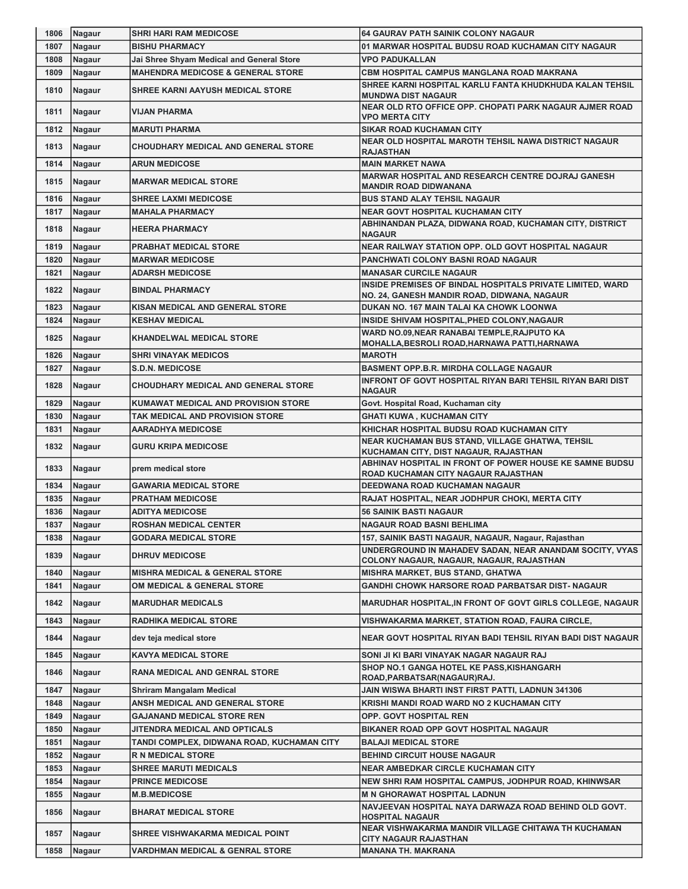| 1806 | Nagaur | <b>SHRI HARI RAM MEDICOSE</b>                | <b>64 GAURAV PATH SAINIK COLONY NAGAUR</b>                                                            |
|------|--------|----------------------------------------------|-------------------------------------------------------------------------------------------------------|
| 1807 | Nagaur | <b>BISHU PHARMACY</b>                        | 01 MARWAR HOSPITAL BUDSU ROAD KUCHAMAN CITY NAGAUR                                                    |
| 1808 | Nagaur | Jai Shree Shyam Medical and General Store    | <b>VPO PADUKALLAN</b>                                                                                 |
| 1809 | Nagaur | <b>MAHENDRA MEDICOSE &amp; GENERAL STORE</b> | CBM HOSPITAL CAMPUS MANGLANA ROAD MAKRANA                                                             |
| 1810 | Nagaur | SHREE KARNI AAYUSH MEDICAL STORE             | SHREE KARNI HOSPITAL KARLU FANTA KHUDKHUDA KALAN TEHSIL<br><b>MUNDWA DIST NAGAUR</b>                  |
| 1811 | Nagaur | <b>VIJAN PHARMA</b>                          | NEAR OLD RTO OFFICE OPP. CHOPATI PARK NAGAUR AJMER ROAD<br><b>VPO MERTA CITY</b>                      |
| 1812 | Nagaur | <b>MARUTI PHARMA</b>                         | <b>SIKAR ROAD KUCHAMAN CITY</b>                                                                       |
| 1813 | Nagaur | <b>CHOUDHARY MEDICAL AND GENERAL STORE</b>   | NEAR OLD HOSPITAL MAROTH TEHSIL NAWA DISTRICT NAGAUR<br><b>RAJASTHAN</b>                              |
| 1814 | Nagaur | <b>ARUN MEDICOSE</b>                         | <b>MAIN MARKET NAWA</b>                                                                               |
| 1815 | Nagaur | <b>MARWAR MEDICAL STORE</b>                  | <b>MARWAR HOSPITAL AND RESEARCH CENTRE DOJRAJ GANESH</b><br><b>MANDIR ROAD DIDWANANA</b>              |
| 1816 | Nagaur | <b>SHREE LAXMI MEDICOSE</b>                  | <b>BUS STAND ALAY TEHSIL NAGAUR</b>                                                                   |
| 1817 | Nagaur | <b>MAHALA PHARMACY</b>                       | <b>NEAR GOVT HOSPITAL KUCHAMAN CITY</b>                                                               |
| 1818 | Nagaur | <b>HEERA PHARMACY</b>                        | ABHINANDAN PLAZA, DIDWANA ROAD, KUCHAMAN CITY, DISTRICT<br><b>NAGAUR</b>                              |
| 1819 | Nagaur | <b>PRABHAT MEDICAL STORE</b>                 | NEAR RAILWAY STATION OPP. OLD GOVT HOSPITAL NAGAUR                                                    |
| 1820 | Nagaur | <b>MARWAR MEDICOSE</b>                       | PANCHWATI COLONY BASNI ROAD NAGAUR                                                                    |
| 1821 | Nagaur | <b>ADARSH MEDICOSE</b>                       | <b>MANASAR CURCILE NAGAUR</b>                                                                         |
|      |        |                                              | INSIDE PREMISES OF BINDAL HOSPITALS PRIVATE LIMITED, WARD                                             |
| 1822 | Nagaur | <b>BINDAL PHARMACY</b>                       | NO. 24, GANESH MANDIR ROAD, DIDWANA, NAGAUR                                                           |
| 1823 | Nagaur | <b>KISAN MEDICAL AND GENERAL STORE</b>       | DUKAN NO. 167 MAIN TALAI KA CHOWK LOONWA                                                              |
| 1824 | Nagaur | <b>KESHAV MEDICAL</b>                        | INSIDE SHIVAM HOSPITAL, PHED COLONY, NAGAUR                                                           |
| 1825 | Nagaur | <b>KHANDELWAL MEDICAL STORE</b>              | WARD NO.09, NEAR RANABAI TEMPLE, RAJPUTO KA<br>MOHALLA, BESROLI ROAD, HARNAWA PATTI, HARNAWA          |
| 1826 | Nagaur | <b>SHRI VINAYAK MEDICOS</b>                  | <b>MAROTH</b>                                                                                         |
| 1827 | Nagaur | <b>S.D.N. MEDICOSE</b>                       | <b>BASMENT OPP.B.R. MIRDHA COLLAGE NAGAUR</b>                                                         |
| 1828 | Nagaur | <b>CHOUDHARY MEDICAL AND GENERAL STORE</b>   | <b>INFRONT OF GOVT HOSPITAL RIYAN BARI TEHSIL RIYAN BARI DIST</b><br>NAGAUR                           |
| 1829 | Nagaur | <b>KUMAWAT MEDICAL AND PROVISION STORE</b>   | Govt. Hospital Road, Kuchaman city                                                                    |
| 1830 | Nagaur | TAK MEDICAL AND PROVISION STORE              | <b>GHATI KUWA, KUCHAMAN CITY</b>                                                                      |
| 1831 | Nagaur | <b>AARADHYA MEDICOSE</b>                     | KHICHAR HOSPITAL BUDSU ROAD KUCHAMAN CITY                                                             |
| 1832 | Nagaur | GURU KRIPA MEDICOSE                          | NEAR KUCHAMAN BUS STAND, VILLAGE GHATWA, TEHSIL<br>KUCHAMAN CITY, DIST NAGAUR, RAJASTHAN              |
| 1833 | Nagaur | prem medical store                           | <b>ABHINAV HOSPITAL IN FRONT OF POWER HOUSE KE SAMNE BUDSU</b><br>ROAD KUCHAMAN CITY NAGAUR RAJASTHAN |
| 1834 | Nagaur | <b>GAWARIA MEDICAL STORE</b>                 | DEEDWANA ROAD KUCHAMAN NAGAUR                                                                         |
| 1835 | Nagaur | <b>PRATHAM MEDICOSE</b>                      | RAJAT HOSPITAL, NEAR JODHPUR CHOKI, MERTA CITY                                                        |
| 1836 | Nagaur | <b>ADITYA MEDICOSE</b>                       | <b>56 SAINIK BASTI NAGAUR</b>                                                                         |
| 1837 | Nagaur | <b>ROSHAN MEDICAL CENTER</b>                 | <b>NAGAUR ROAD BASNI BEHLIMA</b>                                                                      |
| 1838 | Nagaur | <b>GODARA MEDICAL STORE</b>                  | 157, SAINIK BASTI NAGAUR, NAGAUR, Nagaur, Rajasthan                                                   |
| 1839 | Nagaur | <b>DHRUV MEDICOSE</b>                        | UNDERGROUND IN MAHADEV SADAN. NEAR ANANDAM SOCITY. VYAS<br>COLONY NAGAUR, NAGAUR, NAGAUR, RAJASTHAN   |
| 1840 | Nagaur | <b>MISHRA MEDICAL &amp; GENERAL STORE</b>    | <b>MISHRA MARKET, BUS STAND, GHATWA</b>                                                               |
| 1841 | Nagaur | OM MEDICAL & GENERAL STORE                   | <b>GANDHI CHOWK HARSORE ROAD PARBATSAR DIST- NAGAUR</b>                                               |
| 1842 | Nagaur | <b>MARUDHAR MEDICALS</b>                     | <b>MARUDHAR HOSPITAL, IN FRONT OF GOVT GIRLS COLLEGE, NAGAUR</b>                                      |
| 1843 | Nagaur | <b>RADHIKA MEDICAL STORE</b>                 | VISHWAKARMA MARKET, STATION ROAD, FAURA CIRCLE,                                                       |
| 1844 | Nagaur | dev teja medical store                       | NEAR GOVT HOSPITAL RIYAN BADI TEHSIL RIYAN BADI DIST NAGAUR                                           |
| 1845 | Nagaur | <b>KAVYA MEDICAL STORE</b>                   | SONI JI KI BARI VINAYAK NAGAR NAGAUR RAJ                                                              |
| 1846 | Nagaur | <b>RANA MEDICAL AND GENRAL STORE</b>         | SHOP NO.1 GANGA HOTEL KE PASS, KISHANGARH<br>ROAD, PARBATSAR (NAGAUR) RAJ.                            |
| 1847 | Nagaur | Shriram Mangalam Medical                     | JAIN WISWA BHARTI INST FIRST PATTI, LADNUN 341306                                                     |
| 1848 | Nagaur | ANSH MEDICAL AND GENERAL STORE               | KRISHI MANDI ROAD WARD NO 2 KUCHAMAN CITY                                                             |
| 1849 | Nagaur | GAJANAND MEDICAL STORE REN                   | OPP. GOVT HOSPITAL REN                                                                                |
| 1850 | Nagaur | JITENDRA MEDICAL AND OPTICALS                | BIKANER ROAD OPP GOVT HOSPITAL NAGAUR                                                                 |
| 1851 | Nagaur | TANDI COMPLEX, DIDWANA ROAD, KUCHAMAN CITY   | <b>BALAJI MEDICAL STORE</b>                                                                           |
| 1852 | Nagaur | <b>R N MEDICAL STORE</b>                     | <b>BEHIND CIRCUIT HOUSE NAGAUR</b>                                                                    |
| 1853 | Nagaur | <b>SHREE MARUTI MEDICALS</b>                 | <b>NEAR AMBEDKAR CIRCLE KUCHAMAN CITY</b>                                                             |
| 1854 | Nagaur | <b>PRINCE MEDICOSE</b>                       | NEW SHRI RAM HOSPITAL CAMPUS, JODHPUR ROAD, KHINWSAR                                                  |
| 1855 | Nagaur | <b>M.B.MEDICOSE</b>                          | <b>M N GHORAWAT HOSPITAL LADNUN</b>                                                                   |
| 1856 | Nagaur | <b>BHARAT MEDICAL STORE</b>                  | NAVJEEVAN HOSPITAL NAYA DARWAZA ROAD BEHIND OLD GOVT.<br><b>HOSPITAL NAGAUR</b>                       |
| 1857 | Nagaur | SHREE VISHWAKARMA MEDICAL POINT              | NEAR VISHWAKARMA MANDIR VILLAGE CHITAWA TH KUCHAMAN<br>CITY NAGAUR RAJASTHAN                          |
| 1858 | Nagaur | <b>VARDHMAN MEDICAL &amp; GENRAL STORE</b>   | <b>MANANA TH. MAKRANA</b>                                                                             |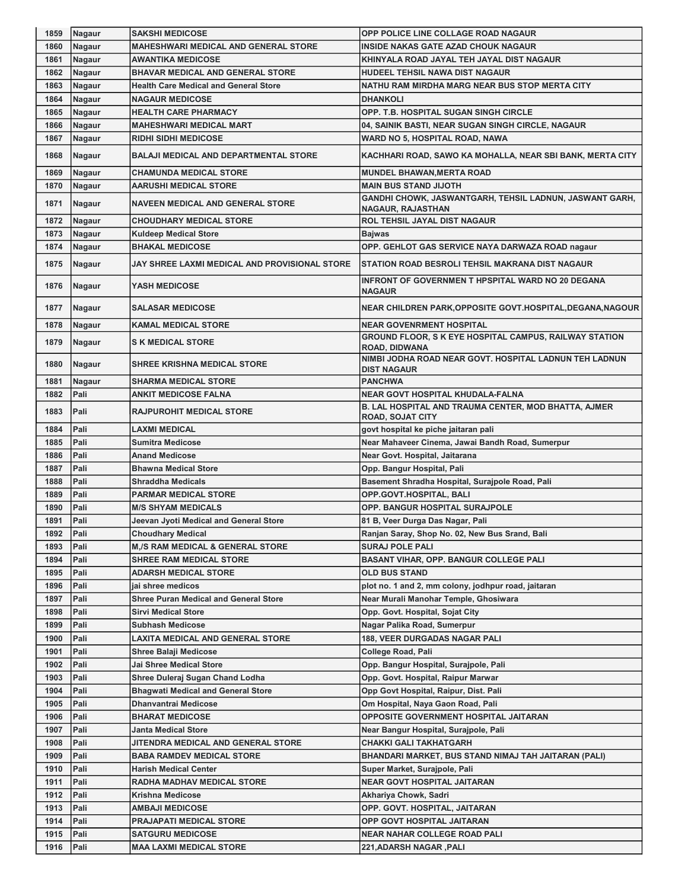| 1859         | Nagaur       | <b>SAKSHI MEDICOSE</b>                                  | OPP POLICE LINE COLLAGE ROAD NAGAUR                                                    |
|--------------|--------------|---------------------------------------------------------|----------------------------------------------------------------------------------------|
| 1860         | Nagaur       | <b>MAHESHWARI MEDICAL AND GENERAL STORE</b>             | <b>INSIDE NAKAS GATE AZAD CHOUK NAGAUR</b>                                             |
| 1861         | Nagaur       | <b>AWANTIKA MEDICOSE</b>                                | KHINYALA ROAD JAYAL TEH JAYAL DIST NAGAUR                                              |
| 1862         | Nagaur       | <b>BHAVAR MEDICAL AND GENERAL STORE</b>                 | HUDEEL TEHSIL NAWA DIST NAGAUR                                                         |
| 1863         | Nagaur       | <b>Health Care Medical and General Store</b>            | NATHU RAM MIRDHA MARG NEAR BUS STOP MERTA CITY                                         |
| 1864         | Nagaur       | <b>NAGAUR MEDICOSE</b>                                  | <b>DHANKOLI</b>                                                                        |
| 1865         | Nagaur       | <b>HEALTH CARE PHARMACY</b>                             | OPP. T.B. HOSPITAL SUGAN SINGH CIRCLE                                                  |
| 1866         | Nagaur       | <b>MAHESHWARI MEDICAL MART</b>                          | 04, SAINIK BASTI, NEAR SUGAN SINGH CIRCLE, NAGAUR                                      |
| 1867         | Nagaur       | <b>RIDHI SIDHI MEDICOSE</b>                             | WARD NO 5, HOSPITAL ROAD, NAWA                                                         |
| 1868         | Nagaur       | <b>BALAJI MEDICAL AND DEPARTMENTAL STORE</b>            | KACHHARI ROAD, SAWO KA MOHALLA, NEAR SBI BANK, MERTA CITY                              |
| 1869         | Nagaur       | <b>CHAMUNDA MEDICAL STORE</b>                           | <b>MUNDEL BHAWAN, MERTA ROAD</b>                                                       |
| 1870         | Nagaur       | <b>AARUSHI MEDICAL STORE</b>                            | <b>MAIN BUS STAND JIJOTH</b>                                                           |
| 1871         | Nagaur       | <b>NAVEEN MEDICAL AND GENERAL STORE</b>                 | GANDHI CHOWK, JASWANTGARH, TEHSIL LADNUN, JASWANT GARH,<br><b>NAGAUR, RAJASTHAN</b>    |
| 1872         | Nagaur       | <b>CHOUDHARY MEDICAL STORE</b>                          | ROL TEHSIL JAYAL DIST NAGAUR                                                           |
| 1873         | Nagaur       | <b>Kuldeep Medical Store</b>                            | <b>Bajwas</b>                                                                          |
| 1874         | Nagaur       | <b>BHAKAL MEDICOSE</b>                                  | OPP. GEHLOT GAS SERVICE NAYA DARWAZA ROAD nagaur                                       |
| 1875         | Nagaur       | JAY SHREE LAXMI MEDICAL AND PROVISIONAL STORE           | STATION ROAD BESROLI TEHSIL MAKRANA DIST NAGAUR                                        |
| 1876         | Nagaur       | YASH MEDICOSE                                           | INFRONT OF GOVERNMEN T HPSPITAL WARD NO 20 DEGANA<br><b>NAGAUR</b>                     |
| 1877         | Nagaur       | <b>SALASAR MEDICOSE</b>                                 | NEAR CHILDREN PARK, OPPOSITE GOVT. HOSPITAL, DEGANA, NAGOUR                            |
| 1878         | Nagaur       | <b>KAMAL MEDICAL STORE</b>                              | <b>NEAR GOVENRMENT HOSPITAL</b>                                                        |
| 1879         | Nagaur       | <b>S K MEDICAL STORE</b>                                | GROUND FLOOR, S K EYE HOSPITAL CAMPUS, RAILWAY STATION<br><b>ROAD, DIDWANA</b>         |
| 1880         | Nagaur       | <b>SHREE KRISHNA MEDICAL STORE</b>                      | NIMBI JODHA ROAD NEAR GOVT. HOSPITAL LADNUN TEH LADNUN<br><b>DIST NAGAUR</b>           |
| 1881         | Nagaur       | <b>SHARMA MEDICAL STORE</b>                             | <b>PANCHWA</b>                                                                         |
| 1882         | Pali         | <b>ANKIT MEDICOSE FALNA</b>                             | <b>NEAR GOVT HOSPITAL KHUDALA-FALNA</b>                                                |
| 1883         | Pali         | <b>RAJPUROHIT MEDICAL STORE</b>                         | <b>B. LAL HOSPITAL AND TRAUMA CENTER, MOD BHATTA, AJMER</b><br><b>ROAD, SOJAT CITY</b> |
| 1884         | Pali         | LAXMI MEDICAL                                           | govt hospital ke piche jaitaran pali                                                   |
| 1885         | Pali         | <b>Sumitra Medicose</b>                                 | Near Mahaveer Cinema, Jawai Bandh Road, Sumerpur                                       |
| 1886         | Pali         | <b>Anand Medicose</b>                                   | Near Govt. Hospital, Jaitarana                                                         |
| 1887         | Pali         | <b>Bhawna Medical Store</b>                             | Opp. Bangur Hospital, Pali                                                             |
| 1888         | Pali         | <b>Shraddha Medicals</b><br><b>PARMAR MEDICAL STORE</b> | Basement Shradha Hospital, Surajpole Road, Pali                                        |
| 1889<br>1890 | Pali<br>Pali | <b>M/S SHYAM MEDICALS</b>                               | OPP.GOVT.HOSPITAL, BALI<br><b>OPP. BANGUR HOSPITAL SURAJPOLE</b>                       |
| 1891         | Pali         | Jeevan Jyoti Medical and General Store                  | 81 B, Veer Durga Das Nagar, Pali                                                       |
| 1892         | Pali         | <b>Choudhary Medical</b>                                | Ranjan Saray, Shop No. 02, New Bus Srand, Bali                                         |
| 1893         | Pali         | <b>M,/S RAM MEDICAL &amp; GENERAL STORE</b>             | <b>SURAJ POLE PALI</b>                                                                 |
| 1894         | Pali         | <b>SHREE RAM MEDICAL STORE</b>                          | <b>BASANT VIHAR, OPP. BANGUR COLLEGE PALI</b>                                          |
| 1895         | Pali         | <b>ADARSH MEDICAL STORE</b>                             | <b>OLD BUS STAND</b>                                                                   |
| 1896         | Pali         | iai shree medicos                                       | plot no. 1 and 2, mm colony, jodhpur road, jaitaran                                    |
| 1897         | Pali         | <b>Shree Puran Medical and General Store</b>            | Near Murali Manohar Temple, Ghosiwara                                                  |
| 1898         | Pali         | <b>Sirvi Medical Store</b>                              | Opp. Govt. Hospital, Sojat City                                                        |
| 1899         | Pali         | <b>Subhash Medicose</b>                                 | Nagar Palika Road, Sumerpur                                                            |
| 1900         | Pali         | LAXITA MEDICAL AND GENERAL STORE                        | <b>188, VEER DURGADAS NAGAR PALI</b>                                                   |
| 1901         | Pali         | <b>Shree Balaji Medicose</b>                            | College Road, Pali                                                                     |
| 1902         | Pali         | Jai Shree Medical Store                                 | Opp. Bangur Hospital, Surajpole, Pali                                                  |
| 1903         | Pali         | Shree Duleraj Sugan Chand Lodha                         | Opp. Govt. Hospital, Raipur Marwar                                                     |
| 1904         | Pali         | <b>Bhagwati Medical and General Store</b>               | Opp Govt Hospital, Raipur, Dist. Pali                                                  |
| 1905         | Pali         | <b>Dhanvantrai Medicose</b>                             | Om Hospital, Naya Gaon Road, Pali                                                      |
| 1906         | Pali         | <b>BHARAT MEDICOSE</b>                                  | OPPOSITE GOVERNMENT HOSPITAL JAITARAN                                                  |
| 1907         | Pali         | Janta Medical Store                                     | Near Bangur Hospital, Surajpole, Pali                                                  |
| 1908         |              | JITENDRA MEDICAL AND GENERAL STORE                      | CHAKKI GALI TAKHATGARH                                                                 |
|              | Pali         |                                                         |                                                                                        |
| 1909         | Pali         | <b>BABA RAMDEV MEDICAL STORE</b>                        | BHANDARI MARKET, BUS STAND NIMAJ TAH JAITARAN (PALI)                                   |
| 1910         | Pali         | <b>Harish Medical Center</b>                            | Super Market, Surajpole, Pali                                                          |
| 1911         | Pali         | RADHA MADHAV MEDICAL STORE                              | <b>NEAR GOVT HOSPITAL JAITARAN</b>                                                     |
| 1912         | Pali         | <b>Krishna Medicose</b>                                 | Akhariya Chowk, Sadri                                                                  |
| 1913         | Pali         | <b>AMBAJI MEDICOSE</b>                                  | OPP. GOVT. HOSPITAL, JAITARAN                                                          |
| 1914         | Pali         | <b>PRAJAPATI MEDICAL STORE</b>                          | OPP GOVT HOSPITAL JAITARAN                                                             |
| 1915         | Pali         | <b>SATGURU MEDICOSE</b>                                 | <b>NEAR NAHAR COLLEGE ROAD PALI</b>                                                    |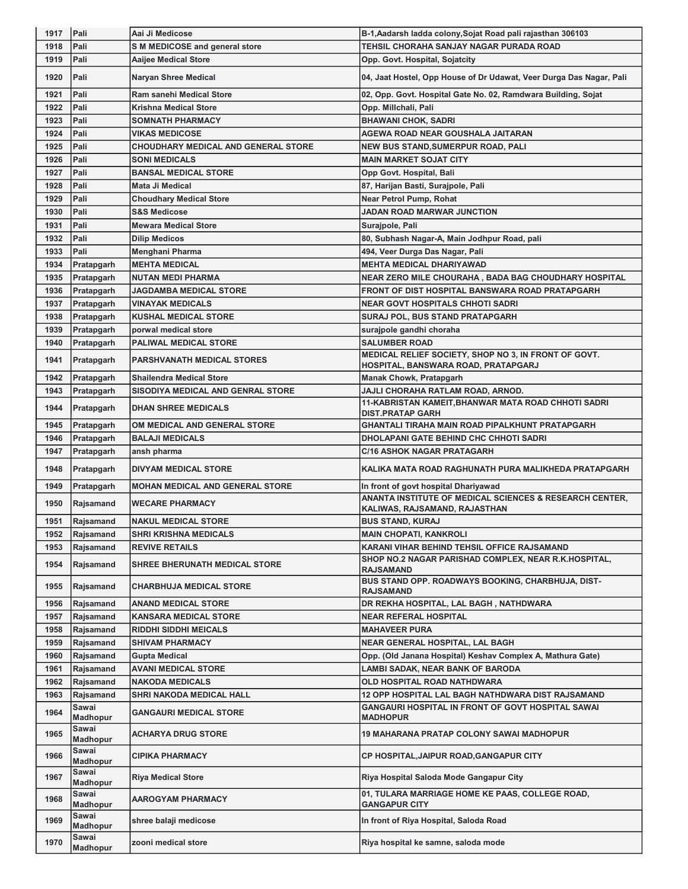| 1917         | Pali                          | Aai Ji Medicose                                           | B-1, Aadarsh ladda colony, Sojat Road pali rajasthan 306103                                            |
|--------------|-------------------------------|-----------------------------------------------------------|--------------------------------------------------------------------------------------------------------|
| 1918         | Pali                          | S M MEDICOSE and general store                            | TEHSIL CHORAHA SANJAY NAGAR PURADA ROAD                                                                |
| 1919         | Pali                          | <b>Aaijee Medical Store</b>                               | Opp. Govt. Hospital, Sojatcity                                                                         |
| 1920         | Pali                          | <b>Naryan Shree Medical</b>                               | 04, Jaat Hostel, Opp House of Dr Udawat, Veer Durga Das Nagar, Pali                                    |
| 1921         | Pali                          | <b>Ram sanehi Medical Store</b>                           | 02, Opp. Govt. Hospital Gate No. 02, Ramdwara Building, Sojat                                          |
| 1922         | Pali                          | <b>Krishna Medical Store</b>                              | Opp. Millchali, Pali                                                                                   |
| 1923         | Pali                          | <b>SOMNATH PHARMACY</b>                                   | <b>BHAWANI CHOK, SADRI</b>                                                                             |
| 1924         | Pali                          | <b>VIKAS MEDICOSE</b>                                     | AGEWA ROAD NEAR GOUSHALA JAITARAN                                                                      |
| 1925         | Pali                          | <b>CHOUDHARY MEDICAL AND GENERAL STORE</b>                | <b>NEW BUS STAND, SUMERPUR ROAD, PALI</b>                                                              |
| 1926         | Pali                          | <b>SONI MEDICALS</b>                                      | <b>MAIN MARKET SOJAT CITY</b>                                                                          |
| 1927         | Pali                          | <b>BANSAL MEDICAL STORE</b>                               | Opp Govt. Hospital, Bali                                                                               |
| 1928         | Pali                          | <b>Mata Ji Medical</b>                                    | 87, Harijan Basti, Surajpole, Pali                                                                     |
| 1929         | Pali                          | <b>Choudhary Medical Store</b>                            | <b>Near Petrol Pump, Rohat</b>                                                                         |
| 1930         | Pali                          | <b>S&amp;S Medicose</b>                                   | JADAN ROAD MARWAR JUNCTION                                                                             |
| 1931         | Pali                          | <b>Mewara Medical Store</b>                               | Surajpole, Pali                                                                                        |
| 1932         | Pali                          |                                                           |                                                                                                        |
|              | Pali                          | <b>Dilip Medicos</b>                                      | 80, Subhash Nagar-A, Main Jodhpur Road, pali                                                           |
| 1933         |                               | Menghani Pharma                                           | 494, Veer Durga Das Nagar, Pali                                                                        |
| 1934         | Pratapgarh                    | <b>MEHTA MEDICAL</b>                                      | <b>MEHTA MEDICAL DHARIYAWAD</b>                                                                        |
| 1935         | Pratapgarh                    | <b>NUTAN MEDI PHARMA</b>                                  | NEAR ZERO MILE CHOURAHA, BADA BAG CHOUDHARY HOSPITAL                                                   |
| 1936         | Pratapgarh                    | <b>JAGDAMBA MEDICAL STORE</b>                             | FRONT OF DIST HOSPITAL BANSWARA ROAD PRATAPGARH                                                        |
| 1937         | Pratapgarh                    | <b>VINAYAK MEDICALS</b>                                   | <b>NEAR GOVT HOSPITALS CHHOTI SADRI</b>                                                                |
| 1938         | Pratapgarh                    | <b>KUSHAL MEDICAL STORE</b>                               | <b>SURAJ POL, BUS STAND PRATAPGARH</b>                                                                 |
| 1939         | Pratapgarh                    | porwal medical store                                      | surajpole gandhi choraha                                                                               |
| 1940         | Pratapgarh                    | <b>PALIWAL MEDICAL STORE</b>                              | <b>SALUMBER ROAD</b>                                                                                   |
| 1941         | Pratapgarh                    | <b>PARSHVANATH MEDICAL STORES</b>                         | MEDICAL RELIEF SOCIETY, SHOP NO 3, IN FRONT OF GOVT.                                                   |
|              |                               |                                                           | HOSPITAL, BANSWARA ROAD, PRATAPGARJ                                                                    |
| 1942         | Pratapgarh                    | <b>Shailendra Medical Store</b>                           | <b>Manak Chowk, Pratapgarh</b>                                                                         |
| 1943         | Pratapgarh                    | SISODIYA MEDICAL AND GENRAL STORE                         | JAJLI CHORAHA RATLAM ROAD, ARNOD.                                                                      |
| 1944         | Pratapgarh                    | <b>DHAN SHREE MEDICALS</b>                                | 11-KABRISTAN KAMEIT, BHANWAR MATA ROAD CHHOTI SADRI<br><b>DIST.PRATAP GARH</b>                         |
| 1945         | Pratapgarh                    | OM MEDICAL AND GENERAL STORE                              | GHANTALI TIRAHA MAIN ROAD PIPALKHUNT PRATAPGARH                                                        |
| 1946         | Pratapgarh                    | <b>BALAJI MEDICALS</b>                                    | DHOLAPANI GATE BEHIND CHC CHHOTI SADRI                                                                 |
| 1947         | Pratapgarh                    | ansh pharma                                               | <b>C/16 ASHOK NAGAR PRATAGARH</b>                                                                      |
|              |                               |                                                           |                                                                                                        |
| 1948         |                               | <b>DIVYAM MEDICAL STORE</b>                               | KALIKA MATA ROAD RAGHUNATH PURA MALIKHEDA PRATAPGARH                                                   |
|              | Pratapgarh                    |                                                           |                                                                                                        |
| 1949         | Pratapgarh                    | <b>MOHAN MEDICAL AND GENERAL STORE</b>                    | In front of govt hospital Dhariyawad                                                                   |
| 1950         | Rajsamand                     | <b>WECARE PHARMACY</b>                                    | ANANTA INSTITUTE OF MEDICAL SCIENCES & RESEARCH CENTER,<br>KALIWAS, RAJSAMAND, RAJASTHAN               |
| 1951         | Rajsamand                     | <b>NAKUL MEDICAL STORE</b>                                | BUS STAND, KURAJ                                                                                       |
| 1952         | Rajsamand                     | SHRI KRISHNA MEDICALS                                     | <b>MAIN CHOPATI, KANKROLI</b>                                                                          |
| 1953         | Rajsamand                     | <b>REVIVE RETAILS</b>                                     | KARANI VIHAR BEHIND TEHSIL OFFICE RAJSAMAND                                                            |
| 1954         | Rajsamand                     | <b>SHREE BHERUNATH MEDICAL STORE</b>                      | SHOP NO.2 NAGAR PARISHAD COMPLEX, NEAR R.K.HOSPITAL,<br><b>RAJSAMAND</b>                               |
| 1955         | Rajsamand                     | <b>CHARBHUJA MEDICAL STORE</b>                            | BUS STAND OPP. ROADWAYS BOOKING, CHARBHUJA, DIST-<br><b>RAJSAMAND</b>                                  |
| 1956         | Rajsamand                     | <b>ANAND MEDICAL STORE</b>                                | DR REKHA HOSPITAL, LAL BAGH , NATHDWARA                                                                |
| 1957         | Rajsamand                     | <b>KANSARA MEDICAL STORE</b>                              | <b>NEAR REFERAL HOSPITAL</b>                                                                           |
| 1958         | Rajsamand                     | <b>RIDDHI SIDDHI MEICALS</b>                              | <b>MAHAVEER PURA</b>                                                                                   |
| 1959         | Rajsamand                     | <b>SHIVAM PHARMACY</b>                                    | NEAR GENERAL HOSPITAL, LAL BAGH                                                                        |
|              |                               | Gupta Medical                                             | Opp. (Old Janana Hospital) Keshav Complex A, Mathura Gate)                                             |
| 1960<br>1961 | Rajsamand                     | <b>AVANI MEDICAL STORE</b>                                | LAMBI SADAK, NEAR BANK OF BARODA                                                                       |
|              | Rajsamand                     |                                                           |                                                                                                        |
| 1962         | Rajsamand                     | <b>NAKODA MEDICALS</b>                                    | OLD HOSPITAL ROAD NATHDWARA                                                                            |
| 1963<br>1964 | Rajsamand<br>Sawai            | SHRI NAKODA MEDICAL HALL<br><b>GANGAURI MEDICAL STORE</b> | 12 OPP HOSPITAL LAL BAGH NATHDWARA DIST RAJSAMAND<br>GANGAURI HOSPITAL IN FRONT OF GOVT HOSPITAL SAWAI |
| 1965         | Madhopur<br>Sawai             | <b>ACHARYA DRUG STORE</b>                                 | <b>MADHOPUR</b><br><b>19 MAHARANA PRATAP COLONY SAWAI MADHOPUR</b>                                     |
| 1966         | Madhopur<br>Sawai             | CIPIKA PHARMACY                                           | <b>CP HOSPITAL, JAIPUR ROAD, GANGAPUR CITY</b>                                                         |
| 1967         | Madhopur<br>Sawai             | <b>Riya Medical Store</b>                                 | Riya Hospital Saloda Mode Gangapur City                                                                |
| 1968         | Madhopur<br>Sawai             | <b>AAROGYAM PHARMACY</b>                                  | 01, TULARA MARRIAGE HOME KE PAAS, COLLEGE ROAD,                                                        |
| 1969         | <b>Madhopur</b><br>Sawai      |                                                           | <b>GANGAPUR CITY</b><br>In front of Riya Hospital, Saloda Road                                         |
| 1970         | Madhopur<br>Sawai<br>Madhopur | shree balaji medicose<br>zooni medical store              | Riya hospital ke samne, saloda mode                                                                    |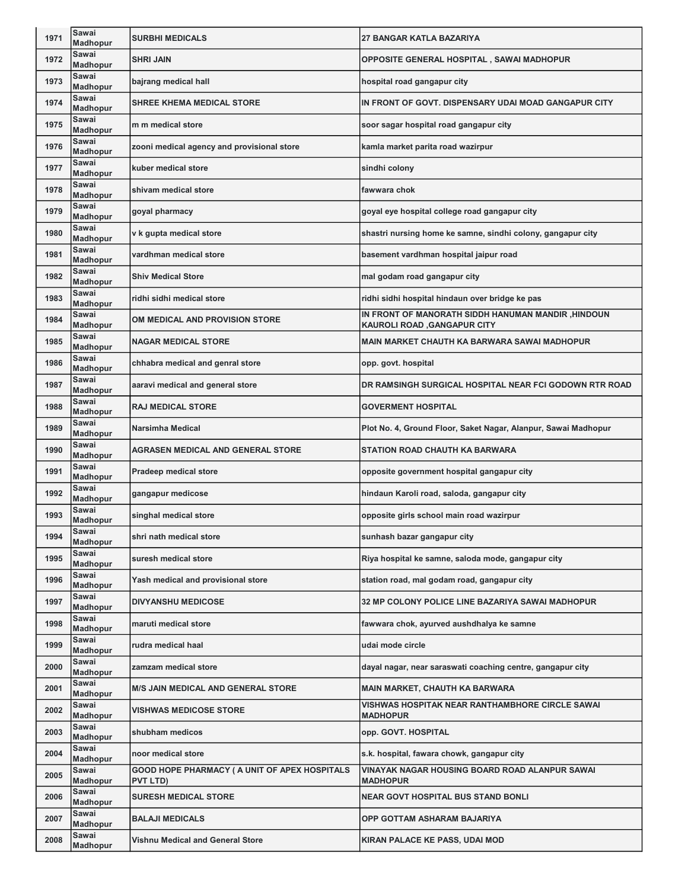| 1971 | Sawai<br><b>Madhopur</b> | <b>SURBHI MEDICALS</b>                                                  | <b>27 BANGAR KATLA BAZARIYA</b>                                                           |
|------|--------------------------|-------------------------------------------------------------------------|-------------------------------------------------------------------------------------------|
| 1972 | Sawai<br><b>Madhopur</b> | <b>SHRI JAIN</b>                                                        | OPPOSITE GENERAL HOSPITAL, SAWAI MADHOPUR                                                 |
| 1973 | Sawai<br>Madhopur        | bajrang medical hall                                                    | hospital road gangapur city                                                               |
| 1974 | Sawai<br><b>Madhopur</b> | <b>SHREE KHEMA MEDICAL STORE</b>                                        | IN FRONT OF GOVT. DISPENSARY UDAI MOAD GANGAPUR CITY                                      |
| 1975 | Sawai<br>Madhopur        | m m medical store                                                       | soor sagar hospital road gangapur city                                                    |
| 1976 | Sawai<br><b>Madhopur</b> | zooni medical agency and provisional store                              | kamla market parita road wazirpur                                                         |
| 1977 | Sawai<br><b>Madhopur</b> | kuber medical store                                                     | sindhi colony                                                                             |
| 1978 | Sawai<br><b>Madhopur</b> | shivam medical store                                                    | fawwara chok                                                                              |
| 1979 | Sawai<br><b>Madhopur</b> | goyal pharmacy                                                          | goyal eye hospital college road gangapur city                                             |
| 1980 | Sawai<br><b>Madhopur</b> | v k gupta medical store                                                 | shastri nursing home ke samne, sindhi colony, gangapur city                               |
| 1981 | Sawai<br>Madhopur        | vardhman medical store                                                  | basement vardhman hospital jaipur road                                                    |
| 1982 | Sawai<br>Madhopur        | <b>Shiv Medical Store</b>                                               | mal godam road gangapur city                                                              |
| 1983 | Sawai<br><b>Madhopur</b> | ridhi sidhi medical store                                               | ridhi sidhi hospital hindaun over bridge ke pas                                           |
| 1984 | Sawai<br>Madhopur        | OM MEDICAL AND PROVISION STORE                                          | IN FRONT OF MANORATH SIDDH HANUMAN MANDIR , HINDOUN<br><b>KAUROLI ROAD, GANGAPUR CITY</b> |
| 1985 | Sawai<br><b>Madhopur</b> | <b>NAGAR MEDICAL STORE</b>                                              | <b>MAIN MARKET CHAUTH KA BARWARA SAWAI MADHOPUR</b>                                       |
| 1986 | Sawai<br><b>Madhopur</b> | chhabra medical and genral store                                        | opp. govt. hospital                                                                       |
| 1987 | Sawai<br><b>Madhopur</b> | aaravi medical and general store                                        | DR RAMSINGH SURGICAL HOSPITAL NEAR FCI GODOWN RTR ROAD                                    |
| 1988 | Sawai<br><b>Madhopur</b> | <b>RAJ MEDICAL STORE</b>                                                | <b>GOVERMENT HOSPITAL</b>                                                                 |
| 1989 | Sawai<br><b>Madhopur</b> | Narsimha Medical                                                        | Plot No. 4, Ground Floor, Saket Nagar, Alanpur, Sawai Madhopur                            |
| 1990 | Sawai<br>Madhopur        | <b>AGRASEN MEDICAL AND GENERAL STORE</b>                                | <b>STATION ROAD CHAUTH KA BARWARA</b>                                                     |
| 1991 | Sawai<br>Madhopur        | <b>Pradeep medical store</b>                                            | opposite government hospital gangapur city                                                |
| 1992 | Sawai<br><b>Madhopur</b> | gangapur medicose                                                       | hindaun Karoli road, saloda, gangapur city                                                |
| 1993 | Sawai<br>Madhopur        | singhal medical store                                                   | opposite girls school main road wazirpur                                                  |
| 1994 | Sawai<br><b>Madhopur</b> | shri nath medical store                                                 | sunhash bazar gangapur city                                                               |
| 1995 | Sawai<br><b>Madhopur</b> | suresh medical store                                                    | Riya hospital ke samne, saloda mode, gangapur city                                        |
| 1996 | Sawai<br>Madhopur        | Yash medical and provisional store                                      | station road, mal godam road, gangapur city                                               |
| 1997 | Sawai<br>Madhopur        | <b>DIVYANSHU MEDICOSE</b>                                               | 32 MP COLONY POLICE LINE BAZARIYA SAWAI MADHOPUR                                          |
| 1998 | Sawai<br>Madhopur        | maruti medical store                                                    | fawwara chok, ayurved aushdhalya ke samne                                                 |
| 1999 | Sawai<br>Madhopur        | rudra medical haal                                                      | udai mode circle                                                                          |
| 2000 | Sawai<br>Madhopur        | zamzam medical store                                                    | dayal nagar, near saraswati coaching centre, gangapur city                                |
| 2001 | Sawai<br>Madhopur        | <b>M/S JAIN MEDICAL AND GENERAL STORE</b>                               | <b>MAIN MARKET, CHAUTH KA BARWARA</b>                                                     |
| 2002 | Sawai<br>Madhopur        | <b>VISHWAS MEDICOSE STORE</b>                                           | VISHWAS HOSPITAK NEAR RANTHAMBHORE CIRCLE SAWAI<br><b>MADHOPUR</b>                        |
| 2003 | Sawai<br>Madhopur        | shubham medicos                                                         | opp. GOVT. HOSPITAL                                                                       |
| 2004 | Sawai<br><b>Madhopur</b> | noor medical store                                                      | s.k. hospital, fawara chowk, gangapur city                                                |
| 2005 | Sawai<br>Madhopur        | <b>GOOD HOPE PHARMACY ( A UNIT OF APEX HOSPITALS</b><br><b>PVT LTD)</b> | VINAYAK NAGAR HOUSING BOARD ROAD ALANPUR SAWAI<br><b>MADHOPUR</b>                         |
| 2006 | Sawai<br>Madhopur        | <b>SURESH MEDICAL STORE</b>                                             | <b>NEAR GOVT HOSPITAL BUS STAND BONLI</b>                                                 |
| 2007 | Sawai<br>Madhopur        | <b>BALAJI MEDICALS</b>                                                  | OPP GOTTAM ASHARAM BAJARIYA                                                               |
| 2008 | Sawai<br>Madhopur        | <b>Vishnu Medical and General Store</b>                                 | KIRAN PALACE KE PASS, UDAI MOD                                                            |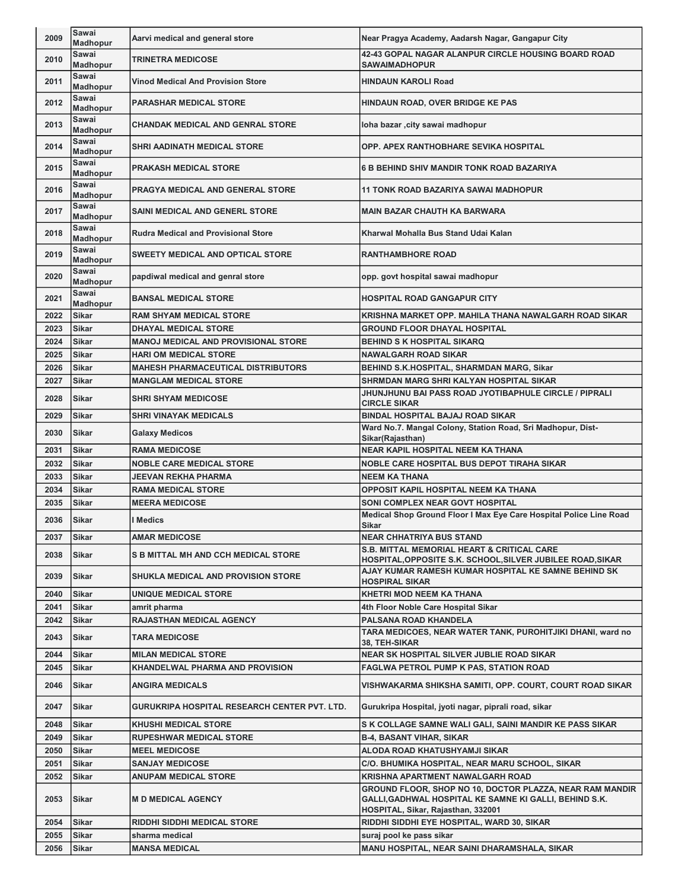| Sawai<br>42-43 GOPAL NAGAR ALANPUR CIRCLE HOUSING BOARD ROAD<br>2010<br><b>TRINETRA MEDICOSE</b><br><b>Madhopur</b><br><b>SAWAIMADHOPUR</b><br>Sawai<br>2011<br><b>Vinod Medical And Provision Store</b><br><b>HINDAUN KAROLI Road</b><br><b>Madhopur</b><br>Sawai<br>2012<br><b>PARASHAR MEDICAL STORE</b><br>HINDAUN ROAD, OVER BRIDGE KE PAS<br>Madhopur<br>Sawai<br>2013<br><b>CHANDAK MEDICAL AND GENRAL STORE</b><br>loha bazar , city sawai madhopur<br>Madhopur<br>Sawai<br>2014<br><b>SHRI AADINATH MEDICAL STORE</b><br>OPP. APEX RANTHOBHARE SEVIKA HOSPITAL<br>Madhopur<br>Sawai<br>2015<br><b>PRAKASH MEDICAL STORE</b><br><b>6 B BEHIND SHIV MANDIR TONK ROAD BAZARIYA</b><br><b>Madhopur</b><br>Sawai<br>2016<br>PRAGYA MEDICAL AND GENERAL STORE<br><b>11 TONK ROAD BAZARIYA SAWAI MADHOPUR</b><br>Madhopur<br>Sawai<br>2017<br><b>MAIN BAZAR CHAUTH KA BARWARA</b><br><b>SAINI MEDICAL AND GENERL STORE</b><br>Madhopur<br>Sawai<br>2018<br><b>Rudra Medical and Provisional Store</b><br>Kharwal Mohalla Bus Stand Udai Kalan<br>Madhopur<br>Sawai<br>2019<br><b>SWEETY MEDICAL AND OPTICAL STORE</b><br><b>RANTHAMBHORE ROAD</b><br><b>Madhopur</b><br>Sawai<br>2020<br>papdiwal medical and genral store<br>opp. govt hospital sawai madhopur<br>Madhopur<br>Sawai<br>2021<br><b>BANSAL MEDICAL STORE</b><br><b>HOSPITAL ROAD GANGAPUR CITY</b><br>Madhopur<br>2022<br>KRISHNA MARKET OPP. MAHILA THANA NAWALGARH ROAD SIKAR<br>Sikar<br><b>RAM SHYAM MEDICAL STORE</b><br>2023<br><b>GROUND FLOOR DHAYAL HOSPITAL</b><br><b>Sikar</b><br><b>DHAYAL MEDICAL STORE</b><br>2024<br><b>Sikar</b><br><b>MANOJ MEDICAL AND PROVISIONAL STORE</b><br><b>BEHIND S K HOSPITAL SIKARQ</b><br>2025<br><b>Sikar</b><br><b>HARI OM MEDICAL STORE</b><br><b>NAWALGARH ROAD SIKAR</b><br>2026<br><b>MAHESH PHARMACEUTICAL DISTRIBUTORS</b><br>Sikar<br>BEHIND S.K.HOSPITAL, SHARMDAN MARG, Sikar<br>2027<br><b>Sikar</b><br><b>MANGLAM MEDICAL STORE</b><br>SHRMDAN MARG SHRI KALYAN HOSPITAL SIKAR<br>JHUNJHUNU BAI PASS ROAD JYOTIBAPHULE CIRCLE / PIPRALI<br>2028<br><b>Sikar</b><br><b>SHRI SHYAM MEDICOSE</b><br><b>CIRCLE SIKAR</b><br>2029<br><b>Sikar</b><br><b>SHRI VINAYAK MEDICALS</b><br>BINDAL HOSPITAL BAJAJ ROAD SIKAR<br>Ward No.7. Mangal Colony, Station Road, Sri Madhopur, Dist-<br>2030<br>Sikar<br><b>Galaxy Medicos</b><br>Sikar(Rajasthan)<br><b>NEAR KAPIL HOSPITAL NEEM KA THANA</b><br>2031<br><b>RAMA MEDICOSE</b><br>Sikar<br>2032<br><b>NOBLE CARE MEDICAL STORE</b><br><b>NOBLE CARE HOSPITAL BUS DEPOT TIRAHA SIKAR</b><br>Sikar<br>2033<br><b>Sikar</b><br><b>NEEM KA THANA</b><br>JEEVAN REKHA PHARMA<br>2034<br><b>Sikar</b><br><b>RAMA MEDICAL STORE</b><br>OPPOSIT KAPIL HOSPITAL NEEM KA THANA<br>2035<br><b>SONI COMPLEX NEAR GOVT HOSPITAL</b><br>Sikar<br><b>MEERA MEDICOSE</b><br>Medical Shop Ground Floor I Max Eye Care Hospital Police Line Road<br>2036<br><b>Sikar</b><br>I Medics<br>Sikar<br>2037<br><b>AMAR MEDICOSE</b><br><b>NEAR CHHATRIYA BUS STAND</b><br>Sikar<br><b>S.B. MITTAL MEMORIAL HEART &amp; CRITICAL CARE</b><br>2038<br>Sikar<br><b>S B MITTAL MH AND CCH MEDICAL STORE</b><br>HOSPITAL,OPPOSITE S.K. SCHOOL,SILVER JUBILEE ROAD,SIKAR<br>AJAY KUMAR RAMESH KUMAR HOSPITAL KE SAMNE BEHIND SK<br>2039<br>Sikar<br><b>SHUKLA MEDICAL AND PROVISION STORE</b><br><b>HOSPIRAL SIKAR</b><br>Sikar<br>2040<br>UNIQUE MEDICAL STORE<br><b>KHETRI MOD NEEM KA THANA</b><br>2041<br><b>Sikar</b><br>4th Floor Noble Care Hospital Sikar<br>amrit pharma<br><b>PALSANA ROAD KHANDELA</b><br>2042<br>Sikar<br><b>RAJASTHAN MEDICAL AGENCY</b><br>TARA MEDICOES, NEAR WATER TANK, PUROHITJIKI DHANI, ward no<br>2043<br>Sikar<br><b>TARA MEDICOSE</b><br>38, TEH-SIKAR<br>Sikar<br>NEAR SK HOSPITAL SILVER JUBLIE ROAD SIKAR<br>2044<br><b>MILAN MEDICAL STORE</b><br>Sikar<br>2045<br>KHANDELWAL PHARMA AND PROVISION<br><b>FAGLWA PETROL PUMP K PAS, STATION ROAD</b><br>2046<br>Sikar<br><b>ANGIRA MEDICALS</b><br>VISHWAKARMA SHIKSHA SAMITI, OPP. COURT, COURT ROAD SIKAR<br>2047<br>Sikar<br>GURUKRIPA HOSPITAL RESEARCH CENTER PVT. LTD.<br>Gurukripa Hospital, jyoti nagar, piprali road, sikar<br>2048<br>Sikar<br><b>KHUSHI MEDICAL STORE</b><br>S K COLLAGE SAMNE WALI GALI, SAINI MANDIR KE PASS SIKAR<br>2049<br>Sikar<br><b>RUPESHWAR MEDICAL STORE</b><br><b>B-4, BASANT VIHAR, SIKAR</b><br>2050<br>Sikar<br><b>MEEL MEDICOSE</b><br>ALODA ROAD KHATUSHYAMJI SIKAR<br>2051<br>Sikar<br><b>SANJAY MEDICOSE</b><br>C/O. BHUMIKA HOSPITAL, NEAR MARU SCHOOL, SIKAR<br>2052<br>KRISHNA APARTMENT NAWALGARH ROAD<br>Sikar<br>ANUPAM MEDICAL STORE<br>GROUND FLOOR, SHOP NO 10, DOCTOR PLAZZA, NEAR RAM MANDIR<br>2053<br>GALLI, GADHWAL HOSPITAL KE SAMNE KI GALLI, BEHIND S.K.<br>Sikar<br><b>M D MEDICAL AGENCY</b><br>HOSPITAL, Sikar, Rajasthan, 332001<br><b>RIDDHI SIDDHI MEDICAL STORE</b><br>RIDDHI SIDDHI EYE HOSPITAL, WARD 30, SIKAR<br>2054<br>Sikar<br>2055<br>sharma medical<br>Sikar<br>suraj pool ke pass sikar<br>2056<br><b>MANSA MEDICAL</b><br>MANU HOSPITAL, NEAR SAINI DHARAMSHALA, SIKAR<br>Sikar | 2009 | Sawai<br><b>Madhopur</b> | Aarvi medical and general store | Near Pragya Academy, Aadarsh Nagar, Gangapur City |
|----------------------------------------------------------------------------------------------------------------------------------------------------------------------------------------------------------------------------------------------------------------------------------------------------------------------------------------------------------------------------------------------------------------------------------------------------------------------------------------------------------------------------------------------------------------------------------------------------------------------------------------------------------------------------------------------------------------------------------------------------------------------------------------------------------------------------------------------------------------------------------------------------------------------------------------------------------------------------------------------------------------------------------------------------------------------------------------------------------------------------------------------------------------------------------------------------------------------------------------------------------------------------------------------------------------------------------------------------------------------------------------------------------------------------------------------------------------------------------------------------------------------------------------------------------------------------------------------------------------------------------------------------------------------------------------------------------------------------------------------------------------------------------------------------------------------------------------------------------------------------------------------------------------------------------------------------------------------------------------------------------------------------------------------------------------------------------------------------------------------------------------------------------------------------------------------------------------------------------------------------------------------------------------------------------------------------------------------------------------------------------------------------------------------------------------------------------------------------------------------------------------------------------------------------------------------------------------------------------------------------------------------------------------------------------------------------------------------------------------------------------------------------------------------------------------------------------------------------------------------------------------------------------------------------------------------------------------------------------------------------------------------------------------------------------------------------------------------------------------------------------------------------------------------------------------------------------------------------------------------------------------------------------------------------------------------------------------------------------------------------------------------------------------------------------------------------------------------------------------------------------------------------------------------------------------------------------------------------------------------------------------------------------------------------------------------------------------------------------------------------------------------------------------------------------------------------------------------------------------------------------------------------------------------------------------------------------------------------------------------------------------------------------------------------------------------------------------------------------------------------------------------------------------------------------------------------------------------------------------------------------------------------------------------------------------------------------------------------------------------------------------------------------------------------------------------------------------------------------------------------------------------------------------------------------------------------------------------------------------------------------------------------------------------------------------------------------------------------------------------------------------------------------------------------------------------------------------------------------------------------------------------------------------------------------------------------------------------------------------------------------------------------------------------------------------------------------------------------|------|--------------------------|---------------------------------|---------------------------------------------------|
|                                                                                                                                                                                                                                                                                                                                                                                                                                                                                                                                                                                                                                                                                                                                                                                                                                                                                                                                                                                                                                                                                                                                                                                                                                                                                                                                                                                                                                                                                                                                                                                                                                                                                                                                                                                                                                                                                                                                                                                                                                                                                                                                                                                                                                                                                                                                                                                                                                                                                                                                                                                                                                                                                                                                                                                                                                                                                                                                                                                                                                                                                                                                                                                                                                                                                                                                                                                                                                                                                                                                                                                                                                                                                                                                                                                                                                                                                                                                                                                                                                                                                                                                                                                                                                                                                                                                                                                                                                                                                                                                                                                                                                                                                                                                                                                                                                                                                                                                                                                                                                                                                                    |      |                          |                                 |                                                   |
|                                                                                                                                                                                                                                                                                                                                                                                                                                                                                                                                                                                                                                                                                                                                                                                                                                                                                                                                                                                                                                                                                                                                                                                                                                                                                                                                                                                                                                                                                                                                                                                                                                                                                                                                                                                                                                                                                                                                                                                                                                                                                                                                                                                                                                                                                                                                                                                                                                                                                                                                                                                                                                                                                                                                                                                                                                                                                                                                                                                                                                                                                                                                                                                                                                                                                                                                                                                                                                                                                                                                                                                                                                                                                                                                                                                                                                                                                                                                                                                                                                                                                                                                                                                                                                                                                                                                                                                                                                                                                                                                                                                                                                                                                                                                                                                                                                                                                                                                                                                                                                                                                                    |      |                          |                                 |                                                   |
|                                                                                                                                                                                                                                                                                                                                                                                                                                                                                                                                                                                                                                                                                                                                                                                                                                                                                                                                                                                                                                                                                                                                                                                                                                                                                                                                                                                                                                                                                                                                                                                                                                                                                                                                                                                                                                                                                                                                                                                                                                                                                                                                                                                                                                                                                                                                                                                                                                                                                                                                                                                                                                                                                                                                                                                                                                                                                                                                                                                                                                                                                                                                                                                                                                                                                                                                                                                                                                                                                                                                                                                                                                                                                                                                                                                                                                                                                                                                                                                                                                                                                                                                                                                                                                                                                                                                                                                                                                                                                                                                                                                                                                                                                                                                                                                                                                                                                                                                                                                                                                                                                                    |      |                          |                                 |                                                   |
|                                                                                                                                                                                                                                                                                                                                                                                                                                                                                                                                                                                                                                                                                                                                                                                                                                                                                                                                                                                                                                                                                                                                                                                                                                                                                                                                                                                                                                                                                                                                                                                                                                                                                                                                                                                                                                                                                                                                                                                                                                                                                                                                                                                                                                                                                                                                                                                                                                                                                                                                                                                                                                                                                                                                                                                                                                                                                                                                                                                                                                                                                                                                                                                                                                                                                                                                                                                                                                                                                                                                                                                                                                                                                                                                                                                                                                                                                                                                                                                                                                                                                                                                                                                                                                                                                                                                                                                                                                                                                                                                                                                                                                                                                                                                                                                                                                                                                                                                                                                                                                                                                                    |      |                          |                                 |                                                   |
|                                                                                                                                                                                                                                                                                                                                                                                                                                                                                                                                                                                                                                                                                                                                                                                                                                                                                                                                                                                                                                                                                                                                                                                                                                                                                                                                                                                                                                                                                                                                                                                                                                                                                                                                                                                                                                                                                                                                                                                                                                                                                                                                                                                                                                                                                                                                                                                                                                                                                                                                                                                                                                                                                                                                                                                                                                                                                                                                                                                                                                                                                                                                                                                                                                                                                                                                                                                                                                                                                                                                                                                                                                                                                                                                                                                                                                                                                                                                                                                                                                                                                                                                                                                                                                                                                                                                                                                                                                                                                                                                                                                                                                                                                                                                                                                                                                                                                                                                                                                                                                                                                                    |      |                          |                                 |                                                   |
|                                                                                                                                                                                                                                                                                                                                                                                                                                                                                                                                                                                                                                                                                                                                                                                                                                                                                                                                                                                                                                                                                                                                                                                                                                                                                                                                                                                                                                                                                                                                                                                                                                                                                                                                                                                                                                                                                                                                                                                                                                                                                                                                                                                                                                                                                                                                                                                                                                                                                                                                                                                                                                                                                                                                                                                                                                                                                                                                                                                                                                                                                                                                                                                                                                                                                                                                                                                                                                                                                                                                                                                                                                                                                                                                                                                                                                                                                                                                                                                                                                                                                                                                                                                                                                                                                                                                                                                                                                                                                                                                                                                                                                                                                                                                                                                                                                                                                                                                                                                                                                                                                                    |      |                          |                                 |                                                   |
|                                                                                                                                                                                                                                                                                                                                                                                                                                                                                                                                                                                                                                                                                                                                                                                                                                                                                                                                                                                                                                                                                                                                                                                                                                                                                                                                                                                                                                                                                                                                                                                                                                                                                                                                                                                                                                                                                                                                                                                                                                                                                                                                                                                                                                                                                                                                                                                                                                                                                                                                                                                                                                                                                                                                                                                                                                                                                                                                                                                                                                                                                                                                                                                                                                                                                                                                                                                                                                                                                                                                                                                                                                                                                                                                                                                                                                                                                                                                                                                                                                                                                                                                                                                                                                                                                                                                                                                                                                                                                                                                                                                                                                                                                                                                                                                                                                                                                                                                                                                                                                                                                                    |      |                          |                                 |                                                   |
|                                                                                                                                                                                                                                                                                                                                                                                                                                                                                                                                                                                                                                                                                                                                                                                                                                                                                                                                                                                                                                                                                                                                                                                                                                                                                                                                                                                                                                                                                                                                                                                                                                                                                                                                                                                                                                                                                                                                                                                                                                                                                                                                                                                                                                                                                                                                                                                                                                                                                                                                                                                                                                                                                                                                                                                                                                                                                                                                                                                                                                                                                                                                                                                                                                                                                                                                                                                                                                                                                                                                                                                                                                                                                                                                                                                                                                                                                                                                                                                                                                                                                                                                                                                                                                                                                                                                                                                                                                                                                                                                                                                                                                                                                                                                                                                                                                                                                                                                                                                                                                                                                                    |      |                          |                                 |                                                   |
|                                                                                                                                                                                                                                                                                                                                                                                                                                                                                                                                                                                                                                                                                                                                                                                                                                                                                                                                                                                                                                                                                                                                                                                                                                                                                                                                                                                                                                                                                                                                                                                                                                                                                                                                                                                                                                                                                                                                                                                                                                                                                                                                                                                                                                                                                                                                                                                                                                                                                                                                                                                                                                                                                                                                                                                                                                                                                                                                                                                                                                                                                                                                                                                                                                                                                                                                                                                                                                                                                                                                                                                                                                                                                                                                                                                                                                                                                                                                                                                                                                                                                                                                                                                                                                                                                                                                                                                                                                                                                                                                                                                                                                                                                                                                                                                                                                                                                                                                                                                                                                                                                                    |      |                          |                                 |                                                   |
|                                                                                                                                                                                                                                                                                                                                                                                                                                                                                                                                                                                                                                                                                                                                                                                                                                                                                                                                                                                                                                                                                                                                                                                                                                                                                                                                                                                                                                                                                                                                                                                                                                                                                                                                                                                                                                                                                                                                                                                                                                                                                                                                                                                                                                                                                                                                                                                                                                                                                                                                                                                                                                                                                                                                                                                                                                                                                                                                                                                                                                                                                                                                                                                                                                                                                                                                                                                                                                                                                                                                                                                                                                                                                                                                                                                                                                                                                                                                                                                                                                                                                                                                                                                                                                                                                                                                                                                                                                                                                                                                                                                                                                                                                                                                                                                                                                                                                                                                                                                                                                                                                                    |      |                          |                                 |                                                   |
|                                                                                                                                                                                                                                                                                                                                                                                                                                                                                                                                                                                                                                                                                                                                                                                                                                                                                                                                                                                                                                                                                                                                                                                                                                                                                                                                                                                                                                                                                                                                                                                                                                                                                                                                                                                                                                                                                                                                                                                                                                                                                                                                                                                                                                                                                                                                                                                                                                                                                                                                                                                                                                                                                                                                                                                                                                                                                                                                                                                                                                                                                                                                                                                                                                                                                                                                                                                                                                                                                                                                                                                                                                                                                                                                                                                                                                                                                                                                                                                                                                                                                                                                                                                                                                                                                                                                                                                                                                                                                                                                                                                                                                                                                                                                                                                                                                                                                                                                                                                                                                                                                                    |      |                          |                                 |                                                   |
|                                                                                                                                                                                                                                                                                                                                                                                                                                                                                                                                                                                                                                                                                                                                                                                                                                                                                                                                                                                                                                                                                                                                                                                                                                                                                                                                                                                                                                                                                                                                                                                                                                                                                                                                                                                                                                                                                                                                                                                                                                                                                                                                                                                                                                                                                                                                                                                                                                                                                                                                                                                                                                                                                                                                                                                                                                                                                                                                                                                                                                                                                                                                                                                                                                                                                                                                                                                                                                                                                                                                                                                                                                                                                                                                                                                                                                                                                                                                                                                                                                                                                                                                                                                                                                                                                                                                                                                                                                                                                                                                                                                                                                                                                                                                                                                                                                                                                                                                                                                                                                                                                                    |      |                          |                                 |                                                   |
|                                                                                                                                                                                                                                                                                                                                                                                                                                                                                                                                                                                                                                                                                                                                                                                                                                                                                                                                                                                                                                                                                                                                                                                                                                                                                                                                                                                                                                                                                                                                                                                                                                                                                                                                                                                                                                                                                                                                                                                                                                                                                                                                                                                                                                                                                                                                                                                                                                                                                                                                                                                                                                                                                                                                                                                                                                                                                                                                                                                                                                                                                                                                                                                                                                                                                                                                                                                                                                                                                                                                                                                                                                                                                                                                                                                                                                                                                                                                                                                                                                                                                                                                                                                                                                                                                                                                                                                                                                                                                                                                                                                                                                                                                                                                                                                                                                                                                                                                                                                                                                                                                                    |      |                          |                                 |                                                   |
|                                                                                                                                                                                                                                                                                                                                                                                                                                                                                                                                                                                                                                                                                                                                                                                                                                                                                                                                                                                                                                                                                                                                                                                                                                                                                                                                                                                                                                                                                                                                                                                                                                                                                                                                                                                                                                                                                                                                                                                                                                                                                                                                                                                                                                                                                                                                                                                                                                                                                                                                                                                                                                                                                                                                                                                                                                                                                                                                                                                                                                                                                                                                                                                                                                                                                                                                                                                                                                                                                                                                                                                                                                                                                                                                                                                                                                                                                                                                                                                                                                                                                                                                                                                                                                                                                                                                                                                                                                                                                                                                                                                                                                                                                                                                                                                                                                                                                                                                                                                                                                                                                                    |      |                          |                                 |                                                   |
|                                                                                                                                                                                                                                                                                                                                                                                                                                                                                                                                                                                                                                                                                                                                                                                                                                                                                                                                                                                                                                                                                                                                                                                                                                                                                                                                                                                                                                                                                                                                                                                                                                                                                                                                                                                                                                                                                                                                                                                                                                                                                                                                                                                                                                                                                                                                                                                                                                                                                                                                                                                                                                                                                                                                                                                                                                                                                                                                                                                                                                                                                                                                                                                                                                                                                                                                                                                                                                                                                                                                                                                                                                                                                                                                                                                                                                                                                                                                                                                                                                                                                                                                                                                                                                                                                                                                                                                                                                                                                                                                                                                                                                                                                                                                                                                                                                                                                                                                                                                                                                                                                                    |      |                          |                                 |                                                   |
|                                                                                                                                                                                                                                                                                                                                                                                                                                                                                                                                                                                                                                                                                                                                                                                                                                                                                                                                                                                                                                                                                                                                                                                                                                                                                                                                                                                                                                                                                                                                                                                                                                                                                                                                                                                                                                                                                                                                                                                                                                                                                                                                                                                                                                                                                                                                                                                                                                                                                                                                                                                                                                                                                                                                                                                                                                                                                                                                                                                                                                                                                                                                                                                                                                                                                                                                                                                                                                                                                                                                                                                                                                                                                                                                                                                                                                                                                                                                                                                                                                                                                                                                                                                                                                                                                                                                                                                                                                                                                                                                                                                                                                                                                                                                                                                                                                                                                                                                                                                                                                                                                                    |      |                          |                                 |                                                   |
|                                                                                                                                                                                                                                                                                                                                                                                                                                                                                                                                                                                                                                                                                                                                                                                                                                                                                                                                                                                                                                                                                                                                                                                                                                                                                                                                                                                                                                                                                                                                                                                                                                                                                                                                                                                                                                                                                                                                                                                                                                                                                                                                                                                                                                                                                                                                                                                                                                                                                                                                                                                                                                                                                                                                                                                                                                                                                                                                                                                                                                                                                                                                                                                                                                                                                                                                                                                                                                                                                                                                                                                                                                                                                                                                                                                                                                                                                                                                                                                                                                                                                                                                                                                                                                                                                                                                                                                                                                                                                                                                                                                                                                                                                                                                                                                                                                                                                                                                                                                                                                                                                                    |      |                          |                                 |                                                   |
|                                                                                                                                                                                                                                                                                                                                                                                                                                                                                                                                                                                                                                                                                                                                                                                                                                                                                                                                                                                                                                                                                                                                                                                                                                                                                                                                                                                                                                                                                                                                                                                                                                                                                                                                                                                                                                                                                                                                                                                                                                                                                                                                                                                                                                                                                                                                                                                                                                                                                                                                                                                                                                                                                                                                                                                                                                                                                                                                                                                                                                                                                                                                                                                                                                                                                                                                                                                                                                                                                                                                                                                                                                                                                                                                                                                                                                                                                                                                                                                                                                                                                                                                                                                                                                                                                                                                                                                                                                                                                                                                                                                                                                                                                                                                                                                                                                                                                                                                                                                                                                                                                                    |      |                          |                                 |                                                   |
|                                                                                                                                                                                                                                                                                                                                                                                                                                                                                                                                                                                                                                                                                                                                                                                                                                                                                                                                                                                                                                                                                                                                                                                                                                                                                                                                                                                                                                                                                                                                                                                                                                                                                                                                                                                                                                                                                                                                                                                                                                                                                                                                                                                                                                                                                                                                                                                                                                                                                                                                                                                                                                                                                                                                                                                                                                                                                                                                                                                                                                                                                                                                                                                                                                                                                                                                                                                                                                                                                                                                                                                                                                                                                                                                                                                                                                                                                                                                                                                                                                                                                                                                                                                                                                                                                                                                                                                                                                                                                                                                                                                                                                                                                                                                                                                                                                                                                                                                                                                                                                                                                                    |      |                          |                                 |                                                   |
|                                                                                                                                                                                                                                                                                                                                                                                                                                                                                                                                                                                                                                                                                                                                                                                                                                                                                                                                                                                                                                                                                                                                                                                                                                                                                                                                                                                                                                                                                                                                                                                                                                                                                                                                                                                                                                                                                                                                                                                                                                                                                                                                                                                                                                                                                                                                                                                                                                                                                                                                                                                                                                                                                                                                                                                                                                                                                                                                                                                                                                                                                                                                                                                                                                                                                                                                                                                                                                                                                                                                                                                                                                                                                                                                                                                                                                                                                                                                                                                                                                                                                                                                                                                                                                                                                                                                                                                                                                                                                                                                                                                                                                                                                                                                                                                                                                                                                                                                                                                                                                                                                                    |      |                          |                                 |                                                   |
|                                                                                                                                                                                                                                                                                                                                                                                                                                                                                                                                                                                                                                                                                                                                                                                                                                                                                                                                                                                                                                                                                                                                                                                                                                                                                                                                                                                                                                                                                                                                                                                                                                                                                                                                                                                                                                                                                                                                                                                                                                                                                                                                                                                                                                                                                                                                                                                                                                                                                                                                                                                                                                                                                                                                                                                                                                                                                                                                                                                                                                                                                                                                                                                                                                                                                                                                                                                                                                                                                                                                                                                                                                                                                                                                                                                                                                                                                                                                                                                                                                                                                                                                                                                                                                                                                                                                                                                                                                                                                                                                                                                                                                                                                                                                                                                                                                                                                                                                                                                                                                                                                                    |      |                          |                                 |                                                   |
|                                                                                                                                                                                                                                                                                                                                                                                                                                                                                                                                                                                                                                                                                                                                                                                                                                                                                                                                                                                                                                                                                                                                                                                                                                                                                                                                                                                                                                                                                                                                                                                                                                                                                                                                                                                                                                                                                                                                                                                                                                                                                                                                                                                                                                                                                                                                                                                                                                                                                                                                                                                                                                                                                                                                                                                                                                                                                                                                                                                                                                                                                                                                                                                                                                                                                                                                                                                                                                                                                                                                                                                                                                                                                                                                                                                                                                                                                                                                                                                                                                                                                                                                                                                                                                                                                                                                                                                                                                                                                                                                                                                                                                                                                                                                                                                                                                                                                                                                                                                                                                                                                                    |      |                          |                                 |                                                   |
|                                                                                                                                                                                                                                                                                                                                                                                                                                                                                                                                                                                                                                                                                                                                                                                                                                                                                                                                                                                                                                                                                                                                                                                                                                                                                                                                                                                                                                                                                                                                                                                                                                                                                                                                                                                                                                                                                                                                                                                                                                                                                                                                                                                                                                                                                                                                                                                                                                                                                                                                                                                                                                                                                                                                                                                                                                                                                                                                                                                                                                                                                                                                                                                                                                                                                                                                                                                                                                                                                                                                                                                                                                                                                                                                                                                                                                                                                                                                                                                                                                                                                                                                                                                                                                                                                                                                                                                                                                                                                                                                                                                                                                                                                                                                                                                                                                                                                                                                                                                                                                                                                                    |      |                          |                                 |                                                   |
|                                                                                                                                                                                                                                                                                                                                                                                                                                                                                                                                                                                                                                                                                                                                                                                                                                                                                                                                                                                                                                                                                                                                                                                                                                                                                                                                                                                                                                                                                                                                                                                                                                                                                                                                                                                                                                                                                                                                                                                                                                                                                                                                                                                                                                                                                                                                                                                                                                                                                                                                                                                                                                                                                                                                                                                                                                                                                                                                                                                                                                                                                                                                                                                                                                                                                                                                                                                                                                                                                                                                                                                                                                                                                                                                                                                                                                                                                                                                                                                                                                                                                                                                                                                                                                                                                                                                                                                                                                                                                                                                                                                                                                                                                                                                                                                                                                                                                                                                                                                                                                                                                                    |      |                          |                                 |                                                   |
|                                                                                                                                                                                                                                                                                                                                                                                                                                                                                                                                                                                                                                                                                                                                                                                                                                                                                                                                                                                                                                                                                                                                                                                                                                                                                                                                                                                                                                                                                                                                                                                                                                                                                                                                                                                                                                                                                                                                                                                                                                                                                                                                                                                                                                                                                                                                                                                                                                                                                                                                                                                                                                                                                                                                                                                                                                                                                                                                                                                                                                                                                                                                                                                                                                                                                                                                                                                                                                                                                                                                                                                                                                                                                                                                                                                                                                                                                                                                                                                                                                                                                                                                                                                                                                                                                                                                                                                                                                                                                                                                                                                                                                                                                                                                                                                                                                                                                                                                                                                                                                                                                                    |      |                          |                                 |                                                   |
|                                                                                                                                                                                                                                                                                                                                                                                                                                                                                                                                                                                                                                                                                                                                                                                                                                                                                                                                                                                                                                                                                                                                                                                                                                                                                                                                                                                                                                                                                                                                                                                                                                                                                                                                                                                                                                                                                                                                                                                                                                                                                                                                                                                                                                                                                                                                                                                                                                                                                                                                                                                                                                                                                                                                                                                                                                                                                                                                                                                                                                                                                                                                                                                                                                                                                                                                                                                                                                                                                                                                                                                                                                                                                                                                                                                                                                                                                                                                                                                                                                                                                                                                                                                                                                                                                                                                                                                                                                                                                                                                                                                                                                                                                                                                                                                                                                                                                                                                                                                                                                                                                                    |      |                          |                                 |                                                   |
|                                                                                                                                                                                                                                                                                                                                                                                                                                                                                                                                                                                                                                                                                                                                                                                                                                                                                                                                                                                                                                                                                                                                                                                                                                                                                                                                                                                                                                                                                                                                                                                                                                                                                                                                                                                                                                                                                                                                                                                                                                                                                                                                                                                                                                                                                                                                                                                                                                                                                                                                                                                                                                                                                                                                                                                                                                                                                                                                                                                                                                                                                                                                                                                                                                                                                                                                                                                                                                                                                                                                                                                                                                                                                                                                                                                                                                                                                                                                                                                                                                                                                                                                                                                                                                                                                                                                                                                                                                                                                                                                                                                                                                                                                                                                                                                                                                                                                                                                                                                                                                                                                                    |      |                          |                                 |                                                   |
|                                                                                                                                                                                                                                                                                                                                                                                                                                                                                                                                                                                                                                                                                                                                                                                                                                                                                                                                                                                                                                                                                                                                                                                                                                                                                                                                                                                                                                                                                                                                                                                                                                                                                                                                                                                                                                                                                                                                                                                                                                                                                                                                                                                                                                                                                                                                                                                                                                                                                                                                                                                                                                                                                                                                                                                                                                                                                                                                                                                                                                                                                                                                                                                                                                                                                                                                                                                                                                                                                                                                                                                                                                                                                                                                                                                                                                                                                                                                                                                                                                                                                                                                                                                                                                                                                                                                                                                                                                                                                                                                                                                                                                                                                                                                                                                                                                                                                                                                                                                                                                                                                                    |      |                          |                                 |                                                   |
|                                                                                                                                                                                                                                                                                                                                                                                                                                                                                                                                                                                                                                                                                                                                                                                                                                                                                                                                                                                                                                                                                                                                                                                                                                                                                                                                                                                                                                                                                                                                                                                                                                                                                                                                                                                                                                                                                                                                                                                                                                                                                                                                                                                                                                                                                                                                                                                                                                                                                                                                                                                                                                                                                                                                                                                                                                                                                                                                                                                                                                                                                                                                                                                                                                                                                                                                                                                                                                                                                                                                                                                                                                                                                                                                                                                                                                                                                                                                                                                                                                                                                                                                                                                                                                                                                                                                                                                                                                                                                                                                                                                                                                                                                                                                                                                                                                                                                                                                                                                                                                                                                                    |      |                          |                                 |                                                   |
|                                                                                                                                                                                                                                                                                                                                                                                                                                                                                                                                                                                                                                                                                                                                                                                                                                                                                                                                                                                                                                                                                                                                                                                                                                                                                                                                                                                                                                                                                                                                                                                                                                                                                                                                                                                                                                                                                                                                                                                                                                                                                                                                                                                                                                                                                                                                                                                                                                                                                                                                                                                                                                                                                                                                                                                                                                                                                                                                                                                                                                                                                                                                                                                                                                                                                                                                                                                                                                                                                                                                                                                                                                                                                                                                                                                                                                                                                                                                                                                                                                                                                                                                                                                                                                                                                                                                                                                                                                                                                                                                                                                                                                                                                                                                                                                                                                                                                                                                                                                                                                                                                                    |      |                          |                                 |                                                   |
|                                                                                                                                                                                                                                                                                                                                                                                                                                                                                                                                                                                                                                                                                                                                                                                                                                                                                                                                                                                                                                                                                                                                                                                                                                                                                                                                                                                                                                                                                                                                                                                                                                                                                                                                                                                                                                                                                                                                                                                                                                                                                                                                                                                                                                                                                                                                                                                                                                                                                                                                                                                                                                                                                                                                                                                                                                                                                                                                                                                                                                                                                                                                                                                                                                                                                                                                                                                                                                                                                                                                                                                                                                                                                                                                                                                                                                                                                                                                                                                                                                                                                                                                                                                                                                                                                                                                                                                                                                                                                                                                                                                                                                                                                                                                                                                                                                                                                                                                                                                                                                                                                                    |      |                          |                                 |                                                   |
|                                                                                                                                                                                                                                                                                                                                                                                                                                                                                                                                                                                                                                                                                                                                                                                                                                                                                                                                                                                                                                                                                                                                                                                                                                                                                                                                                                                                                                                                                                                                                                                                                                                                                                                                                                                                                                                                                                                                                                                                                                                                                                                                                                                                                                                                                                                                                                                                                                                                                                                                                                                                                                                                                                                                                                                                                                                                                                                                                                                                                                                                                                                                                                                                                                                                                                                                                                                                                                                                                                                                                                                                                                                                                                                                                                                                                                                                                                                                                                                                                                                                                                                                                                                                                                                                                                                                                                                                                                                                                                                                                                                                                                                                                                                                                                                                                                                                                                                                                                                                                                                                                                    |      |                          |                                 |                                                   |
|                                                                                                                                                                                                                                                                                                                                                                                                                                                                                                                                                                                                                                                                                                                                                                                                                                                                                                                                                                                                                                                                                                                                                                                                                                                                                                                                                                                                                                                                                                                                                                                                                                                                                                                                                                                                                                                                                                                                                                                                                                                                                                                                                                                                                                                                                                                                                                                                                                                                                                                                                                                                                                                                                                                                                                                                                                                                                                                                                                                                                                                                                                                                                                                                                                                                                                                                                                                                                                                                                                                                                                                                                                                                                                                                                                                                                                                                                                                                                                                                                                                                                                                                                                                                                                                                                                                                                                                                                                                                                                                                                                                                                                                                                                                                                                                                                                                                                                                                                                                                                                                                                                    |      |                          |                                 |                                                   |
|                                                                                                                                                                                                                                                                                                                                                                                                                                                                                                                                                                                                                                                                                                                                                                                                                                                                                                                                                                                                                                                                                                                                                                                                                                                                                                                                                                                                                                                                                                                                                                                                                                                                                                                                                                                                                                                                                                                                                                                                                                                                                                                                                                                                                                                                                                                                                                                                                                                                                                                                                                                                                                                                                                                                                                                                                                                                                                                                                                                                                                                                                                                                                                                                                                                                                                                                                                                                                                                                                                                                                                                                                                                                                                                                                                                                                                                                                                                                                                                                                                                                                                                                                                                                                                                                                                                                                                                                                                                                                                                                                                                                                                                                                                                                                                                                                                                                                                                                                                                                                                                                                                    |      |                          |                                 |                                                   |
|                                                                                                                                                                                                                                                                                                                                                                                                                                                                                                                                                                                                                                                                                                                                                                                                                                                                                                                                                                                                                                                                                                                                                                                                                                                                                                                                                                                                                                                                                                                                                                                                                                                                                                                                                                                                                                                                                                                                                                                                                                                                                                                                                                                                                                                                                                                                                                                                                                                                                                                                                                                                                                                                                                                                                                                                                                                                                                                                                                                                                                                                                                                                                                                                                                                                                                                                                                                                                                                                                                                                                                                                                                                                                                                                                                                                                                                                                                                                                                                                                                                                                                                                                                                                                                                                                                                                                                                                                                                                                                                                                                                                                                                                                                                                                                                                                                                                                                                                                                                                                                                                                                    |      |                          |                                 |                                                   |
|                                                                                                                                                                                                                                                                                                                                                                                                                                                                                                                                                                                                                                                                                                                                                                                                                                                                                                                                                                                                                                                                                                                                                                                                                                                                                                                                                                                                                                                                                                                                                                                                                                                                                                                                                                                                                                                                                                                                                                                                                                                                                                                                                                                                                                                                                                                                                                                                                                                                                                                                                                                                                                                                                                                                                                                                                                                                                                                                                                                                                                                                                                                                                                                                                                                                                                                                                                                                                                                                                                                                                                                                                                                                                                                                                                                                                                                                                                                                                                                                                                                                                                                                                                                                                                                                                                                                                                                                                                                                                                                                                                                                                                                                                                                                                                                                                                                                                                                                                                                                                                                                                                    |      |                          |                                 |                                                   |
|                                                                                                                                                                                                                                                                                                                                                                                                                                                                                                                                                                                                                                                                                                                                                                                                                                                                                                                                                                                                                                                                                                                                                                                                                                                                                                                                                                                                                                                                                                                                                                                                                                                                                                                                                                                                                                                                                                                                                                                                                                                                                                                                                                                                                                                                                                                                                                                                                                                                                                                                                                                                                                                                                                                                                                                                                                                                                                                                                                                                                                                                                                                                                                                                                                                                                                                                                                                                                                                                                                                                                                                                                                                                                                                                                                                                                                                                                                                                                                                                                                                                                                                                                                                                                                                                                                                                                                                                                                                                                                                                                                                                                                                                                                                                                                                                                                                                                                                                                                                                                                                                                                    |      |                          |                                 |                                                   |
|                                                                                                                                                                                                                                                                                                                                                                                                                                                                                                                                                                                                                                                                                                                                                                                                                                                                                                                                                                                                                                                                                                                                                                                                                                                                                                                                                                                                                                                                                                                                                                                                                                                                                                                                                                                                                                                                                                                                                                                                                                                                                                                                                                                                                                                                                                                                                                                                                                                                                                                                                                                                                                                                                                                                                                                                                                                                                                                                                                                                                                                                                                                                                                                                                                                                                                                                                                                                                                                                                                                                                                                                                                                                                                                                                                                                                                                                                                                                                                                                                                                                                                                                                                                                                                                                                                                                                                                                                                                                                                                                                                                                                                                                                                                                                                                                                                                                                                                                                                                                                                                                                                    |      |                          |                                 |                                                   |
|                                                                                                                                                                                                                                                                                                                                                                                                                                                                                                                                                                                                                                                                                                                                                                                                                                                                                                                                                                                                                                                                                                                                                                                                                                                                                                                                                                                                                                                                                                                                                                                                                                                                                                                                                                                                                                                                                                                                                                                                                                                                                                                                                                                                                                                                                                                                                                                                                                                                                                                                                                                                                                                                                                                                                                                                                                                                                                                                                                                                                                                                                                                                                                                                                                                                                                                                                                                                                                                                                                                                                                                                                                                                                                                                                                                                                                                                                                                                                                                                                                                                                                                                                                                                                                                                                                                                                                                                                                                                                                                                                                                                                                                                                                                                                                                                                                                                                                                                                                                                                                                                                                    |      |                          |                                 |                                                   |
|                                                                                                                                                                                                                                                                                                                                                                                                                                                                                                                                                                                                                                                                                                                                                                                                                                                                                                                                                                                                                                                                                                                                                                                                                                                                                                                                                                                                                                                                                                                                                                                                                                                                                                                                                                                                                                                                                                                                                                                                                                                                                                                                                                                                                                                                                                                                                                                                                                                                                                                                                                                                                                                                                                                                                                                                                                                                                                                                                                                                                                                                                                                                                                                                                                                                                                                                                                                                                                                                                                                                                                                                                                                                                                                                                                                                                                                                                                                                                                                                                                                                                                                                                                                                                                                                                                                                                                                                                                                                                                                                                                                                                                                                                                                                                                                                                                                                                                                                                                                                                                                                                                    |      |                          |                                 |                                                   |
|                                                                                                                                                                                                                                                                                                                                                                                                                                                                                                                                                                                                                                                                                                                                                                                                                                                                                                                                                                                                                                                                                                                                                                                                                                                                                                                                                                                                                                                                                                                                                                                                                                                                                                                                                                                                                                                                                                                                                                                                                                                                                                                                                                                                                                                                                                                                                                                                                                                                                                                                                                                                                                                                                                                                                                                                                                                                                                                                                                                                                                                                                                                                                                                                                                                                                                                                                                                                                                                                                                                                                                                                                                                                                                                                                                                                                                                                                                                                                                                                                                                                                                                                                                                                                                                                                                                                                                                                                                                                                                                                                                                                                                                                                                                                                                                                                                                                                                                                                                                                                                                                                                    |      |                          |                                 |                                                   |
|                                                                                                                                                                                                                                                                                                                                                                                                                                                                                                                                                                                                                                                                                                                                                                                                                                                                                                                                                                                                                                                                                                                                                                                                                                                                                                                                                                                                                                                                                                                                                                                                                                                                                                                                                                                                                                                                                                                                                                                                                                                                                                                                                                                                                                                                                                                                                                                                                                                                                                                                                                                                                                                                                                                                                                                                                                                                                                                                                                                                                                                                                                                                                                                                                                                                                                                                                                                                                                                                                                                                                                                                                                                                                                                                                                                                                                                                                                                                                                                                                                                                                                                                                                                                                                                                                                                                                                                                                                                                                                                                                                                                                                                                                                                                                                                                                                                                                                                                                                                                                                                                                                    |      |                          |                                 |                                                   |
|                                                                                                                                                                                                                                                                                                                                                                                                                                                                                                                                                                                                                                                                                                                                                                                                                                                                                                                                                                                                                                                                                                                                                                                                                                                                                                                                                                                                                                                                                                                                                                                                                                                                                                                                                                                                                                                                                                                                                                                                                                                                                                                                                                                                                                                                                                                                                                                                                                                                                                                                                                                                                                                                                                                                                                                                                                                                                                                                                                                                                                                                                                                                                                                                                                                                                                                                                                                                                                                                                                                                                                                                                                                                                                                                                                                                                                                                                                                                                                                                                                                                                                                                                                                                                                                                                                                                                                                                                                                                                                                                                                                                                                                                                                                                                                                                                                                                                                                                                                                                                                                                                                    |      |                          |                                 |                                                   |
|                                                                                                                                                                                                                                                                                                                                                                                                                                                                                                                                                                                                                                                                                                                                                                                                                                                                                                                                                                                                                                                                                                                                                                                                                                                                                                                                                                                                                                                                                                                                                                                                                                                                                                                                                                                                                                                                                                                                                                                                                                                                                                                                                                                                                                                                                                                                                                                                                                                                                                                                                                                                                                                                                                                                                                                                                                                                                                                                                                                                                                                                                                                                                                                                                                                                                                                                                                                                                                                                                                                                                                                                                                                                                                                                                                                                                                                                                                                                                                                                                                                                                                                                                                                                                                                                                                                                                                                                                                                                                                                                                                                                                                                                                                                                                                                                                                                                                                                                                                                                                                                                                                    |      |                          |                                 |                                                   |
|                                                                                                                                                                                                                                                                                                                                                                                                                                                                                                                                                                                                                                                                                                                                                                                                                                                                                                                                                                                                                                                                                                                                                                                                                                                                                                                                                                                                                                                                                                                                                                                                                                                                                                                                                                                                                                                                                                                                                                                                                                                                                                                                                                                                                                                                                                                                                                                                                                                                                                                                                                                                                                                                                                                                                                                                                                                                                                                                                                                                                                                                                                                                                                                                                                                                                                                                                                                                                                                                                                                                                                                                                                                                                                                                                                                                                                                                                                                                                                                                                                                                                                                                                                                                                                                                                                                                                                                                                                                                                                                                                                                                                                                                                                                                                                                                                                                                                                                                                                                                                                                                                                    |      |                          |                                 |                                                   |
|                                                                                                                                                                                                                                                                                                                                                                                                                                                                                                                                                                                                                                                                                                                                                                                                                                                                                                                                                                                                                                                                                                                                                                                                                                                                                                                                                                                                                                                                                                                                                                                                                                                                                                                                                                                                                                                                                                                                                                                                                                                                                                                                                                                                                                                                                                                                                                                                                                                                                                                                                                                                                                                                                                                                                                                                                                                                                                                                                                                                                                                                                                                                                                                                                                                                                                                                                                                                                                                                                                                                                                                                                                                                                                                                                                                                                                                                                                                                                                                                                                                                                                                                                                                                                                                                                                                                                                                                                                                                                                                                                                                                                                                                                                                                                                                                                                                                                                                                                                                                                                                                                                    |      |                          |                                 |                                                   |
|                                                                                                                                                                                                                                                                                                                                                                                                                                                                                                                                                                                                                                                                                                                                                                                                                                                                                                                                                                                                                                                                                                                                                                                                                                                                                                                                                                                                                                                                                                                                                                                                                                                                                                                                                                                                                                                                                                                                                                                                                                                                                                                                                                                                                                                                                                                                                                                                                                                                                                                                                                                                                                                                                                                                                                                                                                                                                                                                                                                                                                                                                                                                                                                                                                                                                                                                                                                                                                                                                                                                                                                                                                                                                                                                                                                                                                                                                                                                                                                                                                                                                                                                                                                                                                                                                                                                                                                                                                                                                                                                                                                                                                                                                                                                                                                                                                                                                                                                                                                                                                                                                                    |      |                          |                                 |                                                   |
|                                                                                                                                                                                                                                                                                                                                                                                                                                                                                                                                                                                                                                                                                                                                                                                                                                                                                                                                                                                                                                                                                                                                                                                                                                                                                                                                                                                                                                                                                                                                                                                                                                                                                                                                                                                                                                                                                                                                                                                                                                                                                                                                                                                                                                                                                                                                                                                                                                                                                                                                                                                                                                                                                                                                                                                                                                                                                                                                                                                                                                                                                                                                                                                                                                                                                                                                                                                                                                                                                                                                                                                                                                                                                                                                                                                                                                                                                                                                                                                                                                                                                                                                                                                                                                                                                                                                                                                                                                                                                                                                                                                                                                                                                                                                                                                                                                                                                                                                                                                                                                                                                                    |      |                          |                                 |                                                   |
|                                                                                                                                                                                                                                                                                                                                                                                                                                                                                                                                                                                                                                                                                                                                                                                                                                                                                                                                                                                                                                                                                                                                                                                                                                                                                                                                                                                                                                                                                                                                                                                                                                                                                                                                                                                                                                                                                                                                                                                                                                                                                                                                                                                                                                                                                                                                                                                                                                                                                                                                                                                                                                                                                                                                                                                                                                                                                                                                                                                                                                                                                                                                                                                                                                                                                                                                                                                                                                                                                                                                                                                                                                                                                                                                                                                                                                                                                                                                                                                                                                                                                                                                                                                                                                                                                                                                                                                                                                                                                                                                                                                                                                                                                                                                                                                                                                                                                                                                                                                                                                                                                                    |      |                          |                                 |                                                   |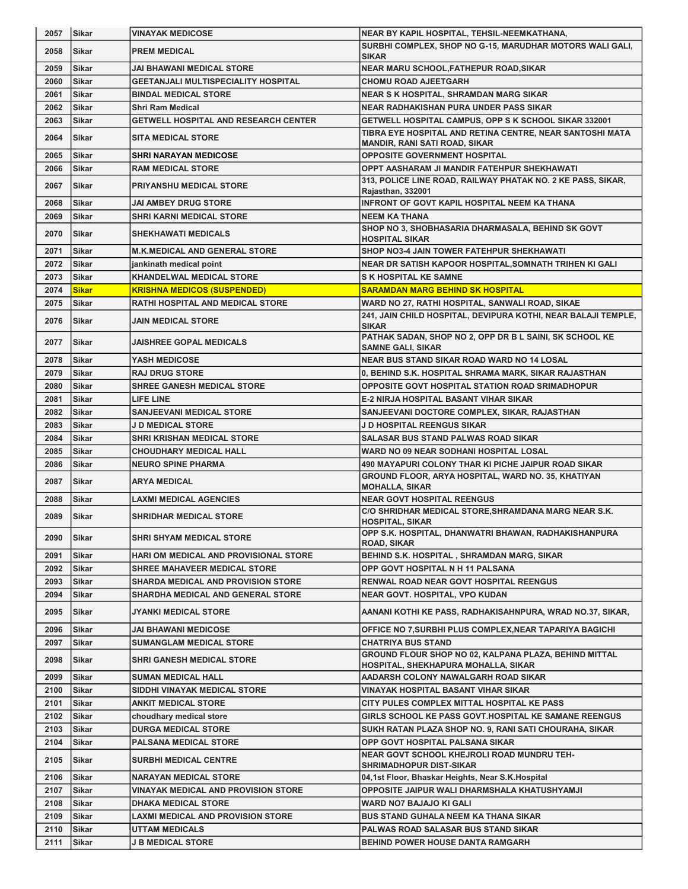| 2057 | <b>Sikar</b> | <b>VINAYAK MEDICOSE</b>                     | NEAR BY KAPIL HOSPITAL, TEHSIL-NEEMKATHANA,                                                      |
|------|--------------|---------------------------------------------|--------------------------------------------------------------------------------------------------|
| 2058 | Sikar        | <b>PREM MEDICAL</b>                         | SURBHI COMPLEX, SHOP NO G-15, MARUDHAR MOTORS WALI GALI,<br><b>SIKAR</b>                         |
| 2059 | Sikar        | <b>JAI BHAWANI MEDICAL STORE</b>            | NEAR MARU SCHOOL, FATHEPUR ROAD, SIKAR                                                           |
| 2060 | <b>Sikar</b> | <b>GEETANJALI MULTISPECIALITY HOSPITAL</b>  | <b>CHOMU ROAD AJEETGARH</b>                                                                      |
| 2061 | <b>Sikar</b> | <b>BINDAL MEDICAL STORE</b>                 | <b>NEAR S K HOSPITAL, SHRAMDAN MARG SIKAR</b>                                                    |
| 2062 | <b>Sikar</b> | <b>Shri Ram Medical</b>                     | <b>NEAR RADHAKISHAN PURA UNDER PASS SIKAR</b>                                                    |
| 2063 | Sikar        | <b>GETWELL HOSPITAL AND RESEARCH CENTER</b> | GETWELL HOSPITAL CAMPUS, OPP S K SCHOOL SIKAR 332001                                             |
| 2064 | <b>Sikar</b> | <b>SITA MEDICAL STORE</b>                   | TIBRA EYE HOSPITAL AND RETINA CENTRE, NEAR SANTOSHI MATA<br><b>MANDIR, RANI SATI ROAD, SIKAR</b> |
| 2065 | Sikar        | <b>SHRI NARAYAN MEDICOSE</b>                | <b>OPPOSITE GOVERNMENT HOSPITAL</b>                                                              |
| 2066 | Sikar        | <b>RAM MEDICAL STORE</b>                    | OPPT AASHARAM JI MANDIR FATEHPUR SHEKHAWATI                                                      |
| 2067 | Sikar        | <b>PRIYANSHU MEDICAL STORE</b>              | 313, POLICE LINE ROAD, RAILWAY PHATAK NO. 2 KE PASS, SIKAR,<br>Rajasthan, 332001                 |
| 2068 | Sikar        | <b>JAI AMBEY DRUG STORE</b>                 | <b>INFRONT OF GOVT KAPIL HOSPITAL NEEM KA THANA</b>                                              |
| 2069 | <b>Sikar</b> | <b>SHRI KARNI MEDICAL STORE</b>             | <b>NEEM KA THANA</b>                                                                             |
| 2070 | Sikar        | <b>SHEKHAWATI MEDICALS</b>                  | SHOP NO 3, SHOBHASARIA DHARMASALA, BEHIND SK GOVT<br><b>HOSPITAL SIKAR</b>                       |
| 2071 | Sikar        | <b>M.K.MEDICAL AND GENERAL STORE</b>        | SHOP NO3-4 JAIN TOWER FATEHPUR SHEKHAWATI                                                        |
| 2072 | <b>Sikar</b> | jankinath medical point                     | NEAR DR SATISH KAPOOR HOSPITAL, SOMNATH TRIHEN KI GALI                                           |
| 2073 | <b>Sikar</b> | <b>KHANDELWAL MEDICAL STORE</b>             | <b>S K HOSPITAL KE SAMNE</b>                                                                     |
| 2074 | <b>Sikar</b> | <b>KRISHNA MEDICOS (SUSPENDED)</b>          | <b>SARAMDAN MARG BEHIND SK HOSPITAL</b>                                                          |
| 2075 | Sikar        | RATHI HOSPITAL AND MEDICAL STORE            | WARD NO 27, RATHI HOSPITAL, SANWALI ROAD, SIKAE                                                  |
| 2076 | <b>Sikar</b> | <b>JAIN MEDICAL STORE</b>                   | 241, JAIN CHILD HOSPITAL, DEVIPURA KOTHI, NEAR BALAJI TEMPLE,<br><b>SIKAR</b>                    |
| 2077 | <b>Sikar</b> | <b>JAISHREE GOPAL MEDICALS</b>              | PATHAK SADAN, SHOP NO 2, OPP DR B L SAINI, SK SCHOOL KE<br><b>SAMNE GALI, SIKAR</b>              |
| 2078 | Sikar        | <b>YASH MEDICOSE</b>                        | NEAR BUS STAND SIKAR ROAD WARD NO 14 LOSAL                                                       |
| 2079 | <b>Sikar</b> | <b>RAJ DRUG STORE</b>                       | 0, BEHIND S.K. HOSPITAL SHRAMA MARK, SIKAR RAJASTHAN                                             |
| 2080 | <b>Sikar</b> | <b>SHREE GANESH MEDICAL STORE</b>           | OPPOSITE GOVT HOSPITAL STATION ROAD SRIMADHOPUR                                                  |
| 2081 | <b>Sikar</b> | <b>LIFE LINE</b>                            | <b>E-2 NIRJA HOSPITAL BASANT VIHAR SIKAR</b>                                                     |
| 2082 | Sikar        | <b>SANJEEVANI MEDICAL STORE</b>             | SANJEEVANI DOCTORE COMPLEX, SIKAR, RAJASTHAN                                                     |
| 2083 | Sikar        | <b>J D MEDICAL STORE</b>                    | <b>J D HOSPITAL REENGUS SIKAR</b>                                                                |
| 2084 | Sikar        | <b>SHRI KRISHAN MEDICAL STORE</b>           | <b>SALASAR BUS STAND PALWAS ROAD SIKAR</b>                                                       |
| 2085 | <b>Sikar</b> | <b>CHOUDHARY MEDICAL HALL</b>               | WARD NO 09 NEAR SODHANI HOSPITAL LOSAL                                                           |
| 2086 | Sikar        | <b>NEURO SPINE PHARMA</b>                   | 490 MAYAPURI COLONY THAR KI PICHE JAIPUR ROAD SIKAR                                              |
| 2087 | Sikar        | <b>ARYA MEDICAL</b>                         | GROUND FLOOR, ARYA HOSPITAL, WARD NO. 35, KHATIYAN<br><b>MOHALLA, SIKAR</b>                      |
| 2088 | Sikar        | <b>LAXMI MEDICAL AGENCIES</b>               | <b>NEAR GOVT HOSPITAL REENGUS</b>                                                                |
| 2089 | Sikar        | <b>SHRIDHAR MEDICAL STORE</b>               | C/O SHRIDHAR MEDICAL STORE, SHRAMDANA MARG NEAR S.K.<br><b>HOSPITAL, SIKAR</b>                   |
| 2090 | Sikar        | <b>SHRI SHYAM MEDICAL STORE</b>             | OPP S.K. HOSPITAL, DHANWATRI BHAWAN, RADHAKISHANPURA<br><b>ROAD, SIKAR</b>                       |
| 2091 | Sikar        | HARI OM MEDICAL AND PROVISIONAL STORE       | BEHIND S.K. HOSPITAL , SHRAMDAN MARG, SIKAR                                                      |
| 2092 | Sikar        | SHREE MAHAVEER MEDICAL STORE                | OPP GOVT HOSPITAL N H 11 PALSANA                                                                 |
| 2093 | Sikar        | <b>SHARDA MEDICAL AND PROVISION STORE</b>   | <b>RENWAL ROAD NEAR GOVT HOSPITAL REENGUS</b>                                                    |
| 2094 | Sikar        | <b>SHARDHA MEDICAL AND GENERAL STORE</b>    | NEAR GOVT. HOSPITAL, VPO KUDAN                                                                   |
| 2095 | Sikar        | <b>JYANKI MEDICAL STORE</b>                 | AANANI KOTHI KE PASS, RADHAKISAHNPURA, WRAD NO.37, SIKAR,                                        |
| 2096 | Sikar        | JAI BHAWANI MEDICOSE                        | OFFICE NO 7,SURBHI PLUS COMPLEX,NEAR TAPARIYA BAGICHI                                            |
| 2097 | Sikar        | <b>SUMANGLAM MEDICAL STORE</b>              | <b>CHATRIYA BUS STAND</b>                                                                        |
| 2098 | Sikar        | <b>SHRI GANESH MEDICAL STORE</b>            | GROUND FLOUR SHOP NO 02, KALPANA PLAZA, BEHIND MITTAL<br>HOSPITAL, SHEKHAPURA MOHALLA, SIKAR     |
| 2099 | Sikar        | <b>SUMAN MEDICAL HALL</b>                   | AADARSH COLONY NAWALGARH ROAD SIKAR                                                              |
| 2100 | Sikar        | SIDDHI VINAYAK MEDICAL STORE                | VINAYAK HOSPITAL BASANT VIHAR SIKAR                                                              |
| 2101 | Sikar        | <b>ANKIT MEDICAL STORE</b>                  | CITY PULES COMPLEX MITTAL HOSPITAL KE PASS                                                       |
| 2102 | Sikar        | choudhary medical store                     | GIRLS SCHOOL KE PASS GOVT.HOSPITAL KE SAMANE REENGUS                                             |
| 2103 | Sikar        | <b>DURGA MEDICAL STORE</b>                  | SUKH RATAN PLAZA SHOP NO. 9, RANI SATI CHOURAHA, SIKAR                                           |
| 2104 | Sikar        | <b>PALSANA MEDICAL STORE</b>                | OPP GOVT HOSPITAL PALSANA SIKAR                                                                  |
| 2105 | Sikar        | <b>SURBHI MEDICAL CENTRE</b>                | <b>NEAR GOVT SCHOOL KHEJROLI ROAD MUNDRU TEH-</b><br><b>SHRIMADHOPUR DIST-SIKAR</b>              |
| 2106 | Sikar        | <b>NARAYAN MEDICAL STORE</b>                | 04,1st Floor, Bhaskar Heights, Near S.K. Hospital                                                |
| 2107 | Sikar        | VINAYAK MEDICAL AND PROVISION STORE         | OPPOSITE JAIPUR WALI DHARMSHALA KHATUSHYAMJI                                                     |
| 2108 | Sikar        | <b>DHAKA MEDICAL STORE</b>                  | WARD NO7 BAJAJO KI GALI                                                                          |
| 2109 | Sikar        | LAXMI MEDICAL AND PROVISION STORE           | BUS STAND GUHALA NEEM KA THANA SIKAR                                                             |
| 2110 | Sikar        | <b>UTTAM MEDICALS</b>                       | PALWAS ROAD SALASAR BUS STAND SIKAR                                                              |
| 2111 | Sikar        | <b>J B MEDICAL STORE</b>                    | <b>BEHIND POWER HOUSE DANTA RAMGARH</b>                                                          |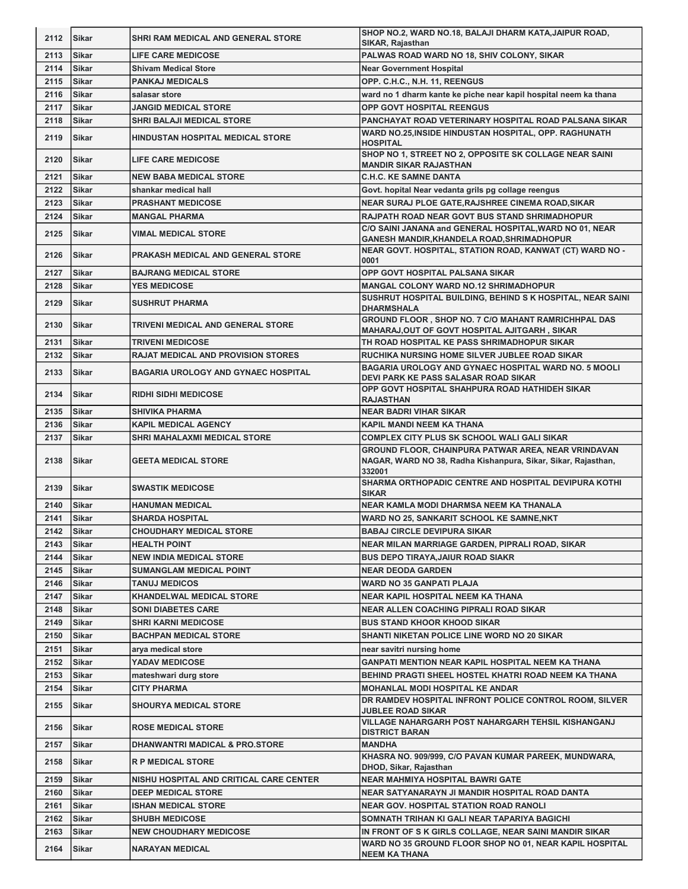| 2113<br><b>Sikar</b><br>PALWAS ROAD WARD NO 18, SHIV COLONY, SIKAR<br><b>LIFE CARE MEDICOSE</b><br><b>Sikar</b><br><b>Near Government Hospital</b><br>2114<br><b>Shivam Medical Store</b><br>2115<br>Sikar<br><b>PANKAJ MEDICALS</b><br>OPP. C.H.C., N.H. 11, REENGUS<br>Sikar<br>2116<br>ward no 1 dharm kante ke piche near kapil hospital neem ka thana<br>salasar store<br><b>OPP GOVT HOSPITAL REENGUS</b><br>2117<br><b>Sikar</b><br><b>JANGID MEDICAL STORE</b><br><b>SHRI BALAJI MEDICAL STORE</b><br>PANCHAYAT ROAD VETERINARY HOSPITAL ROAD PALSANA SIKAR<br>2118<br><b>Sikar</b><br>WARD NO.25, INSIDE HINDUSTAN HOSPITAL, OPP. RAGHUNATH<br>2119<br><b>Sikar</b><br><b>HINDUSTAN HOSPITAL MEDICAL STORE</b><br><b>HOSPITAL</b><br>SHOP NO 1, STREET NO 2, OPPOSITE SK COLLAGE NEAR SAINI<br>2120<br><b>Sikar</b><br><b>LIFE CARE MEDICOSE</b><br><b>MANDIR SIKAR RAJASTHAN</b><br>2121<br>Sikar<br><b>NEW BABA MEDICAL STORE</b><br><b>C.H.C. KE SAMNE DANTA</b><br>2122<br><b>Sikar</b><br>shankar medical hall<br>Govt. hopital Near vedanta grils pg collage reengus<br>2123<br><b>Sikar</b><br>NEAR SURAJ PLOE GATE, RAJSHREE CINEMA ROAD, SIKAR<br><b>PRASHANT MEDICOSE</b><br>2124<br>Sikar<br><b>MANGAL PHARMA</b><br>RAJPATH ROAD NEAR GOVT BUS STAND SHRIMADHOPUR<br>C/O SAINI JANANA and GENERAL HOSPITAL, WARD NO 01, NEAR<br>2125<br>Sikar<br><b>VIMAL MEDICAL STORE</b><br>GANESH MANDIR, KHANDELA ROAD, SHRIMADHOPUR<br>NEAR GOVT. HOSPITAL, STATION ROAD, KANWAT (CT) WARD NO -<br>2126<br><b>Sikar</b><br><b>PRAKASH MEDICAL AND GENERAL STORE</b><br>0001<br>OPP GOVT HOSPITAL PALSANA SIKAR<br>2127<br><b>Sikar</b><br><b>BAJRANG MEDICAL STORE</b><br>2128<br><b>MANGAL COLONY WARD NO.12 SHRIMADHOPUR</b><br><b>Sikar</b><br><b>YES MEDICOSE</b><br>SUSHRUT HOSPITAL BUILDING, BEHIND S K HOSPITAL, NEAR SAINI<br>2129<br><b>Sikar</b><br><b>SUSHRUT PHARMA</b><br><b>DHARMSHALA</b><br>GROUND FLOOR, SHOP NO. 7 C/O MAHANT RAMRICHHPAL DAS<br>2130<br><b>Sikar</b><br><b>TRIVENI MEDICAL AND GENERAL STORE</b><br>MAHARAJ, OUT OF GOVT HOSPITAL AJITGARH, SIKAR<br>2131<br><b>TRIVENI MEDICOSE</b><br>TH ROAD HOSPITAL KE PASS SHRIMADHOPUR SIKAR<br>Sikar<br><b>RAJAT MEDICAL AND PROVISION STORES</b><br>2132<br>RUCHIKA NURSING HOME SILVER JUBLEE ROAD SIKAR<br>Sikar<br>BAGARIA UROLOGY AND GYNAEC HOSPITAL WARD NO. 5 MOOLI<br>2133<br><b>Sikar</b><br><b>BAGARIA UROLOGY AND GYNAEC HOSPITAL</b><br>DEVI PARK KE PASS SALASAR ROAD SIKAR<br>OPP GOVT HOSPITAL SHAHPURA ROAD HATHIDEH SIKAR<br>2134<br><b>Sikar</b><br><b>RIDHI SIDHI MEDICOSE</b><br><b>RAJASTHAN</b><br><b>SHIVIKA PHARMA</b><br><b>NEAR BADRI VIHAR SIKAR</b><br>2135<br>ISikar<br>2136<br>Sikar<br><b>KAPIL MEDICAL AGENCY</b><br>KAPIL MANDI NEEM KA THANA<br><b>COMPLEX CITY PLUS SK SCHOOL WALI GALI SIKAR</b><br>2137<br><b>Sikar</b><br><b>SHRI MAHALAXMI MEDICAL STORE</b><br>GROUND FLOOR, CHAINPURA PATWAR AREA, NEAR VRINDAVAN<br>NAGAR, WARD NO 38, Radha Kishanpura, Sikar, Sikar, Rajasthan,<br>2138<br>lSikar<br><b>GEETA MEDICAL STORE</b><br>332001<br>SHARMA ORTHOPADIC CENTRE AND HOSPITAL DEVIPURA KOTHI<br>2139<br><b>Sikar</b><br><b>SWASTIK MEDICOSE</b><br><b>SIKAR</b><br>NEAR KAMLA MODI DHARMSA NEEM KA THANALA<br>2140<br><b>Sikar</b><br><b>HANUMAN MEDICAL</b><br>2141<br><b>SHARDA HOSPITAL</b><br>WARD NO 25, SANKARIT SCHOOL KE SAMNE, NKT<br><b>Sikar</b><br>2142<br>Sikar<br><b>BABAJ CIRCLE DEVIPURA SIKAR</b><br><b>CHOUDHARY MEDICAL STORE</b><br>NEAR MILAN MARRIAGE GARDEN, PIPRALI ROAD, SIKAR<br>2143<br>Sikar<br><b>HEALTH POINT</b><br>2144<br><b>BUS DEPO TIRAYA, JAIUR ROAD SIAKR</b><br>Sikar<br><b>NEW INDIA MEDICAL STORE</b><br>2145<br><b>Sikar</b><br><b>SUMANGLAM MEDICAL POINT</b><br><b>NEAR DEODA GARDEN</b><br>2146<br>Sikar<br><b>TANUJ MEDICOS</b><br><b>WARD NO 35 GANPATI PLAJA</b><br>2147<br>Sikar<br><b>KHANDELWAL MEDICAL STORE</b><br>NEAR KAPIL HOSPITAL NEEM KA THANA<br>2148<br>Sikar<br><b>SONI DIABETES CARE</b><br>NEAR ALLEN COACHING PIPRALI ROAD SIKAR<br>2149<br><b>SHRI KARNI MEDICOSE</b><br><b>BUS STAND KHOOR KHOOD SIKAR</b><br><b>Sikar</b><br>2150<br>Sikar<br><b>BACHPAN MEDICAL STORE</b><br>SHANTI NIKETAN POLICE LINE WORD NO 20 SIKAR<br>2151<br><b>Sikar</b><br>arya medical store<br>near savitri nursing home<br>2152<br>YADAV MEDICOSE<br><b>Sikar</b><br><b>GANPATI MENTION NEAR KAPIL HOSPITAL NEEM KA THANA</b><br>2153<br><b>Sikar</b><br>mateshwari durg store<br>BEHIND PRAGTI SHEEL HOSTEL KHATRI ROAD NEEM KA THANA<br>2154<br>Sikar<br><b>CITY PHARMA</b><br><b>MOHANLAL MODI HOSPITAL KE ANDAR</b><br>DR RAMDEV HOSPITAL INFRONT POLICE CONTROL ROOM, SILVER<br>2155<br><b>Sikar</b><br><b>SHOURYA MEDICAL STORE</b><br><b>JUBLEE ROAD SIKAR</b><br>VILLAGE NAHARGARH POST NAHARGARH TEHSIL KISHANGANJ<br>2156<br><b>Sikar</b><br><b>ROSE MEDICAL STORE</b><br><b>DISTRICT BARAN</b><br>2157<br><b>MANDHA</b><br>Sikar<br>DHANWANTRI MADICAL & PRO.STORE<br>KHASRA NO. 909/999, C/O PAVAN KUMAR PAREEK, MUNDWARA,<br>2158<br>Sikar<br><b>R P MEDICAL STORE</b><br>DHOD, Sikar, Rajasthan<br>2159<br><b>NEAR MAHMIYA HOSPITAL BAWRI GATE</b><br>Sikar<br>NISHU HOSPITAL AND CRITICAL CARE CENTER<br>2160<br>Sikar<br><b>DEEP MEDICAL STORE</b><br>NEAR SATYANARAYN JI MANDIR HOSPITAL ROAD DANTA<br>2161<br>Sikar<br><b>ISHAN MEDICAL STORE</b><br><b>NEAR GOV. HOSPITAL STATION ROAD RANOLI</b><br>2162<br><b>SHUBH MEDICOSE</b><br>SOMNATH TRIHAN KI GALI NEAR TAPARIYA BAGICHI<br>Sikar<br>2163<br><b>NEW CHOUDHARY MEDICOSE</b><br>IN FRONT OF S K GIRLS COLLAGE, NEAR SAINI MANDIR SIKAR<br>Sikar<br>WARD NO 35 GROUND FLOOR SHOP NO 01, NEAR KAPIL HOSPITAL<br>2164<br>Sikar<br><b>NARAYAN MEDICAL</b> | 2112 | Sikar | SHRI RAM MEDICAL AND GENERAL STORE | SHOP NO.2, WARD NO.18, BALAJI DHARM KATA, JAIPUR ROAD,<br>SIKAR, Rajasthan |
|----------------------------------------------------------------------------------------------------------------------------------------------------------------------------------------------------------------------------------------------------------------------------------------------------------------------------------------------------------------------------------------------------------------------------------------------------------------------------------------------------------------------------------------------------------------------------------------------------------------------------------------------------------------------------------------------------------------------------------------------------------------------------------------------------------------------------------------------------------------------------------------------------------------------------------------------------------------------------------------------------------------------------------------------------------------------------------------------------------------------------------------------------------------------------------------------------------------------------------------------------------------------------------------------------------------------------------------------------------------------------------------------------------------------------------------------------------------------------------------------------------------------------------------------------------------------------------------------------------------------------------------------------------------------------------------------------------------------------------------------------------------------------------------------------------------------------------------------------------------------------------------------------------------------------------------------------------------------------------------------------------------------------------------------------------------------------------------------------------------------------------------------------------------------------------------------------------------------------------------------------------------------------------------------------------------------------------------------------------------------------------------------------------------------------------------------------------------------------------------------------------------------------------------------------------------------------------------------------------------------------------------------------------------------------------------------------------------------------------------------------------------------------------------------------------------------------------------------------------------------------------------------------------------------------------------------------------------------------------------------------------------------------------------------------------------------------------------------------------------------------------------------------------------------------------------------------------------------------------------------------------------------------------------------------------------------------------------------------------------------------------------------------------------------------------------------------------------------------------------------------------------------------------------------------------------------------------------------------------------------------------------------------------------------------------------------------------------------------------------------------------------------------------------------------------------------------------------------------------------------------------------------------------------------------------------------------------------------------------------------------------------------------------------------------------------------------------------------------------------------------------------------------------------------------------------------------------------------------------------------------------------------------------------------------------------------------------------------------------------------------------------------------------------------------------------------------------------------------------------------------------------------------------------------------------------------------------------------------------------------------------------------------------------------------------------------------------------------------------------------------------------------------------------------------------------------------------------------------------------------------------------------------------------------------------------------------------------------------------------------------------------------------------------------------------------------------------------------------------------------------------------------------------------------------------------------------------------------------------------------------------------------------------------------------------------------------------------------------------------------------------------------------------------------------------------------------------------------------------------------------------------------------------------------------------------------------------------------------------------------------------------------------------------------------------------------------------------------------|------|-------|------------------------------------|----------------------------------------------------------------------------|
|                                                                                                                                                                                                                                                                                                                                                                                                                                                                                                                                                                                                                                                                                                                                                                                                                                                                                                                                                                                                                                                                                                                                                                                                                                                                                                                                                                                                                                                                                                                                                                                                                                                                                                                                                                                                                                                                                                                                                                                                                                                                                                                                                                                                                                                                                                                                                                                                                                                                                                                                                                                                                                                                                                                                                                                                                                                                                                                                                                                                                                                                                                                                                                                                                                                                                                                                                                                                                                                                                                                                                                                                                                                                                                                                                                                                                                                                                                                                                                                                                                                                                                                                                                                                                                                                                                                                                                                                                                                                                                                                                                                                                                                                                                                                                                                                                                                                                                                                                                                                                                                                                                                                                                                                                                                                                                                                                                                                                                                                                                                                                                                                                                                                                                                            |      |       |                                    |                                                                            |
|                                                                                                                                                                                                                                                                                                                                                                                                                                                                                                                                                                                                                                                                                                                                                                                                                                                                                                                                                                                                                                                                                                                                                                                                                                                                                                                                                                                                                                                                                                                                                                                                                                                                                                                                                                                                                                                                                                                                                                                                                                                                                                                                                                                                                                                                                                                                                                                                                                                                                                                                                                                                                                                                                                                                                                                                                                                                                                                                                                                                                                                                                                                                                                                                                                                                                                                                                                                                                                                                                                                                                                                                                                                                                                                                                                                                                                                                                                                                                                                                                                                                                                                                                                                                                                                                                                                                                                                                                                                                                                                                                                                                                                                                                                                                                                                                                                                                                                                                                                                                                                                                                                                                                                                                                                                                                                                                                                                                                                                                                                                                                                                                                                                                                                                            |      |       |                                    |                                                                            |
|                                                                                                                                                                                                                                                                                                                                                                                                                                                                                                                                                                                                                                                                                                                                                                                                                                                                                                                                                                                                                                                                                                                                                                                                                                                                                                                                                                                                                                                                                                                                                                                                                                                                                                                                                                                                                                                                                                                                                                                                                                                                                                                                                                                                                                                                                                                                                                                                                                                                                                                                                                                                                                                                                                                                                                                                                                                                                                                                                                                                                                                                                                                                                                                                                                                                                                                                                                                                                                                                                                                                                                                                                                                                                                                                                                                                                                                                                                                                                                                                                                                                                                                                                                                                                                                                                                                                                                                                                                                                                                                                                                                                                                                                                                                                                                                                                                                                                                                                                                                                                                                                                                                                                                                                                                                                                                                                                                                                                                                                                                                                                                                                                                                                                                                            |      |       |                                    |                                                                            |
|                                                                                                                                                                                                                                                                                                                                                                                                                                                                                                                                                                                                                                                                                                                                                                                                                                                                                                                                                                                                                                                                                                                                                                                                                                                                                                                                                                                                                                                                                                                                                                                                                                                                                                                                                                                                                                                                                                                                                                                                                                                                                                                                                                                                                                                                                                                                                                                                                                                                                                                                                                                                                                                                                                                                                                                                                                                                                                                                                                                                                                                                                                                                                                                                                                                                                                                                                                                                                                                                                                                                                                                                                                                                                                                                                                                                                                                                                                                                                                                                                                                                                                                                                                                                                                                                                                                                                                                                                                                                                                                                                                                                                                                                                                                                                                                                                                                                                                                                                                                                                                                                                                                                                                                                                                                                                                                                                                                                                                                                                                                                                                                                                                                                                                                            |      |       |                                    |                                                                            |
|                                                                                                                                                                                                                                                                                                                                                                                                                                                                                                                                                                                                                                                                                                                                                                                                                                                                                                                                                                                                                                                                                                                                                                                                                                                                                                                                                                                                                                                                                                                                                                                                                                                                                                                                                                                                                                                                                                                                                                                                                                                                                                                                                                                                                                                                                                                                                                                                                                                                                                                                                                                                                                                                                                                                                                                                                                                                                                                                                                                                                                                                                                                                                                                                                                                                                                                                                                                                                                                                                                                                                                                                                                                                                                                                                                                                                                                                                                                                                                                                                                                                                                                                                                                                                                                                                                                                                                                                                                                                                                                                                                                                                                                                                                                                                                                                                                                                                                                                                                                                                                                                                                                                                                                                                                                                                                                                                                                                                                                                                                                                                                                                                                                                                                                            |      |       |                                    |                                                                            |
|                                                                                                                                                                                                                                                                                                                                                                                                                                                                                                                                                                                                                                                                                                                                                                                                                                                                                                                                                                                                                                                                                                                                                                                                                                                                                                                                                                                                                                                                                                                                                                                                                                                                                                                                                                                                                                                                                                                                                                                                                                                                                                                                                                                                                                                                                                                                                                                                                                                                                                                                                                                                                                                                                                                                                                                                                                                                                                                                                                                                                                                                                                                                                                                                                                                                                                                                                                                                                                                                                                                                                                                                                                                                                                                                                                                                                                                                                                                                                                                                                                                                                                                                                                                                                                                                                                                                                                                                                                                                                                                                                                                                                                                                                                                                                                                                                                                                                                                                                                                                                                                                                                                                                                                                                                                                                                                                                                                                                                                                                                                                                                                                                                                                                                                            |      |       |                                    |                                                                            |
|                                                                                                                                                                                                                                                                                                                                                                                                                                                                                                                                                                                                                                                                                                                                                                                                                                                                                                                                                                                                                                                                                                                                                                                                                                                                                                                                                                                                                                                                                                                                                                                                                                                                                                                                                                                                                                                                                                                                                                                                                                                                                                                                                                                                                                                                                                                                                                                                                                                                                                                                                                                                                                                                                                                                                                                                                                                                                                                                                                                                                                                                                                                                                                                                                                                                                                                                                                                                                                                                                                                                                                                                                                                                                                                                                                                                                                                                                                                                                                                                                                                                                                                                                                                                                                                                                                                                                                                                                                                                                                                                                                                                                                                                                                                                                                                                                                                                                                                                                                                                                                                                                                                                                                                                                                                                                                                                                                                                                                                                                                                                                                                                                                                                                                                            |      |       |                                    |                                                                            |
|                                                                                                                                                                                                                                                                                                                                                                                                                                                                                                                                                                                                                                                                                                                                                                                                                                                                                                                                                                                                                                                                                                                                                                                                                                                                                                                                                                                                                                                                                                                                                                                                                                                                                                                                                                                                                                                                                                                                                                                                                                                                                                                                                                                                                                                                                                                                                                                                                                                                                                                                                                                                                                                                                                                                                                                                                                                                                                                                                                                                                                                                                                                                                                                                                                                                                                                                                                                                                                                                                                                                                                                                                                                                                                                                                                                                                                                                                                                                                                                                                                                                                                                                                                                                                                                                                                                                                                                                                                                                                                                                                                                                                                                                                                                                                                                                                                                                                                                                                                                                                                                                                                                                                                                                                                                                                                                                                                                                                                                                                                                                                                                                                                                                                                                            |      |       |                                    |                                                                            |
|                                                                                                                                                                                                                                                                                                                                                                                                                                                                                                                                                                                                                                                                                                                                                                                                                                                                                                                                                                                                                                                                                                                                                                                                                                                                                                                                                                                                                                                                                                                                                                                                                                                                                                                                                                                                                                                                                                                                                                                                                                                                                                                                                                                                                                                                                                                                                                                                                                                                                                                                                                                                                                                                                                                                                                                                                                                                                                                                                                                                                                                                                                                                                                                                                                                                                                                                                                                                                                                                                                                                                                                                                                                                                                                                                                                                                                                                                                                                                                                                                                                                                                                                                                                                                                                                                                                                                                                                                                                                                                                                                                                                                                                                                                                                                                                                                                                                                                                                                                                                                                                                                                                                                                                                                                                                                                                                                                                                                                                                                                                                                                                                                                                                                                                            |      |       |                                    |                                                                            |
|                                                                                                                                                                                                                                                                                                                                                                                                                                                                                                                                                                                                                                                                                                                                                                                                                                                                                                                                                                                                                                                                                                                                                                                                                                                                                                                                                                                                                                                                                                                                                                                                                                                                                                                                                                                                                                                                                                                                                                                                                                                                                                                                                                                                                                                                                                                                                                                                                                                                                                                                                                                                                                                                                                                                                                                                                                                                                                                                                                                                                                                                                                                                                                                                                                                                                                                                                                                                                                                                                                                                                                                                                                                                                                                                                                                                                                                                                                                                                                                                                                                                                                                                                                                                                                                                                                                                                                                                                                                                                                                                                                                                                                                                                                                                                                                                                                                                                                                                                                                                                                                                                                                                                                                                                                                                                                                                                                                                                                                                                                                                                                                                                                                                                                                            |      |       |                                    |                                                                            |
|                                                                                                                                                                                                                                                                                                                                                                                                                                                                                                                                                                                                                                                                                                                                                                                                                                                                                                                                                                                                                                                                                                                                                                                                                                                                                                                                                                                                                                                                                                                                                                                                                                                                                                                                                                                                                                                                                                                                                                                                                                                                                                                                                                                                                                                                                                                                                                                                                                                                                                                                                                                                                                                                                                                                                                                                                                                                                                                                                                                                                                                                                                                                                                                                                                                                                                                                                                                                                                                                                                                                                                                                                                                                                                                                                                                                                                                                                                                                                                                                                                                                                                                                                                                                                                                                                                                                                                                                                                                                                                                                                                                                                                                                                                                                                                                                                                                                                                                                                                                                                                                                                                                                                                                                                                                                                                                                                                                                                                                                                                                                                                                                                                                                                                                            |      |       |                                    |                                                                            |
|                                                                                                                                                                                                                                                                                                                                                                                                                                                                                                                                                                                                                                                                                                                                                                                                                                                                                                                                                                                                                                                                                                                                                                                                                                                                                                                                                                                                                                                                                                                                                                                                                                                                                                                                                                                                                                                                                                                                                                                                                                                                                                                                                                                                                                                                                                                                                                                                                                                                                                                                                                                                                                                                                                                                                                                                                                                                                                                                                                                                                                                                                                                                                                                                                                                                                                                                                                                                                                                                                                                                                                                                                                                                                                                                                                                                                                                                                                                                                                                                                                                                                                                                                                                                                                                                                                                                                                                                                                                                                                                                                                                                                                                                                                                                                                                                                                                                                                                                                                                                                                                                                                                                                                                                                                                                                                                                                                                                                                                                                                                                                                                                                                                                                                                            |      |       |                                    |                                                                            |
|                                                                                                                                                                                                                                                                                                                                                                                                                                                                                                                                                                                                                                                                                                                                                                                                                                                                                                                                                                                                                                                                                                                                                                                                                                                                                                                                                                                                                                                                                                                                                                                                                                                                                                                                                                                                                                                                                                                                                                                                                                                                                                                                                                                                                                                                                                                                                                                                                                                                                                                                                                                                                                                                                                                                                                                                                                                                                                                                                                                                                                                                                                                                                                                                                                                                                                                                                                                                                                                                                                                                                                                                                                                                                                                                                                                                                                                                                                                                                                                                                                                                                                                                                                                                                                                                                                                                                                                                                                                                                                                                                                                                                                                                                                                                                                                                                                                                                                                                                                                                                                                                                                                                                                                                                                                                                                                                                                                                                                                                                                                                                                                                                                                                                                                            |      |       |                                    |                                                                            |
|                                                                                                                                                                                                                                                                                                                                                                                                                                                                                                                                                                                                                                                                                                                                                                                                                                                                                                                                                                                                                                                                                                                                                                                                                                                                                                                                                                                                                                                                                                                                                                                                                                                                                                                                                                                                                                                                                                                                                                                                                                                                                                                                                                                                                                                                                                                                                                                                                                                                                                                                                                                                                                                                                                                                                                                                                                                                                                                                                                                                                                                                                                                                                                                                                                                                                                                                                                                                                                                                                                                                                                                                                                                                                                                                                                                                                                                                                                                                                                                                                                                                                                                                                                                                                                                                                                                                                                                                                                                                                                                                                                                                                                                                                                                                                                                                                                                                                                                                                                                                                                                                                                                                                                                                                                                                                                                                                                                                                                                                                                                                                                                                                                                                                                                            |      |       |                                    |                                                                            |
|                                                                                                                                                                                                                                                                                                                                                                                                                                                                                                                                                                                                                                                                                                                                                                                                                                                                                                                                                                                                                                                                                                                                                                                                                                                                                                                                                                                                                                                                                                                                                                                                                                                                                                                                                                                                                                                                                                                                                                                                                                                                                                                                                                                                                                                                                                                                                                                                                                                                                                                                                                                                                                                                                                                                                                                                                                                                                                                                                                                                                                                                                                                                                                                                                                                                                                                                                                                                                                                                                                                                                                                                                                                                                                                                                                                                                                                                                                                                                                                                                                                                                                                                                                                                                                                                                                                                                                                                                                                                                                                                                                                                                                                                                                                                                                                                                                                                                                                                                                                                                                                                                                                                                                                                                                                                                                                                                                                                                                                                                                                                                                                                                                                                                                                            |      |       |                                    |                                                                            |
|                                                                                                                                                                                                                                                                                                                                                                                                                                                                                                                                                                                                                                                                                                                                                                                                                                                                                                                                                                                                                                                                                                                                                                                                                                                                                                                                                                                                                                                                                                                                                                                                                                                                                                                                                                                                                                                                                                                                                                                                                                                                                                                                                                                                                                                                                                                                                                                                                                                                                                                                                                                                                                                                                                                                                                                                                                                                                                                                                                                                                                                                                                                                                                                                                                                                                                                                                                                                                                                                                                                                                                                                                                                                                                                                                                                                                                                                                                                                                                                                                                                                                                                                                                                                                                                                                                                                                                                                                                                                                                                                                                                                                                                                                                                                                                                                                                                                                                                                                                                                                                                                                                                                                                                                                                                                                                                                                                                                                                                                                                                                                                                                                                                                                                                            |      |       |                                    |                                                                            |
|                                                                                                                                                                                                                                                                                                                                                                                                                                                                                                                                                                                                                                                                                                                                                                                                                                                                                                                                                                                                                                                                                                                                                                                                                                                                                                                                                                                                                                                                                                                                                                                                                                                                                                                                                                                                                                                                                                                                                                                                                                                                                                                                                                                                                                                                                                                                                                                                                                                                                                                                                                                                                                                                                                                                                                                                                                                                                                                                                                                                                                                                                                                                                                                                                                                                                                                                                                                                                                                                                                                                                                                                                                                                                                                                                                                                                                                                                                                                                                                                                                                                                                                                                                                                                                                                                                                                                                                                                                                                                                                                                                                                                                                                                                                                                                                                                                                                                                                                                                                                                                                                                                                                                                                                                                                                                                                                                                                                                                                                                                                                                                                                                                                                                                                            |      |       |                                    |                                                                            |
|                                                                                                                                                                                                                                                                                                                                                                                                                                                                                                                                                                                                                                                                                                                                                                                                                                                                                                                                                                                                                                                                                                                                                                                                                                                                                                                                                                                                                                                                                                                                                                                                                                                                                                                                                                                                                                                                                                                                                                                                                                                                                                                                                                                                                                                                                                                                                                                                                                                                                                                                                                                                                                                                                                                                                                                                                                                                                                                                                                                                                                                                                                                                                                                                                                                                                                                                                                                                                                                                                                                                                                                                                                                                                                                                                                                                                                                                                                                                                                                                                                                                                                                                                                                                                                                                                                                                                                                                                                                                                                                                                                                                                                                                                                                                                                                                                                                                                                                                                                                                                                                                                                                                                                                                                                                                                                                                                                                                                                                                                                                                                                                                                                                                                                                            |      |       |                                    |                                                                            |
|                                                                                                                                                                                                                                                                                                                                                                                                                                                                                                                                                                                                                                                                                                                                                                                                                                                                                                                                                                                                                                                                                                                                                                                                                                                                                                                                                                                                                                                                                                                                                                                                                                                                                                                                                                                                                                                                                                                                                                                                                                                                                                                                                                                                                                                                                                                                                                                                                                                                                                                                                                                                                                                                                                                                                                                                                                                                                                                                                                                                                                                                                                                                                                                                                                                                                                                                                                                                                                                                                                                                                                                                                                                                                                                                                                                                                                                                                                                                                                                                                                                                                                                                                                                                                                                                                                                                                                                                                                                                                                                                                                                                                                                                                                                                                                                                                                                                                                                                                                                                                                                                                                                                                                                                                                                                                                                                                                                                                                                                                                                                                                                                                                                                                                                            |      |       |                                    |                                                                            |
|                                                                                                                                                                                                                                                                                                                                                                                                                                                                                                                                                                                                                                                                                                                                                                                                                                                                                                                                                                                                                                                                                                                                                                                                                                                                                                                                                                                                                                                                                                                                                                                                                                                                                                                                                                                                                                                                                                                                                                                                                                                                                                                                                                                                                                                                                                                                                                                                                                                                                                                                                                                                                                                                                                                                                                                                                                                                                                                                                                                                                                                                                                                                                                                                                                                                                                                                                                                                                                                                                                                                                                                                                                                                                                                                                                                                                                                                                                                                                                                                                                                                                                                                                                                                                                                                                                                                                                                                                                                                                                                                                                                                                                                                                                                                                                                                                                                                                                                                                                                                                                                                                                                                                                                                                                                                                                                                                                                                                                                                                                                                                                                                                                                                                                                            |      |       |                                    |                                                                            |
|                                                                                                                                                                                                                                                                                                                                                                                                                                                                                                                                                                                                                                                                                                                                                                                                                                                                                                                                                                                                                                                                                                                                                                                                                                                                                                                                                                                                                                                                                                                                                                                                                                                                                                                                                                                                                                                                                                                                                                                                                                                                                                                                                                                                                                                                                                                                                                                                                                                                                                                                                                                                                                                                                                                                                                                                                                                                                                                                                                                                                                                                                                                                                                                                                                                                                                                                                                                                                                                                                                                                                                                                                                                                                                                                                                                                                                                                                                                                                                                                                                                                                                                                                                                                                                                                                                                                                                                                                                                                                                                                                                                                                                                                                                                                                                                                                                                                                                                                                                                                                                                                                                                                                                                                                                                                                                                                                                                                                                                                                                                                                                                                                                                                                                                            |      |       |                                    |                                                                            |
|                                                                                                                                                                                                                                                                                                                                                                                                                                                                                                                                                                                                                                                                                                                                                                                                                                                                                                                                                                                                                                                                                                                                                                                                                                                                                                                                                                                                                                                                                                                                                                                                                                                                                                                                                                                                                                                                                                                                                                                                                                                                                                                                                                                                                                                                                                                                                                                                                                                                                                                                                                                                                                                                                                                                                                                                                                                                                                                                                                                                                                                                                                                                                                                                                                                                                                                                                                                                                                                                                                                                                                                                                                                                                                                                                                                                                                                                                                                                                                                                                                                                                                                                                                                                                                                                                                                                                                                                                                                                                                                                                                                                                                                                                                                                                                                                                                                                                                                                                                                                                                                                                                                                                                                                                                                                                                                                                                                                                                                                                                                                                                                                                                                                                                                            |      |       |                                    |                                                                            |
|                                                                                                                                                                                                                                                                                                                                                                                                                                                                                                                                                                                                                                                                                                                                                                                                                                                                                                                                                                                                                                                                                                                                                                                                                                                                                                                                                                                                                                                                                                                                                                                                                                                                                                                                                                                                                                                                                                                                                                                                                                                                                                                                                                                                                                                                                                                                                                                                                                                                                                                                                                                                                                                                                                                                                                                                                                                                                                                                                                                                                                                                                                                                                                                                                                                                                                                                                                                                                                                                                                                                                                                                                                                                                                                                                                                                                                                                                                                                                                                                                                                                                                                                                                                                                                                                                                                                                                                                                                                                                                                                                                                                                                                                                                                                                                                                                                                                                                                                                                                                                                                                                                                                                                                                                                                                                                                                                                                                                                                                                                                                                                                                                                                                                                                            |      |       |                                    |                                                                            |
|                                                                                                                                                                                                                                                                                                                                                                                                                                                                                                                                                                                                                                                                                                                                                                                                                                                                                                                                                                                                                                                                                                                                                                                                                                                                                                                                                                                                                                                                                                                                                                                                                                                                                                                                                                                                                                                                                                                                                                                                                                                                                                                                                                                                                                                                                                                                                                                                                                                                                                                                                                                                                                                                                                                                                                                                                                                                                                                                                                                                                                                                                                                                                                                                                                                                                                                                                                                                                                                                                                                                                                                                                                                                                                                                                                                                                                                                                                                                                                                                                                                                                                                                                                                                                                                                                                                                                                                                                                                                                                                                                                                                                                                                                                                                                                                                                                                                                                                                                                                                                                                                                                                                                                                                                                                                                                                                                                                                                                                                                                                                                                                                                                                                                                                            |      |       |                                    |                                                                            |
|                                                                                                                                                                                                                                                                                                                                                                                                                                                                                                                                                                                                                                                                                                                                                                                                                                                                                                                                                                                                                                                                                                                                                                                                                                                                                                                                                                                                                                                                                                                                                                                                                                                                                                                                                                                                                                                                                                                                                                                                                                                                                                                                                                                                                                                                                                                                                                                                                                                                                                                                                                                                                                                                                                                                                                                                                                                                                                                                                                                                                                                                                                                                                                                                                                                                                                                                                                                                                                                                                                                                                                                                                                                                                                                                                                                                                                                                                                                                                                                                                                                                                                                                                                                                                                                                                                                                                                                                                                                                                                                                                                                                                                                                                                                                                                                                                                                                                                                                                                                                                                                                                                                                                                                                                                                                                                                                                                                                                                                                                                                                                                                                                                                                                                                            |      |       |                                    |                                                                            |
|                                                                                                                                                                                                                                                                                                                                                                                                                                                                                                                                                                                                                                                                                                                                                                                                                                                                                                                                                                                                                                                                                                                                                                                                                                                                                                                                                                                                                                                                                                                                                                                                                                                                                                                                                                                                                                                                                                                                                                                                                                                                                                                                                                                                                                                                                                                                                                                                                                                                                                                                                                                                                                                                                                                                                                                                                                                                                                                                                                                                                                                                                                                                                                                                                                                                                                                                                                                                                                                                                                                                                                                                                                                                                                                                                                                                                                                                                                                                                                                                                                                                                                                                                                                                                                                                                                                                                                                                                                                                                                                                                                                                                                                                                                                                                                                                                                                                                                                                                                                                                                                                                                                                                                                                                                                                                                                                                                                                                                                                                                                                                                                                                                                                                                                            |      |       |                                    |                                                                            |
|                                                                                                                                                                                                                                                                                                                                                                                                                                                                                                                                                                                                                                                                                                                                                                                                                                                                                                                                                                                                                                                                                                                                                                                                                                                                                                                                                                                                                                                                                                                                                                                                                                                                                                                                                                                                                                                                                                                                                                                                                                                                                                                                                                                                                                                                                                                                                                                                                                                                                                                                                                                                                                                                                                                                                                                                                                                                                                                                                                                                                                                                                                                                                                                                                                                                                                                                                                                                                                                                                                                                                                                                                                                                                                                                                                                                                                                                                                                                                                                                                                                                                                                                                                                                                                                                                                                                                                                                                                                                                                                                                                                                                                                                                                                                                                                                                                                                                                                                                                                                                                                                                                                                                                                                                                                                                                                                                                                                                                                                                                                                                                                                                                                                                                                            |      |       |                                    |                                                                            |
|                                                                                                                                                                                                                                                                                                                                                                                                                                                                                                                                                                                                                                                                                                                                                                                                                                                                                                                                                                                                                                                                                                                                                                                                                                                                                                                                                                                                                                                                                                                                                                                                                                                                                                                                                                                                                                                                                                                                                                                                                                                                                                                                                                                                                                                                                                                                                                                                                                                                                                                                                                                                                                                                                                                                                                                                                                                                                                                                                                                                                                                                                                                                                                                                                                                                                                                                                                                                                                                                                                                                                                                                                                                                                                                                                                                                                                                                                                                                                                                                                                                                                                                                                                                                                                                                                                                                                                                                                                                                                                                                                                                                                                                                                                                                                                                                                                                                                                                                                                                                                                                                                                                                                                                                                                                                                                                                                                                                                                                                                                                                                                                                                                                                                                                            |      |       |                                    |                                                                            |
|                                                                                                                                                                                                                                                                                                                                                                                                                                                                                                                                                                                                                                                                                                                                                                                                                                                                                                                                                                                                                                                                                                                                                                                                                                                                                                                                                                                                                                                                                                                                                                                                                                                                                                                                                                                                                                                                                                                                                                                                                                                                                                                                                                                                                                                                                                                                                                                                                                                                                                                                                                                                                                                                                                                                                                                                                                                                                                                                                                                                                                                                                                                                                                                                                                                                                                                                                                                                                                                                                                                                                                                                                                                                                                                                                                                                                                                                                                                                                                                                                                                                                                                                                                                                                                                                                                                                                                                                                                                                                                                                                                                                                                                                                                                                                                                                                                                                                                                                                                                                                                                                                                                                                                                                                                                                                                                                                                                                                                                                                                                                                                                                                                                                                                                            |      |       |                                    |                                                                            |
|                                                                                                                                                                                                                                                                                                                                                                                                                                                                                                                                                                                                                                                                                                                                                                                                                                                                                                                                                                                                                                                                                                                                                                                                                                                                                                                                                                                                                                                                                                                                                                                                                                                                                                                                                                                                                                                                                                                                                                                                                                                                                                                                                                                                                                                                                                                                                                                                                                                                                                                                                                                                                                                                                                                                                                                                                                                                                                                                                                                                                                                                                                                                                                                                                                                                                                                                                                                                                                                                                                                                                                                                                                                                                                                                                                                                                                                                                                                                                                                                                                                                                                                                                                                                                                                                                                                                                                                                                                                                                                                                                                                                                                                                                                                                                                                                                                                                                                                                                                                                                                                                                                                                                                                                                                                                                                                                                                                                                                                                                                                                                                                                                                                                                                                            |      |       |                                    |                                                                            |
|                                                                                                                                                                                                                                                                                                                                                                                                                                                                                                                                                                                                                                                                                                                                                                                                                                                                                                                                                                                                                                                                                                                                                                                                                                                                                                                                                                                                                                                                                                                                                                                                                                                                                                                                                                                                                                                                                                                                                                                                                                                                                                                                                                                                                                                                                                                                                                                                                                                                                                                                                                                                                                                                                                                                                                                                                                                                                                                                                                                                                                                                                                                                                                                                                                                                                                                                                                                                                                                                                                                                                                                                                                                                                                                                                                                                                                                                                                                                                                                                                                                                                                                                                                                                                                                                                                                                                                                                                                                                                                                                                                                                                                                                                                                                                                                                                                                                                                                                                                                                                                                                                                                                                                                                                                                                                                                                                                                                                                                                                                                                                                                                                                                                                                                            |      |       |                                    |                                                                            |
|                                                                                                                                                                                                                                                                                                                                                                                                                                                                                                                                                                                                                                                                                                                                                                                                                                                                                                                                                                                                                                                                                                                                                                                                                                                                                                                                                                                                                                                                                                                                                                                                                                                                                                                                                                                                                                                                                                                                                                                                                                                                                                                                                                                                                                                                                                                                                                                                                                                                                                                                                                                                                                                                                                                                                                                                                                                                                                                                                                                                                                                                                                                                                                                                                                                                                                                                                                                                                                                                                                                                                                                                                                                                                                                                                                                                                                                                                                                                                                                                                                                                                                                                                                                                                                                                                                                                                                                                                                                                                                                                                                                                                                                                                                                                                                                                                                                                                                                                                                                                                                                                                                                                                                                                                                                                                                                                                                                                                                                                                                                                                                                                                                                                                                                            |      |       |                                    |                                                                            |
|                                                                                                                                                                                                                                                                                                                                                                                                                                                                                                                                                                                                                                                                                                                                                                                                                                                                                                                                                                                                                                                                                                                                                                                                                                                                                                                                                                                                                                                                                                                                                                                                                                                                                                                                                                                                                                                                                                                                                                                                                                                                                                                                                                                                                                                                                                                                                                                                                                                                                                                                                                                                                                                                                                                                                                                                                                                                                                                                                                                                                                                                                                                                                                                                                                                                                                                                                                                                                                                                                                                                                                                                                                                                                                                                                                                                                                                                                                                                                                                                                                                                                                                                                                                                                                                                                                                                                                                                                                                                                                                                                                                                                                                                                                                                                                                                                                                                                                                                                                                                                                                                                                                                                                                                                                                                                                                                                                                                                                                                                                                                                                                                                                                                                                                            |      |       |                                    |                                                                            |
|                                                                                                                                                                                                                                                                                                                                                                                                                                                                                                                                                                                                                                                                                                                                                                                                                                                                                                                                                                                                                                                                                                                                                                                                                                                                                                                                                                                                                                                                                                                                                                                                                                                                                                                                                                                                                                                                                                                                                                                                                                                                                                                                                                                                                                                                                                                                                                                                                                                                                                                                                                                                                                                                                                                                                                                                                                                                                                                                                                                                                                                                                                                                                                                                                                                                                                                                                                                                                                                                                                                                                                                                                                                                                                                                                                                                                                                                                                                                                                                                                                                                                                                                                                                                                                                                                                                                                                                                                                                                                                                                                                                                                                                                                                                                                                                                                                                                                                                                                                                                                                                                                                                                                                                                                                                                                                                                                                                                                                                                                                                                                                                                                                                                                                                            |      |       |                                    |                                                                            |
|                                                                                                                                                                                                                                                                                                                                                                                                                                                                                                                                                                                                                                                                                                                                                                                                                                                                                                                                                                                                                                                                                                                                                                                                                                                                                                                                                                                                                                                                                                                                                                                                                                                                                                                                                                                                                                                                                                                                                                                                                                                                                                                                                                                                                                                                                                                                                                                                                                                                                                                                                                                                                                                                                                                                                                                                                                                                                                                                                                                                                                                                                                                                                                                                                                                                                                                                                                                                                                                                                                                                                                                                                                                                                                                                                                                                                                                                                                                                                                                                                                                                                                                                                                                                                                                                                                                                                                                                                                                                                                                                                                                                                                                                                                                                                                                                                                                                                                                                                                                                                                                                                                                                                                                                                                                                                                                                                                                                                                                                                                                                                                                                                                                                                                                            |      |       |                                    |                                                                            |
|                                                                                                                                                                                                                                                                                                                                                                                                                                                                                                                                                                                                                                                                                                                                                                                                                                                                                                                                                                                                                                                                                                                                                                                                                                                                                                                                                                                                                                                                                                                                                                                                                                                                                                                                                                                                                                                                                                                                                                                                                                                                                                                                                                                                                                                                                                                                                                                                                                                                                                                                                                                                                                                                                                                                                                                                                                                                                                                                                                                                                                                                                                                                                                                                                                                                                                                                                                                                                                                                                                                                                                                                                                                                                                                                                                                                                                                                                                                                                                                                                                                                                                                                                                                                                                                                                                                                                                                                                                                                                                                                                                                                                                                                                                                                                                                                                                                                                                                                                                                                                                                                                                                                                                                                                                                                                                                                                                                                                                                                                                                                                                                                                                                                                                                            |      |       |                                    |                                                                            |
|                                                                                                                                                                                                                                                                                                                                                                                                                                                                                                                                                                                                                                                                                                                                                                                                                                                                                                                                                                                                                                                                                                                                                                                                                                                                                                                                                                                                                                                                                                                                                                                                                                                                                                                                                                                                                                                                                                                                                                                                                                                                                                                                                                                                                                                                                                                                                                                                                                                                                                                                                                                                                                                                                                                                                                                                                                                                                                                                                                                                                                                                                                                                                                                                                                                                                                                                                                                                                                                                                                                                                                                                                                                                                                                                                                                                                                                                                                                                                                                                                                                                                                                                                                                                                                                                                                                                                                                                                                                                                                                                                                                                                                                                                                                                                                                                                                                                                                                                                                                                                                                                                                                                                                                                                                                                                                                                                                                                                                                                                                                                                                                                                                                                                                                            |      |       |                                    |                                                                            |
|                                                                                                                                                                                                                                                                                                                                                                                                                                                                                                                                                                                                                                                                                                                                                                                                                                                                                                                                                                                                                                                                                                                                                                                                                                                                                                                                                                                                                                                                                                                                                                                                                                                                                                                                                                                                                                                                                                                                                                                                                                                                                                                                                                                                                                                                                                                                                                                                                                                                                                                                                                                                                                                                                                                                                                                                                                                                                                                                                                                                                                                                                                                                                                                                                                                                                                                                                                                                                                                                                                                                                                                                                                                                                                                                                                                                                                                                                                                                                                                                                                                                                                                                                                                                                                                                                                                                                                                                                                                                                                                                                                                                                                                                                                                                                                                                                                                                                                                                                                                                                                                                                                                                                                                                                                                                                                                                                                                                                                                                                                                                                                                                                                                                                                                            |      |       |                                    |                                                                            |
|                                                                                                                                                                                                                                                                                                                                                                                                                                                                                                                                                                                                                                                                                                                                                                                                                                                                                                                                                                                                                                                                                                                                                                                                                                                                                                                                                                                                                                                                                                                                                                                                                                                                                                                                                                                                                                                                                                                                                                                                                                                                                                                                                                                                                                                                                                                                                                                                                                                                                                                                                                                                                                                                                                                                                                                                                                                                                                                                                                                                                                                                                                                                                                                                                                                                                                                                                                                                                                                                                                                                                                                                                                                                                                                                                                                                                                                                                                                                                                                                                                                                                                                                                                                                                                                                                                                                                                                                                                                                                                                                                                                                                                                                                                                                                                                                                                                                                                                                                                                                                                                                                                                                                                                                                                                                                                                                                                                                                                                                                                                                                                                                                                                                                                                            |      |       |                                    |                                                                            |
|                                                                                                                                                                                                                                                                                                                                                                                                                                                                                                                                                                                                                                                                                                                                                                                                                                                                                                                                                                                                                                                                                                                                                                                                                                                                                                                                                                                                                                                                                                                                                                                                                                                                                                                                                                                                                                                                                                                                                                                                                                                                                                                                                                                                                                                                                                                                                                                                                                                                                                                                                                                                                                                                                                                                                                                                                                                                                                                                                                                                                                                                                                                                                                                                                                                                                                                                                                                                                                                                                                                                                                                                                                                                                                                                                                                                                                                                                                                                                                                                                                                                                                                                                                                                                                                                                                                                                                                                                                                                                                                                                                                                                                                                                                                                                                                                                                                                                                                                                                                                                                                                                                                                                                                                                                                                                                                                                                                                                                                                                                                                                                                                                                                                                                                            |      |       |                                    |                                                                            |
|                                                                                                                                                                                                                                                                                                                                                                                                                                                                                                                                                                                                                                                                                                                                                                                                                                                                                                                                                                                                                                                                                                                                                                                                                                                                                                                                                                                                                                                                                                                                                                                                                                                                                                                                                                                                                                                                                                                                                                                                                                                                                                                                                                                                                                                                                                                                                                                                                                                                                                                                                                                                                                                                                                                                                                                                                                                                                                                                                                                                                                                                                                                                                                                                                                                                                                                                                                                                                                                                                                                                                                                                                                                                                                                                                                                                                                                                                                                                                                                                                                                                                                                                                                                                                                                                                                                                                                                                                                                                                                                                                                                                                                                                                                                                                                                                                                                                                                                                                                                                                                                                                                                                                                                                                                                                                                                                                                                                                                                                                                                                                                                                                                                                                                                            |      |       |                                    |                                                                            |
|                                                                                                                                                                                                                                                                                                                                                                                                                                                                                                                                                                                                                                                                                                                                                                                                                                                                                                                                                                                                                                                                                                                                                                                                                                                                                                                                                                                                                                                                                                                                                                                                                                                                                                                                                                                                                                                                                                                                                                                                                                                                                                                                                                                                                                                                                                                                                                                                                                                                                                                                                                                                                                                                                                                                                                                                                                                                                                                                                                                                                                                                                                                                                                                                                                                                                                                                                                                                                                                                                                                                                                                                                                                                                                                                                                                                                                                                                                                                                                                                                                                                                                                                                                                                                                                                                                                                                                                                                                                                                                                                                                                                                                                                                                                                                                                                                                                                                                                                                                                                                                                                                                                                                                                                                                                                                                                                                                                                                                                                                                                                                                                                                                                                                                                            |      |       |                                    |                                                                            |
|                                                                                                                                                                                                                                                                                                                                                                                                                                                                                                                                                                                                                                                                                                                                                                                                                                                                                                                                                                                                                                                                                                                                                                                                                                                                                                                                                                                                                                                                                                                                                                                                                                                                                                                                                                                                                                                                                                                                                                                                                                                                                                                                                                                                                                                                                                                                                                                                                                                                                                                                                                                                                                                                                                                                                                                                                                                                                                                                                                                                                                                                                                                                                                                                                                                                                                                                                                                                                                                                                                                                                                                                                                                                                                                                                                                                                                                                                                                                                                                                                                                                                                                                                                                                                                                                                                                                                                                                                                                                                                                                                                                                                                                                                                                                                                                                                                                                                                                                                                                                                                                                                                                                                                                                                                                                                                                                                                                                                                                                                                                                                                                                                                                                                                                            |      |       |                                    |                                                                            |
|                                                                                                                                                                                                                                                                                                                                                                                                                                                                                                                                                                                                                                                                                                                                                                                                                                                                                                                                                                                                                                                                                                                                                                                                                                                                                                                                                                                                                                                                                                                                                                                                                                                                                                                                                                                                                                                                                                                                                                                                                                                                                                                                                                                                                                                                                                                                                                                                                                                                                                                                                                                                                                                                                                                                                                                                                                                                                                                                                                                                                                                                                                                                                                                                                                                                                                                                                                                                                                                                                                                                                                                                                                                                                                                                                                                                                                                                                                                                                                                                                                                                                                                                                                                                                                                                                                                                                                                                                                                                                                                                                                                                                                                                                                                                                                                                                                                                                                                                                                                                                                                                                                                                                                                                                                                                                                                                                                                                                                                                                                                                                                                                                                                                                                                            |      |       |                                    |                                                                            |
|                                                                                                                                                                                                                                                                                                                                                                                                                                                                                                                                                                                                                                                                                                                                                                                                                                                                                                                                                                                                                                                                                                                                                                                                                                                                                                                                                                                                                                                                                                                                                                                                                                                                                                                                                                                                                                                                                                                                                                                                                                                                                                                                                                                                                                                                                                                                                                                                                                                                                                                                                                                                                                                                                                                                                                                                                                                                                                                                                                                                                                                                                                                                                                                                                                                                                                                                                                                                                                                                                                                                                                                                                                                                                                                                                                                                                                                                                                                                                                                                                                                                                                                                                                                                                                                                                                                                                                                                                                                                                                                                                                                                                                                                                                                                                                                                                                                                                                                                                                                                                                                                                                                                                                                                                                                                                                                                                                                                                                                                                                                                                                                                                                                                                                                            |      |       |                                    |                                                                            |
|                                                                                                                                                                                                                                                                                                                                                                                                                                                                                                                                                                                                                                                                                                                                                                                                                                                                                                                                                                                                                                                                                                                                                                                                                                                                                                                                                                                                                                                                                                                                                                                                                                                                                                                                                                                                                                                                                                                                                                                                                                                                                                                                                                                                                                                                                                                                                                                                                                                                                                                                                                                                                                                                                                                                                                                                                                                                                                                                                                                                                                                                                                                                                                                                                                                                                                                                                                                                                                                                                                                                                                                                                                                                                                                                                                                                                                                                                                                                                                                                                                                                                                                                                                                                                                                                                                                                                                                                                                                                                                                                                                                                                                                                                                                                                                                                                                                                                                                                                                                                                                                                                                                                                                                                                                                                                                                                                                                                                                                                                                                                                                                                                                                                                                                            |      |       |                                    |                                                                            |
|                                                                                                                                                                                                                                                                                                                                                                                                                                                                                                                                                                                                                                                                                                                                                                                                                                                                                                                                                                                                                                                                                                                                                                                                                                                                                                                                                                                                                                                                                                                                                                                                                                                                                                                                                                                                                                                                                                                                                                                                                                                                                                                                                                                                                                                                                                                                                                                                                                                                                                                                                                                                                                                                                                                                                                                                                                                                                                                                                                                                                                                                                                                                                                                                                                                                                                                                                                                                                                                                                                                                                                                                                                                                                                                                                                                                                                                                                                                                                                                                                                                                                                                                                                                                                                                                                                                                                                                                                                                                                                                                                                                                                                                                                                                                                                                                                                                                                                                                                                                                                                                                                                                                                                                                                                                                                                                                                                                                                                                                                                                                                                                                                                                                                                                            |      |       |                                    |                                                                            |
|                                                                                                                                                                                                                                                                                                                                                                                                                                                                                                                                                                                                                                                                                                                                                                                                                                                                                                                                                                                                                                                                                                                                                                                                                                                                                                                                                                                                                                                                                                                                                                                                                                                                                                                                                                                                                                                                                                                                                                                                                                                                                                                                                                                                                                                                                                                                                                                                                                                                                                                                                                                                                                                                                                                                                                                                                                                                                                                                                                                                                                                                                                                                                                                                                                                                                                                                                                                                                                                                                                                                                                                                                                                                                                                                                                                                                                                                                                                                                                                                                                                                                                                                                                                                                                                                                                                                                                                                                                                                                                                                                                                                                                                                                                                                                                                                                                                                                                                                                                                                                                                                                                                                                                                                                                                                                                                                                                                                                                                                                                                                                                                                                                                                                                                            |      |       |                                    |                                                                            |
|                                                                                                                                                                                                                                                                                                                                                                                                                                                                                                                                                                                                                                                                                                                                                                                                                                                                                                                                                                                                                                                                                                                                                                                                                                                                                                                                                                                                                                                                                                                                                                                                                                                                                                                                                                                                                                                                                                                                                                                                                                                                                                                                                                                                                                                                                                                                                                                                                                                                                                                                                                                                                                                                                                                                                                                                                                                                                                                                                                                                                                                                                                                                                                                                                                                                                                                                                                                                                                                                                                                                                                                                                                                                                                                                                                                                                                                                                                                                                                                                                                                                                                                                                                                                                                                                                                                                                                                                                                                                                                                                                                                                                                                                                                                                                                                                                                                                                                                                                                                                                                                                                                                                                                                                                                                                                                                                                                                                                                                                                                                                                                                                                                                                                                                            |      |       |                                    |                                                                            |
|                                                                                                                                                                                                                                                                                                                                                                                                                                                                                                                                                                                                                                                                                                                                                                                                                                                                                                                                                                                                                                                                                                                                                                                                                                                                                                                                                                                                                                                                                                                                                                                                                                                                                                                                                                                                                                                                                                                                                                                                                                                                                                                                                                                                                                                                                                                                                                                                                                                                                                                                                                                                                                                                                                                                                                                                                                                                                                                                                                                                                                                                                                                                                                                                                                                                                                                                                                                                                                                                                                                                                                                                                                                                                                                                                                                                                                                                                                                                                                                                                                                                                                                                                                                                                                                                                                                                                                                                                                                                                                                                                                                                                                                                                                                                                                                                                                                                                                                                                                                                                                                                                                                                                                                                                                                                                                                                                                                                                                                                                                                                                                                                                                                                                                                            |      |       |                                    |                                                                            |
|                                                                                                                                                                                                                                                                                                                                                                                                                                                                                                                                                                                                                                                                                                                                                                                                                                                                                                                                                                                                                                                                                                                                                                                                                                                                                                                                                                                                                                                                                                                                                                                                                                                                                                                                                                                                                                                                                                                                                                                                                                                                                                                                                                                                                                                                                                                                                                                                                                                                                                                                                                                                                                                                                                                                                                                                                                                                                                                                                                                                                                                                                                                                                                                                                                                                                                                                                                                                                                                                                                                                                                                                                                                                                                                                                                                                                                                                                                                                                                                                                                                                                                                                                                                                                                                                                                                                                                                                                                                                                                                                                                                                                                                                                                                                                                                                                                                                                                                                                                                                                                                                                                                                                                                                                                                                                                                                                                                                                                                                                                                                                                                                                                                                                                                            |      |       |                                    |                                                                            |
|                                                                                                                                                                                                                                                                                                                                                                                                                                                                                                                                                                                                                                                                                                                                                                                                                                                                                                                                                                                                                                                                                                                                                                                                                                                                                                                                                                                                                                                                                                                                                                                                                                                                                                                                                                                                                                                                                                                                                                                                                                                                                                                                                                                                                                                                                                                                                                                                                                                                                                                                                                                                                                                                                                                                                                                                                                                                                                                                                                                                                                                                                                                                                                                                                                                                                                                                                                                                                                                                                                                                                                                                                                                                                                                                                                                                                                                                                                                                                                                                                                                                                                                                                                                                                                                                                                                                                                                                                                                                                                                                                                                                                                                                                                                                                                                                                                                                                                                                                                                                                                                                                                                                                                                                                                                                                                                                                                                                                                                                                                                                                                                                                                                                                                                            |      |       |                                    |                                                                            |
|                                                                                                                                                                                                                                                                                                                                                                                                                                                                                                                                                                                                                                                                                                                                                                                                                                                                                                                                                                                                                                                                                                                                                                                                                                                                                                                                                                                                                                                                                                                                                                                                                                                                                                                                                                                                                                                                                                                                                                                                                                                                                                                                                                                                                                                                                                                                                                                                                                                                                                                                                                                                                                                                                                                                                                                                                                                                                                                                                                                                                                                                                                                                                                                                                                                                                                                                                                                                                                                                                                                                                                                                                                                                                                                                                                                                                                                                                                                                                                                                                                                                                                                                                                                                                                                                                                                                                                                                                                                                                                                                                                                                                                                                                                                                                                                                                                                                                                                                                                                                                                                                                                                                                                                                                                                                                                                                                                                                                                                                                                                                                                                                                                                                                                                            |      |       |                                    |                                                                            |
|                                                                                                                                                                                                                                                                                                                                                                                                                                                                                                                                                                                                                                                                                                                                                                                                                                                                                                                                                                                                                                                                                                                                                                                                                                                                                                                                                                                                                                                                                                                                                                                                                                                                                                                                                                                                                                                                                                                                                                                                                                                                                                                                                                                                                                                                                                                                                                                                                                                                                                                                                                                                                                                                                                                                                                                                                                                                                                                                                                                                                                                                                                                                                                                                                                                                                                                                                                                                                                                                                                                                                                                                                                                                                                                                                                                                                                                                                                                                                                                                                                                                                                                                                                                                                                                                                                                                                                                                                                                                                                                                                                                                                                                                                                                                                                                                                                                                                                                                                                                                                                                                                                                                                                                                                                                                                                                                                                                                                                                                                                                                                                                                                                                                                                                            |      |       |                                    |                                                                            |
| <b>NEEM KA THANA</b>                                                                                                                                                                                                                                                                                                                                                                                                                                                                                                                                                                                                                                                                                                                                                                                                                                                                                                                                                                                                                                                                                                                                                                                                                                                                                                                                                                                                                                                                                                                                                                                                                                                                                                                                                                                                                                                                                                                                                                                                                                                                                                                                                                                                                                                                                                                                                                                                                                                                                                                                                                                                                                                                                                                                                                                                                                                                                                                                                                                                                                                                                                                                                                                                                                                                                                                                                                                                                                                                                                                                                                                                                                                                                                                                                                                                                                                                                                                                                                                                                                                                                                                                                                                                                                                                                                                                                                                                                                                                                                                                                                                                                                                                                                                                                                                                                                                                                                                                                                                                                                                                                                                                                                                                                                                                                                                                                                                                                                                                                                                                                                                                                                                                                                       |      |       |                                    |                                                                            |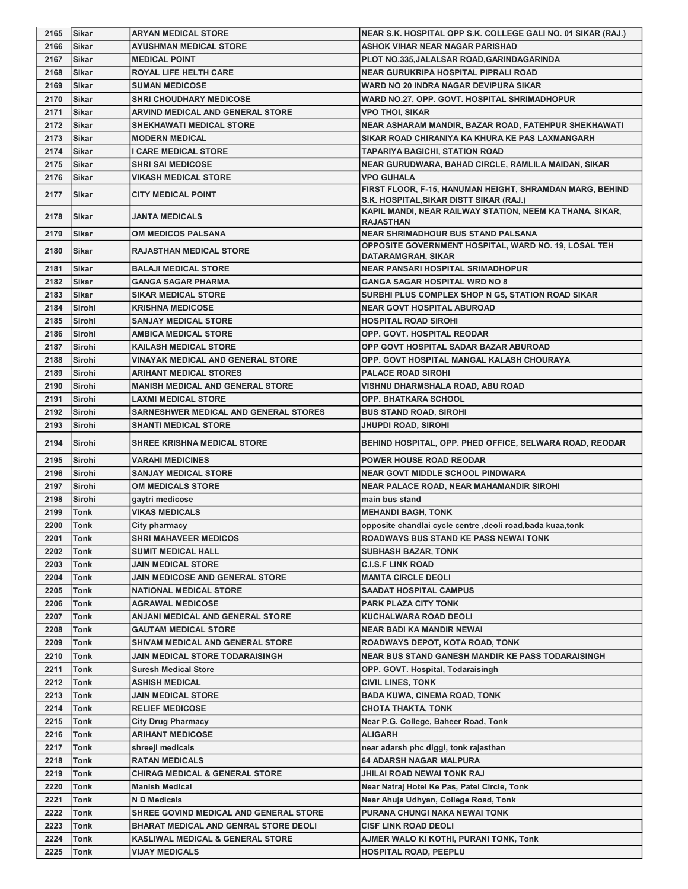| 2165 | <b>Sikar</b>  | <b>ARYAN MEDICAL STORE</b>                   | NEAR S.K. HOSPITAL OPP S.K. COLLEGE GALI NO. 01 SIKAR (RAJ.)                 |
|------|---------------|----------------------------------------------|------------------------------------------------------------------------------|
| 2166 | <b>Sikar</b>  | <b>AYUSHMAN MEDICAL STORE</b>                | <b>ASHOK VIHAR NEAR NAGAR PARISHAD</b>                                       |
| 2167 | <b>Sikar</b>  | <b>MEDICAL POINT</b>                         | PLOT NO.335, JALALSAR ROAD, GARINDAGARINDA                                   |
| 2168 | <b>Sikar</b>  | <b>ROYAL LIFE HELTH CARE</b>                 | <b>NEAR GURUKRIPA HOSPITAL PIPRALI ROAD</b>                                  |
| 2169 | Sikar         | <b>SUMAN MEDICOSE</b>                        | WARD NO 20 INDRA NAGAR DEVIPURA SIKAR                                        |
| 2170 | Sikar         | <b>SHRI CHOUDHARY MEDICOSE</b>               | WARD NO.27, OPP. GOVT. HOSPITAL SHRIMADHOPUR                                 |
| 2171 | <b>Sikar</b>  | ARVIND MEDICAL AND GENERAL STORE             | <b>VPO THOI, SIKAR</b>                                                       |
| 2172 | <b>Sikar</b>  | <b>SHEKHAWATI MEDICAL STORE</b>              | NEAR ASHARAM MANDIR, BAZAR ROAD, FATEHPUR SHEKHAWATI                         |
| 2173 | Sikar         | <b>MODERN MEDICAL</b>                        | SIKAR ROAD CHIRANIYA KA KHURA KE PAS LAXMANGARH                              |
| 2174 | <b>Sikar</b>  | <b>CARE MEDICAL STORE</b>                    | <b>TAPARIYA BAGICHI, STATION ROAD</b>                                        |
| 2175 | <b>Sikar</b>  | <b>SHRI SAI MEDICOSE</b>                     | NEAR GURUDWARA, BAHAD CIRCLE, RAMLILA MAIDAN, SIKAR                          |
| 2176 | <b>Sikar</b>  | <b>VIKASH MEDICAL STORE</b>                  | <b>VPO GUHALA</b>                                                            |
|      |               |                                              | FIRST FLOOR, F-15, HANUMAN HEIGHT, SHRAMDAN MARG, BEHIND                     |
| 2177 | <b>Sikar</b>  | <b>CITY MEDICAL POINT</b>                    | S.K. HOSPITAL, SIKAR DISTT SIKAR (RAJ.)                                      |
| 2178 | <b>Sikar</b>  | <b>JANTA MEDICALS</b>                        | KAPIL MANDI, NEAR RAILWAY STATION, NEEM KA THANA, SIKAR,<br><b>RAJASTHAN</b> |
| 2179 | Sikar         | OM MEDICOS PALSANA                           | <b>NEAR SHRIMADHOUR BUS STAND PALSANA</b>                                    |
| 2180 | <b>Sikar</b>  | <b>RAJASTHAN MEDICAL STORE</b>               | OPPOSITE GOVERNMENT HOSPITAL, WARD NO. 19, LOSAL TEH                         |
| 2181 | Sikar         | <b>BALAJI MEDICAL STORE</b>                  | DATARAMGRAH, SIKAR<br>NEAR PANSARI HOSPITAL SRIMADHOPUR                      |
|      |               |                                              |                                                                              |
| 2182 | <b>Sikar</b>  | <b>GANGA SAGAR PHARMA</b>                    | <b>GANGA SAGAR HOSPITAL WRD NO 8</b>                                         |
| 2183 | Sikar         | <b>SIKAR MEDICAL STORE</b>                   | SURBHI PLUS COMPLEX SHOP N G5, STATION ROAD SIKAR                            |
| 2184 | Sirohi        | <b>KRISHNA MEDICOSE</b>                      | <b>NEAR GOVT HOSPITAL ABUROAD</b>                                            |
| 2185 | Sirohi        | <b>SANJAY MEDICAL STORE</b>                  | <b>HOSPITAL ROAD SIROHI</b>                                                  |
| 2186 | <b>Sirohi</b> | <b>AMBICA MEDICAL STORE</b>                  | <b>OPP. GOVT. HOSPITAL REODAR</b>                                            |
| 2187 | Sirohi        | <b>KAILASH MEDICAL STORE</b>                 | OPP GOVT HOSPITAL SADAR BAZAR ABUROAD                                        |
| 2188 | Sirohi        | VINAYAK MEDICAL AND GENERAL STORE            | OPP. GOVT HOSPITAL MANGAL KALASH CHOURAYA                                    |
| 2189 | <b>Sirohi</b> | ARIHANT MEDICAL STORES                       | <b>PALACE ROAD SIROHI</b>                                                    |
| 2190 | Sirohi        | <b>MANISH MEDICAL AND GENERAL STORE</b>      | VISHNU DHARMSHALA ROAD, ABU ROAD                                             |
| 2191 | Sirohi        | <b>LAXMI MEDICAL STORE</b>                   | OPP. BHATKARA SCHOOL                                                         |
| 2192 | Sirohi        | SARNESHWER MEDICAL AND GENERAL STORES        | <b>BUS STAND ROAD, SIROHI</b>                                                |
| 2193 | Sirohi        | <b>SHANTI MEDICAL STORE</b>                  | JHUPDI ROAD, SIROHI                                                          |
| 2194 | <b>Sirohi</b> | <b>SHREE KRISHNA MEDICAL STORE</b>           | BEHIND HOSPITAL, OPP. PHED OFFICE, SELWARA ROAD, REODAR                      |
| 2195 | <b>Sirohi</b> | <b>VARAHI MEDICINES</b>                      | <b>POWER HOUSE ROAD REODAR</b>                                               |
| 2196 | <b>Sirohi</b> | <b>SANJAY MEDICAL STORE</b>                  | <b>NEAR GOVT MIDDLE SCHOOL PINDWARA</b>                                      |
| 2197 | <b>Sirohi</b> | <b>OM MEDICALS STORE</b>                     | NEAR PALACE ROAD, NEAR MAHAMANDIR SIROHI                                     |
|      |               |                                              | main bus stand                                                               |
| 2198 | Sirohi        | gaytri medicose                              |                                                                              |
| 2199 | <b>Tonk</b>   | <b>VIKAS MEDICALS</b>                        | <b>MEHANDI BAGH, TONK</b>                                                    |
| 2200 | Tonk          |                                              | opposite chandlai cycle centre , deoli road, bada kuaa, tonk                 |
|      |               | City pharmacy                                |                                                                              |
| 2201 | Tonk          | <b>SHRI MAHAVEER MEDICOS</b>                 | <b>ROADWAYS BUS STAND KE PASS NEWAI TONK</b>                                 |
| 2202 | Tonk          | <b>SUMIT MEDICAL HALL</b>                    | <b>SUBHASH BAZAR, TONK</b>                                                   |
| 2203 | <b>Tonk</b>   | <b>JAIN MEDICAL STORE</b>                    | <b>C.I.S.F LINK ROAD</b>                                                     |
| 2204 | <b>Tonk</b>   | JAIN MEDICOSE AND GENERAL STORE              | <b>MAMTA CIRCLE DEOLI</b>                                                    |
| 2205 | Tonk          | <b>NATIONAL MEDICAL STORE</b>                | <b>SAADAT HOSPITAL CAMPUS</b>                                                |
| 2206 | Tonk          | <b>AGRAWAL MEDICOSE</b>                      | PARK PLAZA CITY TONK                                                         |
| 2207 | Tonk          | ANJANI MEDICAL AND GENERAL STORE             | KUCHALWARA ROAD DEOLI                                                        |
| 2208 | <b>Tonk</b>   | <b>GAUTAM MEDICAL STORE</b>                  | <b>NEAR BADI KA MANDIR NEWAI</b>                                             |
| 2209 | Tonk          | SHIVAM MEDICAL AND GENERAL STORE             | ROADWAYS DEPOT, KOTA ROAD, TONK                                              |
| 2210 | Tonk          | JAIN MEDICAL STORE TODARAISINGH              | <b>NEAR BUS STAND GANESH MANDIR KE PASS TODARAISINGH</b>                     |
| 2211 | Tonk          | <b>Suresh Medical Store</b>                  | OPP. GOVT. Hospital, Todaraisingh                                            |
| 2212 | Tonk          | ASHISH MEDICAL                               | <b>CIVIL LINES, TONK</b>                                                     |
| 2213 | Tonk          | JAIN MEDICAL STORE                           | <b>BADA KUWA, CINEMA ROAD, TONK</b>                                          |
| 2214 | <b>Tonk</b>   | <b>RELIEF MEDICOSE</b>                       | CHOTA THAKTA, TONK                                                           |
| 2215 | Tonk          | <b>City Drug Pharmacy</b>                    | Near P.G. College, Baheer Road, Tonk                                         |
| 2216 | Tonk          | <b>ARIHANT MEDICOSE</b>                      | ALIGARH                                                                      |
| 2217 | Tonk          | shreeji medicals                             | near adarsh phc diggi, tonk rajasthan                                        |
| 2218 | Tonk          | <b>RATAN MEDICALS</b>                        | <b>64 ADARSH NAGAR MALPURA</b>                                               |
| 2219 | Tonk          | <b>CHIRAG MEDICAL &amp; GENERAL STORE</b>    | JHILAI ROAD NEWAI TONK RAJ                                                   |
| 2220 | Tonk          | <b>Manish Medical</b>                        | Near Natraj Hotel Ke Pas, Patel Circle, Tonk                                 |
| 2221 | Tonk          | N D Medicals                                 | Near Ahuja Udhyan, College Road, Tonk                                        |
| 2222 | Tonk          | SHREE GOVIND MEDICAL AND GENERAL STORE       | PURANA CHUNGI NAKA NEWAI TONK                                                |
| 2223 | Tonk          | <b>BHARAT MEDICAL AND GENRAL STORE DEOLI</b> | <b>CISF LINK ROAD DEOLI</b>                                                  |
| 2224 | Tonk          | <b>KASLIWAL MEDICAL &amp; GENERAL STORE</b>  | AJMER WALO KI KOTHI, PURANI TONK, Tonk                                       |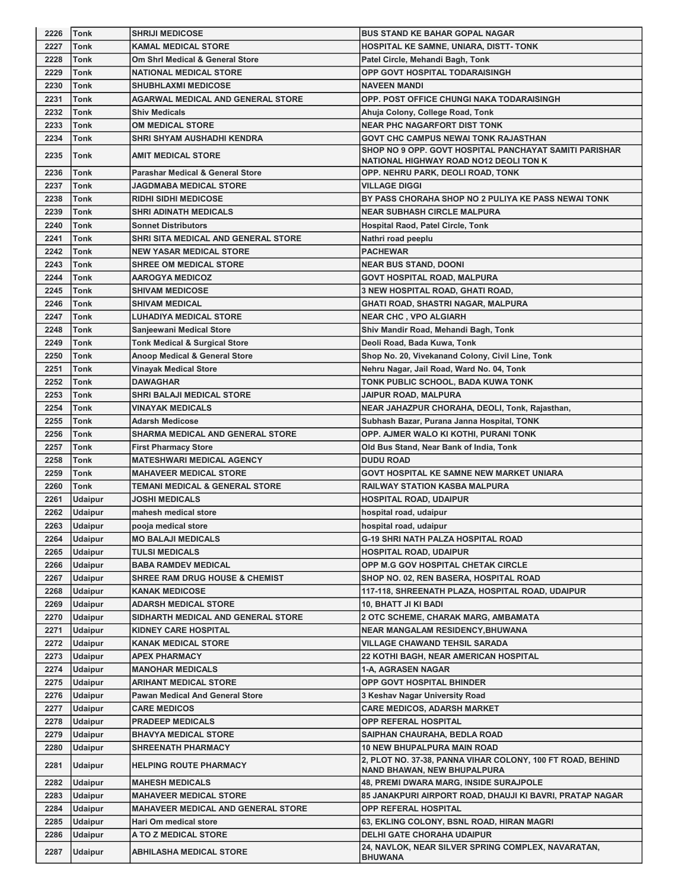| 2226 | <b>Tonk</b>    | <b>SHRIJI MEDICOSE</b>                      | <b>BUS STAND KE BAHAR GOPAL NAGAR</b>                                                   |
|------|----------------|---------------------------------------------|-----------------------------------------------------------------------------------------|
| 2227 | Tonk           | <b>KAMAL MEDICAL STORE</b>                  | HOSPITAL KE SAMNE, UNIARA, DISTT- TONK                                                  |
| 2228 | Tonk           | Om Shrl Medical & General Store             | Patel Circle, Mehandi Bagh, Tonk                                                        |
| 2229 | Tonk           | <b>NATIONAL MEDICAL STORE</b>               | <b>OPP GOVT HOSPITAL TODARAISINGH</b>                                                   |
| 2230 | Tonk           | <b>SHUBHLAXMI MEDICOSE</b>                  | <b>NAVEEN MANDI</b>                                                                     |
| 2231 | Tonk           | <b>AGARWAL MEDICAL AND GENERAL STORE</b>    | OPP. POST OFFICE CHUNGI NAKA TODARAISINGH                                               |
| 2232 | Tonk           | <b>Shiv Medicals</b>                        | Ahuja Colony, College Road, Tonk                                                        |
| 2233 | Tonk           | <b>OM MEDICAL STORE</b>                     | <b>NEAR PHC NAGARFORT DIST TONK</b>                                                     |
| 2234 | Tonk           | SHRI SHYAM AUSHADHI KENDRA                  | GOVT CHC CAMPUS NEWAI TONK RAJASTHAN                                                    |
|      |                |                                             | SHOP NO 9 OPP. GOVT HOSPITAL PANCHAYAT SAMITI PARISHAR                                  |
| 2235 | Tonk           | AMIT MEDICAL STORE                          | NATIONAL HIGHWAY ROAD NO12 DEOLI TON K                                                  |
| 2236 | Tonk           | <b>Parashar Medical &amp; General Store</b> | OPP. NEHRU PARK, DEOLI ROAD, TONK                                                       |
| 2237 | Tonk           | <b>JAGDMABA MEDICAL STORE</b>               | <b>VILLAGE DIGGI</b>                                                                    |
| 2238 | Tonk           | <b>RIDHI SIDHI MEDICOSE</b>                 | BY PASS CHORAHA SHOP NO 2 PULIYA KE PASS NEWAI TONK                                     |
| 2239 | Tonk           | SHRI ADINATH MEDICALS                       | <b>NEAR SUBHASH CIRCLE MALPURA</b>                                                      |
| 2240 | Tonk           | <b>Sonnet Distributors</b>                  | <b>Hospital Raod, Patel Circle, Tonk</b>                                                |
| 2241 | <b>Tonk</b>    | SHRI SITA MEDICAL AND GENERAL STORE         | Nathri road peeplu                                                                      |
| 2242 | <b>Tonk</b>    | <b>NEW YASAR MEDICAL STORE</b>              | <b>PACHEWAR</b>                                                                         |
| 2243 | <b>Tonk</b>    | <b>SHREE OM MEDICAL STORE</b>               | <b>NEAR BUS STAND, DOONI</b>                                                            |
| 2244 | <b>Tonk</b>    | <b>AAROGYA MEDICOZ</b>                      | <b>GOVT HOSPITAL ROAD, MALPURA</b>                                                      |
| 2245 | <b>Tonk</b>    |                                             | 3 NEW HOSPITAL ROAD, GHATI ROAD,                                                        |
|      |                | <b>SHIVAM MEDICOSE</b>                      |                                                                                         |
| 2246 | <b>Tonk</b>    | <b>SHIVAM MEDICAL</b>                       | GHATI ROAD, SHASTRI NAGAR, MALPURA                                                      |
| 2247 | <b>Tonk</b>    | <b>LUHADIYA MEDICAL STORE</b>               | <b>NEAR CHC, VPO ALGIARH</b>                                                            |
| 2248 | Tonk           | Sanjeewani Medical Store                    | Shiv Mandir Road, Mehandi Bagh, Tonk                                                    |
| 2249 | Tonk           | <b>Tonk Medical &amp; Surgical Store</b>    | Deoli Road, Bada Kuwa, Tonk                                                             |
| 2250 | Tonk           | <b>Anoop Medical &amp; General Store</b>    | Shop No. 20, Vivekanand Colony, Civil Line, Tonk                                        |
| 2251 | Tonk           | <b>Vinayak Medical Store</b>                | Nehru Nagar, Jail Road, Ward No. 04, Tonk                                               |
| 2252 | Tonk           | <b>DAWAGHAR</b>                             | TONK PUBLIC SCHOOL, BADA KUWA TONK                                                      |
| 2253 | Tonk           | <b>SHRI BALAJI MEDICAL STORE</b>            | JAIPUR ROAD, MALPURA                                                                    |
| 2254 | <b>Tonk</b>    | VINAYAK MEDICALS                            | NEAR JAHAZPUR CHORAHA, DEOLI, Tonk, Rajasthan,                                          |
| 2255 | Tonk           | <b>Adarsh Medicose</b>                      | Subhash Bazar, Purana Janna Hospital, TONK                                              |
| 2256 | Tonk           | SHARMA MEDICAL AND GENERAL STORE            | OPP. AJMER WALO KI KOTHI, PURANI TONK                                                   |
| 2257 | Tonk           | <b>First Pharmacy Store</b>                 | Old Bus Stand, Near Bank of India, Tonk                                                 |
| 2258 | <b>Tonk</b>    | <b>MATESHWARI MEDICAL AGENCY</b>            | <b>DUDU ROAD</b>                                                                        |
| 2259 | <b>Tonk</b>    | <b>MAHAVEER MEDICAL STORE</b>               | GOVT HOSPITAL KE SAMNE NEW MARKET UNIARA                                                |
| 2260 | Tonk           | TEMANI MEDICAL & GENERAL STORE              | <b>RAILWAY STATION KASBA MALPURA</b>                                                    |
| 2261 | <b>Udaipur</b> | <b>JOSHI MEDICALS</b>                       | <b>HOSPITAL ROAD, UDAIPUR</b>                                                           |
| 2262 | <b>Udaipur</b> | mahesh medical store                        | hospital road, udaipur                                                                  |
| 2263 | Udaipur        | pooja medical store                         | hospital road, udaipur                                                                  |
| 2264 | <b>Udaipur</b> | <b>MO BALAJI MEDICALS</b>                   | <b>G-19 SHRI NATH PALZA HOSPITAL ROAD</b>                                               |
| 2265 | <b>Udaipur</b> |                                             |                                                                                         |
| 2266 |                |                                             |                                                                                         |
|      |                | <b>TULSI MEDICALS</b>                       | <b>HOSPITAL ROAD, UDAIPUR</b>                                                           |
| 2267 | <b>Udaipur</b> | <b>BABA RAMDEV MEDICAL</b>                  | OPP M.G GOV HOSPITAL CHETAK CIRCLE                                                      |
|      | <b>Udaipur</b> | <b>SHREE RAM DRUG HOUSE &amp; CHEMIST</b>   | SHOP NO. 02, REN BASERA, HOSPITAL ROAD                                                  |
| 2268 | <b>Udaipur</b> | <b>KANAK MEDICOSE</b>                       | 117-118, SHREENATH PLAZA, HOSPITAL ROAD, UDAIPUR                                        |
| 2269 | <b>Udaipur</b> | <b>ADARSH MEDICAL STORE</b>                 | 10, BHATT JI KI BADI                                                                    |
| 2270 | <b>Udaipur</b> | SIDHARTH MEDICAL AND GENERAL STORE          | 2 OTC SCHEME, CHARAK MARG, AMBAMATA                                                     |
| 2271 | <b>Udaipur</b> | <b>KIDNEY CARE HOSPITAL</b>                 | <b>NEAR MANGALAM RESIDENCY, BHUWANA</b>                                                 |
| 2272 | <b>Udaipur</b> | <b>KANAK MEDICAL STORE</b>                  | <b>VILLAGE CHAWAND TEHSIL SARADA</b>                                                    |
| 2273 | <b>Udaipur</b> | <b>APEX PHARMACY</b>                        | <b>22 KOTHI BAGH, NEAR AMERICAN HOSPITAL</b>                                            |
| 2274 | Udaipur        | <b>MANOHAR MEDICALS</b>                     | 1-A, AGRASEN NAGAR                                                                      |
| 2275 | <b>Udaipur</b> | ARIHANT MEDICAL STORE                       | <b>OPP GOVT HOSPITAL BHINDER</b>                                                        |
| 2276 | <b>Udaipur</b> | <b>Pawan Medical And General Store</b>      | 3 Keshav Nagar University Road                                                          |
| 2277 | <b>Udaipur</b> | <b>CARE MEDICOS</b>                         | <b>CARE MEDICOS, ADARSH MARKET</b>                                                      |
| 2278 | <b>Udaipur</b> | <b>PRADEEP MEDICALS</b>                     | OPP REFERAL HOSPITAL                                                                    |
| 2279 | <b>Udaipur</b> | <b>BHAVYA MEDICAL STORE</b>                 | SAIPHAN CHAURAHA, BEDLA ROAD                                                            |
| 2280 | <b>Udaipur</b> | <b>SHREENATH PHARMACY</b>                   | <b>10 NEW BHUPALPURA MAIN ROAD</b>                                                      |
| 2281 | <b>Udaipur</b> | <b>HELPING ROUTE PHARMACY</b>               | 2, PLOT NO. 37-38, PANNA VIHAR COLONY, 100 FT ROAD, BEHIND                              |
|      |                |                                             | <b>NAND BHAWAN, NEW BHUPALPURA</b>                                                      |
| 2282 | <b>Udaipur</b> | <b>MAHESH MEDICALS</b>                      | <b>48, PREMI DWARA MARG, INSIDE SURAJPOLE</b>                                           |
| 2283 | <b>Udaipur</b> | <b>MAHAVEER MEDICAL STORE</b>               | 85 JANAKPURI AIRPORT ROAD, DHAUJI KI BAVRI, PRATAP NAGAR                                |
| 2284 | <b>Udaipur</b> | MAHAVEER MEDICAL AND GENERAL STORE          | <b>OPP REFERAL HOSPITAL</b>                                                             |
| 2285 | <b>Udaipur</b> | Hari Om medical store                       | 63, EKLING COLONY, BSNL ROAD, HIRAN MAGRI                                               |
| 2286 | <b>Udaipur</b> | A TO Z MEDICAL STORE                        | <b>DELHI GATE CHORAHA UDAIPUR</b><br>24, NAVLOK, NEAR SILVER SPRING COMPLEX, NAVARATAN, |